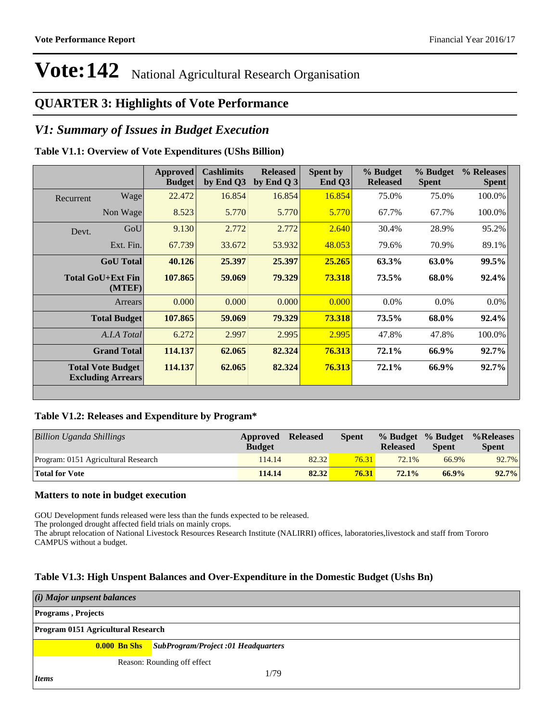### **QUARTER 3: Highlights of Vote Performance**

### *V1: Summary of Issues in Budget Execution*

#### **Table V1.1: Overview of Vote Expenditures (UShs Billion)**

|           |                                                      | <b>Approved</b><br><b>Budget</b> | <b>Cashlimits</b><br>by End Q3 | <b>Released</b><br>by End $Q_3$ | Spent by<br>End $Q3$ | % Budget<br><b>Released</b> | % Budget<br><b>Spent</b> | % Releases<br><b>Spent</b> |
|-----------|------------------------------------------------------|----------------------------------|--------------------------------|---------------------------------|----------------------|-----------------------------|--------------------------|----------------------------|
| Recurrent | Wage                                                 | 22.472                           | 16.854                         | 16.854                          | 16.854               | 75.0%                       | 75.0%                    | 100.0%                     |
|           | Non Wage                                             | 8.523                            | 5.770                          | 5.770                           | 5.770                | 67.7%                       | 67.7%                    | 100.0%                     |
| Devt.     | GoU                                                  | 9.130                            | 2.772                          | 2.772                           | 2.640                | 30.4%                       | 28.9%                    | 95.2%                      |
|           | Ext. Fin.                                            | 67.739                           | 33.672                         | 53.932                          | 48.053               | 79.6%                       | 70.9%                    | 89.1%                      |
|           | <b>GoU</b> Total                                     | 40.126                           | 25.397                         | 25.397                          | 25.265               | 63.3%                       | 63.0%                    | 99.5%                      |
|           | Total GoU+Ext Fin<br>(MTEF)                          | 107.865                          | 59.069                         | 79.329                          | 73.318               | 73.5%                       | 68.0%                    | 92.4%                      |
|           | Arrears                                              | 0.000                            | 0.000                          | 0.000                           | 0.000                | $0.0\%$                     | $0.0\%$                  | 0.0%                       |
|           | <b>Total Budget</b>                                  | 107.865                          | 59.069                         | 79.329                          | 73.318               | 73.5%                       | 68.0%                    | 92.4%                      |
|           | A.I.A Total                                          | 6.272                            | 2.997                          | 2.995                           | 2.995                | 47.8%                       | 47.8%                    | 100.0%                     |
|           | <b>Grand Total</b>                                   | 114.137                          | 62.065                         | 82.324                          | 76.313               | 72.1%                       | 66.9%                    | 92.7%                      |
|           | <b>Total Vote Budget</b><br><b>Excluding Arrears</b> | 114.137                          | 62.065                         | 82.324                          | 76.313               | 72.1%                       | 66.9%                    | 92.7%                      |

#### **Table V1.2: Releases and Expenditure by Program\***

| Billion Uganda Shillings            | Approved<br><b>Budget</b> | <b>Released</b> | <b>Spent</b> | <b>Released</b> | % Budget % Budget<br><b>Spent</b> | %Releases<br><b>Spent</b> |
|-------------------------------------|---------------------------|-----------------|--------------|-----------------|-----------------------------------|---------------------------|
| Program: 0151 Agricultural Research | 114.14                    | 82.32           | 76.31        | 72.1%           | 66.9%                             | 92.7%                     |
| <b>Total for Vote</b>               | 114.14                    | 82.32           | 76.31        | 72.1%           | 66.9%                             | 92.7%                     |

#### **Matters to note in budget execution**

GOU Development funds released were less than the funds expected to be released.

The prolonged drought affected field trials on mainly crops.

The abrupt relocation of National Livestock Resources Research Institute (NALIRRI) offices, laboratories,livestock and staff from Tororo CAMPUS without a budget.

#### **Table V1.3: High Unspent Balances and Over-Expenditure in the Domestic Budget (Ushs Bn)**

| (i) Major unpsent balances         |                                                        |  |  |  |  |  |  |
|------------------------------------|--------------------------------------------------------|--|--|--|--|--|--|
| <b>Programs</b> , Projects         |                                                        |  |  |  |  |  |  |
| Program 0151 Agricultural Research |                                                        |  |  |  |  |  |  |
|                                    | <b>0.000 Bn Shs</b> SubProgram/Project:01 Headquarters |  |  |  |  |  |  |
| Reason: Rounding off effect        |                                                        |  |  |  |  |  |  |
| Items                              | 1/79                                                   |  |  |  |  |  |  |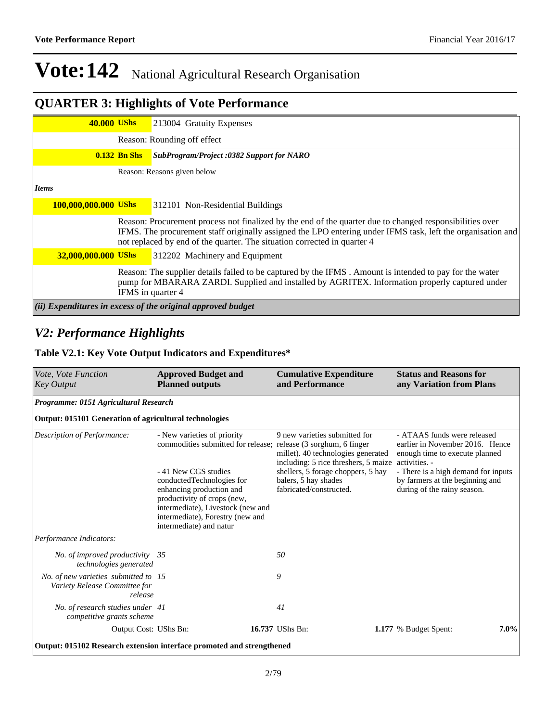## **QUARTER 3: Highlights of Vote Performance**

| <b>40.000 UShs</b>   |                   | 213004 Gratuity Expenses                                                                                                                                                                                                                                                                            |
|----------------------|-------------------|-----------------------------------------------------------------------------------------------------------------------------------------------------------------------------------------------------------------------------------------------------------------------------------------------------|
|                      |                   | Reason: Rounding off effect                                                                                                                                                                                                                                                                         |
|                      | $0.132$ Bn Shs    | SubProgram/Project :0382 Support for NARO                                                                                                                                                                                                                                                           |
|                      |                   | Reason: Reasons given below                                                                                                                                                                                                                                                                         |
| <b>Items</b>         |                   |                                                                                                                                                                                                                                                                                                     |
| 100,000,000.000 UShs |                   | 312101 Non-Residential Buildings                                                                                                                                                                                                                                                                    |
|                      |                   | Reason: Procurement process not finalized by the end of the quarter due to changed responsibilities over<br>IFMS. The procurement staff originally assigned the LPO entering under IFMS task, left the organisation and<br>not replaced by end of the quarter. The situation corrected in quarter 4 |
| 32,000,000.000 UShs  |                   | 312202 Machinery and Equipment                                                                                                                                                                                                                                                                      |
|                      | IFMS in quarter 4 | Reason: The supplier details failed to be captured by the IFMS. Amount is intended to pay for the water<br>pump for MBARARA ZARDI. Supplied and installed by AGRITEX. Information properly captured under                                                                                           |
|                      |                   | (ii) Expenditures in excess of the original approved budget                                                                                                                                                                                                                                         |

### *V2: Performance Highlights*

#### **Table V2.1: Key Vote Output Indicators and Expenditures\***

| Vote, Vote Function<br><b>Key Output</b>                                         | <b>Approved Budget and</b><br><b>Planned outputs</b>                                                                                                                                                                                                                                                               | <b>Cumulative Expenditure</b><br>and Performance                                                                                                                                                     | <b>Status and Reasons for</b><br>any Variation from Plans                                                                                                                                                                  |
|----------------------------------------------------------------------------------|--------------------------------------------------------------------------------------------------------------------------------------------------------------------------------------------------------------------------------------------------------------------------------------------------------------------|------------------------------------------------------------------------------------------------------------------------------------------------------------------------------------------------------|----------------------------------------------------------------------------------------------------------------------------------------------------------------------------------------------------------------------------|
| Programme: 0151 Agricultural Research                                            |                                                                                                                                                                                                                                                                                                                    |                                                                                                                                                                                                      |                                                                                                                                                                                                                            |
| <b>Output: 015101 Generation of agricultural technologies</b>                    |                                                                                                                                                                                                                                                                                                                    |                                                                                                                                                                                                      |                                                                                                                                                                                                                            |
| Description of Performance:                                                      | - New varieties of priority<br>commodities submitted for release; release (3 sorghum, 6 finger<br>- 41 New CGS studies<br>conductedTechnologies for<br>enhancing production and<br>productivity of crops (new,<br>intermediate), Livestock (new and<br>intermediate), Forestry (new and<br>intermediate) and natur | 9 new varieties submitted for<br>millet). 40 technologies generated<br>including: 5 rice threshers, 5 maize<br>shellers, 5 forage choppers, 5 hay<br>balers, 5 hay shades<br>fabricated/constructed. | - ATAAS funds were released<br>earlier in November 2016. Hence<br>enough time to execute planned<br>activities. -<br>- There is a high demand for inputs<br>by farmers at the beginning and<br>during of the rainy season. |
| Performance Indicators:                                                          |                                                                                                                                                                                                                                                                                                                    |                                                                                                                                                                                                      |                                                                                                                                                                                                                            |
| No. of improved productivity 35<br>technologies generated                        |                                                                                                                                                                                                                                                                                                                    | 50                                                                                                                                                                                                   |                                                                                                                                                                                                                            |
| No. of new varieties submitted to 15<br>Variety Release Committee for<br>release |                                                                                                                                                                                                                                                                                                                    | 9                                                                                                                                                                                                    |                                                                                                                                                                                                                            |
| No. of research studies under 41<br>competitive grants scheme                    |                                                                                                                                                                                                                                                                                                                    | 41                                                                                                                                                                                                   |                                                                                                                                                                                                                            |
| Output Cost: UShs Bn:                                                            |                                                                                                                                                                                                                                                                                                                    | 16.737 UShs Bn:                                                                                                                                                                                      | 7.0%<br>1.177 % Budget Spent:                                                                                                                                                                                              |
| Output: 015102 Research extension interface promoted and strengthened            |                                                                                                                                                                                                                                                                                                                    |                                                                                                                                                                                                      |                                                                                                                                                                                                                            |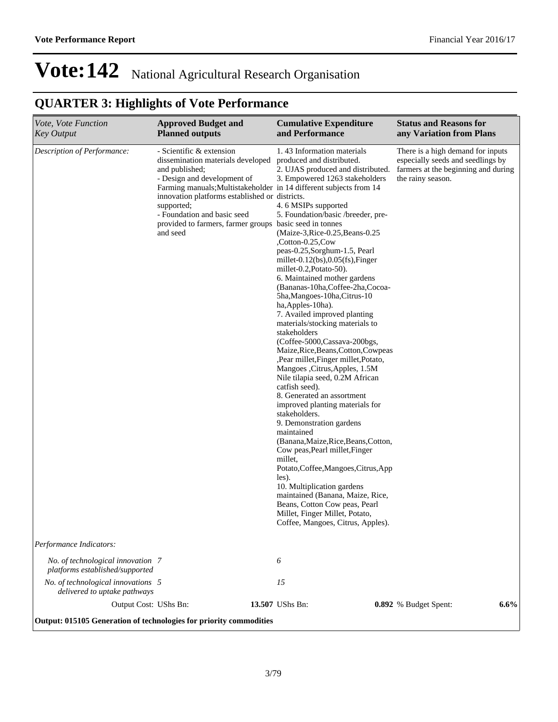## **QUARTER 3: Highlights of Vote Performance**

| Vote, Vote Function<br><b>Key Output</b>                             | <b>Approved Budget and</b><br><b>Planned outputs</b>                                                                                                                                                                                                                                                                                                       | <b>Cumulative Expenditure</b><br>and Performance                                                                                                                                                                                                                                                                                                                                                                                                                                                                                                                                                                                                                                                                                                                                                                                                                                                                                                                                                                                                                                                                                                                                                                        | <b>Status and Reasons for</b><br>any Variation from Plans                                                                          |
|----------------------------------------------------------------------|------------------------------------------------------------------------------------------------------------------------------------------------------------------------------------------------------------------------------------------------------------------------------------------------------------------------------------------------------------|-------------------------------------------------------------------------------------------------------------------------------------------------------------------------------------------------------------------------------------------------------------------------------------------------------------------------------------------------------------------------------------------------------------------------------------------------------------------------------------------------------------------------------------------------------------------------------------------------------------------------------------------------------------------------------------------------------------------------------------------------------------------------------------------------------------------------------------------------------------------------------------------------------------------------------------------------------------------------------------------------------------------------------------------------------------------------------------------------------------------------------------------------------------------------------------------------------------------------|------------------------------------------------------------------------------------------------------------------------------------|
| Description of Performance:                                          | - Scientific & extension<br>dissemination materials developed<br>and published;<br>- Design and development of<br>Farming manuals; Multistakeholder in 14 different subjects from 14<br>innovation platforms established or districts.<br>supported;<br>- Foundation and basic seed<br>provided to farmers, farmer groups basic seed in tonnes<br>and seed | 1.43 Information materials<br>produced and distributed.<br>2. UJAS produced and distributed.<br>3. Empowered 1263 stakeholders<br>4.6 MSIPs supported<br>5. Foundation/basic /breeder, pre-<br>(Maize-3, Rice-0.25, Beans-0.25)<br>,Cotton-0.25,Cow<br>peas-0.25, Sorghum-1.5, Pearl<br>millet- $0.12$ (bs), $0.05$ (fs), $Finger$<br>millet-0.2, Potato-50).<br>6. Maintained mother gardens<br>(Bananas-10ha, Coffee-2ha, Cocoa-<br>5ha, Mangoes-10ha, Citrus-10<br>ha, Apples-10ha).<br>7. Availed improved planting<br>materials/stocking materials to<br>stakeholders<br>(Coffee-5000, Cassava-200bgs,<br>Maize, Rice, Beans, Cotton, Cowpeas<br>,Pear millet,Finger millet,Potato,<br>Mangoes , Citrus, Apples, 1.5M<br>Nile tilapia seed, 0.2M African<br>catfish seed).<br>8. Generated an assortment<br>improved planting materials for<br>stakeholders.<br>9. Demonstration gardens<br>maintained<br>(Banana, Maize, Rice, Beans, Cotton,<br>Cow peas, Pearl millet, Finger<br>millet,<br>Potato,Coffee,Mangoes,Citrus,App<br>les).<br>10. Multiplication gardens<br>maintained (Banana, Maize, Rice,<br>Beans, Cotton Cow peas, Pearl<br>Millet, Finger Millet, Potato,<br>Coffee, Mangoes, Citrus, Apples). | There is a high demand for inputs<br>especially seeds and seedlings by<br>farmers at the beginning and during<br>the rainy season. |
| Performance Indicators:                                              |                                                                                                                                                                                                                                                                                                                                                            |                                                                                                                                                                                                                                                                                                                                                                                                                                                                                                                                                                                                                                                                                                                                                                                                                                                                                                                                                                                                                                                                                                                                                                                                                         |                                                                                                                                    |
| No. of technological innovation 7<br>platforms established/supported |                                                                                                                                                                                                                                                                                                                                                            | 6                                                                                                                                                                                                                                                                                                                                                                                                                                                                                                                                                                                                                                                                                                                                                                                                                                                                                                                                                                                                                                                                                                                                                                                                                       |                                                                                                                                    |
| No. of technological innovations 5<br>delivered to uptake pathways   |                                                                                                                                                                                                                                                                                                                                                            | 15                                                                                                                                                                                                                                                                                                                                                                                                                                                                                                                                                                                                                                                                                                                                                                                                                                                                                                                                                                                                                                                                                                                                                                                                                      |                                                                                                                                    |
| Output Cost: UShs Bn:                                                |                                                                                                                                                                                                                                                                                                                                                            | 13.507 UShs Bn:                                                                                                                                                                                                                                                                                                                                                                                                                                                                                                                                                                                                                                                                                                                                                                                                                                                                                                                                                                                                                                                                                                                                                                                                         | 6.6%<br>0.892 % Budget Spent:                                                                                                      |
| Output: 015105 Generation of technologies for priority commodities   |                                                                                                                                                                                                                                                                                                                                                            |                                                                                                                                                                                                                                                                                                                                                                                                                                                                                                                                                                                                                                                                                                                                                                                                                                                                                                                                                                                                                                                                                                                                                                                                                         |                                                                                                                                    |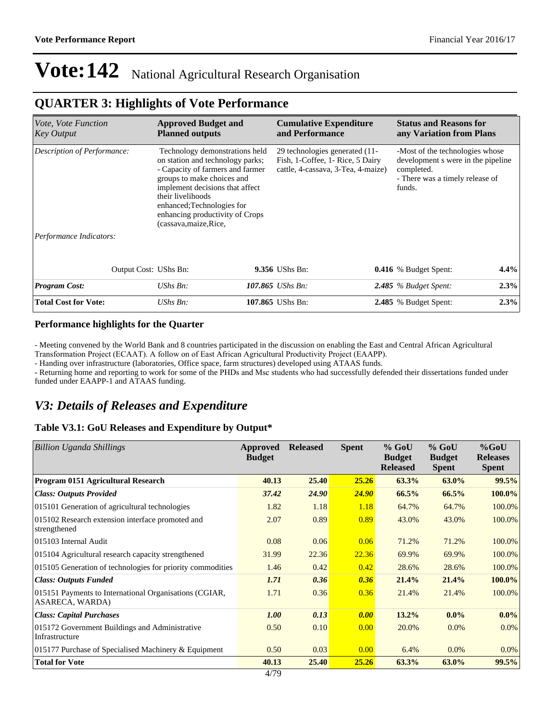### **QUARTER 3: Highlights of Vote Performance**

| <i>Vote, Vote Function</i><br><b>Key Output</b> | <b>Approved Budget and</b><br><b>Planned outputs</b>                                                                                                                                                                                                                                    | <b>Cumulative Expenditure</b><br>and Performance                                                         |  | <b>Status and Reasons for</b><br>any Variation from Plans                                                                        |      |
|-------------------------------------------------|-----------------------------------------------------------------------------------------------------------------------------------------------------------------------------------------------------------------------------------------------------------------------------------------|----------------------------------------------------------------------------------------------------------|--|----------------------------------------------------------------------------------------------------------------------------------|------|
| Description of Performance:                     | Technology demonstrations held<br>on station and technology parks;<br>- Capacity of farmers and farmer<br>groups to make choices and<br>implement decisions that affect<br>their livelihoods<br>enhanced; Technologies for<br>enhancing productivity of Crops<br>(cassava, maize, Rice, | 29 technologies generated (11-<br>Fish, 1-Coffee, 1- Rice, 5 Dairy<br>cattle, 4-cassava, 3-Tea, 4-maize) |  | -Most of the technologies whose<br>development s were in the pipeline<br>completed.<br>- There was a timely release of<br>funds. |      |
| Performance Indicators:                         |                                                                                                                                                                                                                                                                                         |                                                                                                          |  |                                                                                                                                  |      |
| Output Cost: UShs Bn:                           |                                                                                                                                                                                                                                                                                         | 9.356 UShs Bn:                                                                                           |  | <b>0.416</b> % Budget Spent:                                                                                                     | 4.4% |
| <b>Program Cost:</b>                            | $UShs Bn$ :                                                                                                                                                                                                                                                                             | 107.865 UShs Bn:                                                                                         |  | $2.485$ % Budget Spent:                                                                                                          | 2.3% |
| <b>Total Cost for Vote:</b>                     | UShs Bn:                                                                                                                                                                                                                                                                                | 107.865 UShs Bn:                                                                                         |  | <b>2.485</b> % Budget Spent:                                                                                                     | 2.3% |

#### **Performance highlights for the Quarter**

- Meeting convened by the World Bank and 8 countries participated in the discussion on enabling the East and Central African Agricultural Transformation Project (ECAAT). A follow on of East African Agricultural Productivity Project (EAAPP).

- Handing over infrastructure (laboratories, Office space, farm structures) developed using ATAAS funds.

- Returning home and reporting to work for some of the PHDs and Msc students who had successfully defended their dissertations funded under funded under EAAPP-1 and ATAAS funding.

### *V3: Details of Releases and Expenditure*

#### **Table V3.1: GoU Releases and Expenditure by Output\***

| Billion Uganda Shillings                                                  | Approved<br><b>Budget</b> | <b>Released</b> | <b>Spent</b> | $%$ GoU<br><b>Budget</b><br><b>Released</b> | $%$ GoU<br><b>Budget</b><br><b>Spent</b> | $%$ GoU<br><b>Releases</b><br><b>Spent</b> |
|---------------------------------------------------------------------------|---------------------------|-----------------|--------------|---------------------------------------------|------------------------------------------|--------------------------------------------|
| Program 0151 Agricultural Research                                        | 40.13                     | 25.40           | 25.26        | 63.3%                                       | 63.0%                                    | 99.5%                                      |
| <b>Class: Outputs Provided</b>                                            | 37.42                     | 24.90           | <b>24.90</b> | 66.5%                                       | 66.5%                                    | $100.0\%$                                  |
| 015101 Generation of agricultural technologies                            | 1.82                      | 1.18            | 1.18         | 64.7%                                       | 64.7%                                    | 100.0%                                     |
| 015102 Research extension interface promoted and<br>strengthened          | 2.07                      | 0.89            | 0.89         | 43.0%                                       | 43.0%                                    | 100.0%                                     |
| 015103 Internal Audit                                                     | 0.08                      | 0.06            | 0.06         | 71.2%                                       | 71.2%                                    | 100.0%                                     |
| 015104 Agricultural research capacity strengthened                        | 31.99                     | 22.36           | 22.36        | 69.9%                                       | 69.9%                                    | 100.0%                                     |
| 015105 Generation of technologies for priority commodities                | 1.46                      | 0.42            | 0.42         | 28.6%                                       | 28.6%                                    | 100.0%                                     |
| <b>Class: Outputs Funded</b>                                              | 1.71                      | 0.36            | 0.36         | 21.4%                                       | 21.4%                                    | $100.0\%$                                  |
| 015151 Payments to International Organisations (CGIAR,<br>ASARECA, WARDA) | 1.71                      | 0.36            | 0.36         | 21.4%                                       | 21.4%                                    | 100.0%                                     |
| <b>Class: Capital Purchases</b>                                           | <b>1.00</b>               | 0.13            | 0.00         | 13.2%                                       | $0.0\%$                                  | $0.0\%$                                    |
| 015172 Government Buildings and Administrative<br>Infrastructure          | 0.50                      | 0.10            | 0.00         | 20.0%                                       | $0.0\%$                                  | $0.0\%$                                    |
| 015177 Purchase of Specialised Machinery & Equipment                      | 0.50                      | 0.03            | 0.00         | 6.4%                                        | $0.0\%$                                  | $0.0\%$                                    |
| <b>Total for Vote</b>                                                     | 40.13<br>1.070            | 25.40           | 25.26        | 63.3%                                       | 63.0%                                    | 99.5%                                      |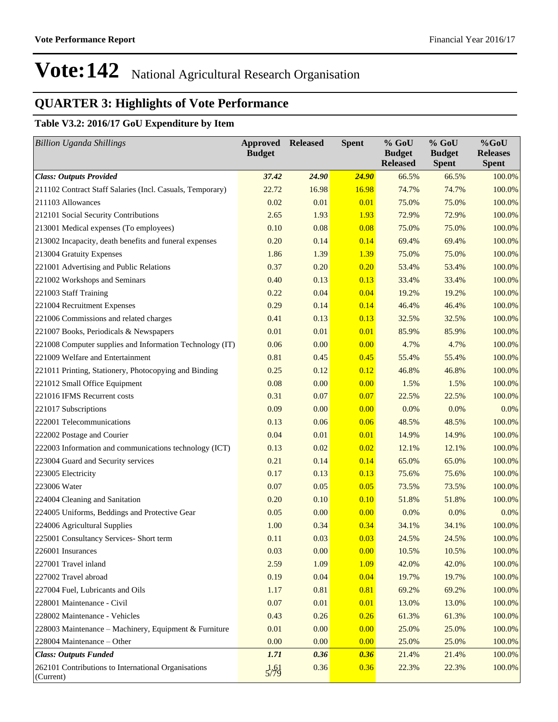## **QUARTER 3: Highlights of Vote Performance**

### **Table V3.2: 2016/17 GoU Expenditure by Item**

| <b>Billion Uganda Shillings</b>                                  | <b>Approved</b><br><b>Budget</b> | <b>Released</b> | <b>Spent</b> | % GoU<br><b>Budget</b><br><b>Released</b> | % GoU<br><b>Budget</b><br><b>Spent</b> | %GoU<br><b>Releases</b><br><b>Spent</b> |
|------------------------------------------------------------------|----------------------------------|-----------------|--------------|-------------------------------------------|----------------------------------------|-----------------------------------------|
| <b>Class: Outputs Provided</b>                                   | 37.42                            | 24.90           | <b>24.90</b> | 66.5%                                     | 66.5%                                  | 100.0%                                  |
| 211102 Contract Staff Salaries (Incl. Casuals, Temporary)        | 22.72                            | 16.98           | 16.98        | 74.7%                                     | 74.7%                                  | 100.0%                                  |
| 211103 Allowances                                                | 0.02                             | 0.01            | 0.01         | 75.0%                                     | 75.0%                                  | 100.0%                                  |
| 212101 Social Security Contributions                             | 2.65                             | 1.93            | 1.93         | 72.9%                                     | 72.9%                                  | 100.0%                                  |
| 213001 Medical expenses (To employees)                           | 0.10                             | 0.08            | 0.08         | 75.0%                                     | 75.0%                                  | 100.0%                                  |
| 213002 Incapacity, death benefits and funeral expenses           | 0.20                             | 0.14            | 0.14         | 69.4%                                     | 69.4%                                  | 100.0%                                  |
| 213004 Gratuity Expenses                                         | 1.86                             | 1.39            | 1.39         | 75.0%                                     | 75.0%                                  | 100.0%                                  |
| 221001 Advertising and Public Relations                          | 0.37                             | 0.20            | 0.20         | 53.4%                                     | 53.4%                                  | 100.0%                                  |
| 221002 Workshops and Seminars                                    | 0.40                             | 0.13            | 0.13         | 33.4%                                     | 33.4%                                  | 100.0%                                  |
| 221003 Staff Training                                            | 0.22                             | 0.04            | 0.04         | 19.2%                                     | 19.2%                                  | 100.0%                                  |
| 221004 Recruitment Expenses                                      | 0.29                             | 0.14            | 0.14         | 46.4%                                     | 46.4%                                  | 100.0%                                  |
| 221006 Commissions and related charges                           | 0.41                             | 0.13            | 0.13         | 32.5%                                     | 32.5%                                  | 100.0%                                  |
| 221007 Books, Periodicals & Newspapers                           | 0.01                             | 0.01            | 0.01         | 85.9%                                     | 85.9%                                  | 100.0%                                  |
| 221008 Computer supplies and Information Technology (IT)         | 0.06                             | 0.00            | 0.00         | 4.7%                                      | 4.7%                                   | 100.0%                                  |
| 221009 Welfare and Entertainment                                 | 0.81                             | 0.45            | 0.45         | 55.4%                                     | 55.4%                                  | 100.0%                                  |
| 221011 Printing, Stationery, Photocopying and Binding            | 0.25                             | 0.12            | 0.12         | 46.8%                                     | 46.8%                                  | 100.0%                                  |
| 221012 Small Office Equipment                                    | 0.08                             | 0.00            | 0.00         | 1.5%                                      | 1.5%                                   | 100.0%                                  |
| 221016 IFMS Recurrent costs                                      | 0.31                             | 0.07            | 0.07         | 22.5%                                     | 22.5%                                  | 100.0%                                  |
| 221017 Subscriptions                                             | 0.09                             | 0.00            | 0.00         | 0.0%                                      | 0.0%                                   | $0.0\%$                                 |
| 222001 Telecommunications                                        | 0.13                             | 0.06            | 0.06         | 48.5%                                     | 48.5%                                  | 100.0%                                  |
| 222002 Postage and Courier                                       | 0.04                             | 0.01            | 0.01         | 14.9%                                     | 14.9%                                  | 100.0%                                  |
| 222003 Information and communications technology (ICT)           | 0.13                             | 0.02            | 0.02         | 12.1%                                     | 12.1%                                  | 100.0%                                  |
| 223004 Guard and Security services                               | 0.21                             | 0.14            | 0.14         | 65.0%                                     | 65.0%                                  | 100.0%                                  |
| 223005 Electricity                                               | 0.17                             | 0.13            | 0.13         | 75.6%                                     | 75.6%                                  | 100.0%                                  |
| 223006 Water                                                     | 0.07                             | 0.05            | 0.05         | 73.5%                                     | 73.5%                                  | 100.0%                                  |
| 224004 Cleaning and Sanitation                                   | 0.20                             | 0.10            | 0.10         | 51.8%                                     | 51.8%                                  | 100.0%                                  |
| 224005 Uniforms, Beddings and Protective Gear                    | 0.05                             | 0.00            | 0.00         | 0.0%                                      | 0.0%                                   | $0.0\%$                                 |
| 224006 Agricultural Supplies                                     | 1.00                             | 0.34            | 0.34         | 34.1%                                     | 34.1%                                  | 100.0%                                  |
| 225001 Consultancy Services- Short term                          | 0.11                             | 0.03            | 0.03         | 24.5%                                     | 24.5%                                  | 100.0%                                  |
| 226001 Insurances                                                | 0.03                             | 0.00            | 0.00         | 10.5%                                     | 10.5%                                  | 100.0%                                  |
| 227001 Travel inland                                             | 2.59                             | 1.09            | 1.09         | 42.0%                                     | 42.0%                                  | 100.0%                                  |
| 227002 Travel abroad                                             | 0.19                             | 0.04            | 0.04         | 19.7%                                     | 19.7%                                  | 100.0%                                  |
| 227004 Fuel, Lubricants and Oils                                 | 1.17                             | 0.81            | 0.81         | 69.2%                                     | 69.2%                                  | 100.0%                                  |
| 228001 Maintenance - Civil                                       | 0.07                             | 0.01            | 0.01         | 13.0%                                     | 13.0%                                  | 100.0%                                  |
| 228002 Maintenance - Vehicles                                    | 0.43                             | 0.26            | 0.26         | 61.3%                                     | 61.3%                                  | 100.0%                                  |
| 228003 Maintenance - Machinery, Equipment & Furniture            | 0.01                             | 0.00            | 0.00         | 25.0%                                     | 25.0%                                  | 100.0%                                  |
| 228004 Maintenance - Other                                       | 0.00                             | 0.00            | 0.00         | 25.0%                                     | 25.0%                                  | 100.0%                                  |
| <b>Class: Outputs Funded</b>                                     | 1.71                             | 0.36            | 0.36         | 21.4%                                     | 21.4%                                  | 100.0%                                  |
| 262101 Contributions to International Organisations<br>(Current) | $\frac{1}{5}$ /79                | 0.36            | 0.36         | 22.3%                                     | 22.3%                                  | 100.0%                                  |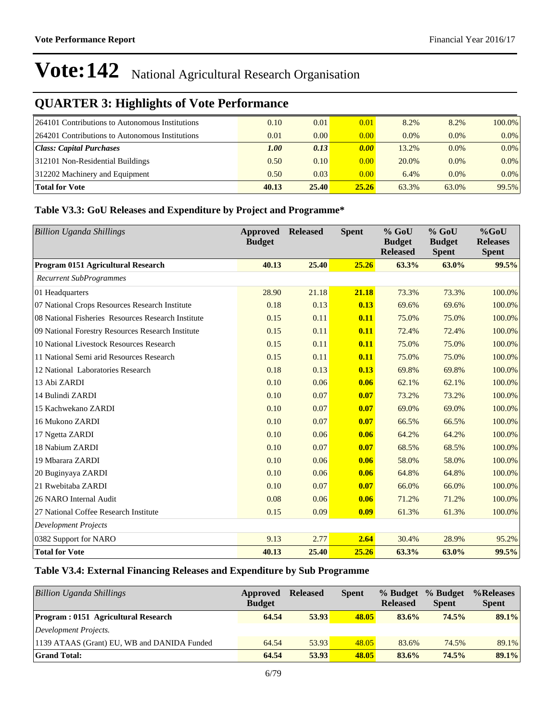## **QUARTER 3: Highlights of Vote Performance**

| 264101 Contributions to Autonomous Institutions | 0.10  | 0.01  | 0.01  | 8.2%    | 8.2%    | 100.0%  |
|-------------------------------------------------|-------|-------|-------|---------|---------|---------|
| 264201 Contributions to Autonomous Institutions | 0.01  | 0.00  | 0.00  | $0.0\%$ | $0.0\%$ | $0.0\%$ |
| Class: Capital Purchases                        | 1.00  | 0.13  | 0.00  | 13.2%   | $0.0\%$ | $0.0\%$ |
| 312101 Non-Residential Buildings                | 0.50  | 0.10  | 0.00  | 20.0%   | $0.0\%$ | $0.0\%$ |
| 312202 Machinery and Equipment                  | 0.50  | 0.03  | 0.00  | 6.4%    | 0.0%    | $0.0\%$ |
| <b>Total for Vote</b>                           | 40.13 | 25.40 | 25.26 | 63.3%   | 63.0%   | 99.5%   |

#### **Table V3.3: GoU Releases and Expenditure by Project and Programme\***

| <b>Billion Uganda Shillings</b>                    | Approved<br><b>Budget</b> | <b>Released</b> | <b>Spent</b> | % GoU<br><b>Budget</b><br><b>Released</b> | % GoU<br><b>Budget</b><br><b>Spent</b> | %GoU<br><b>Releases</b><br><b>Spent</b> |
|----------------------------------------------------|---------------------------|-----------------|--------------|-------------------------------------------|----------------------------------------|-----------------------------------------|
| Program 0151 Agricultural Research                 | 40.13                     | 25.40           | 25.26        | 63.3%                                     | 63.0%                                  | 99.5%                                   |
| <b>Recurrent SubProgrammes</b>                     |                           |                 |              |                                           |                                        |                                         |
| 01 Headquarters                                    | 28.90                     | 21.18           | 21.18        | 73.3%                                     | 73.3%                                  | 100.0%                                  |
| 07 National Crops Resources Research Institute     | 0.18                      | 0.13            | 0.13         | 69.6%                                     | 69.6%                                  | 100.0%                                  |
| 08 National Fisheries Resources Research Institute | 0.15                      | 0.11            | 0.11         | 75.0%                                     | 75.0%                                  | 100.0%                                  |
| 09 National Forestry Resources Research Institute  | 0.15                      | 0.11            | 0.11         | 72.4%                                     | 72.4%                                  | 100.0%                                  |
| 10 National Livestock Resources Research           | 0.15                      | 0.11            | 0.11         | 75.0%                                     | 75.0%                                  | 100.0%                                  |
| 11 National Semi arid Resources Research           | 0.15                      | 0.11            | 0.11         | 75.0%                                     | 75.0%                                  | 100.0%                                  |
| 12 National Laboratories Research                  | 0.18                      | 0.13            | 0.13         | 69.8%                                     | 69.8%                                  | 100.0%                                  |
| 13 Abi ZARDI                                       | 0.10                      | 0.06            | 0.06         | 62.1%                                     | 62.1%                                  | 100.0%                                  |
| 14 Bulindi ZARDI                                   | 0.10                      | 0.07            | 0.07         | 73.2%                                     | 73.2%                                  | 100.0%                                  |
| 15 Kachwekano ZARDI                                | 0.10                      | 0.07            | 0.07         | 69.0%                                     | 69.0%                                  | 100.0%                                  |
| 16 Mukono ZARDI                                    | 0.10                      | 0.07            | 0.07         | 66.5%                                     | 66.5%                                  | 100.0%                                  |
| 17 Ngetta ZARDI                                    | 0.10                      | 0.06            | 0.06         | 64.2%                                     | 64.2%                                  | 100.0%                                  |
| 18 Nabium ZARDI                                    | 0.10                      | 0.07            | 0.07         | 68.5%                                     | 68.5%                                  | 100.0%                                  |
| 19 Mbarara ZARDI                                   | 0.10                      | 0.06            | 0.06         | 58.0%                                     | 58.0%                                  | 100.0%                                  |
| 20 Buginyaya ZARDI                                 | 0.10                      | 0.06            | 0.06         | 64.8%                                     | 64.8%                                  | 100.0%                                  |
| 21 Rwebitaba ZARDI                                 | 0.10                      | 0.07            | 0.07         | 66.0%                                     | 66.0%                                  | 100.0%                                  |
| 26 NARO Internal Audit                             | 0.08                      | 0.06            | 0.06         | 71.2%                                     | 71.2%                                  | 100.0%                                  |
| 27 National Coffee Research Institute              | 0.15                      | 0.09            | 0.09         | 61.3%                                     | 61.3%                                  | 100.0%                                  |
| <b>Development Projects</b>                        |                           |                 |              |                                           |                                        |                                         |
| 0382 Support for NARO                              | 9.13                      | 2.77            | 2,64         | 30.4%                                     | 28.9%                                  | 95.2%                                   |
| <b>Total for Vote</b>                              | 40.13                     | 25.40           | 25.26        | 63.3%                                     | 63.0%                                  | 99.5%                                   |

#### **Table V3.4: External Financing Releases and Expenditure by Sub Programme**

| <b>Billion Uganda Shillings</b>             | Approved<br><b>Budget</b> | <b>Released</b> | <b>Spent</b> | % Budget<br><b>Released</b> | % Budget<br><b>Spent</b> | %Releases<br><b>Spent</b> |
|---------------------------------------------|---------------------------|-----------------|--------------|-----------------------------|--------------------------|---------------------------|
| <b>Program: 0151 Agricultural Research</b>  | 64.54                     | 53.93           | 48.05        | 83.6%                       | 74.5%                    | 89.1%                     |
| Development Projects.                       |                           |                 |              |                             |                          |                           |
| 1139 ATAAS (Grant) EU, WB and DANIDA Funded | 64.54                     | 53.93           | 48.05        | 83.6%                       | 74.5%                    | 89.1%                     |
| <b>Grand Total:</b>                         | 64.54                     | 53.93           | 48.05        | 83.6%                       | 74.5%                    | 89.1%                     |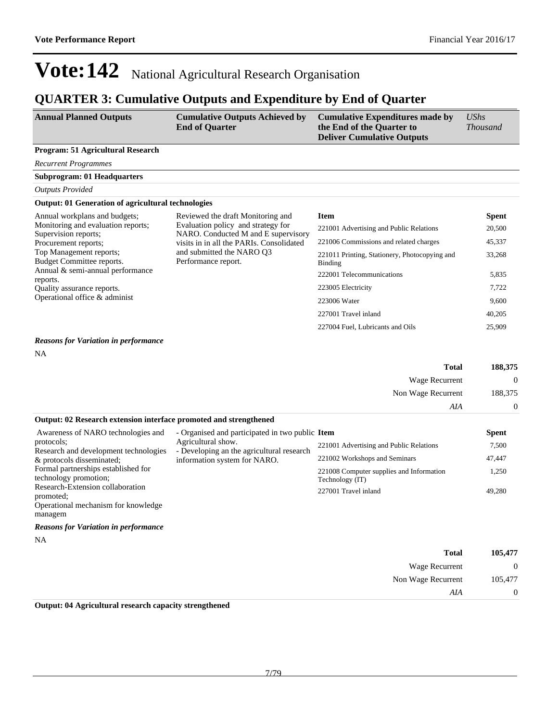## **QUARTER 3: Cumulative Outputs and Expenditure by End of Quarter**

| <b>Annual Planned Outputs</b> | <b>Cumulative Outputs Achieved by</b><br><b>End of Quarter</b> | <b>Cumulative Expenditures made by</b><br>the End of the Quarter to<br><b>Deliver Cumulative Outputs</b> | UShs<br><i>Thousand</i> |
|-------------------------------|----------------------------------------------------------------|----------------------------------------------------------------------------------------------------------|-------------------------|
|                               |                                                                |                                                                                                          |                         |

#### **Program: 51 Agricultural Research**

*Recurrent Programmes*

**Subprogram: 01 Headquarters**

*Outputs Provided*

#### **Output: 01 Generation of agricultural technologies**

| Annual workplans and budgets;                                                                                                                                       | Reviewed the draft Monitoring and                                                                                                                                         | <b>Item</b>                                              | Spent  |
|---------------------------------------------------------------------------------------------------------------------------------------------------------------------|---------------------------------------------------------------------------------------------------------------------------------------------------------------------------|----------------------------------------------------------|--------|
| Monitoring and evaluation reports;                                                                                                                                  | Evaluation policy and strategy for<br>NARO. Conducted M and E supervisory<br>visits in in all the PARIs. Consolidated<br>and submitted the NARO O3<br>Performance report. | 221001 Advertising and Public Relations                  | 20,500 |
| Supervision reports;<br>Procurement reports;                                                                                                                        |                                                                                                                                                                           | 221006 Commissions and related charges                   | 45,337 |
| Top Management reports;<br>Budget Committee reports.<br>Annual & semi-annual performance<br>reports.<br>Quality assurance reports.<br>Operational office & administ |                                                                                                                                                                           | 221011 Printing, Stationery, Photocopying and<br>Binding | 33.268 |
|                                                                                                                                                                     |                                                                                                                                                                           | 222001 Telecommunications                                | 5,835  |
|                                                                                                                                                                     |                                                                                                                                                                           | 223005 Electricity                                       | 7,722  |
|                                                                                                                                                                     |                                                                                                                                                                           | 223006 Water                                             | 9,600  |
|                                                                                                                                                                     |                                                                                                                                                                           | 227001 Travel inland                                     | 40,205 |
|                                                                                                                                                                     |                                                                                                                                                                           | 227004 Fuel, Lubricants and Oils                         | 25,909 |

#### *Reasons for Variation in performance*

NA

| 188,375      | <b>Total</b>       |
|--------------|--------------------|
| $\mathbf{0}$ | Wage Recurrent     |
| 188,375      | Non Wage Recurrent |
| $\mathbf{0}$ | AIA                |

#### **Output: 02 Research extension interface promoted and strengthened**

| Awareness of NARO technologies and                                 | - Organised and participated in two public Item                           |                                                             | <b>Spent</b> |
|--------------------------------------------------------------------|---------------------------------------------------------------------------|-------------------------------------------------------------|--------------|
| protocols:                                                         | Agricultural show.                                                        | 221001 Advertising and Public Relations                     | 7,500        |
| Research and development technologies<br>& protocols disseminated; | - Developing an the agricultural research<br>information system for NARO. | 221002 Workshops and Seminars                               | 47,447       |
| Formal partnerships established for<br>technology promotion;       |                                                                           | 221008 Computer supplies and Information<br>Technology (IT) | 1.250        |
| Research-Extension collaboration<br>promoted;                      |                                                                           | 227001 Travel inland                                        | 49,280       |
| Operational mechanism for knowledge                                |                                                                           |                                                             |              |
| managem                                                            |                                                                           |                                                             |              |

#### *Reasons for Variation in performance*

NA

| 105,477          | <b>Total</b>       |
|------------------|--------------------|
| $\boldsymbol{0}$ | Wage Recurrent     |
| 105,477          | Non Wage Recurrent |
| $\mathbf{0}$     | AIA                |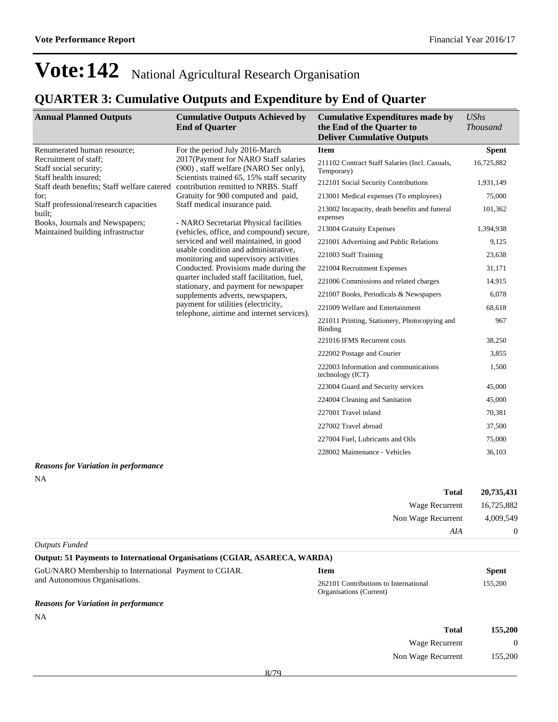Non Wage Recurrent 155,200

## **Vote:142** National Agricultural Research Organisation

### **QUARTER 3: Cumulative Outputs and Expenditure by End of Quarter**

| <b>Annual Planned Outputs</b>                                                  | <b>Cumulative Outputs Achieved by</b><br><b>End of Quarter</b>                                                                                                                                       | <b>Cumulative Expenditures made by</b><br>the End of the Quarter to<br><b>Deliver Cumulative Outputs</b> | <b>UShs</b><br><b>Thousand</b> |
|--------------------------------------------------------------------------------|------------------------------------------------------------------------------------------------------------------------------------------------------------------------------------------------------|----------------------------------------------------------------------------------------------------------|--------------------------------|
| Renumerated human resource;<br>Recruitment of staff:<br>Staff social security; | For the period July 2016-March<br>2017(Payment for NARO Staff salaries<br>(900), staff welfare (NARO Sec only),<br>Scientists trained 65, 15% staff security<br>contribution remitted to NRBS. Staff | <b>Item</b>                                                                                              | <b>Spent</b>                   |
|                                                                                |                                                                                                                                                                                                      | 211102 Contract Staff Salaries (Incl. Casuals,<br>Temporary)                                             | 16,725,882                     |
| Staff health insured;<br>Staff death benefits; Staff welfare catered           |                                                                                                                                                                                                      | 212101 Social Security Contributions                                                                     | 1,931,149                      |
| for:                                                                           | Gratuity for 900 computed and paid,                                                                                                                                                                  | 213001 Medical expenses (To employees)                                                                   | 75,000                         |
| Staff professional/research capacities<br>built;                               | Staff medical insurance paid.                                                                                                                                                                        | 213002 Incapacity, death benefits and funeral<br>expenses                                                | 101,362                        |
| Books, Journals and Newspapers;<br>Maintained building infrastructur           | - NARO Secretariat Physical facilities<br>(vehicles, office, and compound) secure,                                                                                                                   | 213004 Gratuity Expenses                                                                                 | 1,394,938                      |
|                                                                                | serviced and well maintained, in good                                                                                                                                                                | 221001 Advertising and Public Relations                                                                  | 9,125                          |
|                                                                                | usable condition and administrative,<br>monitoring and supervisory activities                                                                                                                        | 221003 Staff Training                                                                                    | 23,638                         |
|                                                                                | Conducted. Provisions made during the<br>quarter included staff facilitation, fuel,<br>stationary, and payment for newspaper<br>supplements adverts, newspapers,                                     | 221004 Recruitment Expenses                                                                              | 31,171                         |
|                                                                                |                                                                                                                                                                                                      | 221006 Commissions and related charges                                                                   | 14,915                         |
|                                                                                |                                                                                                                                                                                                      | 221007 Books, Periodicals & Newspapers                                                                   | 6,078                          |
|                                                                                | payment for utilities (electricity,                                                                                                                                                                  | 221009 Welfare and Entertainment                                                                         | 68,618                         |
| telephone, airtime and internet services).                                     |                                                                                                                                                                                                      | 221011 Printing, Stationery, Photocopying and<br>Binding                                                 | 967                            |
|                                                                                |                                                                                                                                                                                                      | 221016 IFMS Recurrent costs                                                                              | 38,250                         |
|                                                                                |                                                                                                                                                                                                      | 222002 Postage and Courier                                                                               | 3,855                          |
|                                                                                |                                                                                                                                                                                                      | 222003 Information and communications<br>technology (ICT)                                                | 1,500                          |
|                                                                                |                                                                                                                                                                                                      | 223004 Guard and Security services                                                                       | 45,000                         |
|                                                                                |                                                                                                                                                                                                      | 224004 Cleaning and Sanitation                                                                           | 45,000                         |
|                                                                                |                                                                                                                                                                                                      | 227001 Travel inland                                                                                     | 70,381                         |
|                                                                                |                                                                                                                                                                                                      | 227002 Travel abroad                                                                                     | 37,500                         |
|                                                                                |                                                                                                                                                                                                      | 227004 Fuel, Lubricants and Oils                                                                         | 75,000                         |
|                                                                                |                                                                                                                                                                                                      | 228002 Maintenance - Vehicles                                                                            | 36,103                         |

#### *Reasons for Variation in performance*

NA

| 20,735,431     | <b>Total</b>       |
|----------------|--------------------|
| 16,725,882     | Wage Recurrent     |
| 4,009,549      | Non Wage Recurrent |
| $\overline{0}$ | AIA                |

*Outputs Funded*

| Output: 51 Payments to International Organisations (CGIAR, ASARECA, WARDA) |                                                                  |              |
|----------------------------------------------------------------------------|------------------------------------------------------------------|--------------|
| GoU/NARO Membership to International Payment to CGIAR.                     | <b>Item</b>                                                      | <b>Spent</b> |
| and Autonomous Organisations.                                              | 262101 Contributions to International<br>Organisations (Current) | 155,200      |
| <b>Reasons for Variation in performance</b>                                |                                                                  |              |
| NA                                                                         |                                                                  |              |
|                                                                            | <b>Total</b>                                                     | 155,200      |
|                                                                            | Wage Recurrent                                                   | $\Omega$     |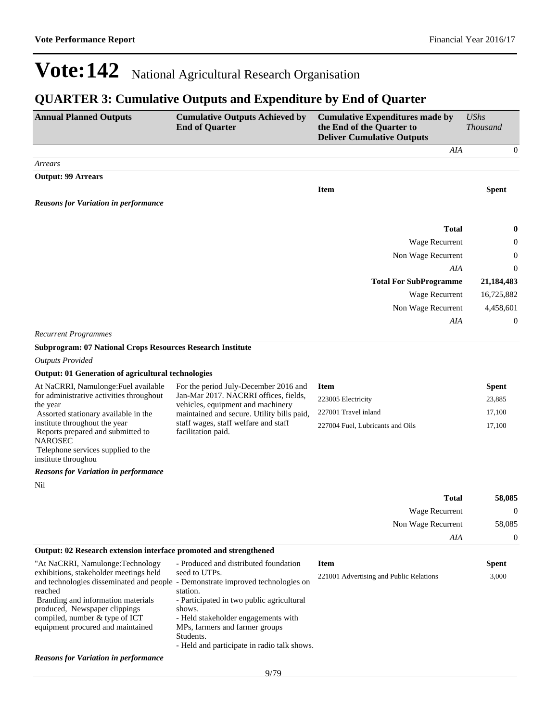### **QUARTER 3: Cumulative Outputs and Expenditure by End of Quarter**

| <b>Annual Planned Outputs</b>                                                                                                                                              | <b>Cumulative Outputs Achieved by</b><br><b>End of Quarter</b>                                                                              | <b>Cumulative Expenditures made by</b><br>the End of the Quarter to<br><b>Deliver Cumulative Outputs</b> | <b>UShs</b><br><b>Thousand</b> |
|----------------------------------------------------------------------------------------------------------------------------------------------------------------------------|---------------------------------------------------------------------------------------------------------------------------------------------|----------------------------------------------------------------------------------------------------------|--------------------------------|
|                                                                                                                                                                            |                                                                                                                                             | AIA                                                                                                      | $\theta$                       |
| Arrears                                                                                                                                                                    |                                                                                                                                             |                                                                                                          |                                |
| <b>Output: 99 Arrears</b>                                                                                                                                                  |                                                                                                                                             |                                                                                                          |                                |
| <b>Reasons for Variation in performance</b>                                                                                                                                |                                                                                                                                             | <b>Item</b>                                                                                              | <b>Spent</b>                   |
|                                                                                                                                                                            |                                                                                                                                             | <b>Total</b>                                                                                             | 0                              |
|                                                                                                                                                                            |                                                                                                                                             | Wage Recurrent                                                                                           | 0                              |
|                                                                                                                                                                            |                                                                                                                                             | Non Wage Recurrent                                                                                       | 0                              |
|                                                                                                                                                                            |                                                                                                                                             | AIA                                                                                                      | 0                              |
|                                                                                                                                                                            |                                                                                                                                             | <b>Total For SubProgramme</b>                                                                            | 21,184,483                     |
|                                                                                                                                                                            |                                                                                                                                             | Wage Recurrent                                                                                           | 16,725,882                     |
|                                                                                                                                                                            |                                                                                                                                             | Non Wage Recurrent                                                                                       | 4,458,601                      |
|                                                                                                                                                                            |                                                                                                                                             | AIA                                                                                                      | 0                              |
| <b>Recurrent Programmes</b>                                                                                                                                                |                                                                                                                                             |                                                                                                          |                                |
| <b>Subprogram: 07 National Crops Resources Research Institute</b>                                                                                                          |                                                                                                                                             |                                                                                                          |                                |
| <b>Outputs Provided</b>                                                                                                                                                    |                                                                                                                                             |                                                                                                          |                                |
| <b>Output: 01 Generation of agricultural technologies</b>                                                                                                                  |                                                                                                                                             |                                                                                                          |                                |
| At NaCRRI, Namulonge: Fuel available                                                                                                                                       | For the period July-December 2016 and                                                                                                       | <b>Item</b>                                                                                              | <b>Spent</b>                   |
| for administrative activities throughout                                                                                                                                   | Jan-Mar 2017. NACRRI offices, fields,                                                                                                       | 223005 Electricity                                                                                       | 23,885                         |
| the year<br>Assorted stationary available in the                                                                                                                           | vehicles, equipment and machinery<br>maintained and secure. Utility bills paid,                                                             | 227001 Travel inland                                                                                     | 17,100                         |
| institute throughout the year<br>Reports prepared and submitted to<br><b>NAROSEC</b><br>Telephone services supplied to the<br>institute throughou                          | staff wages, staff welfare and staff<br>facilitation paid.                                                                                  | 227004 Fuel, Lubricants and Oils                                                                         | 17,100                         |
| <b>Reasons for Variation in performance</b>                                                                                                                                |                                                                                                                                             |                                                                                                          |                                |
| Nil                                                                                                                                                                        |                                                                                                                                             |                                                                                                          |                                |
|                                                                                                                                                                            |                                                                                                                                             | <b>Total</b>                                                                                             | 58,085                         |
|                                                                                                                                                                            |                                                                                                                                             | Wage Recurrent                                                                                           | $\boldsymbol{0}$               |
|                                                                                                                                                                            |                                                                                                                                             | Non Wage Recurrent                                                                                       | 58,085                         |
|                                                                                                                                                                            |                                                                                                                                             | AIA                                                                                                      | $\boldsymbol{0}$               |
| Output: 02 Research extension interface promoted and strengthened                                                                                                          |                                                                                                                                             |                                                                                                          |                                |
| "At NaCRRI, Namulonge:Technology                                                                                                                                           | - Produced and distributed foundation                                                                                                       | <b>Item</b>                                                                                              | <b>Spent</b>                   |
| exhibitions, stakeholder meetings held<br>and technologies disseminated and people - Demonstrate improved technologies on<br>reached<br>Branding and information materials | seed to UTPs.<br>station.<br>- Participated in two public agricultural                                                                      | 221001 Advertising and Public Relations                                                                  | 3,000                          |
| produced, Newspaper clippings<br>compiled, number & type of ICT<br>equipment procured and maintained                                                                       | shows.<br>- Held stakeholder engagements with<br>MPs, farmers and farmer groups<br>Students.<br>- Held and participate in radio talk shows. |                                                                                                          |                                |
| <b>Reasons for Variation in performance</b>                                                                                                                                |                                                                                                                                             |                                                                                                          |                                |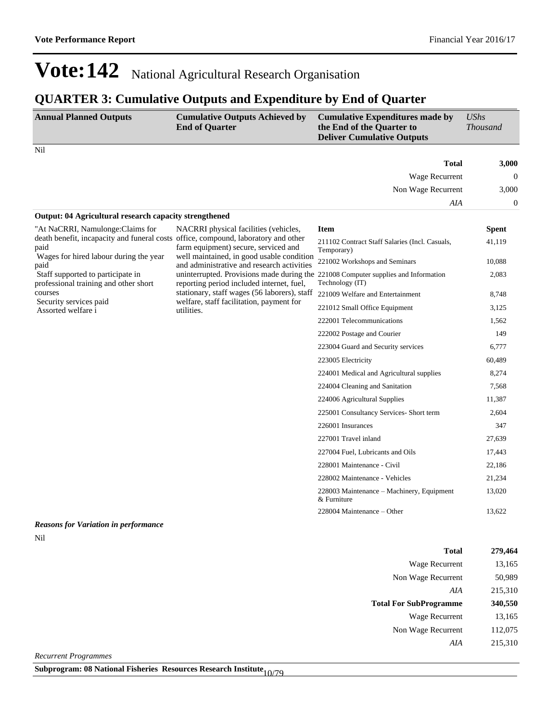### **QUARTER 3: Cumulative Outputs and Expenditure by End of Quarter**

| <b>Annual Planned Outputs</b>                                                              | <b>Cumulative Outputs Achieved by</b><br><b>End of Quarter</b>                                                                  | <b>Cumulative Expenditures made by</b><br>the End of the Quarter to<br><b>Deliver Cumulative Outputs</b> | <b>UShs</b><br><b>Thousand</b> |
|--------------------------------------------------------------------------------------------|---------------------------------------------------------------------------------------------------------------------------------|----------------------------------------------------------------------------------------------------------|--------------------------------|
| Nil                                                                                        |                                                                                                                                 |                                                                                                          |                                |
|                                                                                            |                                                                                                                                 | <b>Total</b>                                                                                             | 3,000                          |
|                                                                                            |                                                                                                                                 | Wage Recurrent                                                                                           | $\mathbf{0}$                   |
|                                                                                            |                                                                                                                                 | Non Wage Recurrent                                                                                       | 3,000                          |
|                                                                                            |                                                                                                                                 | AIA                                                                                                      | $\theta$                       |
| <b>Output: 04 Agricultural research capacity strengthened</b>                              |                                                                                                                                 |                                                                                                          |                                |
| "At NaCRRI, Namulonge:Claims for                                                           | NACRRI physical facilities (vehicles,                                                                                           | <b>Item</b>                                                                                              | <b>Spent</b>                   |
| death benefit, incapacity and funeral costs office, compound, laboratory and other<br>paid | farm equipment) secure, serviced and                                                                                            | 211102 Contract Staff Salaries (Incl. Casuals,<br>Temporary)                                             | 41,119                         |
| Wages for hired labour during the year<br>paid                                             | well maintained, in good usable condition<br>and administrative and research activities                                         | 221002 Workshops and Seminars                                                                            | 10,088                         |
| Staff supported to participate in<br>professional training and other short                 | uninterrupted. Provisions made during the 221008 Computer supplies and Information<br>reporting period included internet, fuel, | Technology (IT)                                                                                          | 2,083                          |
| courses                                                                                    | stationary, staff wages (56 laborers), staff<br>welfare, staff facilitation, payment for<br>utilities.                          | 221009 Welfare and Entertainment                                                                         | 8,748                          |
| Security services paid<br>Assorted welfare i                                               |                                                                                                                                 | 221012 Small Office Equipment                                                                            | 3,125                          |
|                                                                                            |                                                                                                                                 | 222001 Telecommunications                                                                                | 1,562                          |
|                                                                                            |                                                                                                                                 | 222002 Postage and Courier                                                                               | 149                            |
|                                                                                            |                                                                                                                                 | 223004 Guard and Security services                                                                       | 6,777                          |
|                                                                                            |                                                                                                                                 | 223005 Electricity                                                                                       | 60,489                         |
|                                                                                            |                                                                                                                                 | 224001 Medical and Agricultural supplies                                                                 | 8,274                          |
|                                                                                            |                                                                                                                                 | 224004 Cleaning and Sanitation                                                                           | 7,568                          |
|                                                                                            |                                                                                                                                 | 224006 Agricultural Supplies                                                                             | 11,387                         |
|                                                                                            |                                                                                                                                 | 225001 Consultancy Services- Short term                                                                  | 2,604                          |
|                                                                                            |                                                                                                                                 | 226001 Insurances                                                                                        | 347                            |
|                                                                                            |                                                                                                                                 | 227001 Travel inland                                                                                     | 27,639                         |
|                                                                                            |                                                                                                                                 | 227004 Fuel, Lubricants and Oils                                                                         | 17,443                         |
|                                                                                            |                                                                                                                                 | 228001 Maintenance - Civil                                                                               | 22,186                         |
|                                                                                            |                                                                                                                                 | 228002 Maintenance - Vehicles                                                                            | 21,234                         |
|                                                                                            |                                                                                                                                 | 228003 Maintenance – Machinery, Equipment<br>& Furniture                                                 | 13,020                         |
|                                                                                            |                                                                                                                                 | 228004 Maintenance – Other                                                                               | 13,622                         |
| <b>Reasons for Variation in performance</b>                                                |                                                                                                                                 |                                                                                                          |                                |

Nil

| <b>Total</b>                                   | 279,464 |
|------------------------------------------------|---------|
| <b>Wage Recurrent</b>                          | 13,165  |
| Non Wage Recurrent                             | 50,989  |
| AIA                                            | 215,310 |
| <b>Total For SubProgramme</b>                  | 340,550 |
| <b>Wage Recurrent</b>                          | 13,165  |
| Non Wage Recurrent                             | 112,075 |
| AIA                                            | 215,310 |
| $\mathbf{r}$ and $\mathbf{r}$ and $\mathbf{r}$ |         |

*Recurrent Programmes*

**Subprogram: 08 National Fisheries Resources Research Institute** 10/79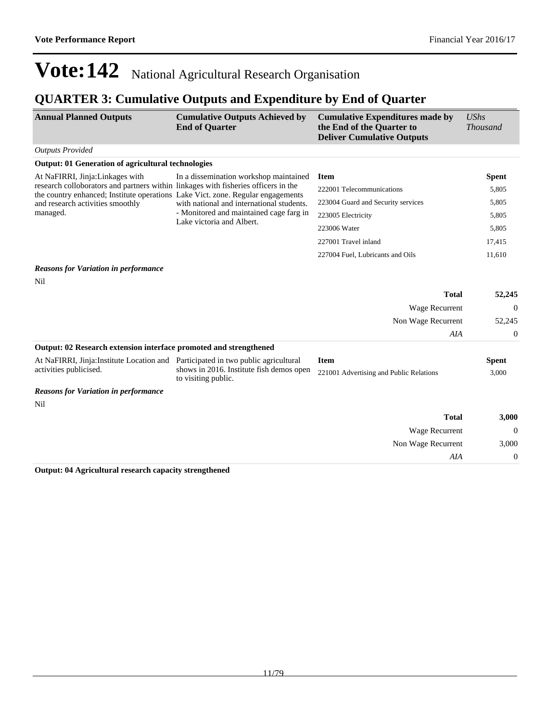### **QUARTER 3: Cumulative Outputs and Expenditure by End of Quarter**

| <b>Annual Planned Outputs</b>                                                     | <b>Cumulative Outputs Achieved by</b><br><b>End of Quarter</b>                                                               | <b>Cumulative Expenditures made by</b><br>the End of the Quarter to<br><b>Deliver Cumulative Outputs</b> | <b>UShs</b><br><b>Thousand</b> |
|-----------------------------------------------------------------------------------|------------------------------------------------------------------------------------------------------------------------------|----------------------------------------------------------------------------------------------------------|--------------------------------|
| <b>Outputs Provided</b>                                                           |                                                                                                                              |                                                                                                          |                                |
| <b>Output: 01 Generation of agricultural technologies</b>                         |                                                                                                                              |                                                                                                          |                                |
| At NaFIRRI, Jinja:Linkages with                                                   | In a dissemination workshop maintained<br>research colloborators and partners within linkages with fisheries officers in the | <b>Item</b>                                                                                              | <b>Spent</b>                   |
| the country enhanced; Institute operations Lake Vict. zone. Regular engagements   |                                                                                                                              | 222001 Telecommunications                                                                                | 5,805                          |
| and research activities smoothly                                                  | with national and international students.                                                                                    | 223004 Guard and Security services                                                                       | 5,805                          |
| managed.                                                                          | - Monitored and maintained cage farg in                                                                                      | 223005 Electricity                                                                                       | 5,805                          |
|                                                                                   | Lake victoria and Albert.                                                                                                    | 223006 Water                                                                                             | 5,805                          |
|                                                                                   |                                                                                                                              | 227001 Travel inland                                                                                     | 17,415                         |
|                                                                                   |                                                                                                                              | 227004 Fuel, Lubricants and Oils                                                                         | 11,610                         |
| <b>Reasons for Variation in performance</b>                                       |                                                                                                                              |                                                                                                          |                                |
| Nil                                                                               |                                                                                                                              |                                                                                                          |                                |
|                                                                                   |                                                                                                                              | <b>Total</b>                                                                                             | 52,245                         |
|                                                                                   |                                                                                                                              | Wage Recurrent                                                                                           | $\Omega$                       |
|                                                                                   |                                                                                                                              | Non Wage Recurrent                                                                                       | 52,245                         |
|                                                                                   |                                                                                                                              | <b>AIA</b>                                                                                               | $\boldsymbol{0}$               |
| Output: 02 Research extension interface promoted and strengthened                 |                                                                                                                              |                                                                                                          |                                |
| At NaFIRRI, Jinja: Institute Location and Participated in two public agricultural |                                                                                                                              | <b>Item</b>                                                                                              | <b>Spent</b>                   |
| activities publicised.                                                            | shows in 2016. Institute fish demos open<br>to visiting public.                                                              | 221001 Advertising and Public Relations                                                                  | 3,000                          |
| <b>Reasons for Variation in performance</b>                                       |                                                                                                                              |                                                                                                          |                                |
| Nil                                                                               |                                                                                                                              |                                                                                                          |                                |
|                                                                                   |                                                                                                                              | <b>Total</b>                                                                                             | 3,000                          |
|                                                                                   |                                                                                                                              | Wage Recurrent                                                                                           | $\Omega$                       |
|                                                                                   |                                                                                                                              | Non Wage Recurrent                                                                                       | 3,000                          |
|                                                                                   |                                                                                                                              | AIA                                                                                                      | $\overline{0}$                 |
| $-4.04.4$                                                                         |                                                                                                                              |                                                                                                          |                                |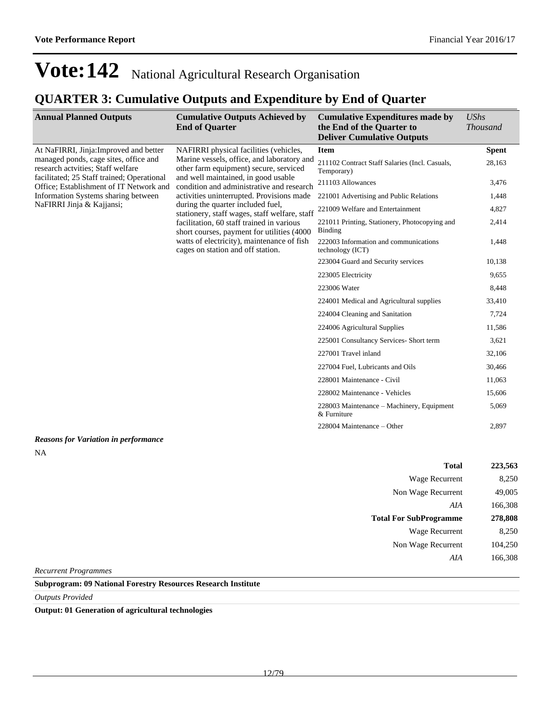## **QUARTER 3: Cumulative Outputs and Expenditure by End of Quarter**

| <b>Annual Planned Outputs</b>                                                         | <b>Cumulative Outputs Achieved by</b><br><b>End of Quarter</b>                                                                                                                                                        | <b>Cumulative Expenditures made by</b><br>the End of the Quarter to<br><b>Deliver Cumulative Outputs</b> | <b>UShs</b><br><b>Thousand</b> |
|---------------------------------------------------------------------------------------|-----------------------------------------------------------------------------------------------------------------------------------------------------------------------------------------------------------------------|----------------------------------------------------------------------------------------------------------|--------------------------------|
| At NaFIRRI, Jinja: Improved and better                                                | NAFIRRI physical facilities (vehicles,                                                                                                                                                                                | <b>Item</b>                                                                                              | <b>Spent</b>                   |
| managed ponds, cage sites, office and<br>research actvities; Staff welfare            | Marine vessels, office, and laboratory and<br>other farm equipment) secure, serviced<br>and well maintained, in good usable<br>condition and administrative and research<br>activities uninterrupted. Provisions made | 211102 Contract Staff Salaries (Incl. Casuals,<br>Temporary)                                             | 28,163                         |
| facilitated; 25 Staff trained; Operational<br>Office; Establishment of IT Network and |                                                                                                                                                                                                                       | 211103 Allowances                                                                                        | 3,476                          |
| Information Systems sharing between                                                   |                                                                                                                                                                                                                       | 221001 Advertising and Public Relations                                                                  | 1,448                          |
| NaFIRRI Jinja & Kajjansi;                                                             | during the quarter included fuel,<br>stationery, staff wages, staff welfare, staff                                                                                                                                    | 221009 Welfare and Entertainment                                                                         | 4,827                          |
|                                                                                       | facilitation, 60 staff trained in various<br>short courses, payment for utilities (4000                                                                                                                               | 221011 Printing, Stationery, Photocopying and<br><b>Binding</b>                                          | 2,414                          |
|                                                                                       | watts of electricity), maintenance of fish<br>cages on station and off station.                                                                                                                                       | 222003 Information and communications<br>technology (ICT)                                                | 1,448                          |
|                                                                                       |                                                                                                                                                                                                                       | 223004 Guard and Security services                                                                       | 10,138                         |
|                                                                                       |                                                                                                                                                                                                                       | 223005 Electricity                                                                                       | 9,655                          |
|                                                                                       |                                                                                                                                                                                                                       | 223006 Water                                                                                             | 8,448                          |
|                                                                                       |                                                                                                                                                                                                                       | 224001 Medical and Agricultural supplies                                                                 | 33,410                         |
|                                                                                       |                                                                                                                                                                                                                       | 224004 Cleaning and Sanitation                                                                           | 7,724                          |
|                                                                                       |                                                                                                                                                                                                                       | 224006 Agricultural Supplies                                                                             | 11,586                         |
|                                                                                       |                                                                                                                                                                                                                       | 225001 Consultancy Services- Short term                                                                  | 3,621                          |
|                                                                                       |                                                                                                                                                                                                                       | 227001 Travel inland                                                                                     | 32,106                         |
|                                                                                       |                                                                                                                                                                                                                       | 227004 Fuel, Lubricants and Oils                                                                         | 30,466                         |
|                                                                                       |                                                                                                                                                                                                                       | 228001 Maintenance - Civil                                                                               | 11,063                         |
|                                                                                       |                                                                                                                                                                                                                       | 228002 Maintenance - Vehicles                                                                            | 15,606                         |
|                                                                                       |                                                                                                                                                                                                                       | 228003 Maintenance – Machinery, Equipment<br>& Furniture                                                 | 5,069                          |
|                                                                                       |                                                                                                                                                                                                                       | 228004 Maintenance – Other                                                                               | 2,897                          |
| <b>Reasons for Variation in performance</b>                                           |                                                                                                                                                                                                                       |                                                                                                          |                                |
| <b>NA</b>                                                                             |                                                                                                                                                                                                                       |                                                                                                          |                                |
|                                                                                       |                                                                                                                                                                                                                       | <b>Total</b>                                                                                             | 223,563                        |
|                                                                                       |                                                                                                                                                                                                                       | <b>Wage Recurrent</b>                                                                                    | 8,250                          |

|                               | ------  |
|-------------------------------|---------|
| Wage Recurrent                | 8,250   |
| Non Wage Recurrent            | 49,005  |
| AIA                           | 166,308 |
| <b>Total For SubProgramme</b> | 278,808 |
| Wage Recurrent                | 8,250   |
| Non Wage Recurrent            | 104,250 |
| AIA                           | 166,308 |
|                               |         |

*Recurrent Programmes*

**Subprogram: 09 National Forestry Resources Research Institute**

*Outputs Provided*

**Output: 01 Generation of agricultural technologies**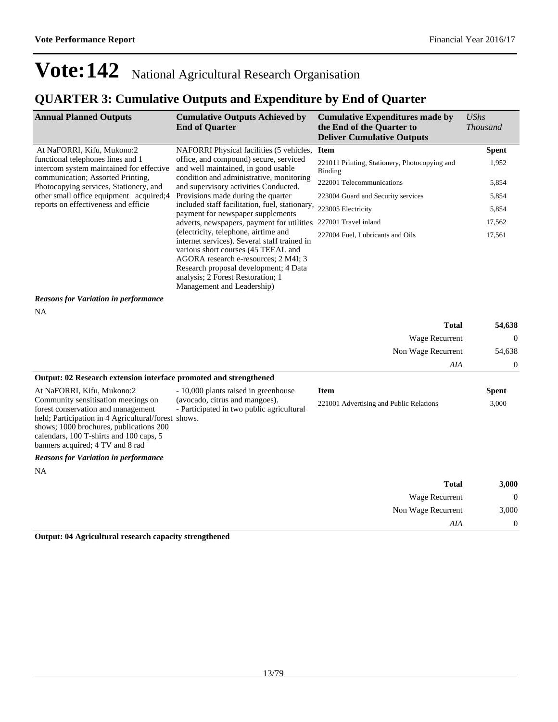### **QUARTER 3: Cumulative Outputs and Expenditure by End of Quarter**

| <b>Annual Planned Outputs</b>                                                                                                                                                                                                                              | <b>Cumulative Outputs Achieved by</b><br><b>End of Quarter</b>                                                                                                                                                                                                                  | <b>Cumulative Expenditures made by</b><br>the End of the Quarter to<br><b>Deliver Cumulative Outputs</b> | <b>UShs</b><br><b>Thousand</b> |
|------------------------------------------------------------------------------------------------------------------------------------------------------------------------------------------------------------------------------------------------------------|---------------------------------------------------------------------------------------------------------------------------------------------------------------------------------------------------------------------------------------------------------------------------------|----------------------------------------------------------------------------------------------------------|--------------------------------|
| At NaFORRI, Kifu, Mukono:2                                                                                                                                                                                                                                 | NAFORRI Physical facilities (5 vehicles,                                                                                                                                                                                                                                        | <b>Item</b>                                                                                              | <b>Spent</b>                   |
| functional telephones lines and 1<br>intercom system maintained for effective                                                                                                                                                                              | office, and compound) secure, serviced<br>and well maintained, in good usable<br>condition and administrative, monitoring<br>and supervisory activities Conducted.<br>Provisions made during the quarter                                                                        | 221011 Printing, Stationery, Photocopying and<br><b>Binding</b>                                          | 1,952                          |
| communication; Assorted Printing,<br>Photocopying services, Stationery, and                                                                                                                                                                                |                                                                                                                                                                                                                                                                                 | 222001 Telecommunications                                                                                | 5,854                          |
| other small office equipment acquired;4                                                                                                                                                                                                                    |                                                                                                                                                                                                                                                                                 | 223004 Guard and Security services                                                                       | 5,854                          |
| reports on effectiveness and efficie                                                                                                                                                                                                                       | included staff facilitation, fuel, stationary,<br>payment for newspaper supplements                                                                                                                                                                                             | 223005 Electricity                                                                                       | 5,854                          |
|                                                                                                                                                                                                                                                            | adverts, newspapers, payment for utilities                                                                                                                                                                                                                                      | 227001 Travel inland                                                                                     | 17,562                         |
|                                                                                                                                                                                                                                                            | (electricity, telephone, airtime and<br>internet services). Several staff trained in<br>various short courses (45 TEEAL and<br>AGORA research e-resources; 2 M4I; 3<br>Research proposal development; 4 Data<br>analysis; 2 Forest Restoration; 1<br>Management and Leadership) | 227004 Fuel, Lubricants and Oils                                                                         | 17,561                         |
| <b>Reasons for Variation in performance</b>                                                                                                                                                                                                                |                                                                                                                                                                                                                                                                                 |                                                                                                          |                                |
| NA                                                                                                                                                                                                                                                         |                                                                                                                                                                                                                                                                                 |                                                                                                          |                                |
|                                                                                                                                                                                                                                                            |                                                                                                                                                                                                                                                                                 | <b>Total</b>                                                                                             | 54,638                         |
|                                                                                                                                                                                                                                                            |                                                                                                                                                                                                                                                                                 | Wage Recurrent                                                                                           | $\mathbf{0}$                   |
|                                                                                                                                                                                                                                                            |                                                                                                                                                                                                                                                                                 | Non Wage Recurrent                                                                                       | 54,638                         |
|                                                                                                                                                                                                                                                            |                                                                                                                                                                                                                                                                                 | AIA                                                                                                      | $\boldsymbol{0}$               |
| Output: 02 Research extension interface promoted and strengthened                                                                                                                                                                                          |                                                                                                                                                                                                                                                                                 |                                                                                                          |                                |
| At NaFORRI, Kifu, Mukono:2                                                                                                                                                                                                                                 | - 10,000 plants raised in greenhouse                                                                                                                                                                                                                                            | <b>Item</b>                                                                                              | <b>Spent</b>                   |
| Community sensitisation meetings on<br>forest conservation and management<br>held; Participation in 4 Agricultural/forest shows.<br>shows; 1000 brochures, publications 200<br>calendars, 100 T-shirts and 100 caps, 5<br>banners acquired; 4 TV and 8 rad | (avocado, citrus and mangoes).<br>- Participated in two public agricultural                                                                                                                                                                                                     | 221001 Advertising and Public Relations                                                                  | 3,000                          |
| <b>Reasons for Variation in performance</b>                                                                                                                                                                                                                |                                                                                                                                                                                                                                                                                 |                                                                                                          |                                |
| NA                                                                                                                                                                                                                                                         |                                                                                                                                                                                                                                                                                 |                                                                                                          |                                |
|                                                                                                                                                                                                                                                            |                                                                                                                                                                                                                                                                                 | <b>Total</b>                                                                                             | 3,000                          |
|                                                                                                                                                                                                                                                            |                                                                                                                                                                                                                                                                                 | Wage Recurrent                                                                                           | $\mathbf{0}$                   |
|                                                                                                                                                                                                                                                            |                                                                                                                                                                                                                                                                                 | Non Wage Recurrent                                                                                       | 3,000                          |
|                                                                                                                                                                                                                                                            |                                                                                                                                                                                                                                                                                 | AIA                                                                                                      | $\boldsymbol{0}$               |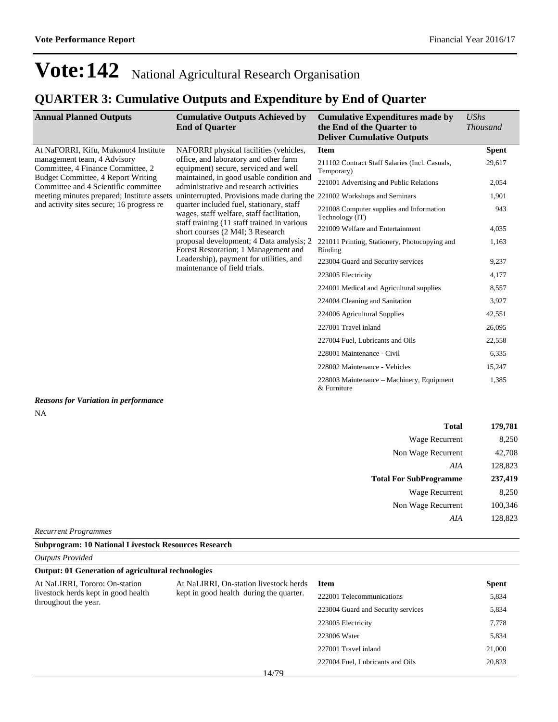### **QUARTER 3: Cumulative Outputs and Expenditure by End of Quarter**

| <b>Annual Planned Outputs</b>                                                                                                                                                                                         | <b>Cumulative Outputs Achieved by</b><br><b>End of Quarter</b>                                                                                                      | <b>Cumulative Expenditures made by</b><br>the End of the Quarter to<br><b>Deliver Cumulative Outputs</b> | <b>UShs</b><br><b>Thousand</b> |
|-----------------------------------------------------------------------------------------------------------------------------------------------------------------------------------------------------------------------|---------------------------------------------------------------------------------------------------------------------------------------------------------------------|----------------------------------------------------------------------------------------------------------|--------------------------------|
| At NaFORRI, Kifu, Mukono:4 Institute                                                                                                                                                                                  | NAFORRI physical facilities (vehicles,                                                                                                                              | <b>Item</b>                                                                                              | <b>Spent</b>                   |
| management team, 4 Advisory<br>Committee, 4 Finance Committee, 2                                                                                                                                                      | office, and laboratory and other farm<br>equipment) secure, serviced and well<br>maintained, in good usable condition and<br>administrative and research activities | 211102 Contract Staff Salaries (Incl. Casuals,<br>Temporary)                                             | 29,617                         |
| Budget Committee, 4 Report Writing<br>Committee and 4 Scientific committee                                                                                                                                            |                                                                                                                                                                     | 221001 Advertising and Public Relations                                                                  | 2,054                          |
| meeting minutes prepared; Institute assets                                                                                                                                                                            | uninterrupted. Provisions made during the 221002 Workshops and Seminars                                                                                             |                                                                                                          | 1,901                          |
| and activity sites secure; 16 progress re<br>quarter included fuel, stationary, staff<br>wages, staff welfare, staff facilitation,<br>staff training (11 staff trained in various<br>short courses (2 M4I; 3 Research |                                                                                                                                                                     | 221008 Computer supplies and Information<br>Technology (IT)                                              | 943                            |
|                                                                                                                                                                                                                       | 221009 Welfare and Entertainment                                                                                                                                    | 4,035                                                                                                    |                                |
|                                                                                                                                                                                                                       | proposal development; 4 Data analysis; 2<br>Forest Restoration; 1 Management and<br>Leadership), payment for utilities, and<br>maintenance of field trials.         | 221011 Printing, Stationery, Photocopying and<br>Binding                                                 | 1,163                          |
|                                                                                                                                                                                                                       |                                                                                                                                                                     | 223004 Guard and Security services                                                                       | 9,237                          |
|                                                                                                                                                                                                                       |                                                                                                                                                                     | 223005 Electricity                                                                                       | 4,177                          |
|                                                                                                                                                                                                                       |                                                                                                                                                                     | 224001 Medical and Agricultural supplies                                                                 | 8,557                          |
|                                                                                                                                                                                                                       |                                                                                                                                                                     | 224004 Cleaning and Sanitation                                                                           | 3,927                          |
|                                                                                                                                                                                                                       |                                                                                                                                                                     | 224006 Agricultural Supplies                                                                             | 42,551                         |
|                                                                                                                                                                                                                       |                                                                                                                                                                     | 227001 Travel inland                                                                                     | 26,095                         |
|                                                                                                                                                                                                                       |                                                                                                                                                                     | 227004 Fuel, Lubricants and Oils                                                                         | 22,558                         |
|                                                                                                                                                                                                                       |                                                                                                                                                                     | 228001 Maintenance - Civil                                                                               | 6,335                          |
|                                                                                                                                                                                                                       |                                                                                                                                                                     | 228002 Maintenance - Vehicles                                                                            | 15,247                         |
|                                                                                                                                                                                                                       |                                                                                                                                                                     | 228003 Maintenance – Machinery, Equipment<br>& Furniture                                                 | 1,385                          |
| Reasons for Variation in performance                                                                                                                                                                                  |                                                                                                                                                                     |                                                                                                          |                                |

#### *Reasons for Variation in performance* NA

| <b>Total</b>                  | 179,781 |
|-------------------------------|---------|
| Wage Recurrent                | 8,250   |
| Non Wage Recurrent            | 42,708  |
| AIA                           | 128,823 |
| <b>Total For SubProgramme</b> | 237,419 |
|                               |         |
| Wage Recurrent                | 8,250   |
| Non Wage Recurrent            | 100,346 |
| AIA                           | 128,823 |

*Recurrent Programmes*

#### **Subprogram: 10 National Livestock Resources Research**

#### *Outputs Provided*

|                            |  | <b>Output: 01 Generation of agricultural technologies</b> |  |
|----------------------------|--|-----------------------------------------------------------|--|
| $\cdots$ $\cdots$ $\cdots$ |  | $1.377$ TDD                                               |  |

At NaLIRRI, Tororo: On-station livestock herds kept in good health throughout the year.

At NaLIRRI, On-station livestock herds kept in good health during the quarter.

| Item                               | Spent  |
|------------------------------------|--------|
| 222001 Telecommunications          | 5,834  |
| 223004 Guard and Security services | 5,834  |
| 223005 Electricity                 | 7.778  |
| 223006 Water                       | 5,834  |
| 227001 Travel inland               | 21,000 |
| 227004 Fuel, Lubricants and Oils   | 20,823 |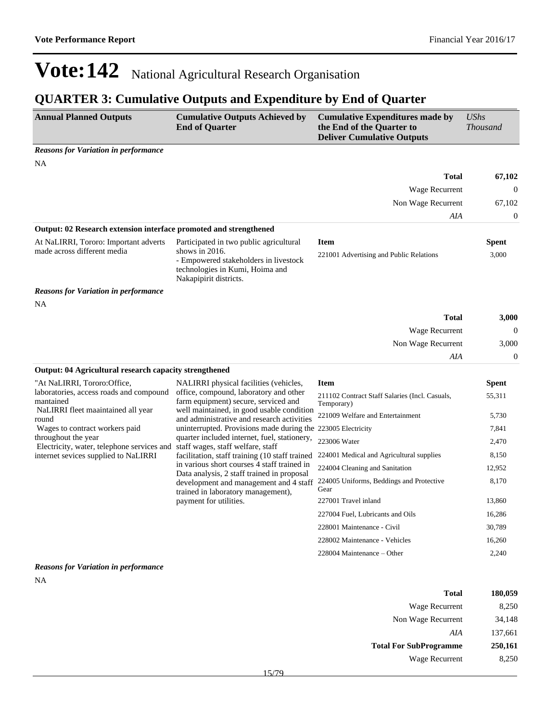## **QUARTER 3: Cumulative Outputs and Expenditure by End of Quarter**

| <b>Annual Planned Outputs</b>                                        | <b>Cumulative Outputs Achieved by</b><br><b>End of Quarter</b>                                                                                                     | <b>Cumulative Expenditures made by</b><br>the End of the Quarter to<br><b>Deliver Cumulative Outputs</b> | <b>UShs</b><br><b>Thousand</b> |
|----------------------------------------------------------------------|--------------------------------------------------------------------------------------------------------------------------------------------------------------------|----------------------------------------------------------------------------------------------------------|--------------------------------|
| <b>Reasons for Variation in performance</b>                          |                                                                                                                                                                    |                                                                                                          |                                |
| <b>NA</b>                                                            |                                                                                                                                                                    |                                                                                                          |                                |
|                                                                      |                                                                                                                                                                    | <b>Total</b>                                                                                             | 67,102                         |
|                                                                      |                                                                                                                                                                    | Wage Recurrent                                                                                           | $\theta$                       |
|                                                                      |                                                                                                                                                                    | Non Wage Recurrent                                                                                       | 67,102                         |
|                                                                      |                                                                                                                                                                    | AIA                                                                                                      | $\boldsymbol{0}$               |
| Output: 02 Research extension interface promoted and strengthened    |                                                                                                                                                                    |                                                                                                          |                                |
| At NaLIRRI, Tororo: Important adverts<br>made across different media | Participated in two public agricultural<br>shows in $2016$ .<br>- Empowered stakeholders in livestock<br>technologies in Kumi, Hoima and<br>Nakapipirit districts. | <b>Item</b><br>221001 Advertising and Public Relations                                                   | <b>Spent</b><br>3,000          |
| <b>Reasons for Variation in performance</b>                          |                                                                                                                                                                    |                                                                                                          |                                |
| NA                                                                   |                                                                                                                                                                    |                                                                                                          |                                |
|                                                                      |                                                                                                                                                                    | <b>Total</b>                                                                                             | 3,000                          |
|                                                                      |                                                                                                                                                                    | Wage Recurrent                                                                                           | $\boldsymbol{0}$               |
|                                                                      |                                                                                                                                                                    | Non Wage Recurrent                                                                                       | 3,000                          |
|                                                                      |                                                                                                                                                                    | AIA                                                                                                      | $\boldsymbol{0}$               |
| <b>Output: 04 Agricultural research capacity strengthened</b>        |                                                                                                                                                                    |                                                                                                          |                                |
| "At NaLIRRI, Tororo:Office,                                          | NALIRRI physical facilities (vehicles,                                                                                                                             | <b>Item</b>                                                                                              | <b>Spent</b>                   |
| laboratories, access roads and compound<br>mantained                 | office, compound, laboratory and other<br>farm equipment) secure, serviced and                                                                                     | 211102 Contract Staff Salaries (Incl. Casuals,<br>Temporary)                                             | 55,311                         |
| NaLIRRI fleet maaintained all year<br>round                          | well maintained, in good usable condition<br>and administrative and research activities                                                                            | 221009 Welfare and Entertainment                                                                         | 5,730                          |
| Wages to contract workers paid                                       | uninterrupted. Provisions made during the 223005 Electricity                                                                                                       |                                                                                                          | 7,841                          |
| throughout the year<br>Electricity, water, telephone services and    | quarter included internet, fuel, stationery,<br>staff wages, staff welfare, staff                                                                                  | 223006 Water                                                                                             | 2,470                          |
| internet sevices supplied to NaLIRRI                                 | facilitation, staff training (10 staff trained                                                                                                                     | 224001 Medical and Agricultural supplies                                                                 | 8,150                          |
|                                                                      | in various short courses 4 staff trained in<br>Data analysis, 2 staff trained in proposal                                                                          | 224004 Cleaning and Sanitation                                                                           | 12,952                         |
|                                                                      | development and management and 4 staff<br>trained in laboratory management),                                                                                       | 224005 Uniforms, Beddings and Protective<br>Gear                                                         | 8,170                          |
|                                                                      | payment for utilities.                                                                                                                                             | 227001 Travel inland                                                                                     | 13,860                         |
|                                                                      |                                                                                                                                                                    | 227004 Fuel, Lubricants and Oils                                                                         | 16,286                         |
|                                                                      |                                                                                                                                                                    | 228001 Maintenance - Civil                                                                               | 30,789                         |
|                                                                      |                                                                                                                                                                    | 228002 Maintenance - Vehicles                                                                            | 16,260                         |
|                                                                      |                                                                                                                                                                    | 228004 Maintenance – Other                                                                               | 2,240                          |

#### *Reasons for Variation in performance*

NA

| Total                         | 180,059 |
|-------------------------------|---------|
| Wage Recurrent                | 8,250   |
| Non Wage Recurrent            | 34,148  |
| AIA                           | 137,661 |
| <b>Total For SubProgramme</b> | 250,161 |
| Wage Recurrent                | 8.250   |
|                               |         |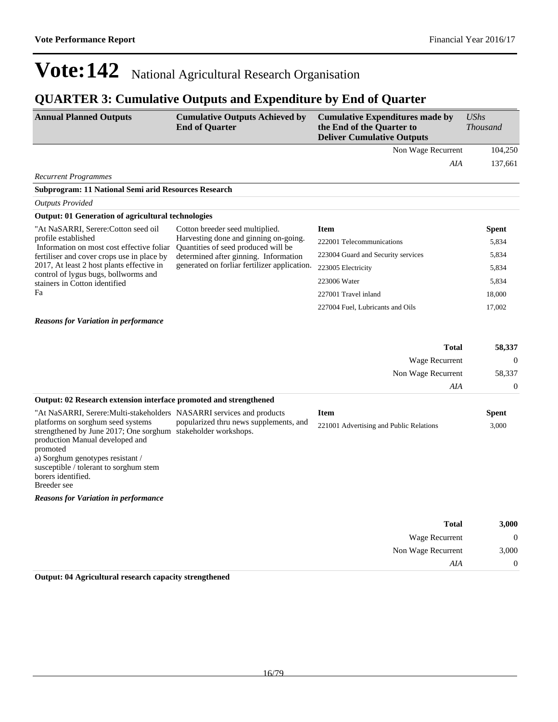Non Wage Recurrent 3,000

*AIA* 0

## **Vote:142** National Agricultural Research Organisation

## **QUARTER 3: Cumulative Outputs and Expenditure by End of Quarter**

| <b>Annual Planned Outputs</b>                                                                                                                                                                                                                                        | <b>Cumulative Outputs Achieved by</b><br><b>End of Quarter</b>               | <b>Cumulative Expenditures made by</b><br>the End of the Quarter to<br><b>Deliver Cumulative Outputs</b> | <b>UShs</b><br><b>Thousand</b> |
|----------------------------------------------------------------------------------------------------------------------------------------------------------------------------------------------------------------------------------------------------------------------|------------------------------------------------------------------------------|----------------------------------------------------------------------------------------------------------|--------------------------------|
|                                                                                                                                                                                                                                                                      |                                                                              | Non Wage Recurrent                                                                                       | 104,250                        |
|                                                                                                                                                                                                                                                                      |                                                                              | AIA                                                                                                      | 137,661                        |
| <b>Recurrent Programmes</b>                                                                                                                                                                                                                                          |                                                                              |                                                                                                          |                                |
| Subprogram: 11 National Semi arid Resources Research                                                                                                                                                                                                                 |                                                                              |                                                                                                          |                                |
| <b>Outputs Provided</b>                                                                                                                                                                                                                                              |                                                                              |                                                                                                          |                                |
| Output: 01 Generation of agricultural technologies                                                                                                                                                                                                                   |                                                                              |                                                                                                          |                                |
| "At NaSARRI, Serere:Cotton seed oil                                                                                                                                                                                                                                  | Cotton breeder seed multiplied.                                              | <b>Item</b>                                                                                              | <b>Spent</b>                   |
| profile established<br>Information on most cost effective foliar                                                                                                                                                                                                     | Harvesting done and ginning on-going.<br>Quantities of seed produced will be | 222001 Telecommunications                                                                                | 5,834                          |
| fertiliser and cover crops use in place by                                                                                                                                                                                                                           | determined after ginning. Information                                        | 223004 Guard and Security services                                                                       | 5,834                          |
| 2017, At least 2 host plants effective in                                                                                                                                                                                                                            | generated on forliar fertilizer application.                                 | 223005 Electricity                                                                                       | 5,834                          |
| control of lygus bugs, bollworms and<br>stainers in Cotton identified                                                                                                                                                                                                |                                                                              | 223006 Water                                                                                             | 5,834                          |
| Fa                                                                                                                                                                                                                                                                   |                                                                              | 227001 Travel inland                                                                                     | 18,000                         |
|                                                                                                                                                                                                                                                                      |                                                                              | 227004 Fuel, Lubricants and Oils                                                                         | 17,002                         |
| <b>Reasons for Variation in performance</b>                                                                                                                                                                                                                          |                                                                              |                                                                                                          |                                |
|                                                                                                                                                                                                                                                                      |                                                                              | <b>Total</b>                                                                                             | 58,337                         |
|                                                                                                                                                                                                                                                                      |                                                                              | <b>Wage Recurrent</b>                                                                                    | $\overline{0}$                 |
|                                                                                                                                                                                                                                                                      |                                                                              | Non Wage Recurrent                                                                                       | 58,337                         |
|                                                                                                                                                                                                                                                                      |                                                                              | AIA                                                                                                      | $\boldsymbol{0}$               |
| Output: 02 Research extension interface promoted and strengthened                                                                                                                                                                                                    |                                                                              |                                                                                                          |                                |
| "At NaSARRI, Serere: Multi-stakeholders NASARRI services and products                                                                                                                                                                                                |                                                                              | <b>Item</b>                                                                                              | <b>Spent</b>                   |
| platforms on sorghum seed systems<br>strengthened by June 2017; One sorghum stakeholder workshops.<br>production Manual developed and<br>promoted<br>a) Sorghum genotypes resistant /<br>susceptible / tolerant to sorghum stem<br>borers identified.<br>Breeder see | popularized thru news supplements, and                                       | 221001 Advertising and Public Relations                                                                  | 3,000                          |
| <b>Reasons for Variation in performance</b>                                                                                                                                                                                                                          |                                                                              |                                                                                                          |                                |
|                                                                                                                                                                                                                                                                      |                                                                              |                                                                                                          |                                |
|                                                                                                                                                                                                                                                                      |                                                                              | <b>Total</b><br><b>Wage Recurrent</b>                                                                    | 3,000<br>$\Omega$              |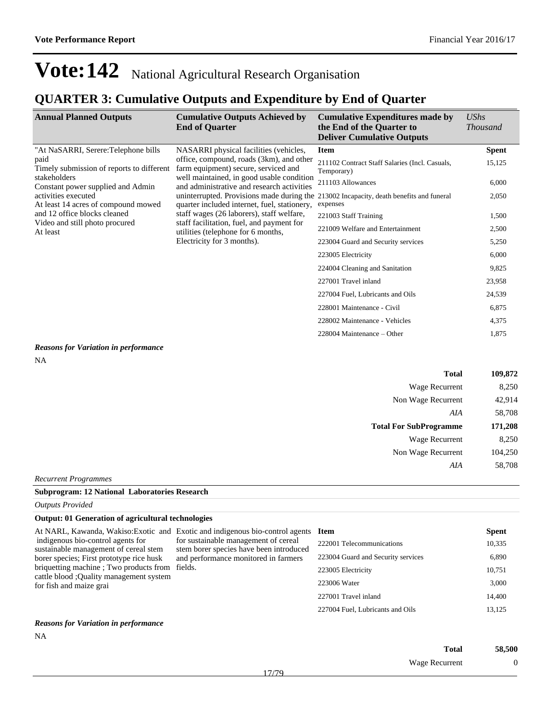### **QUARTER 3: Cumulative Outputs and Expenditure by End of Quarter**

| <b>Annual Planned Outputs</b>                              | <b>Cumulative Outputs Achieved by</b><br><b>End of Quarter</b>                                                                                                                                                                                                                                                                                                                                                                                                                                                                                                              | <b>Cumulative Expenditures made by</b><br>the End of the Quarter to<br><b>Deliver Cumulative Outputs</b> | <b>UShs</b><br><b>Thousand</b> |
|------------------------------------------------------------|-----------------------------------------------------------------------------------------------------------------------------------------------------------------------------------------------------------------------------------------------------------------------------------------------------------------------------------------------------------------------------------------------------------------------------------------------------------------------------------------------------------------------------------------------------------------------------|----------------------------------------------------------------------------------------------------------|--------------------------------|
| "At NaSARRI, Serere:Telephone bills                        | NASARRI physical facilities (vehicles,                                                                                                                                                                                                                                                                                                                                                                                                                                                                                                                                      | <b>Item</b>                                                                                              | <b>Spent</b>                   |
| paid<br>Timely submission of reports to different          | office, compound, roads (3km), and other<br>farm equipment) secure, serviced and<br>stakeholders<br>well maintained, in good usable condition<br>and administrative and research activities<br>Constant power supplied and Admin<br>uninterrupted. Provisions made during the 213002 Incapacity, death benefits and funeral<br>quarter included internet, fuel, stationery,<br>staff wages (26 laborers), staff welfare,<br>staff facilitation, fuel, and payment for<br>Video and still photo procured<br>utilities (telephone for 6 months,<br>Electricity for 3 months). | 211102 Contract Staff Salaries (Incl. Casuals,<br>Temporary)                                             | 15,125                         |
|                                                            |                                                                                                                                                                                                                                                                                                                                                                                                                                                                                                                                                                             | 211103 Allowances                                                                                        | 6,000                          |
| activities executed<br>At least 14 acres of compound mowed |                                                                                                                                                                                                                                                                                                                                                                                                                                                                                                                                                                             | expenses                                                                                                 | 2,050                          |
| and 12 office blocks cleaned                               |                                                                                                                                                                                                                                                                                                                                                                                                                                                                                                                                                                             | 221003 Staff Training                                                                                    | 1,500                          |
| At least                                                   |                                                                                                                                                                                                                                                                                                                                                                                                                                                                                                                                                                             | 221009 Welfare and Entertainment                                                                         | 2,500                          |
|                                                            |                                                                                                                                                                                                                                                                                                                                                                                                                                                                                                                                                                             | 223004 Guard and Security services                                                                       | 5,250                          |
|                                                            |                                                                                                                                                                                                                                                                                                                                                                                                                                                                                                                                                                             | 223005 Electricity                                                                                       | 6,000                          |
|                                                            |                                                                                                                                                                                                                                                                                                                                                                                                                                                                                                                                                                             | 224004 Cleaning and Sanitation                                                                           | 9,825                          |
|                                                            |                                                                                                                                                                                                                                                                                                                                                                                                                                                                                                                                                                             | 227001 Travel inland                                                                                     | 23,958                         |
|                                                            | 227004 Fuel, Lubricants and Oils                                                                                                                                                                                                                                                                                                                                                                                                                                                                                                                                            | 24,539                                                                                                   |                                |
|                                                            | 228001 Maintenance - Civil                                                                                                                                                                                                                                                                                                                                                                                                                                                                                                                                                  | 6,875                                                                                                    |                                |
|                                                            |                                                                                                                                                                                                                                                                                                                                                                                                                                                                                                                                                                             | 228002 Maintenance - Vehicles                                                                            | 4,375                          |
|                                                            |                                                                                                                                                                                                                                                                                                                                                                                                                                                                                                                                                                             | $228004$ Maintenance – Other                                                                             | 1,875                          |

*Reasons for Variation in performance*

| i<br>× |  |
|--------|--|
|        |  |

| <b>Total</b>                  | 109,872 |
|-------------------------------|---------|
| Wage Recurrent                | 8,250   |
| Non Wage Recurrent            | 42,914  |
| AIA                           | 58,708  |
| <b>Total For SubProgramme</b> | 171,208 |
| Wage Recurrent                | 8,250   |
| Non Wage Recurrent            | 104,250 |
| AIA                           | 58,708  |
|                               |         |

*Recurrent Programmes*

#### **Subprogram: 12 National Laboratories Research**

*Outputs Provided*

#### **Output: 01 Generation of agricultural technologies**

#### *Reasons for Variation in performance*

| 58,500 | Total          |
|--------|----------------|
|        | Wage Recurrent |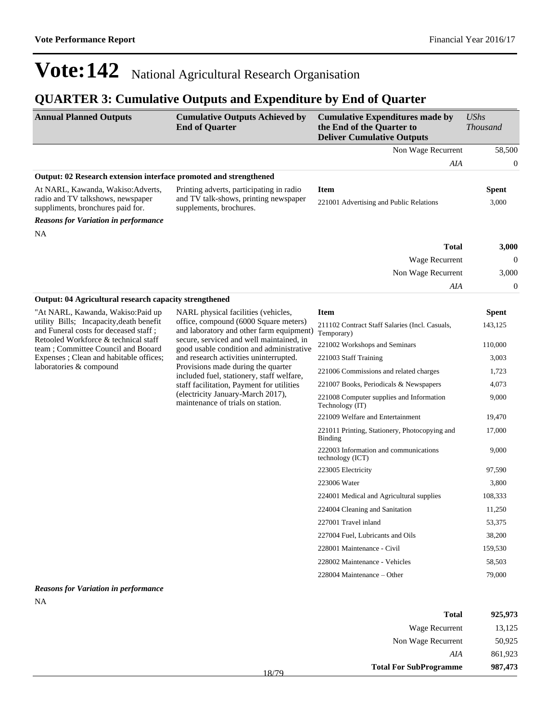NA

# **Vote:142** National Agricultural Research Organisation

### **QUARTER 3: Cumulative Outputs and Expenditure by End of Quarter**

| <b>Annual Planned Outputs</b>                                                                                                                                                                                                         | <b>Cumulative Outputs Achieved by</b><br><b>End of Quarter</b>                                                                                                                                                                                                                                                                                                                                                                                                                                                                                                                                                                                                                                                                                                                          | <b>Cumulative Expenditures made by</b><br>the End of the Quarter to<br><b>Deliver Cumulative Outputs</b> | <b>UShs</b><br><b>Thousand</b> |
|---------------------------------------------------------------------------------------------------------------------------------------------------------------------------------------------------------------------------------------|-----------------------------------------------------------------------------------------------------------------------------------------------------------------------------------------------------------------------------------------------------------------------------------------------------------------------------------------------------------------------------------------------------------------------------------------------------------------------------------------------------------------------------------------------------------------------------------------------------------------------------------------------------------------------------------------------------------------------------------------------------------------------------------------|----------------------------------------------------------------------------------------------------------|--------------------------------|
|                                                                                                                                                                                                                                       |                                                                                                                                                                                                                                                                                                                                                                                                                                                                                                                                                                                                                                                                                                                                                                                         | Non Wage Recurrent                                                                                       | 58,500                         |
|                                                                                                                                                                                                                                       |                                                                                                                                                                                                                                                                                                                                                                                                                                                                                                                                                                                                                                                                                                                                                                                         | AIA                                                                                                      | $\boldsymbol{0}$               |
|                                                                                                                                                                                                                                       |                                                                                                                                                                                                                                                                                                                                                                                                                                                                                                                                                                                                                                                                                                                                                                                         |                                                                                                          |                                |
| At NARL, Kawanda, Wakiso: Adverts,<br>radio and TV talkshows, newspaper<br>suppliments, bronchures paid for.                                                                                                                          | Printing adverts, participating in radio<br>and TV talk-shows, printing newspaper<br>supplements, brochures.                                                                                                                                                                                                                                                                                                                                                                                                                                                                                                                                                                                                                                                                            | <b>Item</b><br>221001 Advertising and Public Relations                                                   | <b>Spent</b><br>3,000          |
| <b>Reasons for Variation in performance</b>                                                                                                                                                                                           |                                                                                                                                                                                                                                                                                                                                                                                                                                                                                                                                                                                                                                                                                                                                                                                         |                                                                                                          |                                |
| NA                                                                                                                                                                                                                                    |                                                                                                                                                                                                                                                                                                                                                                                                                                                                                                                                                                                                                                                                                                                                                                                         |                                                                                                          |                                |
|                                                                                                                                                                                                                                       |                                                                                                                                                                                                                                                                                                                                                                                                                                                                                                                                                                                                                                                                                                                                                                                         | <b>Total</b>                                                                                             | 3,000                          |
|                                                                                                                                                                                                                                       |                                                                                                                                                                                                                                                                                                                                                                                                                                                                                                                                                                                                                                                                                                                                                                                         | Wage Recurrent                                                                                           | $\mathbf{0}$                   |
|                                                                                                                                                                                                                                       |                                                                                                                                                                                                                                                                                                                                                                                                                                                                                                                                                                                                                                                                                                                                                                                         | Non Wage Recurrent                                                                                       | 3,000                          |
|                                                                                                                                                                                                                                       |                                                                                                                                                                                                                                                                                                                                                                                                                                                                                                                                                                                                                                                                                                                                                                                         | AIA                                                                                                      | $\boldsymbol{0}$               |
|                                                                                                                                                                                                                                       |                                                                                                                                                                                                                                                                                                                                                                                                                                                                                                                                                                                                                                                                                                                                                                                         |                                                                                                          |                                |
| "At NARL, Kawanda, Wakiso:Paid up                                                                                                                                                                                                     | Output: 02 Research extension interface promoted and strengthened<br><b>Output: 04 Agricultural research capacity strengthened</b><br>NARL physical facilities (vehicles,<br><b>Item</b><br>office, compound (6000 Square meters)<br>and laboratory and other farm equipment)<br>Temporary)<br>secure, serviced and well maintained, in<br>good usable condition and administrative<br>and research activities uninterrupted.<br>221003 Staff Training<br>Provisions made during the quarter<br>included fuel, stationery, staff welfare,<br>staff facilitation, Payment for utilities<br>(electricity January-March 2017),<br>maintenance of trials on station.<br>Technology (IT)<br><b>Binding</b><br>technology (ICT)<br>223005 Electricity<br>223006 Water<br>227001 Travel inland |                                                                                                          | <b>Spent</b>                   |
| utility Bills; Incapacity, death benefit<br>and Funeral costs for deceased staff;<br>Retooled Workforce & technical staff<br>team; Committee Council and Booard<br>Expenses ; Clean and habitable offices;<br>laboratories & compound |                                                                                                                                                                                                                                                                                                                                                                                                                                                                                                                                                                                                                                                                                                                                                                                         | 211102 Contract Staff Salaries (Incl. Casuals,                                                           | 143,125                        |
|                                                                                                                                                                                                                                       |                                                                                                                                                                                                                                                                                                                                                                                                                                                                                                                                                                                                                                                                                                                                                                                         | 221002 Workshops and Seminars                                                                            | 110,000                        |
|                                                                                                                                                                                                                                       |                                                                                                                                                                                                                                                                                                                                                                                                                                                                                                                                                                                                                                                                                                                                                                                         |                                                                                                          | 3,003                          |
|                                                                                                                                                                                                                                       |                                                                                                                                                                                                                                                                                                                                                                                                                                                                                                                                                                                                                                                                                                                                                                                         | 221006 Commissions and related charges                                                                   | 1,723                          |
|                                                                                                                                                                                                                                       |                                                                                                                                                                                                                                                                                                                                                                                                                                                                                                                                                                                                                                                                                                                                                                                         | 221007 Books, Periodicals & Newspapers                                                                   | 4,073                          |
|                                                                                                                                                                                                                                       |                                                                                                                                                                                                                                                                                                                                                                                                                                                                                                                                                                                                                                                                                                                                                                                         | 221008 Computer supplies and Information                                                                 | 9,000                          |
|                                                                                                                                                                                                                                       |                                                                                                                                                                                                                                                                                                                                                                                                                                                                                                                                                                                                                                                                                                                                                                                         | 221009 Welfare and Entertainment                                                                         | 19,470                         |
|                                                                                                                                                                                                                                       |                                                                                                                                                                                                                                                                                                                                                                                                                                                                                                                                                                                                                                                                                                                                                                                         | 221011 Printing, Stationery, Photocopying and                                                            | 17,000                         |
|                                                                                                                                                                                                                                       |                                                                                                                                                                                                                                                                                                                                                                                                                                                                                                                                                                                                                                                                                                                                                                                         | 222003 Information and communications                                                                    | 9,000                          |
|                                                                                                                                                                                                                                       |                                                                                                                                                                                                                                                                                                                                                                                                                                                                                                                                                                                                                                                                                                                                                                                         |                                                                                                          | 97,590                         |
|                                                                                                                                                                                                                                       |                                                                                                                                                                                                                                                                                                                                                                                                                                                                                                                                                                                                                                                                                                                                                                                         |                                                                                                          | 3,800                          |
|                                                                                                                                                                                                                                       |                                                                                                                                                                                                                                                                                                                                                                                                                                                                                                                                                                                                                                                                                                                                                                                         | 224001 Medical and Agricultural supplies                                                                 | 108,333                        |
|                                                                                                                                                                                                                                       |                                                                                                                                                                                                                                                                                                                                                                                                                                                                                                                                                                                                                                                                                                                                                                                         | 224004 Cleaning and Sanitation                                                                           | 11,250                         |
|                                                                                                                                                                                                                                       |                                                                                                                                                                                                                                                                                                                                                                                                                                                                                                                                                                                                                                                                                                                                                                                         |                                                                                                          | 53,375                         |
|                                                                                                                                                                                                                                       |                                                                                                                                                                                                                                                                                                                                                                                                                                                                                                                                                                                                                                                                                                                                                                                         | 227004 Fuel, Lubricants and Oils                                                                         | 38,200                         |
|                                                                                                                                                                                                                                       |                                                                                                                                                                                                                                                                                                                                                                                                                                                                                                                                                                                                                                                                                                                                                                                         | 228001 Maintenance - Civil                                                                               | 159,530                        |
|                                                                                                                                                                                                                                       |                                                                                                                                                                                                                                                                                                                                                                                                                                                                                                                                                                                                                                                                                                                                                                                         | 228002 Maintenance - Vehicles                                                                            | 58,503                         |
|                                                                                                                                                                                                                                       |                                                                                                                                                                                                                                                                                                                                                                                                                                                                                                                                                                                                                                                                                                                                                                                         | 228004 Maintenance – Other                                                                               | 79,000                         |
| <b>Reasons for Variation in performance</b>                                                                                                                                                                                           |                                                                                                                                                                                                                                                                                                                                                                                                                                                                                                                                                                                                                                                                                                                                                                                         |                                                                                                          |                                |

| 925,973 | <b>Total</b>                                   |  |
|---------|------------------------------------------------|--|
| 13,125  | Wage Recurrent                                 |  |
| 50,925  | Non Wage Recurrent                             |  |
| 861,923 | AIA                                            |  |
| 987,473 | <b>Total For SubProgramme</b><br>$\sim$ $\sim$ |  |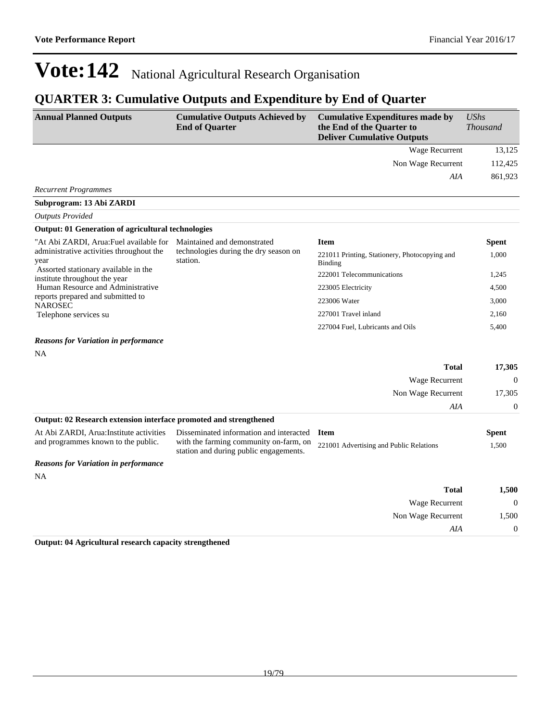227001 Travel inland 2,160 227004 Fuel, Lubricants and Oils 5,400

## **Vote:142** National Agricultural Research Organisation

## **QUARTER 3: Cumulative Outputs and Expenditure by End of Quarter**

| <b>Annual Planned Outputs</b>                                         | <b>Cumulative Outputs Achieved by</b><br><b>End of Quarter</b> | <b>Cumulative Expenditures made by</b><br>the End of the Quarter to<br><b>Deliver Cumulative Outputs</b> | <b>UShs</b><br><b>Thousand</b> |
|-----------------------------------------------------------------------|----------------------------------------------------------------|----------------------------------------------------------------------------------------------------------|--------------------------------|
|                                                                       |                                                                | Wage Recurrent                                                                                           | 13,125                         |
|                                                                       |                                                                | Non Wage Recurrent                                                                                       | 112,425                        |
|                                                                       |                                                                | AIA                                                                                                      | 861,923                        |
| <b>Recurrent Programmes</b>                                           |                                                                |                                                                                                          |                                |
| Subprogram: 13 Abi ZARDI                                              |                                                                |                                                                                                          |                                |
| <b>Outputs Provided</b>                                               |                                                                |                                                                                                          |                                |
| <b>Output: 01 Generation of agricultural technologies</b>             |                                                                |                                                                                                          |                                |
| "At Abi ZARDI, Arua:Fuel available for                                | Maintained and demonstrated                                    | <b>Item</b>                                                                                              | <b>Spent</b>                   |
| administrative activities throughout the<br>year                      | technologies during the dry season on<br>station.              | 221011 Printing, Stationery, Photocopying and<br>Binding                                                 | 1,000                          |
| Assorted stationary available in the<br>institute throughout the year |                                                                | 222001 Telecommunications                                                                                | 1,245                          |
| Human Resource and Administrative                                     |                                                                | 223005 Electricity                                                                                       | 4,500                          |
| reports prepared and submitted to<br>$\mathbf{M}$ A DOCDO             |                                                                | 223006 Water                                                                                             | 3,000                          |

#### *Reasons for Variation in performance*

NA

NAROSEC

Telephone services su

| <b>Total</b>                                                      | 17,305   |
|-------------------------------------------------------------------|----------|
| Wage Recurrent                                                    | $\theta$ |
| Non Wage Recurrent                                                | 17,305   |
| AIA                                                               | $\Omega$ |
| Output: 02 Research extension interface promoted and strengthened |          |

| At Abi ZARDI, Arua: Institute activities<br>and programmes known to the public. | Disseminated information and interacted <b>Item</b><br>with the farming community on-farm, on 221001 Advertising and Public Relations<br>station and during public engagements. | Spent<br>1.500 |
|---------------------------------------------------------------------------------|---------------------------------------------------------------------------------------------------------------------------------------------------------------------------------|----------------|
| <b>Reasons for Variation in performance</b>                                     |                                                                                                                                                                                 |                |

NA

| 1,500        |
|--------------|
| $\mathbf{0}$ |
| 1,500        |
| $\mathbf{0}$ |
|              |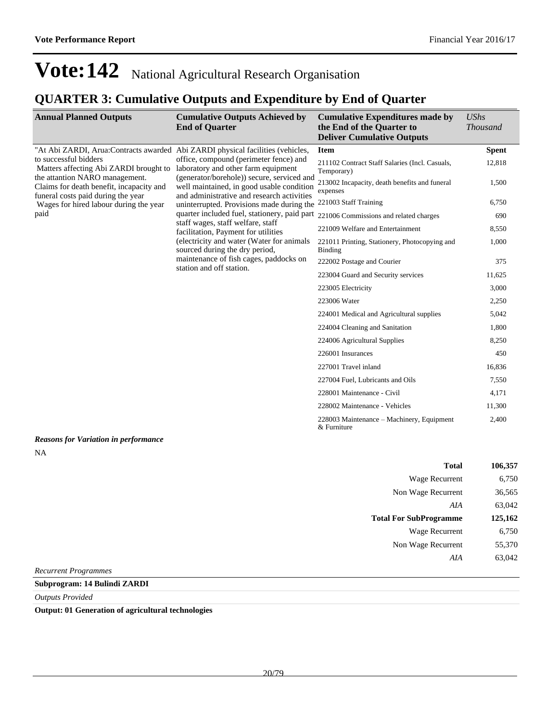## **QUARTER 3: Cumulative Outputs and Expenditure by End of Quarter**

| <b>Annual Planned Outputs</b>                                                                                                                                                                                                                                     | <b>Cumulative Outputs Achieved by</b><br><b>End of Quarter</b>                                                                                                                                                                                                                                                                            | <b>Cumulative Expenditures made by</b><br>the End of the Quarter to<br><b>Deliver Cumulative Outputs</b> | <b>UShs</b><br><b>Thousand</b> |
|-------------------------------------------------------------------------------------------------------------------------------------------------------------------------------------------------------------------------------------------------------------------|-------------------------------------------------------------------------------------------------------------------------------------------------------------------------------------------------------------------------------------------------------------------------------------------------------------------------------------------|----------------------------------------------------------------------------------------------------------|--------------------------------|
| "At Abi ZARDI, Arua: Contracts awarded Abi ZARDI physical facilities (vehicles,                                                                                                                                                                                   |                                                                                                                                                                                                                                                                                                                                           | <b>Item</b>                                                                                              | <b>Spent</b>                   |
| to successful bidders<br>Matters affecting Abi ZARDI brought to laboratory and other farm equipment<br>the attantion NARO management.<br>Claims for death benefit, incapacity and<br>funeral costs paid during the year<br>Wages for hired labour during the year | office, compound (perimeter fence) and<br>(generator/borehole)) secure, serviced and<br>well maintained, in good usable condition<br>and administrative and research activities<br>uninterrupted. Provisions made during the 221003 Staff Training<br>quarter included fuel, stationery, paid part 221006 Commissions and related charges | 211102 Contract Staff Salaries (Incl. Casuals,<br>Temporary)                                             | 12,818                         |
|                                                                                                                                                                                                                                                                   |                                                                                                                                                                                                                                                                                                                                           | 213002 Incapacity, death benefits and funeral<br>expenses                                                | 1,500                          |
|                                                                                                                                                                                                                                                                   |                                                                                                                                                                                                                                                                                                                                           |                                                                                                          | 6,750                          |
| paid                                                                                                                                                                                                                                                              |                                                                                                                                                                                                                                                                                                                                           |                                                                                                          | 690                            |
|                                                                                                                                                                                                                                                                   | staff wages, staff welfare, staff<br>facilitation, Payment for utilities                                                                                                                                                                                                                                                                  | 221009 Welfare and Entertainment                                                                         | 8,550                          |
|                                                                                                                                                                                                                                                                   | (electricity and water (Water for animals<br>sourced during the dry period,                                                                                                                                                                                                                                                               | 221011 Printing, Stationery, Photocopying and<br><b>Binding</b>                                          | 1,000                          |
|                                                                                                                                                                                                                                                                   | maintenance of fish cages, paddocks on<br>station and off station.                                                                                                                                                                                                                                                                        | 222002 Postage and Courier                                                                               | 375                            |
|                                                                                                                                                                                                                                                                   |                                                                                                                                                                                                                                                                                                                                           | 223004 Guard and Security services                                                                       | 11,625                         |
|                                                                                                                                                                                                                                                                   |                                                                                                                                                                                                                                                                                                                                           | 223005 Electricity                                                                                       | 3,000                          |
|                                                                                                                                                                                                                                                                   |                                                                                                                                                                                                                                                                                                                                           | 223006 Water                                                                                             | 2,250                          |
|                                                                                                                                                                                                                                                                   |                                                                                                                                                                                                                                                                                                                                           | 224001 Medical and Agricultural supplies                                                                 | 5,042                          |
|                                                                                                                                                                                                                                                                   |                                                                                                                                                                                                                                                                                                                                           | 224004 Cleaning and Sanitation                                                                           | 1,800                          |
|                                                                                                                                                                                                                                                                   |                                                                                                                                                                                                                                                                                                                                           | 224006 Agricultural Supplies                                                                             | 8,250                          |
|                                                                                                                                                                                                                                                                   |                                                                                                                                                                                                                                                                                                                                           | 226001 Insurances                                                                                        | 450                            |
|                                                                                                                                                                                                                                                                   |                                                                                                                                                                                                                                                                                                                                           | 227001 Travel inland                                                                                     | 16,836                         |
|                                                                                                                                                                                                                                                                   |                                                                                                                                                                                                                                                                                                                                           | 227004 Fuel, Lubricants and Oils                                                                         | 7,550                          |
|                                                                                                                                                                                                                                                                   |                                                                                                                                                                                                                                                                                                                                           | 228001 Maintenance - Civil                                                                               | 4,171                          |
|                                                                                                                                                                                                                                                                   |                                                                                                                                                                                                                                                                                                                                           | 228002 Maintenance - Vehicles                                                                            | 11,300                         |
|                                                                                                                                                                                                                                                                   |                                                                                                                                                                                                                                                                                                                                           | 228003 Maintenance – Machinery, Equipment<br>& Furniture                                                 | 2,400                          |
| <b>Reasons for Variation in performance</b><br><b>NA</b>                                                                                                                                                                                                          |                                                                                                                                                                                                                                                                                                                                           |                                                                                                          |                                |
|                                                                                                                                                                                                                                                                   |                                                                                                                                                                                                                                                                                                                                           | <b>Total</b>                                                                                             | 106,357                        |
|                                                                                                                                                                                                                                                                   |                                                                                                                                                                                                                                                                                                                                           | Wage Recurrent                                                                                           | 6,750                          |

| 1 Otal                        | 100,337 |
|-------------------------------|---------|
| Wage Recurrent                | 6,750   |
| Non Wage Recurrent            | 36,565  |
| AIA                           | 63,042  |
| <b>Total For SubProgramme</b> | 125,162 |
| Wage Recurrent                | 6,750   |
| Non Wage Recurrent            | 55,370  |
| AIA                           | 63,042  |
|                               |         |

*Recurrent Programmes*

**Subprogram: 14 Bulindi ZARDI**

*Outputs Provided*

**Output: 01 Generation of agricultural technologies**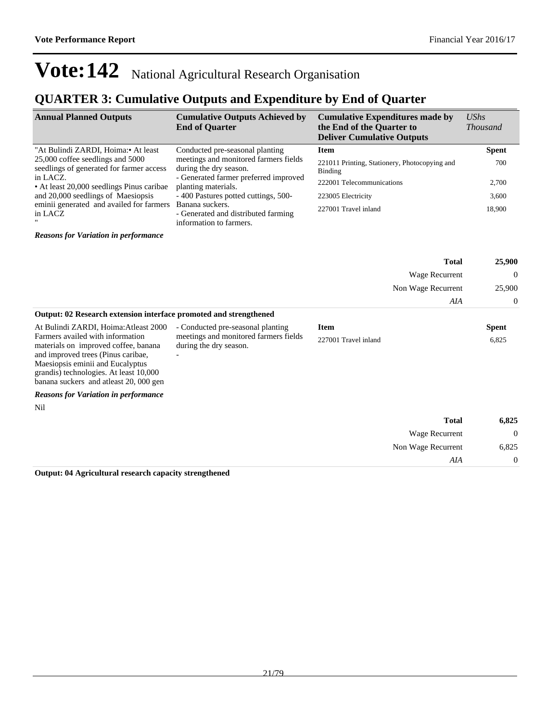## **QUARTER 3: Cumulative Outputs and Expenditure by End of Quarter**

| <b>Annual Planned Outputs</b>                                                | <b>Cumulative Outputs Achieved by</b><br><b>End of Quarter</b>                    | <b>Cumulative Expenditures made by</b><br>the End of the Quarter to<br><b>Deliver Cumulative Outputs</b> | $\mathit{UShs}$<br><i>Thousand</i> |
|------------------------------------------------------------------------------|-----------------------------------------------------------------------------------|----------------------------------------------------------------------------------------------------------|------------------------------------|
| "At Bulindi ZARDI, Hoima: • At least                                         | Conducted pre-seasonal planting                                                   | <b>Item</b>                                                                                              | <b>Spent</b>                       |
| 25,000 coffee seedlings and 5000<br>seedlings of generated for farmer access | meetings and monitored farmers fields<br>during the dry season.                   | 221011 Printing, Stationery, Photocopying and<br>Binding                                                 | 700                                |
| in LACZ.<br>• At least 20,000 seedlings Pinus caribae                        | - Generated farmer preferred improved<br>planting materials.                      | 222001 Telecommunications                                                                                | 2,700                              |
| and 20,000 seedlings of Maesiopsis                                           | -400 Pastures potted cuttings, 500-                                               | 223005 Electricity                                                                                       | 3,600                              |
| eminii generated and availed for farmers<br>in LACZ                          | Banana suckers.<br>- Generated and distributed farming<br>information to farmers. | 227001 Travel inland                                                                                     | 18,900                             |
| <b>Reasons for Variation in performance</b>                                  |                                                                                   |                                                                                                          |                                    |

|                                                                                                                                                                                                                                       |                                                                 |                      | <b>Total</b>              | 25,900         |
|---------------------------------------------------------------------------------------------------------------------------------------------------------------------------------------------------------------------------------------|-----------------------------------------------------------------|----------------------|---------------------------|----------------|
|                                                                                                                                                                                                                                       |                                                                 | Wage Recurrent       | Non Wage Recurrent<br>AIA | $\theta$       |
|                                                                                                                                                                                                                                       |                                                                 |                      |                           | 25,900         |
|                                                                                                                                                                                                                                       |                                                                 |                      |                           | $\theta$       |
| Output: 02 Research extension interface promoted and strengthened                                                                                                                                                                     |                                                                 |                      |                           |                |
| At Bulindi ZARDI, Hoima: Atleast 2000                                                                                                                                                                                                 | - Conducted pre-seasonal planting                               | <b>Item</b>          |                           | <b>Spent</b>   |
| Farmers availed with information<br>materials on improved coffee, banana<br>and improved trees (Pinus caribae,<br>Maesiopsis eminii and Eucalyptus<br>grandis) technologies. At least 10,000<br>banana suckers and atleast 20,000 gen | meetings and monitored farmers fields<br>during the dry season. | 227001 Travel inland |                           | 6,825          |
| <b>Reasons for Variation in performance</b>                                                                                                                                                                                           |                                                                 |                      |                           |                |
| Nil                                                                                                                                                                                                                                   |                                                                 |                      |                           |                |
|                                                                                                                                                                                                                                       |                                                                 |                      | <b>Total</b>              | 6,825          |
|                                                                                                                                                                                                                                       |                                                                 |                      | Wage Recurrent            | $\overline{0}$ |
|                                                                                                                                                                                                                                       |                                                                 |                      | Non Wage Recurrent        | 6,825          |
|                                                                                                                                                                                                                                       |                                                                 |                      | AIA                       | $\theta$       |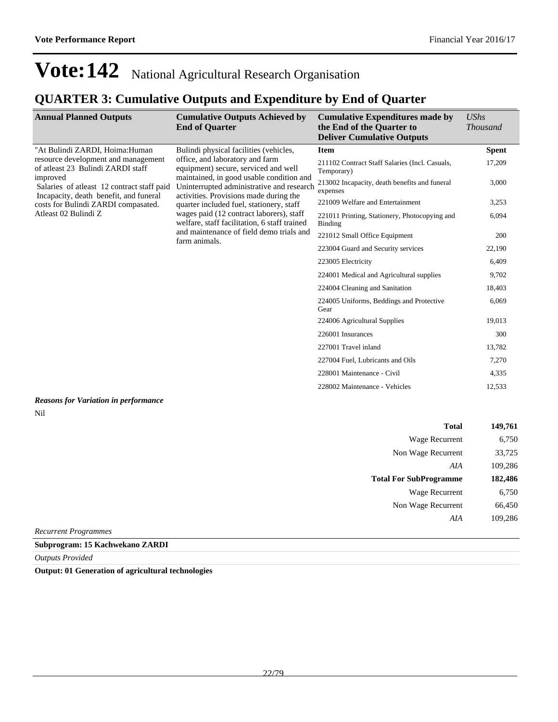### **QUARTER 3: Cumulative Outputs and Expenditure by End of Quarter**

| <b>Annual Planned Outputs</b>                                                                    | <b>Cumulative Outputs Achieved by</b><br><b>End of Quarter</b>                                                                                                                                                                                       | <b>Cumulative Expenditures made by</b><br>the End of the Quarter to<br><b>Deliver Cumulative Outputs</b> | <b>UShs</b><br><i>Thousand</i> |
|--------------------------------------------------------------------------------------------------|------------------------------------------------------------------------------------------------------------------------------------------------------------------------------------------------------------------------------------------------------|----------------------------------------------------------------------------------------------------------|--------------------------------|
| "At Bulindi ZARDI, Hoima:Human                                                                   | Bulindi physical facilities (vehicles,<br>office, and laboratory and farm<br>equipment) secure, serviced and well<br>maintained, in good usable condition and<br>Uninterrupted administrative and research<br>activities. Provisions made during the | <b>Item</b>                                                                                              | <b>Spent</b>                   |
| resource development and management<br>of atleast 23 Bulindi ZARDI staff                         |                                                                                                                                                                                                                                                      | 211102 Contract Staff Salaries (Incl. Casuals,<br>Temporary)                                             | 17,209                         |
| improved<br>Salaries of atleast 12 contract staff paid<br>Incapacity, death benefit, and funeral |                                                                                                                                                                                                                                                      | 213002 Incapacity, death benefits and funeral<br>expenses                                                | 3,000                          |
| costs for Bulindi ZARDI compasated.                                                              | quarter included fuel, stationery, staff                                                                                                                                                                                                             | 221009 Welfare and Entertainment                                                                         | 3,253                          |
| Atleast 02 Bulindi Z                                                                             | wages paid (12 contract laborers), staff<br>welfare, staff facilitation, 6 staff trained                                                                                                                                                             | 221011 Printing, Stationery, Photocopying and<br>Binding                                                 | 6,094                          |
|                                                                                                  | and maintenance of field demo trials and<br>farm animals.                                                                                                                                                                                            | 221012 Small Office Equipment                                                                            | 200                            |
|                                                                                                  |                                                                                                                                                                                                                                                      | 223004 Guard and Security services                                                                       | 22,190                         |
|                                                                                                  |                                                                                                                                                                                                                                                      | 223005 Electricity                                                                                       | 6,409                          |
|                                                                                                  |                                                                                                                                                                                                                                                      | 224001 Medical and Agricultural supplies                                                                 | 9,702                          |
|                                                                                                  |                                                                                                                                                                                                                                                      | 224004 Cleaning and Sanitation                                                                           | 18,403                         |
|                                                                                                  |                                                                                                                                                                                                                                                      | 224005 Uniforms, Beddings and Protective<br>Gear                                                         | 6,069                          |
|                                                                                                  |                                                                                                                                                                                                                                                      | 224006 Agricultural Supplies                                                                             | 19,013                         |
|                                                                                                  |                                                                                                                                                                                                                                                      | 226001 Insurances                                                                                        | 300                            |
|                                                                                                  |                                                                                                                                                                                                                                                      | 227001 Travel inland                                                                                     | 13,782                         |
|                                                                                                  |                                                                                                                                                                                                                                                      | 227004 Fuel, Lubricants and Oils                                                                         | 7,270                          |
|                                                                                                  |                                                                                                                                                                                                                                                      | 228001 Maintenance - Civil                                                                               | 4,335                          |
|                                                                                                  |                                                                                                                                                                                                                                                      | 228002 Maintenance - Vehicles                                                                            | 12,533                         |

#### *Reasons for Variation in performance* Nil

| <b>Total</b>                  | 149,761 |
|-------------------------------|---------|
| Wage Recurrent                | 6,750   |
| Non Wage Recurrent            | 33,725  |
| AIA                           | 109,286 |
| <b>Total For SubProgramme</b> | 182,486 |
| Wage Recurrent                | 6,750   |
| Non Wage Recurrent            | 66,450  |
| AIA                           | 109,286 |
| <b>Recurrent Programmes</b>   |         |

**Subprogram: 15 Kachwekano ZARDI**

*Outputs Provided*

**Output: 01 Generation of agricultural technologies**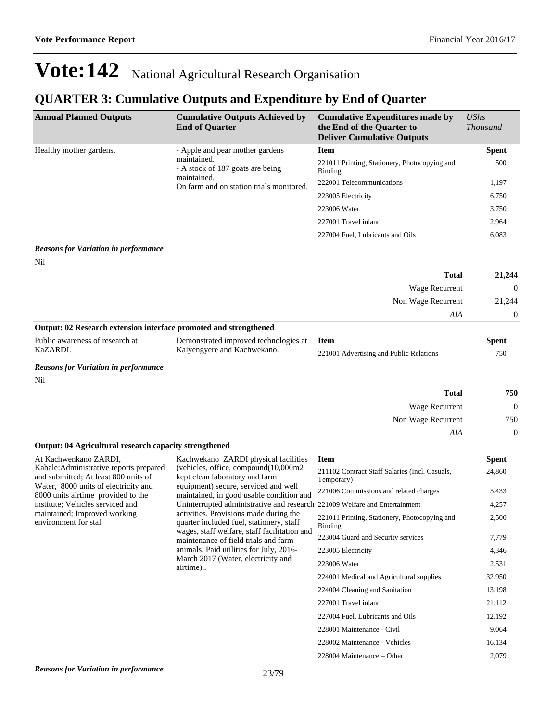## **QUARTER 3: Cumulative Outputs and Expenditure by End of Quarter**

| <b>Annual Planned Outputs</b>                                              | <b>Cumulative Outputs Achieved by</b><br><b>End of Quarter</b>                       | <b>Cumulative Expenditures made by</b><br>the End of the Quarter to<br><b>Deliver Cumulative Outputs</b> | <b>UShs</b><br><b>Thousand</b> |
|----------------------------------------------------------------------------|--------------------------------------------------------------------------------------|----------------------------------------------------------------------------------------------------------|--------------------------------|
| Healthy mother gardens.                                                    | - Apple and pear mother gardens                                                      | <b>Item</b>                                                                                              | <b>Spent</b>                   |
|                                                                            | maintained.<br>- A stock of 187 goats are being                                      | 221011 Printing, Stationery, Photocopying and<br><b>Binding</b>                                          | 500                            |
|                                                                            | maintained.<br>On farm and on station trials monitored.                              | 222001 Telecommunications                                                                                | 1,197                          |
|                                                                            |                                                                                      | 223005 Electricity                                                                                       | 6,750                          |
|                                                                            |                                                                                      | 223006 Water                                                                                             | 3,750                          |
|                                                                            |                                                                                      | 227001 Travel inland                                                                                     | 2,964                          |
|                                                                            |                                                                                      | 227004 Fuel, Lubricants and Oils                                                                         | 6,083                          |
| <b>Reasons for Variation in performance</b>                                |                                                                                      |                                                                                                          |                                |
| Nil                                                                        |                                                                                      | <b>Total</b>                                                                                             | 21,244                         |
|                                                                            |                                                                                      | Wage Recurrent                                                                                           | $\Omega$                       |
|                                                                            |                                                                                      | Non Wage Recurrent                                                                                       | 21,244                         |
|                                                                            |                                                                                      | AIA                                                                                                      | $\boldsymbol{0}$               |
| Output: 02 Research extension interface promoted and strengthened          |                                                                                      |                                                                                                          |                                |
| Public awareness of research at<br>KaZARDI.                                | Demonstrated improved technologies at<br>Kalyengyere and Kachwekano.                 | <b>Item</b><br>221001 Advertising and Public Relations                                                   | <b>Spent</b><br>750            |
| <b>Reasons for Variation in performance</b>                                |                                                                                      |                                                                                                          |                                |
| Nil                                                                        |                                                                                      |                                                                                                          |                                |
|                                                                            |                                                                                      | <b>Total</b>                                                                                             | 750                            |
|                                                                            |                                                                                      | Wage Recurrent                                                                                           | $\mathbf{0}$                   |
|                                                                            |                                                                                      | Non Wage Recurrent                                                                                       | 750                            |
|                                                                            |                                                                                      | AIA                                                                                                      | $\mathbf{0}$                   |
| Output: 04 Agricultural research capacity strengthened                     |                                                                                      |                                                                                                          |                                |
| At Kachwenkano ZARDI,<br>Kabale: Administrative reports prepared           | Kachwekano ZARDI physical facilities<br>(vehicles, office, compound(10,000m2         | <b>Item</b>                                                                                              | <b>Spent</b>                   |
| and submitted; At least 800 units of                                       | kept clean laboratory and farm                                                       | 211102 Contract Staff Salaries (Incl. Casuals,<br>Temporary)                                             | 24,860                         |
| Water, 8000 units of electricity and<br>8000 units airtime provided to the | equipment) secure, serviced and well<br>maintained, in good usable condition and     | 221006 Commissions and related charges                                                                   | 5,433                          |
| institute; Vehicles serviced and                                           | Uninterrupted administrative and research 221009 Welfare and Entertainment           |                                                                                                          | 4,257                          |
| maintained; Improved working<br>environment for staf                       | activities. Provisions made during the<br>quarter included fuel, stationery, staff   | 221011 Printing, Stationery, Photocopying and<br>Binding                                                 | 2,500                          |
|                                                                            | wages, staff welfare, staff facilitation and<br>maintenance of field trials and farm | 223004 Guard and Security services                                                                       | 7,779                          |
|                                                                            | animals. Paid utilities for July, 2016-                                              | 223005 Electricity                                                                                       | 4,346                          |
|                                                                            | March 2017 (Water, electricity and<br>airtime)                                       | 223006 Water                                                                                             | 2,531                          |
|                                                                            |                                                                                      | 224001 Medical and Agricultural supplies                                                                 | 32,950                         |
|                                                                            |                                                                                      | 224004 Cleaning and Sanitation                                                                           | 13,198                         |
|                                                                            |                                                                                      | 227001 Travel inland                                                                                     | 21,112                         |
|                                                                            |                                                                                      | 227004 Fuel, Lubricants and Oils                                                                         | 12,192                         |
|                                                                            |                                                                                      | 228001 Maintenance - Civil                                                                               | 9,064                          |
|                                                                            |                                                                                      | 228002 Maintenance - Vehicles                                                                            | 16,134                         |

 $228004$  Maintenance  $-$ Other 2,079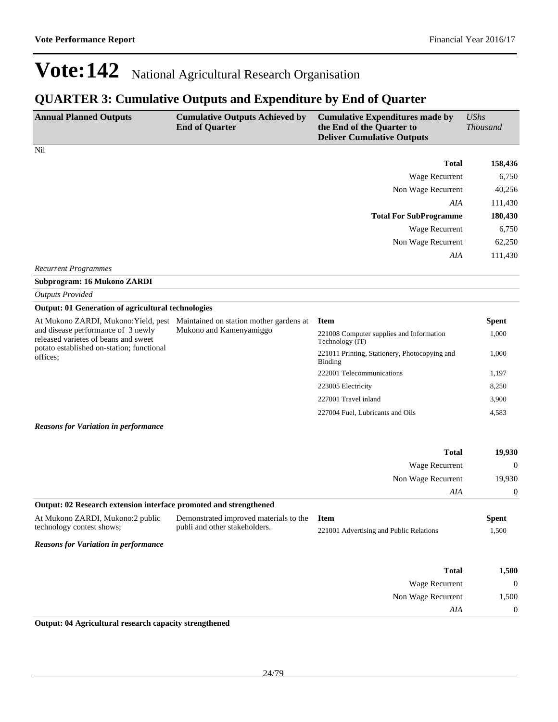### **QUARTER 3: Cumulative Outputs and Expenditure by End of Quarter**

| <b>Annual Planned Outputs</b>                                                                                                       | <b>Cumulative Outputs Achieved by</b><br><b>End of Quarter</b>               | <b>Cumulative Expenditures made by</b><br>the End of the Quarter to<br><b>Deliver Cumulative Outputs</b> | <b>UShs</b><br><b>Thousand</b> |
|-------------------------------------------------------------------------------------------------------------------------------------|------------------------------------------------------------------------------|----------------------------------------------------------------------------------------------------------|--------------------------------|
| Nil                                                                                                                                 |                                                                              |                                                                                                          |                                |
|                                                                                                                                     |                                                                              | <b>Total</b>                                                                                             | 158,436                        |
|                                                                                                                                     |                                                                              | Wage Recurrent                                                                                           | 6,750                          |
|                                                                                                                                     |                                                                              | Non Wage Recurrent                                                                                       | 40,256                         |
|                                                                                                                                     |                                                                              | AIA                                                                                                      | 111,430                        |
|                                                                                                                                     |                                                                              | <b>Total For SubProgramme</b>                                                                            | 180,430                        |
|                                                                                                                                     |                                                                              | Wage Recurrent                                                                                           | 6,750                          |
|                                                                                                                                     |                                                                              | Non Wage Recurrent                                                                                       | 62,250                         |
|                                                                                                                                     |                                                                              | AIA                                                                                                      | 111,430                        |
| <b>Recurrent Programmes</b>                                                                                                         |                                                                              |                                                                                                          |                                |
| Subprogram: 16 Mukono ZARDI                                                                                                         |                                                                              |                                                                                                          |                                |
| <b>Outputs Provided</b>                                                                                                             |                                                                              |                                                                                                          |                                |
| <b>Output: 01 Generation of agricultural technologies</b>                                                                           |                                                                              |                                                                                                          |                                |
| and disease performance of 3 newly<br>released varietes of beans and sweet<br>potato established on-station; functional<br>offices: | At Mukono ZARDI, Mukono: Yield, pest Maintained on station mother gardens at | <b>Item</b>                                                                                              | <b>Spent</b>                   |
|                                                                                                                                     | Mukono and Kamenyamiggo                                                      | 221008 Computer supplies and Information<br>Technology (IT)                                              | 1,000                          |
|                                                                                                                                     |                                                                              | 221011 Printing, Stationery, Photocopying and<br><b>Binding</b>                                          | 1,000                          |
|                                                                                                                                     |                                                                              | 222001 Telecommunications                                                                                | 1,197                          |
|                                                                                                                                     |                                                                              | 223005 Electricity                                                                                       | 8,250                          |
|                                                                                                                                     |                                                                              | 227001 Travel inland                                                                                     | 3,900                          |
|                                                                                                                                     |                                                                              | 227004 Fuel, Lubricants and Oils                                                                         | 4,583                          |
| <b>Reasons for Variation in performance</b>                                                                                         |                                                                              |                                                                                                          |                                |
|                                                                                                                                     |                                                                              | <b>Total</b>                                                                                             | 19,930                         |
|                                                                                                                                     |                                                                              | Wage Recurrent                                                                                           | 0                              |
|                                                                                                                                     |                                                                              | Non Wage Recurrent                                                                                       | 19,930                         |
|                                                                                                                                     |                                                                              | AIA                                                                                                      | $\boldsymbol{0}$               |
| Output: 02 Research extension interface promoted and strengthened                                                                   |                                                                              |                                                                                                          |                                |
|                                                                                                                                     | At Mukono ZARDI, Mukono:2 public Demonstrated improved materials to the Item |                                                                                                          | <b>Spent</b>                   |
| technology contest shows;                                                                                                           | publi and other stakeholders.                                                | 221001 Advertising and Public Relations                                                                  | 1,500                          |
| <b>Reasons for Variation in performance</b>                                                                                         |                                                                              |                                                                                                          |                                |
|                                                                                                                                     |                                                                              | <b>Total</b>                                                                                             | 1,500                          |
|                                                                                                                                     |                                                                              | Wage Recurrent                                                                                           | $\boldsymbol{0}$               |
|                                                                                                                                     |                                                                              | Non Wage Recurrent                                                                                       | 1,500                          |
|                                                                                                                                     |                                                                              | AIA                                                                                                      | $\mathbf{0}$                   |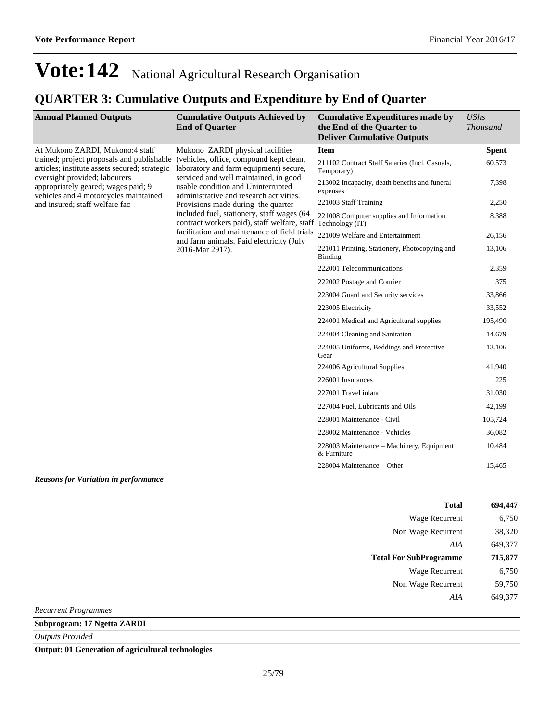## **QUARTER 3: Cumulative Outputs and Expenditure by End of Quarter**

| <b>Annual Planned Outputs</b>                                                                                                                                                                                                                   | <b>Cumulative Outputs Achieved by</b><br><b>End of Quarter</b>                                                                                                                                                                                  | <b>Cumulative Expenditures made by</b><br>the End of the Quarter to<br><b>Deliver Cumulative Outputs</b> | <b>UShs</b><br><b>Thousand</b> |
|-------------------------------------------------------------------------------------------------------------------------------------------------------------------------------------------------------------------------------------------------|-------------------------------------------------------------------------------------------------------------------------------------------------------------------------------------------------------------------------------------------------|----------------------------------------------------------------------------------------------------------|--------------------------------|
| At Mukono ZARDI, Mukono:4 staff<br>trained; project proposals and publishable<br>articles; institute assets secured; strategic<br>oversight provided; labourers<br>appropriately geared; wages paid; 9<br>vehicles and 4 motorcycles maintained | Mukono ZARDI physical facilities<br>(vehicles, office, compound kept clean,<br>laboratory and farm equipment) secure,<br>serviced and well maintained, in good<br>usable condition and Uninterrupted<br>administrative and research activities. | <b>Item</b>                                                                                              | <b>Spent</b>                   |
|                                                                                                                                                                                                                                                 |                                                                                                                                                                                                                                                 | 211102 Contract Staff Salaries (Incl. Casuals,<br>Temporary)                                             | 60.573                         |
|                                                                                                                                                                                                                                                 |                                                                                                                                                                                                                                                 | 213002 Incapacity, death benefits and funeral<br>expenses                                                | 7,398                          |
| and insured; staff welfare fac                                                                                                                                                                                                                  | Provisions made during the quarter                                                                                                                                                                                                              | 221003 Staff Training                                                                                    | 2,250                          |
|                                                                                                                                                                                                                                                 | included fuel, stationery, staff wages (64<br>contract workers paid), staff welfare, staff Technology (IT)                                                                                                                                      | 221008 Computer supplies and Information                                                                 | 8,388                          |
|                                                                                                                                                                                                                                                 | facilitation and maintenance of field trials<br>and farm animals. Paid electricity (July                                                                                                                                                        | 221009 Welfare and Entertainment                                                                         | 26,156                         |
|                                                                                                                                                                                                                                                 | 2016-Mar 2917).                                                                                                                                                                                                                                 | 221011 Printing, Stationery, Photocopying and<br>Binding                                                 | 13,106                         |
|                                                                                                                                                                                                                                                 |                                                                                                                                                                                                                                                 | 222001 Telecommunications                                                                                | 2,359                          |
|                                                                                                                                                                                                                                                 |                                                                                                                                                                                                                                                 | 222002 Postage and Courier                                                                               | 375                            |
|                                                                                                                                                                                                                                                 |                                                                                                                                                                                                                                                 | 223004 Guard and Security services                                                                       | 33,866                         |
|                                                                                                                                                                                                                                                 |                                                                                                                                                                                                                                                 | 223005 Electricity                                                                                       | 33,552                         |
|                                                                                                                                                                                                                                                 |                                                                                                                                                                                                                                                 | 224001 Medical and Agricultural supplies                                                                 | 195,490                        |
|                                                                                                                                                                                                                                                 |                                                                                                                                                                                                                                                 | 224004 Cleaning and Sanitation                                                                           | 14,679                         |
|                                                                                                                                                                                                                                                 |                                                                                                                                                                                                                                                 | 224005 Uniforms, Beddings and Protective<br>Gear                                                         | 13,106                         |
|                                                                                                                                                                                                                                                 |                                                                                                                                                                                                                                                 | 224006 Agricultural Supplies                                                                             | 41,940                         |
|                                                                                                                                                                                                                                                 |                                                                                                                                                                                                                                                 | 226001 Insurances                                                                                        | 225                            |
|                                                                                                                                                                                                                                                 |                                                                                                                                                                                                                                                 | 227001 Travel inland                                                                                     | 31,030                         |
|                                                                                                                                                                                                                                                 |                                                                                                                                                                                                                                                 | 227004 Fuel, Lubricants and Oils                                                                         | 42,199                         |
|                                                                                                                                                                                                                                                 |                                                                                                                                                                                                                                                 | 228001 Maintenance - Civil                                                                               | 105,724                        |
|                                                                                                                                                                                                                                                 |                                                                                                                                                                                                                                                 | 228002 Maintenance - Vehicles                                                                            | 36,082                         |
|                                                                                                                                                                                                                                                 |                                                                                                                                                                                                                                                 | 228003 Maintenance – Machinery, Equipment<br>& Furniture                                                 | 10,484                         |
|                                                                                                                                                                                                                                                 |                                                                                                                                                                                                                                                 | 228004 Maintenance - Other                                                                               | 15,465                         |
| <b>Reasons for Variation in performance</b>                                                                                                                                                                                                     |                                                                                                                                                                                                                                                 |                                                                                                          |                                |

| 694,447 | <b>Total</b>                  |
|---------|-------------------------------|
| 6,750   | Wage Recurrent                |
| 38,320  | Non Wage Recurrent            |
| 649,377 | AIA                           |
| 715,877 | <b>Total For SubProgramme</b> |
| 6,750   | Wage Recurrent                |
| 59,750  | Non Wage Recurrent            |
| 649,377 | AIA                           |
|         |                               |

*Recurrent Programmes*

**Subprogram: 17 Ngetta ZARDI**

*Outputs Provided*

**Output: 01 Generation of agricultural technologies**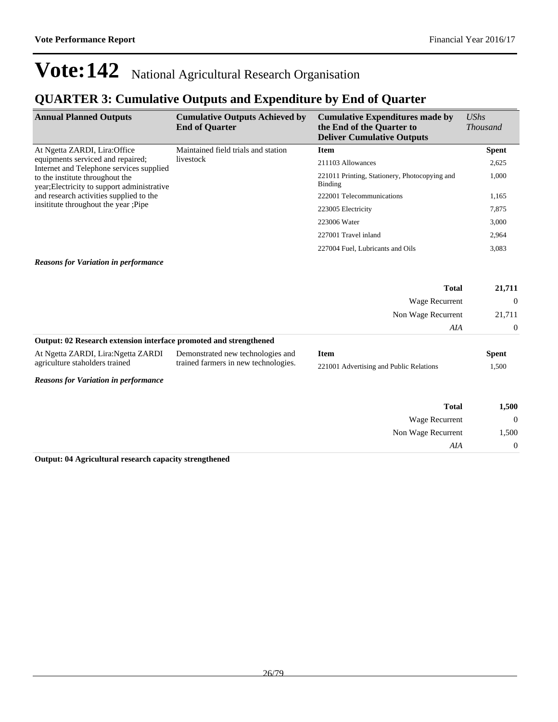## **QUARTER 3: Cumulative Outputs and Expenditure by End of Quarter**

| <b>Annual Planned Outputs</b>                                                                                                                                    | <b>Cumulative Outputs Achieved by</b><br><b>End of Quarter</b> | <b>Cumulative Expenditures made by</b><br>the End of the Quarter to<br><b>Deliver Cumulative Outputs</b> | $\mathit{UShs}$<br><i>Thousand</i> |
|------------------------------------------------------------------------------------------------------------------------------------------------------------------|----------------------------------------------------------------|----------------------------------------------------------------------------------------------------------|------------------------------------|
| At Ngetta ZARDI, Lira: Office                                                                                                                                    | Maintained field trials and station                            | <b>Item</b>                                                                                              | <b>Spent</b>                       |
| equipments serviced and repaired;<br>Internet and Telephone services supplied                                                                                    | livestock                                                      | 211103 Allowances                                                                                        | 2,625                              |
| to the institute throughout the<br>year; Electricity to support administrative<br>and research activities supplied to the<br>insitiate throughout the year :Pipe |                                                                | 221011 Printing, Stationery, Photocopying and<br>Binding                                                 | 1,000                              |
|                                                                                                                                                                  |                                                                | 222001 Telecommunications                                                                                | 1,165                              |
|                                                                                                                                                                  |                                                                | 223005 Electricity                                                                                       | 7,875                              |
|                                                                                                                                                                  |                                                                | 223006 Water                                                                                             | 3,000                              |
|                                                                                                                                                                  |                                                                | 227001 Travel inland                                                                                     | 2,964                              |
|                                                                                                                                                                  |                                                                | 227004 Fuel. Lubricants and Oils                                                                         | 3,083                              |

#### *Reasons for Variation in performance*

|                                                                   |                                   |             | <b>Total</b>       | 21,711   |
|-------------------------------------------------------------------|-----------------------------------|-------------|--------------------|----------|
|                                                                   |                                   |             | Wage Recurrent     | $\Omega$ |
|                                                                   |                                   |             | Non Wage Recurrent | 21,711   |
|                                                                   |                                   |             | AIA                | $\Omega$ |
| Output: 02 Research extension interface promoted and strengthened |                                   |             |                    |          |
| At Noetta ZARDI Lira: Noetta ZARDI                                | Demonstrated new technologies and | <b>Item</b> |                    | Snent    |

| At Ngetta ZARDI, Lira: Ngetta ZARDI Demonstrated new technologies and |                                      | Item                                    | Spent |
|-----------------------------------------------------------------------|--------------------------------------|-----------------------------------------|-------|
| agriculture staholders trained                                        | trained farmers in new technologies. | 221001 Advertising and Public Relations | 500   |

*Reasons for Variation in performance*

| 1,500          | <b>Total</b>       |
|----------------|--------------------|
| $\overline{0}$ | Wage Recurrent     |
| 1,500          | Non Wage Recurrent |
| $\overline{0}$ | AIA                |
|                |                    |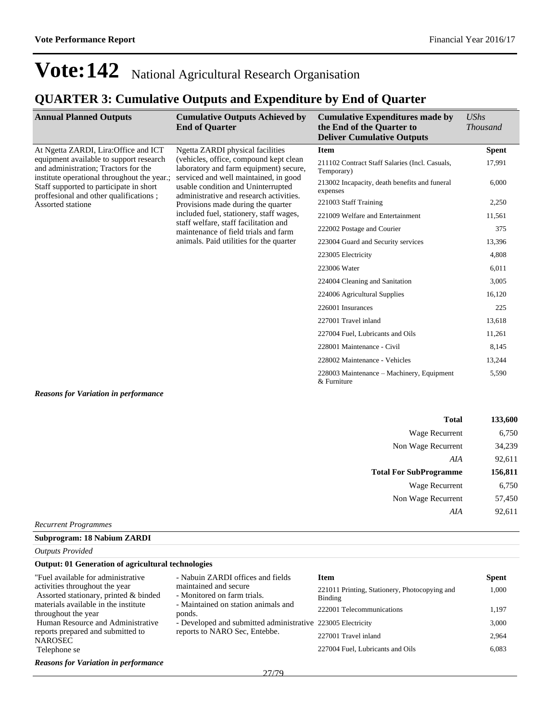## **QUARTER 3: Cumulative Outputs and Expenditure by End of Quarter**

| <b>Annual Planned Outputs</b>                                                                                                    | <b>Cumulative Outputs Achieved by</b><br><b>End of Quarter</b>                                                                                                                                              | <b>Cumulative Expenditures made by</b><br>the End of the Quarter to<br><b>Deliver Cumulative Outputs</b> | <b>UShs</b><br><b>Thousand</b> |
|----------------------------------------------------------------------------------------------------------------------------------|-------------------------------------------------------------------------------------------------------------------------------------------------------------------------------------------------------------|----------------------------------------------------------------------------------------------------------|--------------------------------|
| At Ngetta ZARDI, Lira: Office and ICT                                                                                            | Ngetta ZARDI physical facilities                                                                                                                                                                            | <b>Item</b>                                                                                              | <b>Spent</b>                   |
| equipment available to support research<br>and administration; Tractors for the                                                  | (vehicles, office, compound kept clean)<br>laboratory and farm equipment) secure,<br>serviced and well maintained, in good<br>usable condition and Uninterrupted<br>administrative and research activities. | 211102 Contract Staff Salaries (Incl. Casuals,<br>Temporary)                                             | 17,991                         |
| institute operational throughout the year.;<br>Staff supported to participate in short<br>proffesional and other qualifications; |                                                                                                                                                                                                             | 213002 Incapacity, death benefits and funeral<br>expenses                                                | 6,000                          |
| Assorted statione                                                                                                                | Provisions made during the quarter                                                                                                                                                                          | 221003 Staff Training                                                                                    | 2,250                          |
|                                                                                                                                  | included fuel, stationery, staff wages,                                                                                                                                                                     | 221009 Welfare and Entertainment                                                                         | 11,561                         |
|                                                                                                                                  | staff welfare, staff facilitation and<br>maintenance of field trials and farm                                                                                                                               | 222002 Postage and Courier                                                                               | 375                            |
|                                                                                                                                  | animals. Paid utilities for the quarter                                                                                                                                                                     | 223004 Guard and Security services                                                                       | 13,396                         |
|                                                                                                                                  |                                                                                                                                                                                                             | 223005 Electricity                                                                                       | 4,808                          |
|                                                                                                                                  |                                                                                                                                                                                                             | 223006 Water                                                                                             | 6,011                          |
|                                                                                                                                  |                                                                                                                                                                                                             | 224004 Cleaning and Sanitation                                                                           | 3,005                          |
|                                                                                                                                  |                                                                                                                                                                                                             | 224006 Agricultural Supplies                                                                             | 16,120                         |
|                                                                                                                                  |                                                                                                                                                                                                             | 226001 Insurances                                                                                        | 225                            |
|                                                                                                                                  |                                                                                                                                                                                                             | 227001 Travel inland                                                                                     | 13,618                         |
|                                                                                                                                  |                                                                                                                                                                                                             | 227004 Fuel, Lubricants and Oils                                                                         | 11,261                         |
|                                                                                                                                  |                                                                                                                                                                                                             | 228001 Maintenance - Civil                                                                               | 8,145                          |
|                                                                                                                                  |                                                                                                                                                                                                             | 228002 Maintenance - Vehicles                                                                            | 13,244                         |
|                                                                                                                                  |                                                                                                                                                                                                             | 228003 Maintenance – Machinery, Equipment<br>& Furniture                                                 | 5,590                          |
| <b>Reasons for Variation in performance</b>                                                                                      |                                                                                                                                                                                                             |                                                                                                          |                                |

| <b>Total</b>                  | 133,600 |
|-------------------------------|---------|
| Wage Recurrent                | 6,750   |
| Non Wage Recurrent            | 34,239  |
| AIA                           | 92,611  |
| <b>Total For SubProgramme</b> | 156,811 |
| Wage Recurrent                | 6,750   |
| Non Wage Recurrent            | 57,450  |
| AIA                           | 92,611  |
|                               |         |

*Recurrent Programmes*

**Subprogram: 18 Nabium ZARDI**

*Outputs Provided*

#### **Output: 01 Generation of agricultural technologies**

| "Fuel available for administrative"<br>activities throughout the year<br>Assorted stationary, printed & binded | - Nabuin ZARDI offices and fields<br>maintained and secure<br>- Monitored on farm trials.<br>- Maintained on station animals and | Item<br>221011 Printing, Stationery, Photocopying and<br>Binding | <b>Spent</b><br>1.000 |
|----------------------------------------------------------------------------------------------------------------|----------------------------------------------------------------------------------------------------------------------------------|------------------------------------------------------------------|-----------------------|
| materials available in the institute<br>throughout the year                                                    | ponds.                                                                                                                           | 222001 Telecommunications                                        | 1.197                 |
| Human Resource and Administrative                                                                              | - Developed and submitted administrative 223005 Electricity                                                                      |                                                                  | 3.000                 |
| reports prepared and submitted to<br><b>NAROSEC</b>                                                            | reports to NARO Sec, Entebbe.                                                                                                    | 227001 Travel inland                                             | 2.964                 |
| Telephone se                                                                                                   |                                                                                                                                  | 227004 Fuel, Lubricants and Oils                                 | 6.083                 |
| <b>Reasons for Variation in performance</b>                                                                    |                                                                                                                                  |                                                                  |                       |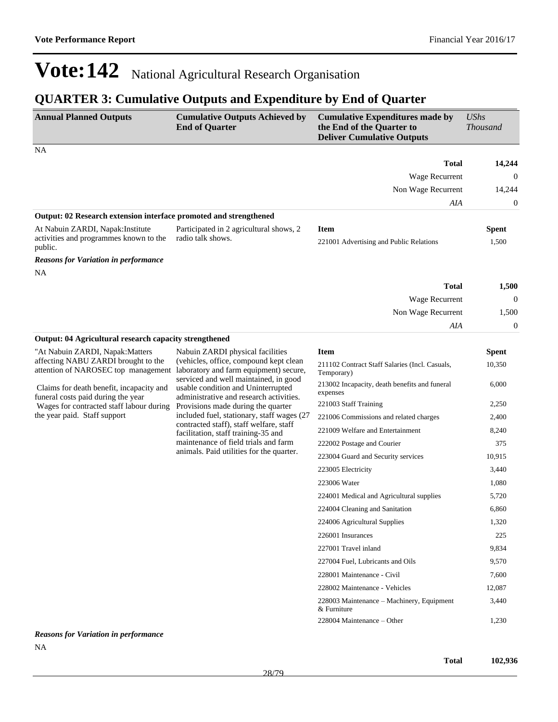## **QUARTER 3: Cumulative Outputs and Expenditure by End of Quarter**

| <b>Annual Planned Outputs</b>                                                                                                                                | <b>Cumulative Outputs Achieved by</b><br><b>End of Quarter</b>                                                                                                                                                                                        | <b>Cumulative Expenditures made by</b><br>the End of the Quarter to<br><b>Deliver Cumulative Outputs</b> | <b>UShs</b><br><b>Thousand</b> |
|--------------------------------------------------------------------------------------------------------------------------------------------------------------|-------------------------------------------------------------------------------------------------------------------------------------------------------------------------------------------------------------------------------------------------------|----------------------------------------------------------------------------------------------------------|--------------------------------|
| NA                                                                                                                                                           |                                                                                                                                                                                                                                                       |                                                                                                          |                                |
|                                                                                                                                                              |                                                                                                                                                                                                                                                       | <b>Total</b>                                                                                             | 14,244                         |
|                                                                                                                                                              |                                                                                                                                                                                                                                                       | Wage Recurrent                                                                                           | $\theta$                       |
|                                                                                                                                                              |                                                                                                                                                                                                                                                       | Non Wage Recurrent                                                                                       | 14,244                         |
|                                                                                                                                                              |                                                                                                                                                                                                                                                       | AIA                                                                                                      | $\boldsymbol{0}$               |
| Output: 02 Research extension interface promoted and strengthened                                                                                            |                                                                                                                                                                                                                                                       |                                                                                                          |                                |
| At Nabuin ZARDI, Napak: Institute<br>activities and programmes known to the<br>public.                                                                       | Participated in 2 agricultural shows, 2<br>radio talk shows.                                                                                                                                                                                          | <b>Item</b><br>221001 Advertising and Public Relations                                                   | <b>Spent</b><br>1,500          |
| <b>Reasons for Variation in performance</b>                                                                                                                  |                                                                                                                                                                                                                                                       |                                                                                                          |                                |
| NA                                                                                                                                                           |                                                                                                                                                                                                                                                       |                                                                                                          |                                |
|                                                                                                                                                              |                                                                                                                                                                                                                                                       | <b>Total</b>                                                                                             | 1,500                          |
|                                                                                                                                                              |                                                                                                                                                                                                                                                       | Wage Recurrent                                                                                           | $\theta$                       |
|                                                                                                                                                              |                                                                                                                                                                                                                                                       | Non Wage Recurrent                                                                                       | 1,500                          |
|                                                                                                                                                              |                                                                                                                                                                                                                                                       | AIA                                                                                                      | $\mathbf{0}$                   |
| Output: 04 Agricultural research capacity strengthened                                                                                                       |                                                                                                                                                                                                                                                       |                                                                                                          |                                |
| "At Nabuin ZARDI, Napak: Matters                                                                                                                             | Nabuin ZARDI physical facilities<br>(vehicles, office, compound kept clean                                                                                                                                                                            | <b>Item</b>                                                                                              | <b>Spent</b>                   |
| affecting NABU ZARDI brought to the<br>attention of NAROSEC top management<br>Claims for death benefit, incapacity and<br>funeral costs paid during the year | laboratory and farm equipment) secure,<br>serviced and well maintained, in good<br>usable condition and Uninterrupted<br>administrative and research activities.<br>Provisions made during the quarter<br>included fuel, stationary, staff wages (27) | 211102 Contract Staff Salaries (Incl. Casuals,<br>Temporary)                                             | 10,350                         |
|                                                                                                                                                              |                                                                                                                                                                                                                                                       | 213002 Incapacity, death benefits and funeral<br>expenses                                                | 6,000                          |
| Wages for contracted staff labour during                                                                                                                     |                                                                                                                                                                                                                                                       | 221003 Staff Training                                                                                    | 2,250                          |
| the year paid. Staff support                                                                                                                                 |                                                                                                                                                                                                                                                       | 221006 Commissions and related charges                                                                   | 2,400                          |
|                                                                                                                                                              | contracted staff), staff welfare, staff<br>facilitation, staff training-35 and                                                                                                                                                                        | 221009 Welfare and Entertainment                                                                         | 8,240                          |
|                                                                                                                                                              | maintenance of field trials and farm                                                                                                                                                                                                                  | 222002 Postage and Courier                                                                               | 375                            |
|                                                                                                                                                              | animals. Paid utilities for the quarter.                                                                                                                                                                                                              | 223004 Guard and Security services                                                                       | 10,915                         |
|                                                                                                                                                              |                                                                                                                                                                                                                                                       | 223005 Electricity                                                                                       | 3,440                          |
|                                                                                                                                                              |                                                                                                                                                                                                                                                       | 223006 Water                                                                                             | 1,080                          |
|                                                                                                                                                              |                                                                                                                                                                                                                                                       | 224001 Medical and Agricultural supplies                                                                 | 5,720                          |
|                                                                                                                                                              |                                                                                                                                                                                                                                                       | 224004 Cleaning and Sanitation                                                                           | 6,860                          |
|                                                                                                                                                              |                                                                                                                                                                                                                                                       | 224006 Agricultural Supplies                                                                             | 1,320                          |
|                                                                                                                                                              |                                                                                                                                                                                                                                                       | 226001 Insurances                                                                                        | 225                            |
|                                                                                                                                                              |                                                                                                                                                                                                                                                       | 227001 Travel inland                                                                                     | 9,834                          |
|                                                                                                                                                              |                                                                                                                                                                                                                                                       | 227004 Fuel, Lubricants and Oils                                                                         | 9,570                          |
|                                                                                                                                                              |                                                                                                                                                                                                                                                       | 228001 Maintenance - Civil                                                                               | 7,600                          |
|                                                                                                                                                              |                                                                                                                                                                                                                                                       | 228002 Maintenance - Vehicles                                                                            | 12,087                         |
|                                                                                                                                                              |                                                                                                                                                                                                                                                       | 228003 Maintenance – Machinery, Equipment<br>& Furniture                                                 | 3,440                          |
|                                                                                                                                                              |                                                                                                                                                                                                                                                       | 228004 Maintenance - Other                                                                               | 1,230                          |

*Reasons for Variation in performance* NA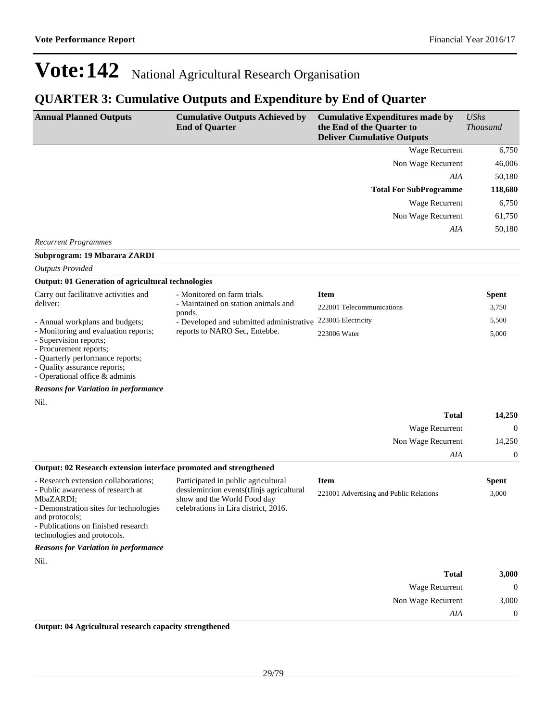### **QUARTER 3: Cumulative Outputs and Expenditure by End of Quarter**

| <b>Annual Planned Outputs</b>                                                                                                                                                                                            | <b>Cumulative Outputs Achieved by</b><br><b>End of Quarter</b>                                                                                         | <b>Cumulative Expenditures made by</b><br>the End of the Quarter to<br><b>Deliver Cumulative Outputs</b> | <b>UShs</b><br><b>Thousand</b> |
|--------------------------------------------------------------------------------------------------------------------------------------------------------------------------------------------------------------------------|--------------------------------------------------------------------------------------------------------------------------------------------------------|----------------------------------------------------------------------------------------------------------|--------------------------------|
|                                                                                                                                                                                                                          |                                                                                                                                                        | Wage Recurrent                                                                                           | 6,750                          |
|                                                                                                                                                                                                                          |                                                                                                                                                        | Non Wage Recurrent                                                                                       | 46,006                         |
|                                                                                                                                                                                                                          |                                                                                                                                                        | AIA                                                                                                      | 50,180                         |
|                                                                                                                                                                                                                          |                                                                                                                                                        | <b>Total For SubProgramme</b>                                                                            | 118,680                        |
|                                                                                                                                                                                                                          |                                                                                                                                                        | Wage Recurrent                                                                                           | 6,750                          |
|                                                                                                                                                                                                                          |                                                                                                                                                        | Non Wage Recurrent                                                                                       | 61,750                         |
|                                                                                                                                                                                                                          |                                                                                                                                                        | AIA                                                                                                      | 50,180                         |
| <b>Recurrent Programmes</b>                                                                                                                                                                                              |                                                                                                                                                        |                                                                                                          |                                |
| Subprogram: 19 Mbarara ZARDI                                                                                                                                                                                             |                                                                                                                                                        |                                                                                                          |                                |
| <b>Outputs Provided</b>                                                                                                                                                                                                  |                                                                                                                                                        |                                                                                                          |                                |
| <b>Output: 01 Generation of agricultural technologies</b>                                                                                                                                                                |                                                                                                                                                        |                                                                                                          |                                |
| Carry out facilitative activities and<br>deliver:                                                                                                                                                                        | - Monitored on farm trials.<br>- Maintained on station animals and                                                                                     | <b>Item</b>                                                                                              | <b>Spent</b>                   |
|                                                                                                                                                                                                                          | ponds.                                                                                                                                                 | 222001 Telecommunications                                                                                | 3,750                          |
| - Annual workplans and budgets;<br>- Monitoring and evaluation reports;                                                                                                                                                  | - Developed and submitted administrative<br>reports to NARO Sec, Entebbe.                                                                              | 223005 Electricity                                                                                       | 5,500                          |
| - Supervision reports;<br>- Procurement reports;<br>- Quarterly performance reports;<br>- Quality assurance reports;<br>- Operational office & adminis                                                                   |                                                                                                                                                        | 223006 Water                                                                                             | 5,000                          |
| <b>Reasons for Variation in performance</b>                                                                                                                                                                              |                                                                                                                                                        |                                                                                                          |                                |
| Nil.                                                                                                                                                                                                                     |                                                                                                                                                        |                                                                                                          |                                |
|                                                                                                                                                                                                                          |                                                                                                                                                        | <b>Total</b>                                                                                             | 14,250                         |
|                                                                                                                                                                                                                          |                                                                                                                                                        | Wage Recurrent                                                                                           | $\mathbf{0}$                   |
|                                                                                                                                                                                                                          |                                                                                                                                                        | Non Wage Recurrent                                                                                       | 14,250                         |
|                                                                                                                                                                                                                          |                                                                                                                                                        | AIA                                                                                                      | $\boldsymbol{0}$               |
| Output: 02 Research extension interface promoted and strengthened                                                                                                                                                        |                                                                                                                                                        |                                                                                                          |                                |
| - Research extension collaborations:<br>- Public awareness of research at<br>MbaZARDI;<br>- Demonstration sites for technologies<br>and protocols;<br>- Publications on finished research<br>technologies and protocols. | Participated in public agricultural<br>dessiemintion events(tJinjs agricultural<br>show and the World Food day<br>celebrations in Lira district, 2016. | <b>Item</b><br>221001 Advertising and Public Relations                                                   | <b>Spent</b><br>3,000          |
| <b>Reasons for Variation in performance</b>                                                                                                                                                                              |                                                                                                                                                        |                                                                                                          |                                |
| Nil.                                                                                                                                                                                                                     |                                                                                                                                                        |                                                                                                          |                                |
|                                                                                                                                                                                                                          |                                                                                                                                                        | <b>Total</b>                                                                                             | 3,000                          |
|                                                                                                                                                                                                                          |                                                                                                                                                        | Wage Recurrent                                                                                           | $\mathbf{0}$                   |
|                                                                                                                                                                                                                          |                                                                                                                                                        | Non Wage Recurrent                                                                                       | 3,000                          |
|                                                                                                                                                                                                                          |                                                                                                                                                        | AIA                                                                                                      | $\boldsymbol{0}$               |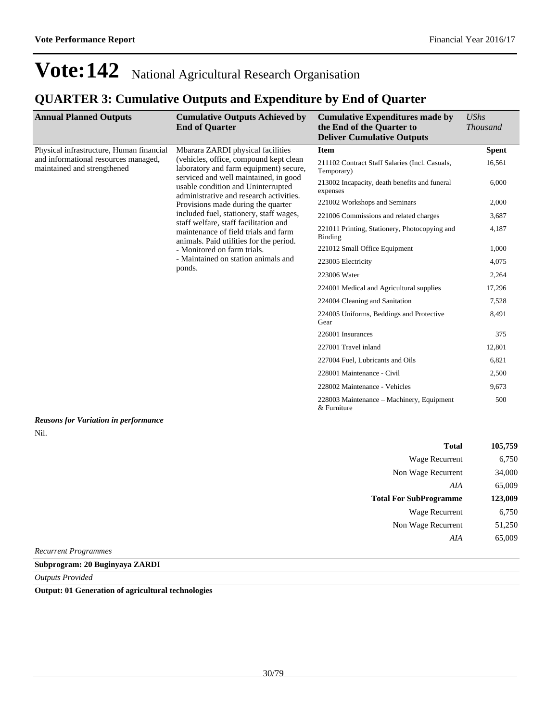*AIA* 65,009

## **Vote:142** National Agricultural Research Organisation

## **QUARTER 3: Cumulative Outputs and Expenditure by End of Quarter**

| <b>Annual Planned Outputs</b>                                       | <b>Cumulative Outputs Achieved by</b><br><b>End of Quarter</b>                                                                                                                                                                                   | <b>Cumulative Expenditures made by</b><br>the End of the Quarter to<br><b>Deliver Cumulative Outputs</b> | <b>UShs</b><br><b>Thousand</b> |
|---------------------------------------------------------------------|--------------------------------------------------------------------------------------------------------------------------------------------------------------------------------------------------------------------------------------------------|----------------------------------------------------------------------------------------------------------|--------------------------------|
| Physical infrastructure, Human financial                            | Mbarara ZARDI physical facilities                                                                                                                                                                                                                | <b>Item</b>                                                                                              | <b>Spent</b>                   |
| and informational resources managed,<br>maintained and strengthened | (vehicles, office, compound kept clean<br>laboratory and farm equipment) secure,<br>serviced and well maintained, in good<br>usable condition and Uninterrupted<br>administrative and research activities.<br>Provisions made during the quarter | 211102 Contract Staff Salaries (Incl. Casuals,<br>Temporary)                                             | 16,561                         |
|                                                                     |                                                                                                                                                                                                                                                  | 213002 Incapacity, death benefits and funeral<br>expenses                                                | 6,000                          |
|                                                                     |                                                                                                                                                                                                                                                  | 221002 Workshops and Seminars                                                                            | 2,000                          |
|                                                                     | included fuel, stationery, staff wages,                                                                                                                                                                                                          | 221006 Commissions and related charges                                                                   | 3,687                          |
|                                                                     | staff welfare, staff facilitation and<br>maintenance of field trials and farm<br>animals. Paid utilities for the period.                                                                                                                         | 221011 Printing, Stationery, Photocopying and<br>Binding                                                 | 4,187                          |
|                                                                     | - Monitored on farm trials.                                                                                                                                                                                                                      | 221012 Small Office Equipment                                                                            | 1,000                          |
|                                                                     | - Maintained on station animals and<br>ponds.                                                                                                                                                                                                    | 223005 Electricity                                                                                       | 4,075                          |
|                                                                     |                                                                                                                                                                                                                                                  | 223006 Water                                                                                             | 2,264                          |
|                                                                     |                                                                                                                                                                                                                                                  | 224001 Medical and Agricultural supplies                                                                 | 17,296                         |
|                                                                     | 224004 Cleaning and Sanitation<br>Gear                                                                                                                                                                                                           |                                                                                                          | 7,528                          |
|                                                                     |                                                                                                                                                                                                                                                  | 224005 Uniforms, Beddings and Protective                                                                 | 8,491                          |
|                                                                     |                                                                                                                                                                                                                                                  | 226001 Insurances                                                                                        | 375                            |
|                                                                     |                                                                                                                                                                                                                                                  | 227001 Travel inland                                                                                     | 12,801                         |
|                                                                     |                                                                                                                                                                                                                                                  | 227004 Fuel, Lubricants and Oils                                                                         | 6,821                          |
|                                                                     |                                                                                                                                                                                                                                                  | 228001 Maintenance - Civil                                                                               | 2,500                          |
|                                                                     |                                                                                                                                                                                                                                                  | 228002 Maintenance - Vehicles                                                                            | 9,673                          |
|                                                                     |                                                                                                                                                                                                                                                  | 228003 Maintenance – Machinery, Equipment<br>& Furniture                                                 | 500                            |
| <b>Reasons for Variation in performance</b>                         |                                                                                                                                                                                                                                                  |                                                                                                          |                                |
| Nil.                                                                |                                                                                                                                                                                                                                                  |                                                                                                          |                                |
|                                                                     |                                                                                                                                                                                                                                                  | <b>Total</b>                                                                                             | 105,759                        |
|                                                                     |                                                                                                                                                                                                                                                  | Wage Recurrent                                                                                           | 6,750                          |
|                                                                     |                                                                                                                                                                                                                                                  | Non Wage Recurrent                                                                                       | 34,000                         |
|                                                                     |                                                                                                                                                                                                                                                  | AIA                                                                                                      | 65,009                         |
|                                                                     |                                                                                                                                                                                                                                                  | <b>Total For SubProgramme</b>                                                                            | 123,009                        |
|                                                                     |                                                                                                                                                                                                                                                  | Wage Recurrent                                                                                           | 6,750                          |
|                                                                     |                                                                                                                                                                                                                                                  | Non Wage Recurrent                                                                                       | 51,250                         |

*Recurrent Programmes*

**Subprogram: 20 Buginyaya ZARDI**

*Outputs Provided*

**Output: 01 Generation of agricultural technologies**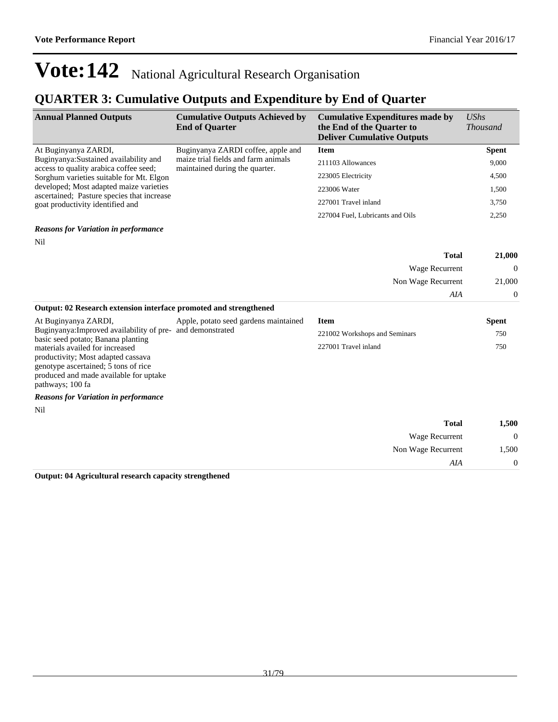*AIA* 0

## **Vote:142** National Agricultural Research Organisation

### **QUARTER 3: Cumulative Outputs and Expenditure by End of Quarter**

| <b>Annual Planned Outputs</b>                                                         | <b>Cumulative Outputs Achieved by</b><br><b>End of Quarter</b>        | <b>Cumulative Expenditures made by</b><br>the End of the Quarter to<br><b>Deliver Cumulative Outputs</b> | UShs<br><i>Thousand</i> |
|---------------------------------------------------------------------------------------|-----------------------------------------------------------------------|----------------------------------------------------------------------------------------------------------|-------------------------|
| At Buginyanya ZARDI,                                                                  | Buginyanya ZARDI coffee, apple and                                    | <b>Item</b>                                                                                              | <b>Spent</b>            |
| Buginyanya: Sustained availability and<br>access to quality arabica coffee seed;      | maize trial fields and farm animals<br>maintained during the quarter. | 211103 Allowances                                                                                        | 9,000                   |
| Sorghum varieties suitable for Mt. Elgon                                              |                                                                       | 223005 Electricity                                                                                       | 4,500                   |
| developed; Most adapted maize varieties<br>ascertained; Pasture species that increase |                                                                       | 223006 Water                                                                                             | 1,500                   |
| goat productivity identified and                                                      |                                                                       | 227001 Travel inland                                                                                     | 3,750                   |
|                                                                                       |                                                                       | 227004 Fuel, Lubricants and Oils                                                                         | 2,250                   |
| <b>Reasons for Variation in performance</b>                                           |                                                                       |                                                                                                          |                         |
| Nil                                                                                   |                                                                       |                                                                                                          |                         |
|                                                                                       |                                                                       | <b>Total</b>                                                                                             | 21,000                  |
|                                                                                       |                                                                       | Wage Recurrent                                                                                           | $\Omega$                |
|                                                                                       |                                                                       | Non Wage Recurrent                                                                                       | 21,000                  |

| Output: 02 Research extension interface promoted and strengthened     |                                       |                               |              |  |
|-----------------------------------------------------------------------|---------------------------------------|-------------------------------|--------------|--|
| At Buginyanya ZARDI,                                                  | Apple, potato seed gardens maintained | <b>Item</b>                   | <b>Spent</b> |  |
| Buginyanya: Improved availability of pre- and demonstrated            |                                       | 221002 Workshops and Seminars | 750          |  |
| basic seed potato; Banana planting<br>materials availed for increased |                                       | 227001 Travel inland          | 750          |  |
| productivity; Most adapted cassava                                    |                                       |                               |              |  |
| genotype ascertained; 5 tons of rice                                  |                                       |                               |              |  |

*Reasons for Variation in performance*

produced and made available for uptake

Nil

pathways; 100 fa

| 1,500          | <b>Total</b>       |
|----------------|--------------------|
| $\overline{0}$ | Wage Recurrent     |
| 1,500          | Non Wage Recurrent |
|                | AIA                |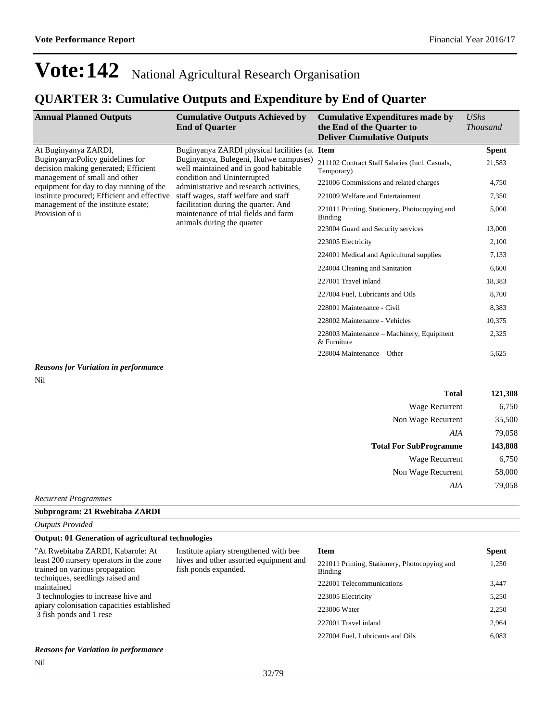### **QUARTER 3: Cumulative Outputs and Expenditure by End of Quarter**

| <b>Annual Planned Outputs</b>                                             | <b>Cumulative Outputs Achieved by</b><br><b>End of Quarter</b>                  | <b>Cumulative Expenditures made by</b><br>the End of the Quarter to<br><b>Deliver Cumulative Outputs</b> | <b>UShs</b><br><i>Thousand</i> |       |
|---------------------------------------------------------------------------|---------------------------------------------------------------------------------|----------------------------------------------------------------------------------------------------------|--------------------------------|-------|
| At Buginyanya ZARDI,                                                      | Buginyanya ZARDI physical facilities (at Item                                   |                                                                                                          | <b>Spent</b>                   |       |
| Buginyanya: Policy guidelines for<br>decision making generated; Efficient | Buginyanya, Bulegeni, Ikulwe campuses)<br>well maintained and in good habitable | 211102 Contract Staff Salaries (Incl. Casuals,<br>Temporary)                                             | 21,583                         |       |
| management of small and other<br>equipment for day to day running of the  | condition and Uninterrupted<br>administrative and research activities,          | 221006 Commissions and related charges                                                                   | 4,750                          |       |
| institute procured; Efficient and effective                               | staff wages, staff welfare and staff                                            | 221009 Welfare and Entertainment                                                                         | 7,350                          |       |
| management of the institute estate;<br>Provision of u                     | facilitation during the quarter. And<br>maintenance of trial fields and farm    | 221011 Printing, Stationery, Photocopying and<br>Binding                                                 | 5,000                          |       |
|                                                                           | animals during the quarter                                                      | 223004 Guard and Security services                                                                       | 13,000                         |       |
|                                                                           |                                                                                 | 223005 Electricity                                                                                       | 2,100                          |       |
|                                                                           |                                                                                 | 224001 Medical and Agricultural supplies                                                                 | 7,133                          |       |
|                                                                           |                                                                                 | 224004 Cleaning and Sanitation                                                                           | 6,600                          |       |
|                                                                           |                                                                                 | 227001 Travel inland                                                                                     | 18,383                         |       |
|                                                                           |                                                                                 | 227004 Fuel, Lubricants and Oils                                                                         | 8,700                          |       |
|                                                                           |                                                                                 |                                                                                                          | 228001 Maintenance - Civil     | 8,383 |
|                                                                           |                                                                                 | 228002 Maintenance - Vehicles                                                                            | 10,375                         |       |
|                                                                           |                                                                                 | 228003 Maintenance – Machinery, Equipment<br>& Furniture                                                 | 2,325                          |       |
|                                                                           |                                                                                 | 228004 Maintenance – Other                                                                               | 5,625                          |       |

#### *Reasons for Variation in performance* Nil

| <b>Total</b>                  | 121,308 |
|-------------------------------|---------|
| Wage Recurrent                | 6,750   |
| Non Wage Recurrent            | 35,500  |
| AIA                           | 79,058  |
|                               |         |
| <b>Total For SubProgramme</b> | 143,808 |
| Wage Recurrent                | 6,750   |
| Non Wage Recurrent            | 58,000  |
| AIA                           | 79,058  |

#### *Recurrent Programmes*

#### **Subprogram: 21 Rwebitaba ZARDI**

*Outputs Provided*

#### **Output: 01 Generation of agricultural technologies**

| "At Rwebitaba ZARDI, Kabarole: At<br>least 200 nursery operators in the zone<br>trained on various propagation | Institute apiary strengthened with bee<br>hives and other assorted equipment and<br>fish ponds expanded. | <b>Item</b><br>221011 Printing, Stationery, Photocopying and<br>Binding | <b>Spent</b><br>1,250 |
|----------------------------------------------------------------------------------------------------------------|----------------------------------------------------------------------------------------------------------|-------------------------------------------------------------------------|-----------------------|
| techniques, seedlings raised and<br>maintained                                                                 |                                                                                                          | 222001 Telecommunications                                               | 3,447                 |
| 3 technologies to increase hive and                                                                            |                                                                                                          | 223005 Electricity                                                      | 5,250                 |
| apiary colonisation capacities established<br>3 fish ponds and 1 rese                                          |                                                                                                          | 223006 Water                                                            | 2,250                 |
|                                                                                                                |                                                                                                          | 227001 Travel inland                                                    | 2,964                 |
|                                                                                                                |                                                                                                          | 227004 Fuel, Lubricants and Oils                                        | 6,083                 |
| <b>Reasons for Variation in performance</b>                                                                    |                                                                                                          |                                                                         |                       |

Nil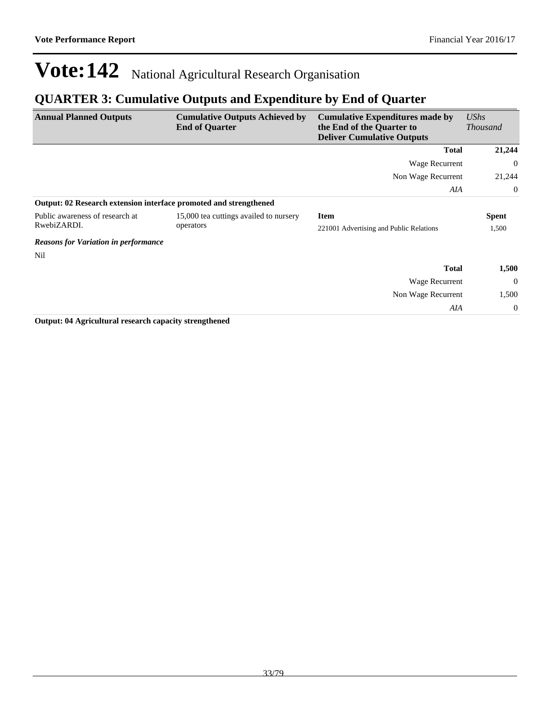### **QUARTER 3: Cumulative Outputs and Expenditure by End of Quarter**

| <b>Annual Planned Outputs</b>                                     | <b>Cumulative Outputs Achieved by</b><br><b>End of Quarter</b> | <b>Cumulative Expenditures made by</b><br>the End of the Quarter to<br><b>Deliver Cumulative Outputs</b> | <b>UShs</b><br><i>Thousand</i> |
|-------------------------------------------------------------------|----------------------------------------------------------------|----------------------------------------------------------------------------------------------------------|--------------------------------|
|                                                                   |                                                                | <b>Total</b>                                                                                             | 21,244                         |
|                                                                   |                                                                | Wage Recurrent                                                                                           | $\Omega$                       |
|                                                                   |                                                                | Non Wage Recurrent                                                                                       | 21,244                         |
|                                                                   |                                                                | AIA                                                                                                      | $\Omega$                       |
| Output: 02 Research extension interface promoted and strengthened |                                                                |                                                                                                          |                                |
| Public awareness of research at                                   | 15,000 tea cuttings availed to nursery                         | <b>Item</b>                                                                                              | <b>Spent</b>                   |
| RwebiZARDI.                                                       | operators                                                      | 221001 Advertising and Public Relations                                                                  | 1,500                          |
| <b>Reasons for Variation in performance</b>                       |                                                                |                                                                                                          |                                |
| Nil                                                               |                                                                |                                                                                                          |                                |
|                                                                   |                                                                | <b>Total</b>                                                                                             | 1,500                          |
|                                                                   |                                                                | Wage Recurrent                                                                                           | $\theta$                       |
|                                                                   |                                                                | Non Wage Recurrent                                                                                       | 1,500                          |
|                                                                   |                                                                | AIA                                                                                                      | $\overline{0}$                 |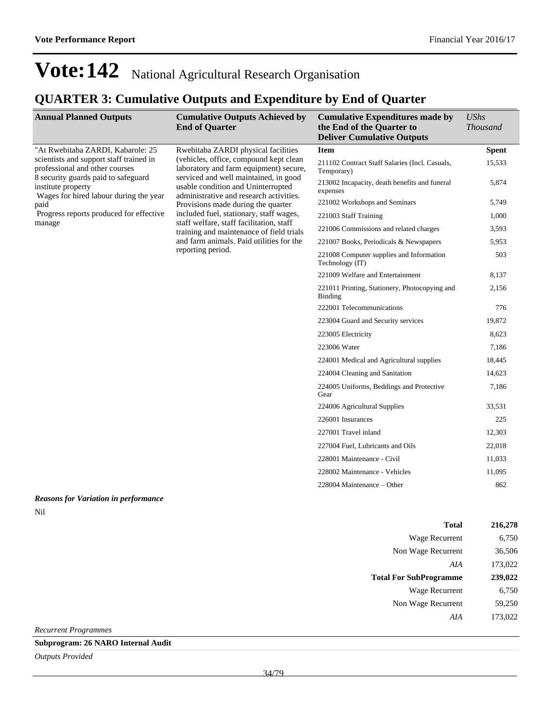## **QUARTER 3: Cumulative Outputs and Expenditure by End of Quarter**

| <b>Annual Planned Outputs</b>                                                                                    | <b>Cumulative Outputs Achieved by</b><br><b>End of Quarter</b>                                                                                                                                                                                                                                                                                                                                                                                       | <b>Cumulative Expenditures made by</b><br>the End of the Quarter to<br><b>Deliver Cumulative Outputs</b> | <b>UShs</b><br><b>Thousand</b> |
|------------------------------------------------------------------------------------------------------------------|------------------------------------------------------------------------------------------------------------------------------------------------------------------------------------------------------------------------------------------------------------------------------------------------------------------------------------------------------------------------------------------------------------------------------------------------------|----------------------------------------------------------------------------------------------------------|--------------------------------|
| "At Rwebitaba ZARDI, Kabarole: 25                                                                                | Rwebitaba ZARDI physical facilities                                                                                                                                                                                                                                                                                                                                                                                                                  | <b>Item</b>                                                                                              | <b>Spent</b>                   |
| scientists and support staff trained in<br>professional and other courses<br>8 security guards paid to safeguard | (vehicles, office, compound kept clean<br>laboratory and farm equipment) secure,<br>serviced and well maintained, in good<br>usable condition and Uninterrupted<br>administrative and research activities.<br>Provisions made during the quarter<br>included fuel, stationary, staff wages,<br>staff welfare, staff facilitation, staff<br>training and maintenance of field trials<br>and farm animals. Paid utilities for the<br>reporting period. | 211102 Contract Staff Salaries (Incl. Casuals,<br>Temporary)                                             | 15,533                         |
| institute property<br>Wages for hired labour during the year<br>paid<br>Progress reports produced for effective  |                                                                                                                                                                                                                                                                                                                                                                                                                                                      | 213002 Incapacity, death benefits and funeral<br>expenses                                                | 5,874                          |
|                                                                                                                  |                                                                                                                                                                                                                                                                                                                                                                                                                                                      | 221002 Workshops and Seminars                                                                            | 5,749                          |
|                                                                                                                  |                                                                                                                                                                                                                                                                                                                                                                                                                                                      | 221003 Staff Training                                                                                    | 1,000                          |
| manage                                                                                                           |                                                                                                                                                                                                                                                                                                                                                                                                                                                      | 221006 Commissions and related charges                                                                   | 3,593                          |
|                                                                                                                  |                                                                                                                                                                                                                                                                                                                                                                                                                                                      | 221007 Books, Periodicals & Newspapers                                                                   | 5,953                          |
|                                                                                                                  |                                                                                                                                                                                                                                                                                                                                                                                                                                                      | 221008 Computer supplies and Information<br>Technology (IT)                                              | 503                            |
|                                                                                                                  |                                                                                                                                                                                                                                                                                                                                                                                                                                                      | 221009 Welfare and Entertainment                                                                         | 8,137                          |
|                                                                                                                  |                                                                                                                                                                                                                                                                                                                                                                                                                                                      | 221011 Printing, Stationery, Photocopying and<br><b>Binding</b>                                          | 2,156                          |
|                                                                                                                  |                                                                                                                                                                                                                                                                                                                                                                                                                                                      | 222001 Telecommunications                                                                                | 776                            |
|                                                                                                                  |                                                                                                                                                                                                                                                                                                                                                                                                                                                      | 223004 Guard and Security services                                                                       | 19,872                         |
|                                                                                                                  |                                                                                                                                                                                                                                                                                                                                                                                                                                                      | 223005 Electricity                                                                                       | 8,623                          |
|                                                                                                                  |                                                                                                                                                                                                                                                                                                                                                                                                                                                      | 223006 Water                                                                                             | 7,186                          |
|                                                                                                                  |                                                                                                                                                                                                                                                                                                                                                                                                                                                      | 224001 Medical and Agricultural supplies                                                                 | 18,445                         |
|                                                                                                                  |                                                                                                                                                                                                                                                                                                                                                                                                                                                      | 224004 Cleaning and Sanitation                                                                           | 14,623                         |
|                                                                                                                  |                                                                                                                                                                                                                                                                                                                                                                                                                                                      | 224005 Uniforms, Beddings and Protective<br>Gear                                                         | 7,186                          |
|                                                                                                                  |                                                                                                                                                                                                                                                                                                                                                                                                                                                      | 224006 Agricultural Supplies                                                                             | 33,531                         |
|                                                                                                                  |                                                                                                                                                                                                                                                                                                                                                                                                                                                      | 226001 Insurances                                                                                        | 225                            |
|                                                                                                                  |                                                                                                                                                                                                                                                                                                                                                                                                                                                      | 227001 Travel inland                                                                                     | 12,303                         |
|                                                                                                                  |                                                                                                                                                                                                                                                                                                                                                                                                                                                      | 227004 Fuel, Lubricants and Oils                                                                         | 22,018                         |
|                                                                                                                  |                                                                                                                                                                                                                                                                                                                                                                                                                                                      | 228001 Maintenance - Civil                                                                               | 11,033                         |
|                                                                                                                  |                                                                                                                                                                                                                                                                                                                                                                                                                                                      | 228002 Maintenance - Vehicles                                                                            | 11,095                         |
|                                                                                                                  |                                                                                                                                                                                                                                                                                                                                                                                                                                                      | 228004 Maintenance – Other                                                                               | 862                            |
| <b>Reasons for Variation in performance</b>                                                                      |                                                                                                                                                                                                                                                                                                                                                                                                                                                      |                                                                                                          |                                |
| Nil                                                                                                              |                                                                                                                                                                                                                                                                                                                                                                                                                                                      |                                                                                                          |                                |

| <b>Total</b>                  | 216,278 |
|-------------------------------|---------|
| Wage Recurrent                | 6,750   |
| Non Wage Recurrent            | 36,506  |
| AIA                           | 173,022 |
| <b>Total For SubProgramme</b> | 239,022 |
| Wage Recurrent                | 6,750   |
|                               |         |
| Non Wage Recurrent            | 59,250  |
| AIA                           | 173,022 |

*Recurrent Programmes*

**Subprogram: 26 NARO Internal Audit**

*Outputs Provided*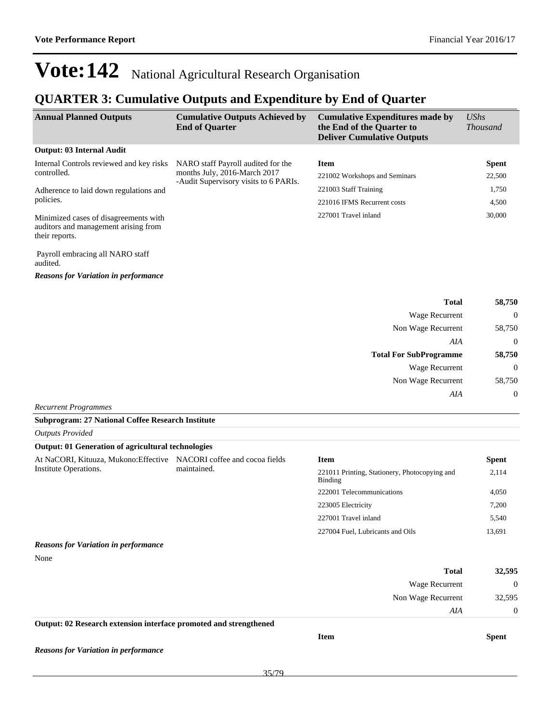### **QUARTER 3: Cumulative Outputs and Expenditure by End of Quarter**

| <b>Annual Planned Outputs</b>                                                                   | <b>Cumulative Outputs Achieved by</b><br><b>End of Quarter</b>        | <b>Cumulative Expenditures made by</b><br>the End of the Quarter to<br><b>Deliver Cumulative Outputs</b> | $\mathit{UShs}$<br><i>Thousand</i> |
|-------------------------------------------------------------------------------------------------|-----------------------------------------------------------------------|----------------------------------------------------------------------------------------------------------|------------------------------------|
| <b>Output: 03 Internal Audit</b>                                                                |                                                                       |                                                                                                          |                                    |
| Internal Controls reviewed and key risks                                                        | NARO staff Payroll audited for the                                    | <b>Item</b>                                                                                              | <b>Spent</b>                       |
| controlled.                                                                                     | months July, 2016-March 2017<br>-Audit Supervisory visits to 6 PARIs. | 221002 Workshops and Seminars                                                                            | 22,500                             |
| Adherence to laid down regulations and                                                          |                                                                       | 221003 Staff Training                                                                                    | 1,750                              |
| policies.                                                                                       |                                                                       | 221016 IFMS Recurrent costs                                                                              | 4,500                              |
| Minimized cases of disagreements with<br>auditors and management arising from<br>their reports. |                                                                       | 227001 Travel inland                                                                                     | 30,000                             |
| Payroll embracing all NARO staff                                                                |                                                                       |                                                                                                          |                                    |

**Total 58,750** Wage Recurrent 0 Non Wage Recurrent 58,750 *AIA* 0 **Total For SubProgramme 58,750** Wage Recurrent 0 Non Wage Recurrent 58,750 *AIA* 0

*Recurrent Programmes*

*Outputs Provided*

*Reasons for Variation in performance*

audited.

#### **Subprogram: 27 National Coffee Research Institute**

| <b>Output: 01 Generation of agricultural technologies</b>         |                                |                                                          |                  |
|-------------------------------------------------------------------|--------------------------------|----------------------------------------------------------|------------------|
| At NaCORI, Kituuza, Mukono: Effective                             | NACORI coffee and cocoa fields | <b>Item</b>                                              | <b>Spent</b>     |
| Institute Operations.                                             | maintained.                    | 221011 Printing, Stationery, Photocopying and<br>Binding | 2,114            |
|                                                                   |                                | 222001 Telecommunications                                | 4,050            |
|                                                                   |                                | 223005 Electricity                                       | 7,200            |
|                                                                   |                                | 227001 Travel inland                                     | 5,540            |
|                                                                   |                                | 227004 Fuel, Lubricants and Oils                         | 13,691           |
| <b>Reasons for Variation in performance</b>                       |                                |                                                          |                  |
| None                                                              |                                |                                                          |                  |
|                                                                   |                                | <b>Total</b>                                             | 32,595           |
|                                                                   |                                | Wage Recurrent                                           | $\boldsymbol{0}$ |
|                                                                   |                                | Non Wage Recurrent                                       | 32,595           |
|                                                                   |                                | AIA                                                      | $\theta$         |
| Output: 02 Research extension interface promoted and strengthened |                                |                                                          |                  |
|                                                                   |                                | <b>Item</b>                                              | <b>Spent</b>     |

*Reasons for Variation in performance*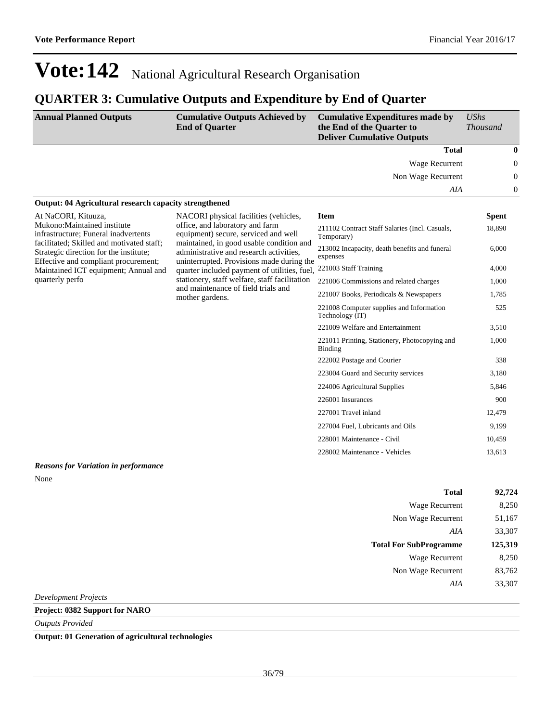### **QUARTER 3: Cumulative Outputs and Expenditure by End of Quarter**

| <b>Annual Planned Outputs</b>                                                                                               | <b>Cumulative Outputs Achieved by</b><br><b>End of Quarter</b>                                                                                                                                                                                                                                                                                                         | <b>Cumulative Expenditures made by</b><br>the End of the Quarter to<br><b>Deliver Cumulative Outputs</b> | <b>UShs</b><br><b>Thousand</b> |                  |
|-----------------------------------------------------------------------------------------------------------------------------|------------------------------------------------------------------------------------------------------------------------------------------------------------------------------------------------------------------------------------------------------------------------------------------------------------------------------------------------------------------------|----------------------------------------------------------------------------------------------------------|--------------------------------|------------------|
|                                                                                                                             |                                                                                                                                                                                                                                                                                                                                                                        | <b>Total</b>                                                                                             |                                | $\bf{0}$         |
|                                                                                                                             |                                                                                                                                                                                                                                                                                                                                                                        | Wage Recurrent                                                                                           |                                | $\mathbf{0}$     |
|                                                                                                                             |                                                                                                                                                                                                                                                                                                                                                                        | Non Wage Recurrent                                                                                       |                                | $\boldsymbol{0}$ |
|                                                                                                                             |                                                                                                                                                                                                                                                                                                                                                                        | AIA                                                                                                      |                                | $\boldsymbol{0}$ |
| Output: 04 Agricultural research capacity strengthened                                                                      |                                                                                                                                                                                                                                                                                                                                                                        |                                                                                                          |                                |                  |
| At NaCORI, Kituuza,                                                                                                         | NACORI physical facilities (vehicles,                                                                                                                                                                                                                                                                                                                                  | <b>Item</b>                                                                                              | <b>Spent</b>                   |                  |
| Mukono: Maintained institute<br>infrastructure; Funeral inadvertents                                                        | office, and laboratory and farm<br>equipment) secure, serviced and well<br>maintained, in good usable condition and<br>administrative and research activities,<br>uninterrupted. Provisions made during the<br>quarter included payment of utilities, fuel,<br>stationery, staff welfare, staff facilitation<br>and maintenance of field trials and<br>mother gardens. | 211102 Contract Staff Salaries (Incl. Casuals,<br>Temporary)                                             | 18,890                         |                  |
| facilitated; Skilled and motivated staff;<br>Strategic direction for the institute;<br>Effective and compliant procurement; |                                                                                                                                                                                                                                                                                                                                                                        | 213002 Incapacity, death benefits and funeral<br>expenses                                                | 6,000                          |                  |
| Maintained ICT equipment; Annual and                                                                                        |                                                                                                                                                                                                                                                                                                                                                                        | 221003 Staff Training                                                                                    | 4,000                          |                  |
| quarterly perfo                                                                                                             |                                                                                                                                                                                                                                                                                                                                                                        | 221006 Commissions and related charges                                                                   | 1,000                          |                  |
|                                                                                                                             |                                                                                                                                                                                                                                                                                                                                                                        | 221007 Books, Periodicals & Newspapers                                                                   | 1.785                          |                  |
|                                                                                                                             |                                                                                                                                                                                                                                                                                                                                                                        | 221008 Computer supplies and Information<br>Technology (IT)                                              | 525                            |                  |
|                                                                                                                             |                                                                                                                                                                                                                                                                                                                                                                        | 221009 Welfare and Entertainment                                                                         | 3,510                          |                  |
|                                                                                                                             |                                                                                                                                                                                                                                                                                                                                                                        | 221011 Printing, Stationery, Photocopying and<br>Binding                                                 | 1.000                          |                  |
|                                                                                                                             |                                                                                                                                                                                                                                                                                                                                                                        | 222002 Postage and Courier                                                                               | 338                            |                  |
|                                                                                                                             |                                                                                                                                                                                                                                                                                                                                                                        | 223004 Guard and Security services                                                                       | 3,180                          |                  |
|                                                                                                                             |                                                                                                                                                                                                                                                                                                                                                                        | 224006 Agricultural Supplies                                                                             | 5,846                          |                  |
|                                                                                                                             |                                                                                                                                                                                                                                                                                                                                                                        | 226001 Insurances                                                                                        | 900                            |                  |
|                                                                                                                             |                                                                                                                                                                                                                                                                                                                                                                        | 227001 Travel inland                                                                                     | 12,479                         |                  |
|                                                                                                                             |                                                                                                                                                                                                                                                                                                                                                                        | 227004 Fuel, Lubricants and Oils                                                                         | 9,199                          |                  |
|                                                                                                                             |                                                                                                                                                                                                                                                                                                                                                                        | 228001 Maintenance - Civil                                                                               | 10,459                         |                  |
|                                                                                                                             |                                                                                                                                                                                                                                                                                                                                                                        | 228002 Maintenance - Vehicles                                                                            | 13,613                         |                  |
| <b>Reasons for Variation in performance</b>                                                                                 |                                                                                                                                                                                                                                                                                                                                                                        |                                                                                                          |                                |                  |

None

| <b>Total</b>                  | 92,724  |
|-------------------------------|---------|
| Wage Recurrent                | 8,250   |
| Non Wage Recurrent            | 51,167  |
| AIA                           | 33,307  |
| <b>Total For SubProgramme</b> | 125,319 |
|                               |         |
| Wage Recurrent                | 8,250   |
| Non Wage Recurrent            | 83,762  |
| AIA                           | 33,307  |

*Development Projects*

**Project: 0382 Support for NARO**

*Outputs Provided*

**Output: 01 Generation of agricultural technologies**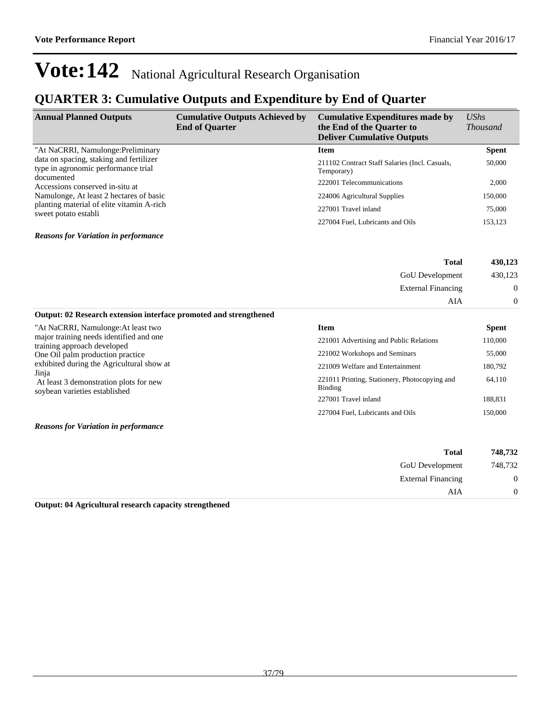### **QUARTER 3: Cumulative Outputs and Expenditure by End of Quarter**

| <b>Annual Planned Outputs</b>                                                                                                                                                                                                                   | <b>Cumulative Outputs Achieved by</b><br><b>End of Quarter</b> | <b>Cumulative Expenditures made by</b><br>the End of the Quarter to<br><b>Deliver Cumulative Outputs</b> | $\mathit{UShs}$<br><b>Thousand</b> |
|-------------------------------------------------------------------------------------------------------------------------------------------------------------------------------------------------------------------------------------------------|----------------------------------------------------------------|----------------------------------------------------------------------------------------------------------|------------------------------------|
| "At NaCRRI, Namulonge: Preliminary                                                                                                                                                                                                              |                                                                | <b>Item</b>                                                                                              | <b>Spent</b>                       |
| data on spacing, staking and fertilizer<br>type in agronomic performance trial<br>documented<br>Accessions conserved in-situ at<br>Namulonge, At least 2 hectares of basic<br>planting material of elite vitamin A-rich<br>sweet potato establi |                                                                | 211102 Contract Staff Salaries (Incl. Casuals,<br>Temporary)                                             | 50,000                             |
|                                                                                                                                                                                                                                                 |                                                                | 222001 Telecommunications                                                                                | 2,000                              |
|                                                                                                                                                                                                                                                 |                                                                | 224006 Agricultural Supplies                                                                             | 150,000                            |
|                                                                                                                                                                                                                                                 |                                                                | 227001 Travel inland                                                                                     | 75,000                             |
|                                                                                                                                                                                                                                                 |                                                                | 227004 Fuel, Lubricants and Oils                                                                         | 153.123                            |

#### *Reasons for Variation in performance*

| 430,123        | <b>Total</b>              |
|----------------|---------------------------|
| 430,123        | <b>GoU</b> Development    |
| $\mathbf{0}$   | <b>External Financing</b> |
| $\overline{0}$ | AIA                       |

| Output: 02 Research extension interface promoted and strengthened       |                                                          |              |
|-------------------------------------------------------------------------|----------------------------------------------------------|--------------|
| "At NaCRRI, Namulonge: At least two                                     | Item                                                     | <b>Spent</b> |
| major training needs identified and one<br>training approach developed  | 221001 Advertising and Public Relations                  | 110,000      |
| One Oil palm production practice                                        | 221002 Workshops and Seminars                            | 55,000       |
| exhibited during the Agricultural show at<br>Jinja                      | 221009 Welfare and Entertainment                         | 180,792      |
| At least 3 demonstration plots for new<br>soybean varieties established | 221011 Printing, Stationery, Photocopying and<br>Binding | 64,110       |
|                                                                         | 227001 Travel inland                                     | 188,831      |
|                                                                         | 227004 Fuel, Lubricants and Oils                         | 150,000      |
|                                                                         |                                                          |              |

*Reasons for Variation in performance*

| 748,732          | <b>Total</b>              |  |
|------------------|---------------------------|--|
| 748,732          | <b>GoU</b> Development    |  |
| $\boldsymbol{0}$ | <b>External Financing</b> |  |
| 0                | AIA                       |  |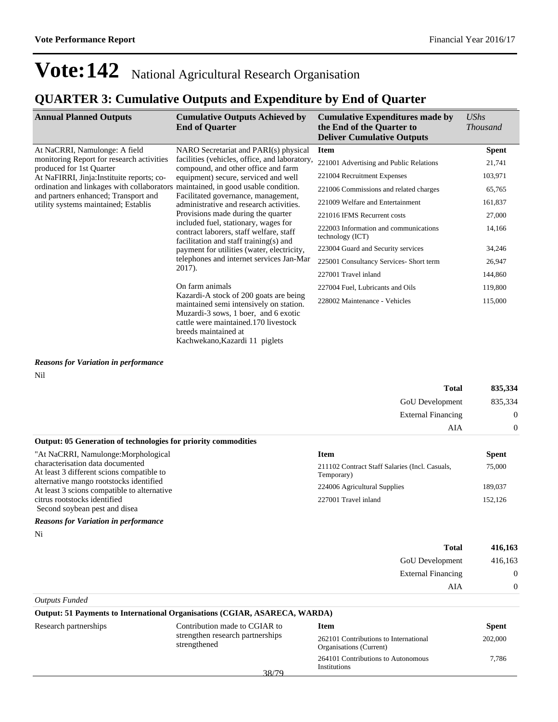breeds maintained at

Kachwekano,Kazardi 11 piglets

## **QUARTER 3: Cumulative Outputs and Expenditure by End of Quarter**

| <b>Annual Planned Outputs</b>                                                    | <b>Cumulative Outputs Achieved by</b><br><b>End of Quarter</b>                                                                                                                                                                                                                                                                                        | <b>Cumulative Expenditures made by</b><br>the End of the Quarter to<br><b>Deliver Cumulative Outputs</b> | $\mathit{UShs}$<br><b>Thousand</b> |
|----------------------------------------------------------------------------------|-------------------------------------------------------------------------------------------------------------------------------------------------------------------------------------------------------------------------------------------------------------------------------------------------------------------------------------------------------|----------------------------------------------------------------------------------------------------------|------------------------------------|
| At NaCRRI, Namulonge: A field                                                    | NARO Secretariat and PARI(s) physical                                                                                                                                                                                                                                                                                                                 | <b>Item</b>                                                                                              | <b>Spent</b>                       |
| monitoring Report for research activities<br>produced for 1st Quarter            | facilities (vehicles, office, and laboratory,<br>compound, and other office and farm                                                                                                                                                                                                                                                                  | 221001 Advertising and Public Relations                                                                  | 21,741                             |
| At NaFIRRI, Jinja: Instituite reports; co-                                       | equipment) secure, serviced and well                                                                                                                                                                                                                                                                                                                  | 221004 Recruitment Expenses                                                                              | 103,971                            |
| ordination and linkages with collaborators maintained, in good usable condition. | Facilitated governance, management,<br>administrative and research activities.<br>Provisions made during the quarter<br>included fuel, stationary, wages for<br>contract laborers, staff welfare, staff<br>facilitation and staff training(s) and<br>payment for utilities (water, electricity,<br>telephones and internet services Jan-Mar<br>2017). | 221006 Commissions and related charges                                                                   | 65,765                             |
| and partners enhanced; Transport and<br>utility systems maintained; Establis     |                                                                                                                                                                                                                                                                                                                                                       | 221009 Welfare and Entertainment                                                                         | 161,837                            |
|                                                                                  |                                                                                                                                                                                                                                                                                                                                                       | 221016 IFMS Recurrent costs                                                                              | 27,000                             |
|                                                                                  |                                                                                                                                                                                                                                                                                                                                                       | 222003 Information and communications<br>technology (ICT)                                                | 14,166                             |
|                                                                                  |                                                                                                                                                                                                                                                                                                                                                       | 223004 Guard and Security services                                                                       | 34,246                             |
|                                                                                  |                                                                                                                                                                                                                                                                                                                                                       | 225001 Consultancy Services- Short term                                                                  | 26,947                             |
|                                                                                  |                                                                                                                                                                                                                                                                                                                                                       | 227001 Travel inland                                                                                     | 144,860                            |
|                                                                                  | On farm animals<br>Kazardi-A stock of 200 goats are being<br>maintained semi intensively on station.<br>Muzardi-3 sows, 1 boer, and 6 exotic<br>cattle were maintained.170 livestock                                                                                                                                                                  | 227004 Fuel, Lubricants and Oils                                                                         | 119,800                            |
|                                                                                  |                                                                                                                                                                                                                                                                                                                                                       | 228002 Maintenance - Vehicles                                                                            | 115,000                            |

*Reasons for Variation in performance* Nil

|                                                                                                                                                                                                                                                 | <b>Total</b>                                                                                                                        | 835,334                                      |
|-------------------------------------------------------------------------------------------------------------------------------------------------------------------------------------------------------------------------------------------------|-------------------------------------------------------------------------------------------------------------------------------------|----------------------------------------------|
|                                                                                                                                                                                                                                                 | <b>GoU</b> Development                                                                                                              | 835.334                                      |
|                                                                                                                                                                                                                                                 | External Financing                                                                                                                  | $\Omega$                                     |
|                                                                                                                                                                                                                                                 | AIA                                                                                                                                 | $\Omega$                                     |
| <b>Output: 05 Generation of technologies for priority commodities</b>                                                                                                                                                                           |                                                                                                                                     |                                              |
| "At NaCRRI, Namulonge: Morphological<br>characterisation data documented<br>At least 3 different scions compatible to<br>alternative mango rootstocks identified<br>At least 3 scions compatible to alternative<br>citrus rootstocks identified | <b>Item</b><br>211102 Contract Staff Salaries (Incl. Casuals,<br>Temporary)<br>224006 Agricultural Supplies<br>227001 Travel inland | <b>Spent</b><br>75,000<br>189,037<br>152,126 |
| Second soybean pest and disea<br><b>Reasons for Variation in performance</b>                                                                                                                                                                    |                                                                                                                                     |                                              |

Ni

| <b>Total</b>              | 416,163        |
|---------------------------|----------------|
| <b>GoU</b> Development    | 416,163        |
| <b>External Financing</b> | $\overline{0}$ |
| AIA                       | $\theta$       |
| <b>Outputs Funded</b>     |                |

| Output: 51 Payments to International Organisations (CGIAR, ASARECA, WARDA) |                                                  |                                                                  |              |
|----------------------------------------------------------------------------|--------------------------------------------------|------------------------------------------------------------------|--------------|
| Research partnerships                                                      | Contribution made to CGIAR to                    | <b>Item</b>                                                      | <b>Spent</b> |
|                                                                            | strengthen research partnerships<br>strengthened | 262101 Contributions to International<br>Organisations (Current) | 202,000      |
|                                                                            | 38/79                                            | 264101 Contributions to Autonomous<br>Institutions               | 7.786        |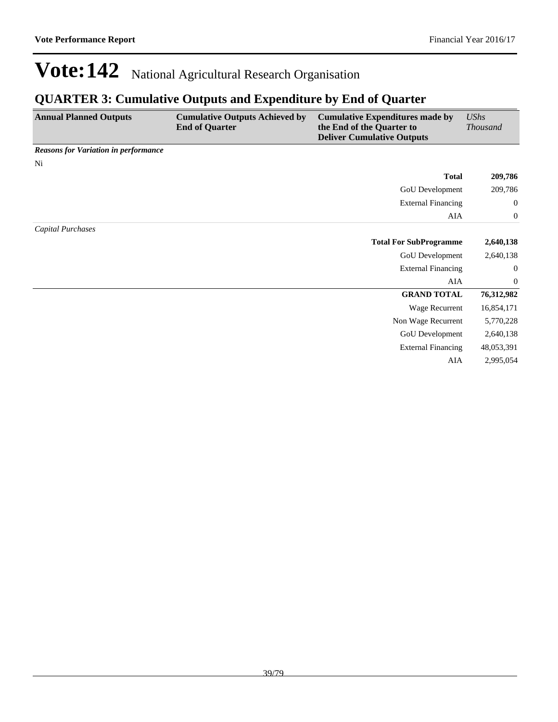### **QUARTER 3: Cumulative Outputs and Expenditure by End of Quarter**

| <b>Annual Planned Outputs</b>               | <b>Cumulative Outputs Achieved by</b><br><b>End of Quarter</b> | <b>Cumulative Expenditures made by</b><br>the End of the Quarter to<br><b>Deliver Cumulative Outputs</b> | <b>UShs</b><br><b>Thousand</b> |
|---------------------------------------------|----------------------------------------------------------------|----------------------------------------------------------------------------------------------------------|--------------------------------|
| <b>Reasons for Variation in performance</b> |                                                                |                                                                                                          |                                |
| Ni                                          |                                                                |                                                                                                          |                                |
|                                             |                                                                | <b>Total</b>                                                                                             | 209,786                        |
|                                             |                                                                | GoU Development                                                                                          | 209,786                        |
|                                             |                                                                | <b>External Financing</b>                                                                                | $\boldsymbol{0}$               |
|                                             |                                                                | AIA                                                                                                      | $\boldsymbol{0}$               |
| Capital Purchases                           |                                                                |                                                                                                          |                                |
|                                             |                                                                | <b>Total For SubProgramme</b>                                                                            | 2,640,138                      |
|                                             |                                                                | GoU Development                                                                                          | 2,640,138                      |
|                                             |                                                                | <b>External Financing</b>                                                                                | $\boldsymbol{0}$               |
|                                             |                                                                | AIA                                                                                                      | $\boldsymbol{0}$               |
|                                             |                                                                | <b>GRAND TOTAL</b>                                                                                       | 76,312,982                     |
|                                             |                                                                | Wage Recurrent                                                                                           | 16,854,171                     |
|                                             |                                                                | Non Wage Recurrent                                                                                       | 5,770,228                      |
|                                             |                                                                | GoU Development                                                                                          | 2,640,138                      |
|                                             |                                                                | <b>External Financing</b>                                                                                | 48,053,391                     |
|                                             |                                                                | AIA                                                                                                      | 2,995,054                      |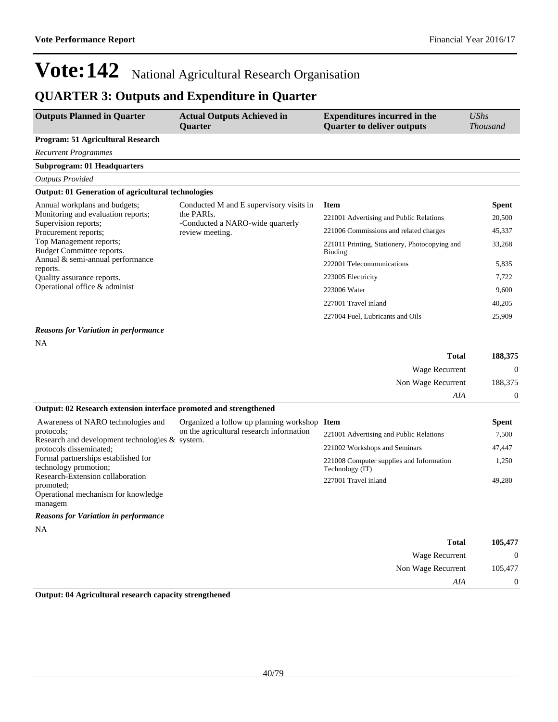### **QUARTER 3: Outputs and Expenditure in Quarter**

| <b>Outputs Planned in Quarter</b>                                                               | <b>Actual Outputs Achieved in</b><br><b>Ouarter</b> | <b>Expenditures incurred in the</b><br><b>Quarter to deliver outputs</b> | <b>UShs</b><br><b>Thousand</b> |
|-------------------------------------------------------------------------------------------------|-----------------------------------------------------|--------------------------------------------------------------------------|--------------------------------|
| Program: 51 Agricultural Research                                                               |                                                     |                                                                          |                                |
| <b>Recurrent Programmes</b>                                                                     |                                                     |                                                                          |                                |
| <b>Subprogram: 01 Headquarters</b>                                                              |                                                     |                                                                          |                                |
| <b>Outputs Provided</b>                                                                         |                                                     |                                                                          |                                |
| <b>Output: 01 Generation of agricultural technologies</b>                                       |                                                     |                                                                          |                                |
| Annual workplans and budgets;                                                                   | Conducted M and E supervisory visits in             | <b>Item</b>                                                              | <b>Spent</b>                   |
| Monitoring and evaluation reports;<br>Supervision reports;                                      | the PARIs.<br>-Conducted a NARO-wide quarterly      | 221001 Advertising and Public Relations                                  | 20,500                         |
| Procurement reports;                                                                            | review meeting.                                     | 221006 Commissions and related charges                                   | 45,337                         |
| Top Management reports;<br><b>Budget Committee reports.</b>                                     |                                                     | 221011 Printing, Stationery, Photocopying and<br>Binding                 | 33,268                         |
| Annual & semi-annual performance<br>reports.                                                    |                                                     | 222001 Telecommunications                                                | 5,835                          |
| Quality assurance reports.                                                                      |                                                     | 223005 Electricity                                                       | 7,722                          |
| Operational office & administ                                                                   |                                                     | 223006 Water                                                             | 9.600                          |
|                                                                                                 |                                                     | 227001 Travel inland                                                     | 40,205                         |
|                                                                                                 |                                                     | 227004 Fuel, Lubricants and Oils                                         | 25,909                         |
| <b>Reasons for Variation in performance</b>                                                     |                                                     |                                                                          |                                |
| NA                                                                                              |                                                     |                                                                          |                                |
|                                                                                                 |                                                     | <b>Total</b>                                                             | 188,375                        |
|                                                                                                 |                                                     | <b>Wage Recurrent</b>                                                    | $\mathbf{0}$                   |
|                                                                                                 |                                                     | Non Wage Recurrent                                                       | 188,375                        |
|                                                                                                 |                                                     | AIA                                                                      | $\boldsymbol{0}$               |
| Output: 02 Research extension interface promoted and strengthened                               |                                                     |                                                                          |                                |
| Awareness of NARO technologies and                                                              | Organized a follow up planning workshop Item        |                                                                          | <b>Spent</b>                   |
| protocols:<br>Research and development technologies & system.                                   | on the agricultural research information            | 221001 Advertising and Public Relations                                  | 7,500                          |
| protocols disseminated;<br>Formal partnerships established for<br>technology promotion;         |                                                     | 221002 Workshops and Seminars                                            | 47,447                         |
|                                                                                                 |                                                     | 221008 Computer supplies and Information<br>Technology (IT)              | 1,250                          |
| Research-Extension collaboration<br>promoted;<br>Operational mechanism for knowledge<br>managem |                                                     | 227001 Travel inland                                                     | 49,280                         |
| <b>Reasons for Variation in performance</b>                                                     |                                                     |                                                                          |                                |

NA

| 105,477        | <b>Total</b>       |
|----------------|--------------------|
| $\mathbf{0}$   | Wage Recurrent     |
| 105,477        | Non Wage Recurrent |
| $\overline{0}$ | AIA                |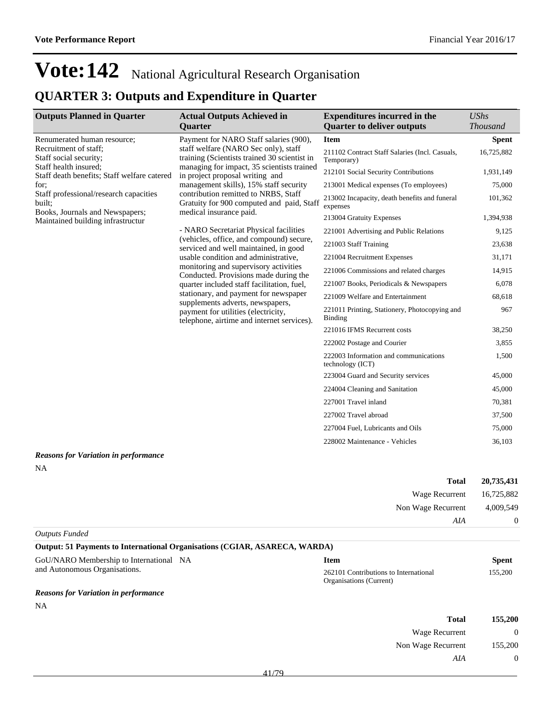## **QUARTER 3: Outputs and Expenditure in Quarter**

| <b>Outputs Planned in Quarter</b>                                              | <b>Actual Outputs Achieved in</b>                                                                                                                                                                                                                                                                                                                                                                                           | <b>Expenditures incurred in the</b>                          | <b>UShs</b>     |
|--------------------------------------------------------------------------------|-----------------------------------------------------------------------------------------------------------------------------------------------------------------------------------------------------------------------------------------------------------------------------------------------------------------------------------------------------------------------------------------------------------------------------|--------------------------------------------------------------|-----------------|
|                                                                                | <b>Quarter</b>                                                                                                                                                                                                                                                                                                                                                                                                              | <b>Quarter to deliver outputs</b>                            | <b>Thousand</b> |
| Renumerated human resource;<br>Recruitment of staff:<br>Staff social security; | Payment for NARO Staff salaries (900),<br>staff welfare (NARO Sec only), staff<br>training (Scientists trained 30 scientist in<br>managing for impact, 35 scientists trained<br>in project proposal writing and<br>management skills), 15% staff security<br>contribution remitted to NRBS, Staff<br>Gratuity for 900 computed and paid, Staff                                                                              | <b>Item</b>                                                  | <b>Spent</b>    |
|                                                                                |                                                                                                                                                                                                                                                                                                                                                                                                                             | 211102 Contract Staff Salaries (Incl. Casuals,<br>Temporary) | 16,725,882      |
| Staff health insured;<br>Staff death benefits; Staff welfare catered           |                                                                                                                                                                                                                                                                                                                                                                                                                             | 212101 Social Security Contributions                         | 1,931,149       |
| for:                                                                           |                                                                                                                                                                                                                                                                                                                                                                                                                             | 213001 Medical expenses (To employees)                       | 75,000          |
| Staff professional/research capacities<br>built;                               |                                                                                                                                                                                                                                                                                                                                                                                                                             | 213002 Incapacity, death benefits and funeral<br>expenses    | 101,362         |
| Books, Journals and Newspapers;<br>Maintained building infrastructur           | medical insurance paid.                                                                                                                                                                                                                                                                                                                                                                                                     | 213004 Gratuity Expenses                                     | 1,394,938       |
|                                                                                | - NARO Secretariat Physical facilities                                                                                                                                                                                                                                                                                                                                                                                      | 221001 Advertising and Public Relations                      | 9,125           |
|                                                                                | (vehicles, office, and compound) secure,<br>serviced and well maintained, in good<br>usable condition and administrative.<br>monitoring and supervisory activities<br>Conducted. Provisions made during the<br>quarter included staff facilitation, fuel,<br>stationary, and payment for newspaper<br>supplements adverts, newspapers,<br>payment for utilities (electricity,<br>telephone, airtime and internet services). | 221003 Staff Training                                        | 23,638          |
|                                                                                |                                                                                                                                                                                                                                                                                                                                                                                                                             | 221004 Recruitment Expenses                                  | 31,171          |
|                                                                                |                                                                                                                                                                                                                                                                                                                                                                                                                             | 221006 Commissions and related charges                       | 14,915          |
|                                                                                |                                                                                                                                                                                                                                                                                                                                                                                                                             | 221007 Books, Periodicals & Newspapers                       | 6,078           |
|                                                                                |                                                                                                                                                                                                                                                                                                                                                                                                                             | 221009 Welfare and Entertainment                             | 68,618          |
|                                                                                |                                                                                                                                                                                                                                                                                                                                                                                                                             | 221011 Printing, Stationery, Photocopying and<br>Binding     | 967             |
|                                                                                |                                                                                                                                                                                                                                                                                                                                                                                                                             | 221016 IFMS Recurrent costs                                  | 38,250          |
|                                                                                |                                                                                                                                                                                                                                                                                                                                                                                                                             | 222002 Postage and Courier                                   | 3,855           |
|                                                                                |                                                                                                                                                                                                                                                                                                                                                                                                                             | 222003 Information and communications<br>technology (ICT)    | 1,500           |
|                                                                                |                                                                                                                                                                                                                                                                                                                                                                                                                             | 223004 Guard and Security services                           | 45,000          |
|                                                                                |                                                                                                                                                                                                                                                                                                                                                                                                                             | 224004 Cleaning and Sanitation                               | 45,000          |
|                                                                                |                                                                                                                                                                                                                                                                                                                                                                                                                             | 227001 Travel inland                                         | 70,381          |
|                                                                                |                                                                                                                                                                                                                                                                                                                                                                                                                             | 227002 Travel abroad                                         | 37,500          |
|                                                                                |                                                                                                                                                                                                                                                                                                                                                                                                                             | 227004 Fuel, Lubricants and Oils                             | 75,000          |
|                                                                                |                                                                                                                                                                                                                                                                                                                                                                                                                             | 228002 Maintenance - Vehicles                                | 36.103          |

*Reasons for Variation in performance* NA

| <b>Total</b>              | 20,735,431 |
|---------------------------|------------|
| Wage Recurrent 16,725,882 |            |
| Non Wage Recurrent        | 4,009,549  |
| AIA                       | $\theta$   |
| Outputs Funded            |            |

| <b>Output: 51 Payments to International Organisations (CGIAR, ASARECA, WARDA)</b> |                                                                  |         |  |
|-----------------------------------------------------------------------------------|------------------------------------------------------------------|---------|--|
| GoU/NARO Membership to International NA                                           | Item                                                             | Spent   |  |
| and Autonomous Organisations.                                                     | 262101 Contributions to International<br>Organisations (Current) | 155,200 |  |

### *Reasons for Variation in performance*

NA

| Total              | 155,200  |
|--------------------|----------|
| Wage Recurrent     | $\theta$ |
| Non Wage Recurrent | 155,200  |
| AIA                | 0        |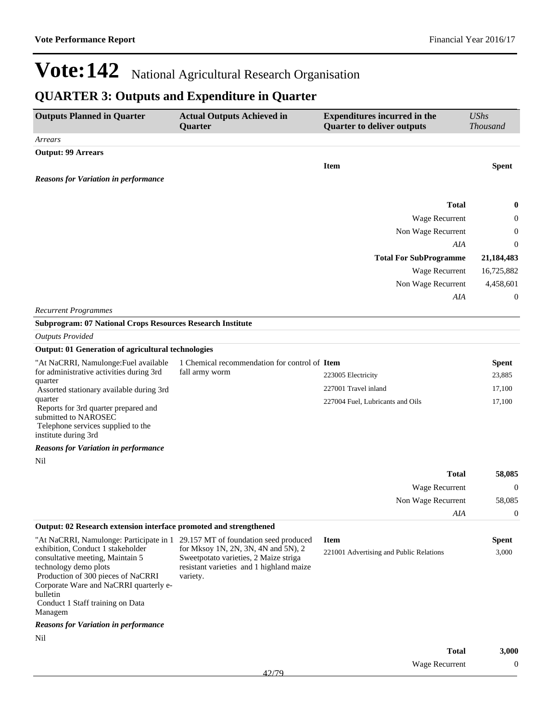### **QUARTER 3: Outputs and Expenditure in Quarter**

| <b>Outputs Planned in Quarter</b>                                                                                  | <b>Actual Outputs Achieved in</b><br>Quarter         | <b>Expenditures incurred in the</b><br><b>Quarter to deliver outputs</b> | <b>UShs</b><br><b>Thousand</b> |
|--------------------------------------------------------------------------------------------------------------------|------------------------------------------------------|--------------------------------------------------------------------------|--------------------------------|
| Arrears                                                                                                            |                                                      |                                                                          |                                |
| <b>Output: 99 Arrears</b>                                                                                          |                                                      |                                                                          |                                |
|                                                                                                                    |                                                      | <b>Item</b>                                                              | <b>Spent</b>                   |
| <b>Reasons for Variation in performance</b>                                                                        |                                                      |                                                                          |                                |
|                                                                                                                    |                                                      |                                                                          |                                |
|                                                                                                                    |                                                      | <b>Total</b>                                                             | $\bf{0}$                       |
|                                                                                                                    |                                                      | Wage Recurrent                                                           | $\boldsymbol{0}$               |
|                                                                                                                    |                                                      | Non Wage Recurrent                                                       | $\boldsymbol{0}$               |
|                                                                                                                    |                                                      | AIA                                                                      | $\mathbf{0}$                   |
|                                                                                                                    |                                                      | <b>Total For SubProgramme</b>                                            | 21,184,483                     |
|                                                                                                                    |                                                      | Wage Recurrent                                                           | 16,725,882                     |
|                                                                                                                    |                                                      | Non Wage Recurrent                                                       | 4,458,601                      |
|                                                                                                                    |                                                      | AIA                                                                      | $\boldsymbol{0}$               |
| <b>Recurrent Programmes</b>                                                                                        |                                                      |                                                                          |                                |
| <b>Subprogram: 07 National Crops Resources Research Institute</b>                                                  |                                                      |                                                                          |                                |
| <b>Outputs Provided</b>                                                                                            |                                                      |                                                                          |                                |
| <b>Output: 01 Generation of agricultural technologies</b>                                                          |                                                      |                                                                          |                                |
| "At NaCRRI, Namulonge: Fuel available                                                                              | 1 Chemical recommendation for control of Item        |                                                                          | <b>Spent</b>                   |
| for administrative activities during 3rd<br>quarter                                                                | fall army worm                                       | 223005 Electricity                                                       | 23,885                         |
| Assorted stationary available during 3rd                                                                           |                                                      | 227001 Travel inland                                                     | 17,100                         |
| quarter<br>Reports for 3rd quarter prepared and                                                                    |                                                      | 227004 Fuel, Lubricants and Oils                                         | 17,100                         |
| submitted to NAROSEC                                                                                               |                                                      |                                                                          |                                |
| Telephone services supplied to the                                                                                 |                                                      |                                                                          |                                |
| institute during 3rd                                                                                               |                                                      |                                                                          |                                |
| <b>Reasons for Variation in performance</b>                                                                        |                                                      |                                                                          |                                |
| Nil                                                                                                                |                                                      |                                                                          |                                |
|                                                                                                                    |                                                      | <b>Total</b>                                                             | 58,085                         |
|                                                                                                                    |                                                      | Wage Recurrent                                                           | $\boldsymbol{0}$               |
|                                                                                                                    |                                                      | Non Wage Recurrent                                                       | 58,085                         |
|                                                                                                                    |                                                      | AIA                                                                      | $\boldsymbol{0}$               |
| Output: 02 Research extension interface promoted and strengthened                                                  |                                                      |                                                                          |                                |
| "At NaCRRI, Namulonge: Participate in 1 29.157 MT of foundation seed produced<br>exhibition, Conduct 1 stakeholder | for Mksoy 1N, 2N, 3N, 4N and 5N), 2                  | <b>Item</b>                                                              | <b>Spent</b>                   |
| consultative meeting, Maintain 5                                                                                   | Sweetpotato varieties, 2 Maize striga                | 221001 Advertising and Public Relations                                  | 3,000                          |
| technology demo plots<br>Production of 300 pieces of NaCRRI                                                        | resistant varieties and 1 highland maize<br>variety. |                                                                          |                                |
| Corporate Ware and NaCRRI quarterly e-                                                                             |                                                      |                                                                          |                                |
| bulletin<br>Conduct 1 Staff training on Data                                                                       |                                                      |                                                                          |                                |
| Managem                                                                                                            |                                                      |                                                                          |                                |
| <b>Reasons for Variation in performance</b>                                                                        |                                                      |                                                                          |                                |
| Nil                                                                                                                |                                                      |                                                                          |                                |
|                                                                                                                    |                                                      | <b>Total</b>                                                             | 3,000                          |
|                                                                                                                    |                                                      | Wage Recurrent                                                           | $\boldsymbol{0}$               |
|                                                                                                                    | 42/79                                                |                                                                          |                                |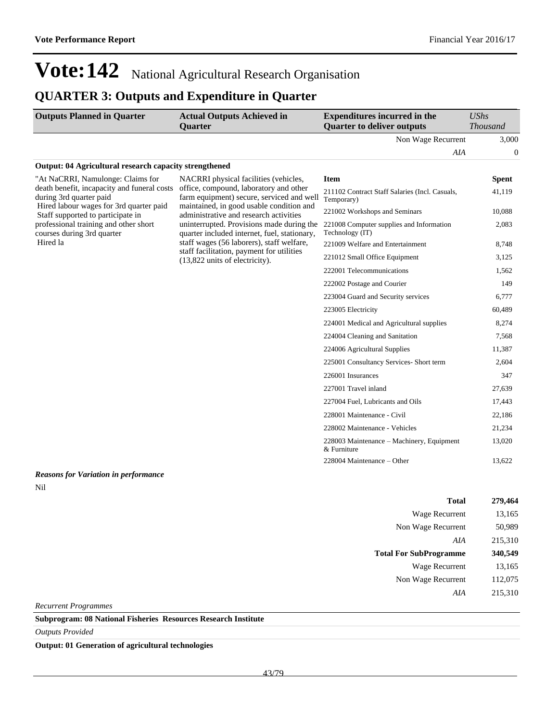### **QUARTER 3: Outputs and Expenditure in Quarter**

| <b>Outputs Planned in Quarter</b> | <b>Actual Outputs Achieved in</b><br><b>Ouarter</b> | <b>Expenditures incurred in the</b><br><b>Quarter to deliver outputs</b> | <i>UShs</i><br><i>Thousand</i> |
|-----------------------------------|-----------------------------------------------------|--------------------------------------------------------------------------|--------------------------------|
|                                   |                                                     | Non Wage Recurrent                                                       | 3.000                          |
|                                   |                                                     | AIA                                                                      |                                |

#### **Output: 04 Agricultural research capacity strengthened**

| "At NaCRRI, Namulonge: Claims for<br>death benefit, incapacity and funeral costs<br>during 3rd quarter paid | NACRRI physical facilities (vehicles,<br>office, compound, laboratory and other<br>farm equipment) secure, serviced and well<br>maintained, in good usable condition and<br>administrative and research activities<br>uninterrupted. Provisions made during the<br>quarter included internet, fuel, stationary,<br>staff wages (56 laborers), staff welfare, | <b>Item</b>                                                  | <b>Spent</b> |
|-------------------------------------------------------------------------------------------------------------|--------------------------------------------------------------------------------------------------------------------------------------------------------------------------------------------------------------------------------------------------------------------------------------------------------------------------------------------------------------|--------------------------------------------------------------|--------------|
|                                                                                                             |                                                                                                                                                                                                                                                                                                                                                              | 211102 Contract Staff Salaries (Incl. Casuals,<br>Temporary) | 41,119       |
| Hired labour wages for 3rd quarter paid<br>Staff supported to participate in                                |                                                                                                                                                                                                                                                                                                                                                              | 221002 Workshops and Seminars                                | 10,088       |
| professional training and other short<br>courses during 3rd quarter                                         |                                                                                                                                                                                                                                                                                                                                                              | 221008 Computer supplies and Information<br>Technology (IT)  | 2,083        |
| Hired la                                                                                                    |                                                                                                                                                                                                                                                                                                                                                              | 221009 Welfare and Entertainment                             | 8,748        |
|                                                                                                             | staff facilitation, payment for utilities<br>(13,822 units of electricity).                                                                                                                                                                                                                                                                                  | 221012 Small Office Equipment                                | 3,125        |
|                                                                                                             |                                                                                                                                                                                                                                                                                                                                                              | 222001 Telecommunications                                    | 1,562        |
|                                                                                                             |                                                                                                                                                                                                                                                                                                                                                              | 222002 Postage and Courier                                   | 149          |
|                                                                                                             |                                                                                                                                                                                                                                                                                                                                                              | 223004 Guard and Security services                           | 6,777        |
|                                                                                                             |                                                                                                                                                                                                                                                                                                                                                              | 223005 Electricity                                           | 60,489       |
|                                                                                                             |                                                                                                                                                                                                                                                                                                                                                              | 224001 Medical and Agricultural supplies                     | 8,274        |
|                                                                                                             |                                                                                                                                                                                                                                                                                                                                                              | 224004 Cleaning and Sanitation                               | 7,568        |
|                                                                                                             |                                                                                                                                                                                                                                                                                                                                                              | 224006 Agricultural Supplies                                 | 11,387       |
|                                                                                                             |                                                                                                                                                                                                                                                                                                                                                              | 225001 Consultancy Services- Short term                      | 2,604        |
|                                                                                                             |                                                                                                                                                                                                                                                                                                                                                              | 226001 Insurances                                            | 347          |
|                                                                                                             |                                                                                                                                                                                                                                                                                                                                                              | 227001 Travel inland                                         | 27,639       |
|                                                                                                             |                                                                                                                                                                                                                                                                                                                                                              | 227004 Fuel, Lubricants and Oils                             | 17,443       |
|                                                                                                             |                                                                                                                                                                                                                                                                                                                                                              | 228001 Maintenance - Civil                                   | 22,186       |
|                                                                                                             |                                                                                                                                                                                                                                                                                                                                                              | 228002 Maintenance - Vehicles                                | 21,234       |
|                                                                                                             |                                                                                                                                                                                                                                                                                                                                                              | 228003 Maintenance – Machinery, Equipment<br>& Furniture     | 13,020       |
|                                                                                                             |                                                                                                                                                                                                                                                                                                                                                              | 228004 Maintenance – Other                                   | 13.622       |

### *Reasons for Variation in performance*

Nil

| <b>Total</b>                  | 279,464 |
|-------------------------------|---------|
| Wage Recurrent                | 13,165  |
| Non Wage Recurrent            | 50,989  |
| AIA                           | 215,310 |
| <b>Total For SubProgramme</b> | 340,549 |
| Wage Recurrent                | 13,165  |
| Non Wage Recurrent            | 112,075 |
| AIA                           | 215,310 |
|                               |         |

*Recurrent Programmes*

**Subprogram: 08 National Fisheries Resources Research Institute**

*Outputs Provided*

**Output: 01 Generation of agricultural technologies**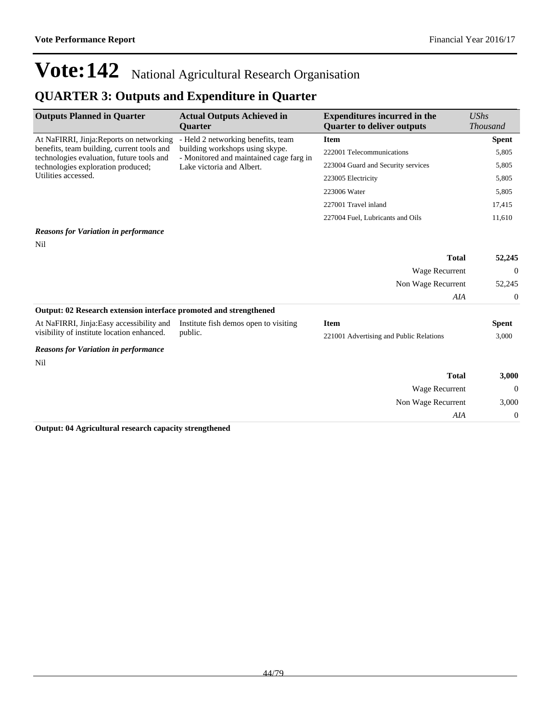### **QUARTER 3: Outputs and Expenditure in Quarter**

| <b>Outputs Planned in Quarter</b>                                                                              | <b>Actual Outputs Achieved in</b>                                          | <b>Expenditures incurred in the</b>     | $\mathit{UShs}$ |
|----------------------------------------------------------------------------------------------------------------|----------------------------------------------------------------------------|-----------------------------------------|-----------------|
|                                                                                                                | <b>Quarter</b>                                                             | <b>Quarter to deliver outputs</b>       | <b>Thousand</b> |
| At NaFIRRI, Jinja: Reports on networking                                                                       | - Held 2 networking benefits, team                                         | <b>Item</b>                             | <b>Spent</b>    |
| benefits, team building, current tools and<br>technologies evaluation, future tools and                        | building workshops using skype.<br>- Monitored and maintained cage farg in | 222001 Telecommunications               | 5,805           |
| technologies exploration produced;                                                                             | Lake victoria and Albert.                                                  | 223004 Guard and Security services      | 5,805           |
| Utilities accessed.                                                                                            |                                                                            | 223005 Electricity                      | 5,805           |
|                                                                                                                |                                                                            | 223006 Water                            | 5,805           |
|                                                                                                                |                                                                            | 227001 Travel inland                    | 17,415          |
|                                                                                                                |                                                                            | 227004 Fuel, Lubricants and Oils        | 11,610          |
| <b>Reasons for Variation in performance</b>                                                                    |                                                                            |                                         |                 |
| Nil                                                                                                            |                                                                            |                                         |                 |
|                                                                                                                |                                                                            | <b>Total</b>                            | 52,245          |
|                                                                                                                |                                                                            | Wage Recurrent                          | $\overline{0}$  |
|                                                                                                                |                                                                            | Non Wage Recurrent                      | 52,245          |
|                                                                                                                |                                                                            | AIA                                     | $\mathbf{0}$    |
| Output: 02 Research extension interface promoted and strengthened                                              |                                                                            |                                         |                 |
| At NaFIRRI, Jinja: Easy accessibility and                                                                      | Institute fish demos open to visiting                                      | <b>Item</b>                             | <b>Spent</b>    |
| visibility of institute location enhanced.                                                                     | public.                                                                    | 221001 Advertising and Public Relations | 3,000           |
| <b>Reasons for Variation in performance</b>                                                                    |                                                                            |                                         |                 |
| Nil                                                                                                            |                                                                            |                                         |                 |
|                                                                                                                |                                                                            | <b>Total</b>                            | 3,000           |
|                                                                                                                |                                                                            | Wage Recurrent                          | $\overline{0}$  |
|                                                                                                                |                                                                            | Non Wage Recurrent                      | 3,000           |
|                                                                                                                |                                                                            | AIA                                     | $\mathbf{0}$    |
| $\Omega$ and $\Omega$ and $\Omega$ and $\Omega$ are all the contracted and a contract of $\Omega$ and $\Omega$ |                                                                            |                                         |                 |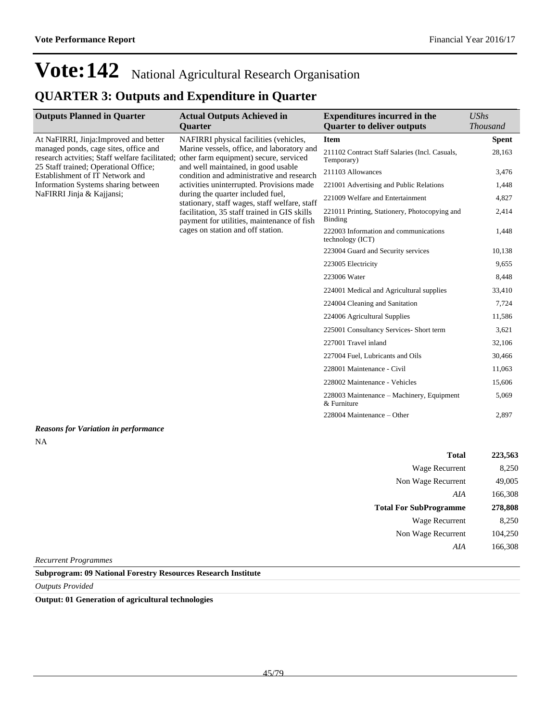### **QUARTER 3: Outputs and Expenditure in Quarter**

| <b>Outputs Planned in Quarter</b>                                                       | <b>Actual Outputs Achieved in</b>                                                                                                                                                                                     | <b>Expenditures incurred in the</b>                          | <b>UShs</b>     |
|-----------------------------------------------------------------------------------------|-----------------------------------------------------------------------------------------------------------------------------------------------------------------------------------------------------------------------|--------------------------------------------------------------|-----------------|
|                                                                                         | <b>Quarter</b>                                                                                                                                                                                                        | <b>Quarter to deliver outputs</b>                            | <b>Thousand</b> |
| At NaFIRRI, Jinja: Improved and better                                                  | NAFIRRI physical facilities (vehicles,                                                                                                                                                                                | <b>Item</b>                                                  | <b>Spent</b>    |
| managed ponds, cage sites, office and<br>research actvities; Staff welfare facilitated; | Marine vessels, office, and laboratory and<br>other farm equipment) secure, serviced<br>and well maintained, in good usable<br>condition and administrative and research<br>activities uninterrupted. Provisions made | 211102 Contract Staff Salaries (Incl. Casuals,<br>Temporary) | 28,163          |
| 25 Staff trained; Operational Office;<br>Establishment of IT Network and                |                                                                                                                                                                                                                       | 211103 Allowances                                            | 3,476           |
| Information Systems sharing between                                                     |                                                                                                                                                                                                                       | 221001 Advertising and Public Relations                      | 1,448           |
| NaFIRRI Jinja & Kajjansi;                                                               | during the quarter included fuel,<br>stationary, staff wages, staff welfare, staff                                                                                                                                    | 221009 Welfare and Entertainment                             | 4,827           |
|                                                                                         | facilitation, 35 staff trained in GIS skills<br>payment for utilities, maintenance of fish                                                                                                                            | 221011 Printing, Stationery, Photocopying and<br>Binding     | 2,414           |
|                                                                                         | cages on station and off station.                                                                                                                                                                                     | 222003 Information and communications<br>technology (ICT)    | 1,448           |
|                                                                                         |                                                                                                                                                                                                                       | 223004 Guard and Security services                           | 10,138          |
|                                                                                         |                                                                                                                                                                                                                       | 223005 Electricity                                           | 9,655           |
|                                                                                         |                                                                                                                                                                                                                       | 223006 Water                                                 | 8,448           |
|                                                                                         |                                                                                                                                                                                                                       | 224001 Medical and Agricultural supplies                     | 33,410          |
|                                                                                         |                                                                                                                                                                                                                       | 224004 Cleaning and Sanitation                               | 7,724           |
|                                                                                         |                                                                                                                                                                                                                       | 224006 Agricultural Supplies                                 | 11,586          |
|                                                                                         |                                                                                                                                                                                                                       | 225001 Consultancy Services- Short term                      | 3,621           |
|                                                                                         |                                                                                                                                                                                                                       | 227001 Travel inland                                         | 32,106          |
|                                                                                         |                                                                                                                                                                                                                       | 227004 Fuel, Lubricants and Oils                             | 30,466          |
|                                                                                         |                                                                                                                                                                                                                       | 228001 Maintenance - Civil                                   | 11,063          |
|                                                                                         |                                                                                                                                                                                                                       | 228002 Maintenance - Vehicles                                | 15,606          |
|                                                                                         |                                                                                                                                                                                                                       | 228003 Maintenance – Machinery, Equipment<br>& Furniture     | 5,069           |
|                                                                                         |                                                                                                                                                                                                                       | 228004 Maintenance - Other                                   | 2,897           |
| <b>Reasons for Variation in performance</b>                                             |                                                                                                                                                                                                                       |                                                              |                 |
| <b>NA</b>                                                                               |                                                                                                                                                                                                                       |                                                              |                 |

| 223,563 | <b>Total</b>                  |  |
|---------|-------------------------------|--|
| 8,250   | Wage Recurrent                |  |
| 49,005  | Non Wage Recurrent            |  |
| 166,308 | AIA                           |  |
| 278,808 | <b>Total For SubProgramme</b> |  |
| 8,250   | <b>Wage Recurrent</b>         |  |
| 104,250 | Non Wage Recurrent            |  |
| 166,308 | AIA                           |  |
|         |                               |  |

*Recurrent Programmes*

**Subprogram: 09 National Forestry Resources Research Institute**

*Outputs Provided*

**Output: 01 Generation of agricultural technologies**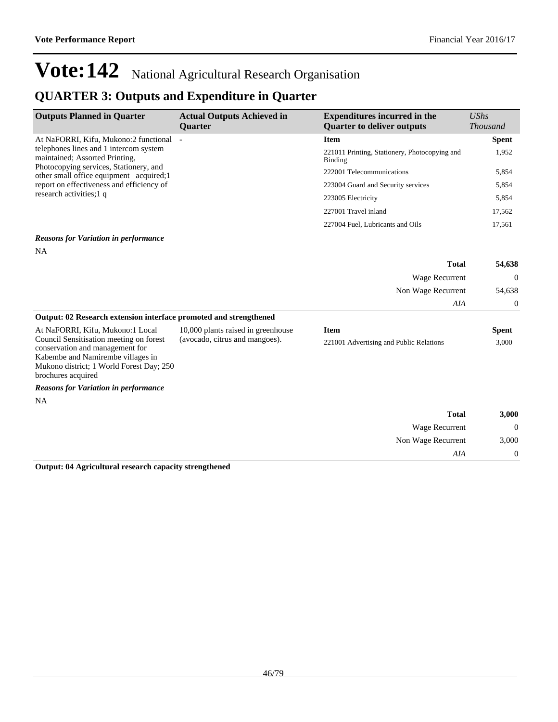*AIA* 0

# **Vote:142** National Agricultural Research Organisation

### **QUARTER 3: Outputs and Expenditure in Quarter**

| <b>Outputs Planned in Quarter</b>                                                                                                                                                 | <b>Actual Outputs Achieved in</b><br><b>Quarter</b> | <b>Expenditures incurred in the</b><br><b>Quarter to deliver outputs</b> | <b>UShs</b><br><b>Thousand</b> |
|-----------------------------------------------------------------------------------------------------------------------------------------------------------------------------------|-----------------------------------------------------|--------------------------------------------------------------------------|--------------------------------|
| At NaFORRI, Kifu, Mukono:2 functional -                                                                                                                                           |                                                     | <b>Item</b>                                                              | <b>Spent</b>                   |
| telephones lines and 1 intercom system<br>maintained; Assorted Printing,                                                                                                          |                                                     | 221011 Printing, Stationery, Photocopying and<br>Binding                 | 1,952                          |
| Photocopying services, Stationery, and<br>other small office equipment acquired; 1                                                                                                |                                                     | 222001 Telecommunications                                                | 5,854                          |
| report on effectiveness and efficiency of                                                                                                                                         |                                                     | 223004 Guard and Security services                                       | 5,854                          |
| research activities; 1 q                                                                                                                                                          |                                                     | 223005 Electricity                                                       | 5,854                          |
|                                                                                                                                                                                   |                                                     | 227001 Travel inland                                                     | 17,562                         |
|                                                                                                                                                                                   |                                                     | 227004 Fuel, Lubricants and Oils                                         | 17,561                         |
| <b>Reasons for Variation in performance</b>                                                                                                                                       |                                                     |                                                                          |                                |
| <b>NA</b>                                                                                                                                                                         |                                                     |                                                                          |                                |
|                                                                                                                                                                                   |                                                     | <b>Total</b>                                                             | 54,638                         |
|                                                                                                                                                                                   |                                                     | Wage Recurrent                                                           | $\boldsymbol{0}$               |
|                                                                                                                                                                                   |                                                     | Non Wage Recurrent                                                       | 54,638                         |
|                                                                                                                                                                                   |                                                     | AIA                                                                      | 0                              |
| Output: 02 Research extension interface promoted and strengthened                                                                                                                 |                                                     |                                                                          |                                |
| At NaFORRI, Kifu, Mukono:1 Local                                                                                                                                                  | 10,000 plants raised in greenhouse                  | <b>Item</b>                                                              | <b>Spent</b>                   |
| Council Sensitisation meeting on forest<br>conservation and management for<br>Kabembe and Namirembe villages in<br>Mukono district; 1 World Forest Day; 250<br>brochures acquired | (avocado, citrus and mangoes).                      | 221001 Advertising and Public Relations                                  | 3,000                          |
| <b>Reasons for Variation in performance</b>                                                                                                                                       |                                                     |                                                                          |                                |
| <b>NA</b>                                                                                                                                                                         |                                                     |                                                                          |                                |
|                                                                                                                                                                                   |                                                     | <b>Total</b>                                                             | 3,000                          |
|                                                                                                                                                                                   |                                                     | Wage Recurrent                                                           | $\Omega$                       |
|                                                                                                                                                                                   |                                                     | Non Wage Recurrent                                                       | 3,000                          |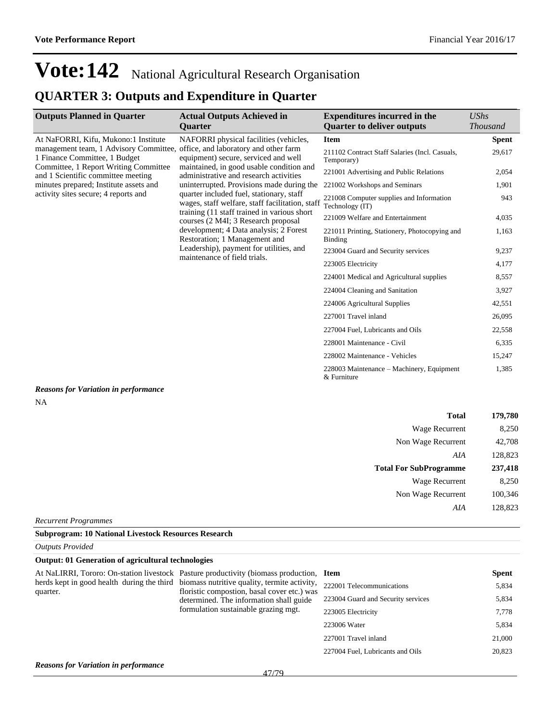### **QUARTER 3: Outputs and Expenditure in Quarter**

| <b>Outputs Planned in Quarter</b>                                                                                                                                                            | <b>Actual Outputs Achieved in</b><br><b>Ouarter</b>                                                                                                                               | <b>Expenditures incurred in the</b><br><b>Quarter to deliver outputs</b> | UShs<br><b>Thousand</b> |
|----------------------------------------------------------------------------------------------------------------------------------------------------------------------------------------------|-----------------------------------------------------------------------------------------------------------------------------------------------------------------------------------|--------------------------------------------------------------------------|-------------------------|
| At NaFORRI, Kifu, Mukono:1 Institute                                                                                                                                                         | NAFORRI physical facilities (vehicles,                                                                                                                                            | <b>Item</b>                                                              | <b>Spent</b>            |
| management team, 1 Advisory Committee, office, and laboratory and other farm<br>1 Finance Committee, 1 Budget<br>Committee, 1 Report Writing Committee<br>and 1 Scientific committee meeting | equipment) secure, serviced and well                                                                                                                                              | 211102 Contract Staff Salaries (Incl. Casuals,<br>Temporary)             | 29,617                  |
|                                                                                                                                                                                              | maintained, in good usable condition and<br>administrative and research activities                                                                                                | 221001 Advertising and Public Relations                                  | 2,054                   |
| minutes prepared; Institute assets and                                                                                                                                                       | uninterrupted. Provisions made during the                                                                                                                                         | 221002 Workshops and Seminars                                            | 1,901                   |
| activity sites secure; 4 reports and                                                                                                                                                         | quarter included fuel, stationary, staff<br>wages, staff welfare, staff facilitation, staff<br>training (11 staff trained in various short<br>courses (2 M4I; 3 Research proposal | 221008 Computer supplies and Information<br>Technology (IT)              | 943                     |
|                                                                                                                                                                                              |                                                                                                                                                                                   | 221009 Welfare and Entertainment                                         | 4,035                   |
|                                                                                                                                                                                              | development; 4 Data analysis; 2 Forest<br>Restoration; 1 Management and                                                                                                           | 221011 Printing, Stationery, Photocopying and<br><b>Binding</b>          | 1,163                   |
|                                                                                                                                                                                              | Leadership), payment for utilities, and                                                                                                                                           | 223004 Guard and Security services                                       | 9,237                   |
|                                                                                                                                                                                              | maintenance of field trials.                                                                                                                                                      | 223005 Electricity                                                       | 4,177                   |
|                                                                                                                                                                                              |                                                                                                                                                                                   | 224001 Medical and Agricultural supplies                                 | 8,557                   |
|                                                                                                                                                                                              |                                                                                                                                                                                   | 224004 Cleaning and Sanitation                                           | 3,927                   |
|                                                                                                                                                                                              |                                                                                                                                                                                   | 224006 Agricultural Supplies                                             | 42,551                  |
|                                                                                                                                                                                              |                                                                                                                                                                                   | 227001 Travel inland                                                     | 26,095                  |
|                                                                                                                                                                                              |                                                                                                                                                                                   | 227004 Fuel, Lubricants and Oils                                         | 22,558                  |
|                                                                                                                                                                                              |                                                                                                                                                                                   | 228001 Maintenance - Civil                                               | 6,335                   |
|                                                                                                                                                                                              |                                                                                                                                                                                   | 228002 Maintenance - Vehicles                                            | 15,247                  |
|                                                                                                                                                                                              |                                                                                                                                                                                   | 228003 Maintenance – Machinery, Equipment<br>& Furniture                 | 1,385                   |
| <b>Degraps for Variation in performance</b>                                                                                                                                                  |                                                                                                                                                                                   |                                                                          |                         |

#### *Reasons for Variation in performance* NA

| 179,780 | <b>Total</b>                  |
|---------|-------------------------------|
| 8,250   | <b>Wage Recurrent</b>         |
| 42,708  | Non Wage Recurrent            |
| 128,823 | AIA                           |
| 237,418 | <b>Total For SubProgramme</b> |
| 8,250   | Wage Recurrent                |
| 100,346 | Non Wage Recurrent            |
| 128,823 | AIA                           |
|         |                               |

*Recurrent Programmes*

#### **Subprogram: 10 National Livestock Resources Research**

#### *Outputs Provided*

### **Output: 01 Generation of agricultural technologies**

|                                                                                          |                                                                                                                                        | At NaLIRRI, Tororo: On-station livestock Pasture productivity (biomass production, | <b>Item</b>                        | Spent  |
|------------------------------------------------------------------------------------------|----------------------------------------------------------------------------------------------------------------------------------------|------------------------------------------------------------------------------------|------------------------------------|--------|
| quarter.                                                                                 | herds kept in good health during the third biomass nutritive quality, termite activity,<br>floristic compostion, basal cover etc.) was | 222001 Telecommunications                                                          | 5,834                              |        |
|                                                                                          |                                                                                                                                        | determined. The information shall guide                                            | 223004 Guard and Security services | 5,834  |
|                                                                                          | formulation sustainable grazing mgt.                                                                                                   | 223005 Electricity                                                                 | 7.778                              |        |
|                                                                                          |                                                                                                                                        |                                                                                    | 223006 Water                       | 5,834  |
|                                                                                          |                                                                                                                                        |                                                                                    | 227001 Travel inland               | 21,000 |
|                                                                                          |                                                                                                                                        |                                                                                    | 227004 Fuel, Lubricants and Oils   | 20,823 |
| $\bf{D}$ and are $\bf{L}$ and $\bf{V}$ and at $\bf{L}$ are $\bf{L}$ are another control. |                                                                                                                                        |                                                                                    |                                    |        |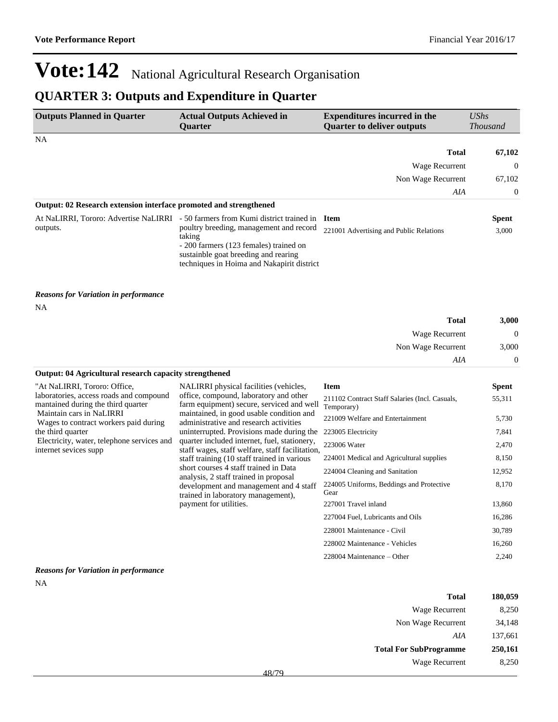## **QUARTER 3: Outputs and Expenditure in Quarter**

| <b>Outputs Planned in Quarter</b>                                             | <b>Actual Outputs Achieved in</b><br><b>Quarter</b>                                                                                                                                                                                                                   | <b>Expenditures incurred in the</b><br><b>Quarter to deliver outputs</b> | <b>UShs</b><br><b>Thousand</b> |
|-------------------------------------------------------------------------------|-----------------------------------------------------------------------------------------------------------------------------------------------------------------------------------------------------------------------------------------------------------------------|--------------------------------------------------------------------------|--------------------------------|
| NA                                                                            |                                                                                                                                                                                                                                                                       |                                                                          |                                |
|                                                                               |                                                                                                                                                                                                                                                                       | <b>Total</b>                                                             | 67,102                         |
|                                                                               |                                                                                                                                                                                                                                                                       | Wage Recurrent                                                           | $\boldsymbol{0}$               |
|                                                                               |                                                                                                                                                                                                                                                                       | Non Wage Recurrent                                                       | 67,102                         |
|                                                                               |                                                                                                                                                                                                                                                                       | AIA                                                                      | $\boldsymbol{0}$               |
| Output: 02 Research extension interface promoted and strengthened             |                                                                                                                                                                                                                                                                       |                                                                          |                                |
| outputs.                                                                      | At NaLIRRI, Tororo: Advertise NaLIRRI - 50 farmers from Kumi district trained in<br>poultry breeding, management and record<br>taking<br>- 200 farmers (123 females) trained on<br>sustainble goat breeding and rearing<br>techniques in Hoima and Nakapirit district | <b>Item</b><br>221001 Advertising and Public Relations                   | <b>Spent</b><br>3,000          |
| <b>Reasons for Variation in performance</b><br><b>NA</b>                      |                                                                                                                                                                                                                                                                       |                                                                          |                                |
|                                                                               |                                                                                                                                                                                                                                                                       | <b>Total</b>                                                             | 3,000                          |
|                                                                               |                                                                                                                                                                                                                                                                       | Wage Recurrent                                                           | $\Omega$                       |
|                                                                               |                                                                                                                                                                                                                                                                       | Non Wage Recurrent                                                       | 3,000                          |
|                                                                               |                                                                                                                                                                                                                                                                       | AIA                                                                      | $\boldsymbol{0}$               |
| Output: 04 Agricultural research capacity strengthened                        |                                                                                                                                                                                                                                                                       |                                                                          |                                |
| "At NaLIRRI, Tororo: Office,                                                  | NALIRRI physical facilities (vehicles,                                                                                                                                                                                                                                | <b>Item</b>                                                              | <b>Spent</b>                   |
| laboratories, access roads and compound<br>mantained during the third quarter | office, compound, laboratory and other<br>farm equipment) secure, serviced and well                                                                                                                                                                                   | 211102 Contract Staff Salaries (Incl. Casuals,<br>Temporary)             | 55,311                         |
| Maintain cars in NaLIRRI<br>Wages to contract workers paid during             | maintained, in good usable condition and<br>administrative and research activities                                                                                                                                                                                    | 221009 Welfare and Entertainment                                         | 5,730                          |
| the third quarter                                                             | uninterrupted. Provisions made during the                                                                                                                                                                                                                             | 223005 Electricity                                                       | 7,841                          |
| Electricity, water, telephone services and                                    | quarter included internet, fuel, stationery,                                                                                                                                                                                                                          | 223006 Water                                                             | 2,470                          |
| internet sevices supp                                                         | staff wages, staff welfare, staff facilitation,<br>staff training (10 staff trained in various                                                                                                                                                                        | 224001 Medical and Agricultural supplies                                 | 8,150                          |
|                                                                               | short courses 4 staff trained in Data                                                                                                                                                                                                                                 | 224004 Cleaning and Sanitation                                           | 12,952                         |
|                                                                               | analysis, 2 staff trained in proposal<br>development and management and 4 staff<br>trained in laboratory management),                                                                                                                                                 | 224005 Uniforms, Beddings and Protective<br>Gear                         | 8,170                          |
|                                                                               | payment for utilities.                                                                                                                                                                                                                                                | 227001 Travel inland                                                     | 13,860                         |
|                                                                               |                                                                                                                                                                                                                                                                       | 227004 Fuel, Lubricants and Oils                                         | 16,286                         |
|                                                                               |                                                                                                                                                                                                                                                                       | 228001 Maintenance - Civil                                               | 30,789                         |
|                                                                               |                                                                                                                                                                                                                                                                       | 228002 Maintenance - Vehicles                                            | 16,260                         |
|                                                                               |                                                                                                                                                                                                                                                                       | 228004 Maintenance – Other                                               | 2,240                          |

#### *Reasons for Variation in performance* NA

| Total                         | 180,059 |
|-------------------------------|---------|
| Wage Recurrent                | 8,250   |
| Non Wage Recurrent            | 34.148  |
| AIA                           | 137,661 |
| <b>Total For SubProgramme</b> | 250,161 |
| Wage Recurrent                | 8.250   |
|                               |         |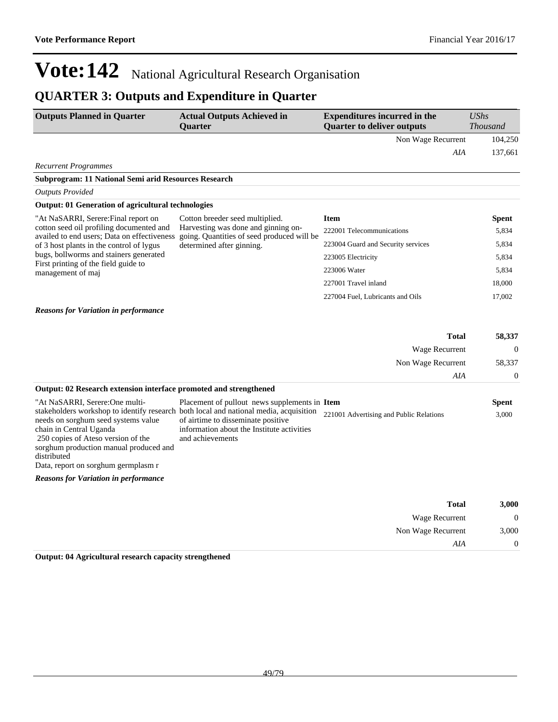## **QUARTER 3: Outputs and Expenditure in Quarter**

| <b>Outputs Planned in Quarter</b>                                                       | <b>Actual Outputs Achieved in</b><br><b>Ouarter</b>                               | <b>Expenditures incurred in the</b><br><b>Quarter to deliver outputs</b> | $\mathit{UShs}$<br><b>Thousand</b> |
|-----------------------------------------------------------------------------------------|-----------------------------------------------------------------------------------|--------------------------------------------------------------------------|------------------------------------|
|                                                                                         |                                                                                   | Non Wage Recurrent                                                       | 104,250                            |
|                                                                                         |                                                                                   | AIA                                                                      | 137,661                            |
| <b>Recurrent Programmes</b>                                                             |                                                                                   |                                                                          |                                    |
| Subprogram: 11 National Semi arid Resources Research                                    |                                                                                   |                                                                          |                                    |
| <b>Outputs Provided</b>                                                                 |                                                                                   |                                                                          |                                    |
| <b>Output: 01 Generation of agricultural technologies</b>                               |                                                                                   |                                                                          |                                    |
| "At NaSARRI, Serere: Final report on                                                    | Cotton breeder seed multiplied.                                                   | <b>Item</b>                                                              | <b>Spent</b>                       |
| cotton seed oil profiling documented and<br>availed to end users: Data on effectiveness | Harvesting was done and ginning on-<br>going. Quantities of seed produced will be | 222001 Telecommunications                                                | 5,834                              |
| of 3 host plants in the control of lygus                                                | determined after ginning.                                                         | 223004 Guard and Security services                                       | 5,834                              |
| bugs, bollworms and stainers generated                                                  |                                                                                   | 223005 Electricity                                                       | 5,834                              |
| First printing of the field guide to<br>management of maj                               |                                                                                   | 223006 Water                                                             | 5,834                              |
|                                                                                         |                                                                                   | 227001 Travel inland                                                     | 18,000                             |
|                                                                                         |                                                                                   | 227004 Fuel, Lubricants and Oils                                         | 17,002                             |
| <b>Reasons for Variation in performance</b>                                             |                                                                                   |                                                                          |                                    |
|                                                                                         |                                                                                   |                                                                          |                                    |
|                                                                                         |                                                                                   | <b>Total</b>                                                             | 58,337                             |
|                                                                                         |                                                                                   | Wage Recurrent                                                           | $\Omega$                           |
|                                                                                         |                                                                                   | Non Wage Recurrent                                                       | 58,337                             |
|                                                                                         |                                                                                   | AIA                                                                      | $\theta$                           |
| Output: 02 Research extension interface promoted and strengthened                       |                                                                                   |                                                                          |                                    |
| "At NaSARRI, Serere:One multi-                                                          | Placement of pullout news supplements in Item                                     |                                                                          | <b>Spent</b>                       |

| stakeholders workshop to identify research both local and national media, acquisition<br>needs on sorghum seed systems value | of airtime to disseminate positive         | 221001 Advertising and Public Relations | 3,000 |
|------------------------------------------------------------------------------------------------------------------------------|--------------------------------------------|-----------------------------------------|-------|
|                                                                                                                              |                                            |                                         |       |
| chain in Central Uganda                                                                                                      | information about the Institute activities |                                         |       |
| 250 copies of Ateso version of the                                                                                           | and achievements                           |                                         |       |
| sorghum production manual produced and                                                                                       |                                            |                                         |       |
| distributed                                                                                                                  |                                            |                                         |       |
| Data, report on sorghum germplasm r                                                                                          |                                            |                                         |       |
| <b>Reasons for Variation in performance</b>                                                                                  |                                            |                                         |       |
|                                                                                                                              |                                            |                                         |       |

| 3,000 | <b>Total</b>       |
|-------|--------------------|
|       | Wage Recurrent     |
| 3,000 | Non Wage Recurrent |
|       | AIA                |
|       |                    |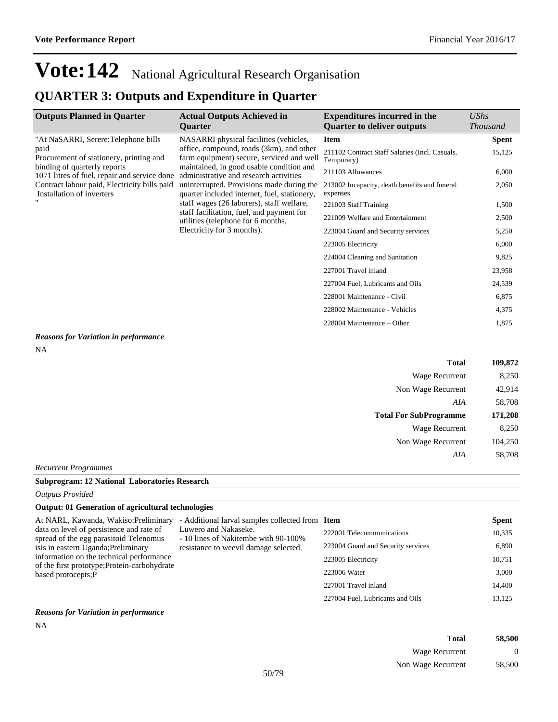### **QUARTER 3: Outputs and Expenditure in Quarter**

| <b>Outputs Planned in Quarter</b>                                                                                               | <b>Actual Outputs Achieved in</b><br><b>Ouarter</b>                                                                                                                                                                                                                                                                                                                                                                                                                              | <b>Expenditures incurred in the</b><br><b>Ouarter to deliver outputs</b> | UShs<br><b>Thousand</b> |
|---------------------------------------------------------------------------------------------------------------------------------|----------------------------------------------------------------------------------------------------------------------------------------------------------------------------------------------------------------------------------------------------------------------------------------------------------------------------------------------------------------------------------------------------------------------------------------------------------------------------------|--------------------------------------------------------------------------|-------------------------|
| "At NaSARRI, Serere: Telephone bills                                                                                            | NASARRI physical facilities (vehicles,<br>office, compound, roads (3km), and other<br>farm equipment) secure, serviced and well<br>maintained, in good usable condition and<br>administrative and research activities<br>uninterrupted. Provisions made during the<br>quarter included internet, fuel, stationery,<br>staff wages (26 laborers), staff welfare,<br>staff facilitation, fuel, and payment for<br>utilities (telephone for 6 months,<br>Electricity for 3 months). | <b>Item</b>                                                              | <b>Spent</b>            |
| paid<br>Procurement of stationery, printing and<br>binding of quarterly reports<br>1071 litres of fuel, repair and service done |                                                                                                                                                                                                                                                                                                                                                                                                                                                                                  | 211102 Contract Staff Salaries (Incl. Casuals,<br>Temporary)             | 15,125                  |
|                                                                                                                                 |                                                                                                                                                                                                                                                                                                                                                                                                                                                                                  | 211103 Allowances                                                        | 6,000                   |
| Contract labour paid, Electricity bills paid<br>Installation of inverters                                                       |                                                                                                                                                                                                                                                                                                                                                                                                                                                                                  | 213002 Incapacity, death benefits and funeral<br>expenses                | 2,050                   |
|                                                                                                                                 |                                                                                                                                                                                                                                                                                                                                                                                                                                                                                  | 221003 Staff Training                                                    | 1,500                   |
|                                                                                                                                 |                                                                                                                                                                                                                                                                                                                                                                                                                                                                                  | 221009 Welfare and Entertainment                                         | 2,500                   |
|                                                                                                                                 |                                                                                                                                                                                                                                                                                                                                                                                                                                                                                  | 223004 Guard and Security services                                       | 5,250                   |
|                                                                                                                                 |                                                                                                                                                                                                                                                                                                                                                                                                                                                                                  | 223005 Electricity                                                       | 6,000                   |
|                                                                                                                                 |                                                                                                                                                                                                                                                                                                                                                                                                                                                                                  | 224004 Cleaning and Sanitation                                           | 9,825                   |
|                                                                                                                                 |                                                                                                                                                                                                                                                                                                                                                                                                                                                                                  | 227001 Travel inland                                                     | 23,958                  |
|                                                                                                                                 |                                                                                                                                                                                                                                                                                                                                                                                                                                                                                  | 227004 Fuel, Lubricants and Oils                                         | 24,539                  |
|                                                                                                                                 |                                                                                                                                                                                                                                                                                                                                                                                                                                                                                  | 228001 Maintenance - Civil                                               | 6,875                   |
|                                                                                                                                 |                                                                                                                                                                                                                                                                                                                                                                                                                                                                                  | 228002 Maintenance - Vehicles                                            | 4,375                   |
|                                                                                                                                 |                                                                                                                                                                                                                                                                                                                                                                                                                                                                                  | 228004 Maintenance – Other                                               | 1,875                   |

#### *Reasons for Variation in performance*

NA

| <b>Total</b>                  | 109,872 |
|-------------------------------|---------|
| Wage Recurrent                | 8,250   |
| Non Wage Recurrent            | 42,914  |
| AIA                           | 58,708  |
| <b>Total For SubProgramme</b> | 171,208 |
| Wage Recurrent                | 8,250   |
| Non Wage Recurrent            | 104,250 |
| AIA                           | 58,708  |

#### *Recurrent Programmes*

### **Subprogram: 12 National Laboratories Research**

*Outputs Provided*

### **Output: 01 Generation of agricultural technologies**

| At NARL, Kawanda, Wakiso: Preliminary                                              | - Additional larval samples collected from Item              |                                    | <b>Spent</b> |
|------------------------------------------------------------------------------------|--------------------------------------------------------------|------------------------------------|--------------|
| data on level of persistence and rate of<br>spread of the egg parasitoid Telenomus | Luwero and Nakaseke.<br>- 10 lines of Nakitembe with 90-100% | 222001 Telecommunications          | 10,335       |
| isis in eastern Uganda; Preliminary                                                | resistance to weevil damage selected.                        | 223004 Guard and Security services | 6,890        |
| information on the technical performance                                           |                                                              | 223005 Electricity                 | 10,751       |
| of the first prototype; Protein-carbohydrate<br>based protocepts; P                |                                                              | 223006 Water                       | 3,000        |
|                                                                                    |                                                              | 227001 Travel inland               | 14,400       |
|                                                                                    |                                                              | 227004 Fuel, Lubricants and Oils   | 13,125       |
| $\mathbf{r}$ , $\mathbf{r}$ , $\mathbf{r}$ , $\mathbf{r}$ , $\mathbf{r}$<br>$\sim$ |                                                              |                                    |              |

#### *Reasons for Variation in performance*

NA

| 58,500 | <b>Total</b>                |  |
|--------|-----------------------------|--|
| 0      | Wage Recurrent              |  |
| 58,500 | Non Wage Recurrent<br>50/70 |  |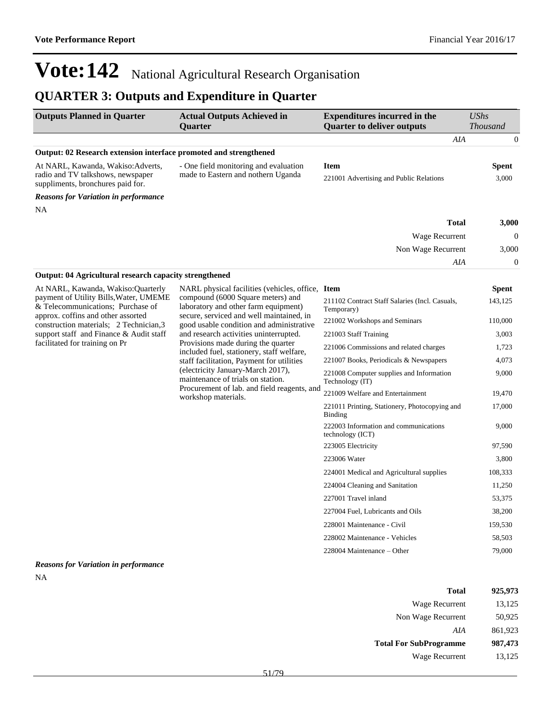### **QUARTER 3: Outputs and Expenditure in Quarter**

| <b>Outputs Planned in Quarter</b>                                      | <b>Actual Outputs Achieved in</b><br><b>Ouarter</b> | <b>Expenditures incurred in the</b><br><b>Ouarter to deliver outputs</b> | $\mathit{UShs}$ | <i>Thousand</i> |
|------------------------------------------------------------------------|-----------------------------------------------------|--------------------------------------------------------------------------|-----------------|-----------------|
|                                                                        |                                                     |                                                                          | AIA             | $\theta$        |
| Output: 02 Research extension interface promoted and strengthened      |                                                     |                                                                          |                 |                 |
| At NARL, Kawanda, Wakiso: Adverts,                                     | - One field monitoring and evaluation               | Item                                                                     |                 | <b>Spent</b>    |
| radio and TV talkshows, newspaper<br>suppliments, bronchures paid for. | made to Eastern and nothern Uganda                  | 221001 Advertising and Public Relations                                  |                 | 3,000           |
| <b>Reasons for Variation in performance</b>                            |                                                     |                                                                          |                 |                 |
| <b>NA</b>                                                              |                                                     |                                                                          |                 |                 |
|                                                                        |                                                     |                                                                          | <b>Total</b>    | 3,000           |
|                                                                        |                                                     | Wage Recurrent                                                           |                 | $\theta$        |
|                                                                        |                                                     | Non Wage Recurrent                                                       |                 | 3,000           |
|                                                                        |                                                     |                                                                          | AIA             | $\overline{0}$  |

#### **Output: 04 Agricultural research capacity strengthened**

| At NARL, Kawanda, Wakiso: Ouarterly                                           | NARL physical facilities (vehicles, office, Item                                     |                                                              | <b>Spent</b> |
|-------------------------------------------------------------------------------|--------------------------------------------------------------------------------------|--------------------------------------------------------------|--------------|
| payment of Utility Bills, Water, UMEME<br>& Telecommunications; Purchase of   | compound (6000 Square meters) and<br>laboratory and other farm equipment)            | 211102 Contract Staff Salaries (Incl. Casuals,<br>Temporary) | 143,125      |
| approx. coffins and other assorted<br>construction materials; 2 Technician, 3 | secure, serviced and well maintained, in<br>good usable condition and administrative | 221002 Workshops and Seminars                                | 110,000      |
| support staff and Finance & Audit staff                                       | and research activities uninterrupted.                                               | 221003 Staff Training                                        | 3,003        |
| facilitated for training on Pr                                                | Provisions made during the quarter<br>included fuel, stationery, staff welfare,      | 221006 Commissions and related charges                       | 1,723        |
|                                                                               | staff facilitation, Payment for utilities                                            | 221007 Books, Periodicals & Newspapers                       | 4,073        |
|                                                                               | (electricity January-March 2017),<br>maintenance of trials on station.               | 221008 Computer supplies and Information<br>Technology (IT)  | 9,000        |
|                                                                               | Procurement of lab. and field reagents, and<br>workshop materials.                   | 221009 Welfare and Entertainment                             | 19,470       |
|                                                                               |                                                                                      | 221011 Printing, Stationery, Photocopying and<br>Binding     | 17,000       |
|                                                                               |                                                                                      | 222003 Information and communications<br>technology (ICT)    | 9,000        |
|                                                                               |                                                                                      | 223005 Electricity                                           | 97,590       |
|                                                                               |                                                                                      | 223006 Water                                                 | 3,800        |
|                                                                               |                                                                                      | 224001 Medical and Agricultural supplies                     | 108,333      |
|                                                                               |                                                                                      | 224004 Cleaning and Sanitation                               | 11,250       |
|                                                                               |                                                                                      | 227001 Travel inland                                         | 53,375       |
|                                                                               |                                                                                      | 227004 Fuel, Lubricants and Oils                             | 38,200       |
|                                                                               |                                                                                      | 228001 Maintenance - Civil                                   | 159,530      |
|                                                                               |                                                                                      | 228002 Maintenance - Vehicles                                | 58,503       |
|                                                                               |                                                                                      | 228004 Maintenance – Other                                   | 79,000       |

#### *Reasons for Variation in performance* NA

| <b>Total</b>                  | 925,973 |
|-------------------------------|---------|
| Wage Recurrent                | 13,125  |
| Non Wage Recurrent            | 50,925  |
| AIA                           | 861,923 |
| <b>Total For SubProgramme</b> | 987,473 |
| Wage Recurrent                | 13,125  |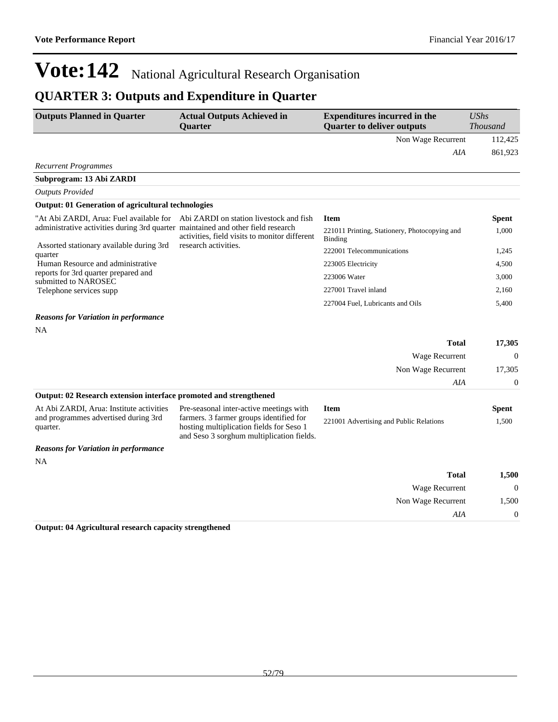### **QUARTER 3: Outputs and Expenditure in Quarter**

| <b>Outputs Planned in Quarter</b>                                                | <b>Actual Outputs Achieved in</b>                                                                                                | <b>Expenditures incurred in the</b>                      | <b>UShs</b>      |
|----------------------------------------------------------------------------------|----------------------------------------------------------------------------------------------------------------------------------|----------------------------------------------------------|------------------|
|                                                                                  | <b>Quarter</b>                                                                                                                   | <b>Quarter to deliver outputs</b>                        | <b>Thousand</b>  |
|                                                                                  |                                                                                                                                  | Non Wage Recurrent                                       | 112,425          |
|                                                                                  |                                                                                                                                  | AIA                                                      | 861,923          |
| <b>Recurrent Programmes</b>                                                      |                                                                                                                                  |                                                          |                  |
| Subprogram: 13 Abi ZARDI                                                         |                                                                                                                                  |                                                          |                  |
| <b>Outputs Provided</b>                                                          |                                                                                                                                  |                                                          |                  |
| <b>Output: 01 Generation of agricultural technologies</b>                        |                                                                                                                                  |                                                          |                  |
| "At Abi ZARDI, Arua: Fuel available for                                          | Abi ZARDI on station livestock and fish                                                                                          | <b>Item</b>                                              | Spent            |
| administrative activities during 3rd quarter maintained and other field research | activities, field visits to monitor different                                                                                    | 221011 Printing, Stationery, Photocopying and<br>Binding | 1,000            |
| Assorted stationary available during 3rd<br>quarter                              | research activities.                                                                                                             | 222001 Telecommunications                                | 1,245            |
| Human Resource and administrative                                                |                                                                                                                                  | 223005 Electricity                                       | 4,500            |
| reports for 3rd quarter prepared and                                             |                                                                                                                                  | 223006 Water                                             | 3,000            |
| submitted to NAROSEC<br>Telephone services supp                                  |                                                                                                                                  | 227001 Travel inland                                     | 2,160            |
|                                                                                  |                                                                                                                                  | 227004 Fuel, Lubricants and Oils                         | 5,400            |
| <b>Reasons for Variation in performance</b>                                      |                                                                                                                                  |                                                          |                  |
| NA                                                                               |                                                                                                                                  |                                                          |                  |
|                                                                                  |                                                                                                                                  | Total                                                    | 17,305           |
|                                                                                  |                                                                                                                                  | Wage Recurrent                                           | $\boldsymbol{0}$ |
|                                                                                  |                                                                                                                                  | Non Wage Recurrent                                       | 17,305           |
|                                                                                  |                                                                                                                                  | AIA                                                      | $\theta$         |
| Output: 02 Research extension interface promoted and strengthened                |                                                                                                                                  |                                                          |                  |
| At Abi ZARDI, Arua: Institute activities                                         | Pre-seasonal inter-active meetings with                                                                                          | <b>Item</b>                                              | Spent            |
| and programmes advertised during 3rd<br>quarter.                                 | farmers. 3 farmer groups identified for<br>hosting multiplication fields for Seso 1<br>and Seso 3 sorghum multiplication fields. | 221001 Advertising and Public Relations                  | 1,500            |
| <b>Reasons for Variation in performance</b>                                      |                                                                                                                                  |                                                          |                  |
| NA                                                                               |                                                                                                                                  |                                                          |                  |
|                                                                                  |                                                                                                                                  | <b>Total</b>                                             | 1,500            |
|                                                                                  |                                                                                                                                  | <b>Wage Recurrent</b>                                    | $\Omega$         |
|                                                                                  |                                                                                                                                  | Non Wage Recurrent                                       | 1,500            |
|                                                                                  |                                                                                                                                  | AIA                                                      | $\boldsymbol{0}$ |
| Output: 04 Agricultural research capacity strengthened                           |                                                                                                                                  |                                                          |                  |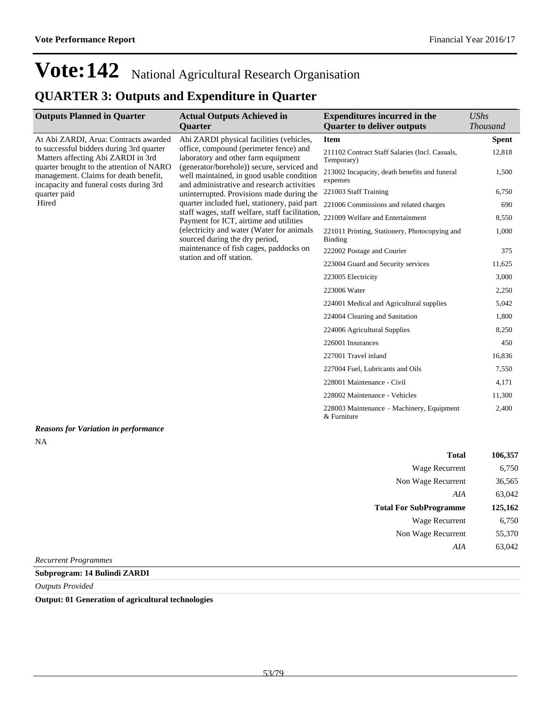### **QUARTER 3: Outputs and Expenditure in Quarter**

| <b>Outputs Planned in Quarter</b>                                                                                            | <b>Actual Outputs Achieved in</b>                                                                                                     | <b>Expenditures incurred in the</b>                             | <b>UShs</b>     |
|------------------------------------------------------------------------------------------------------------------------------|---------------------------------------------------------------------------------------------------------------------------------------|-----------------------------------------------------------------|-----------------|
|                                                                                                                              | Quarter                                                                                                                               | <b>Quarter to deliver outputs</b>                               | <b>Thousand</b> |
| At Abi ZARDI, Arua: Contracts awarded                                                                                        | Abi ZARDI physical facilities (vehicles,                                                                                              | <b>Item</b>                                                     | <b>Spent</b>    |
| to successful bidders during 3rd quarter<br>Matters affecting Abi ZARDI in 3rd                                               | office, compound (perimeter fence) and<br>laboratory and other farm equipment                                                         | 211102 Contract Staff Salaries (Incl. Casuals,<br>Temporary)    | 12,818          |
| quarter brought to the attention of NARO<br>management. Claims for death benefit,<br>incapacity and funeral costs during 3rd | (generator/borehole)) secure, serviced and<br>well maintained, in good usable condition<br>and administrative and research activities | 213002 Incapacity, death benefits and funeral<br>expenses       | 1,500           |
| quarter paid                                                                                                                 | uninterrupted. Provisions made during the                                                                                             | 221003 Staff Training                                           | 6,750           |
| Hired                                                                                                                        | quarter included fuel, stationery, paid part                                                                                          | 221006 Commissions and related charges                          | 690             |
|                                                                                                                              | staff wages, staff welfare, staff facilitation,<br>Payment for ICT, airtime and utilities                                             | 221009 Welfare and Entertainment                                | 8,550           |
|                                                                                                                              | (electricity and water (Water for animals<br>sourced during the dry period,                                                           | 221011 Printing, Stationery, Photocopying and<br><b>Binding</b> | 1,000           |
|                                                                                                                              | maintenance of fish cages, paddocks on<br>station and off station.                                                                    | 222002 Postage and Courier                                      | 375             |
|                                                                                                                              |                                                                                                                                       | 223004 Guard and Security services                              | 11,625          |
|                                                                                                                              |                                                                                                                                       | 223005 Electricity                                              | 3,000           |
|                                                                                                                              |                                                                                                                                       | 223006 Water                                                    | 2,250           |
|                                                                                                                              |                                                                                                                                       | 224001 Medical and Agricultural supplies                        | 5,042           |
|                                                                                                                              |                                                                                                                                       | 224004 Cleaning and Sanitation                                  | 1,800           |
|                                                                                                                              |                                                                                                                                       | 224006 Agricultural Supplies                                    | 8,250           |
|                                                                                                                              |                                                                                                                                       | 226001 Insurances                                               | 450             |
|                                                                                                                              |                                                                                                                                       | 227001 Travel inland                                            | 16,836          |
|                                                                                                                              |                                                                                                                                       | 227004 Fuel, Lubricants and Oils                                | 7,550           |
|                                                                                                                              |                                                                                                                                       | 228001 Maintenance - Civil                                      | 4,171           |
|                                                                                                                              |                                                                                                                                       | 228002 Maintenance - Vehicles                                   | 11,300          |
|                                                                                                                              |                                                                                                                                       | 228003 Maintenance – Machinery, Equipment<br>& Furniture        | 2,400           |
| <b>Reasons for Variation in performance</b><br>NA                                                                            |                                                                                                                                       |                                                                 |                 |

| 106,357 | <b>Total</b>                  |
|---------|-------------------------------|
| 6,750   | Wage Recurrent                |
| 36,565  | Non Wage Recurrent            |
| 63,042  | AIA                           |
| 125,162 | <b>Total For SubProgramme</b> |
| 6,750   | Wage Recurrent                |
| 55,370  | Non Wage Recurrent            |
| 63,042  | AIA                           |
|         |                               |

*Recurrent Programmes*

### **Subprogram: 14 Bulindi ZARDI**

*Outputs Provided*

**Output: 01 Generation of agricultural technologies**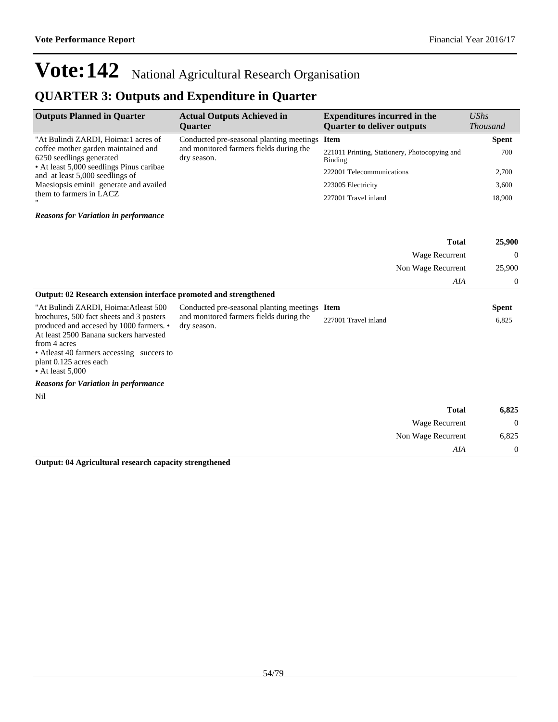*AIA* 0

## **Vote:142** National Agricultural Research Organisation

### **QUARTER 3: Outputs and Expenditure in Quarter**

| <b>Outputs Planned in Quarter</b>                                           | <b>Actual Outputs Achieved in</b><br><b>Ouarter</b>    | <b>Expenditures incurred in the</b><br><b>Quarter to deliver outputs</b> | $\mathit{UShs}$<br><i>Thousand</i> |
|-----------------------------------------------------------------------------|--------------------------------------------------------|--------------------------------------------------------------------------|------------------------------------|
| "At Bulindi ZARDI, Hoima:1 acres of                                         | Conducted pre-seasonal planting meetings Item          |                                                                          | <b>Spent</b>                       |
| coffee mother garden maintained and<br>6250 seedlings generated             | and monitored farmers fields during the<br>dry season. | 221011 Printing, Stationery, Photocopying and<br>Binding                 | 700                                |
| • At least 5,000 seedlings Pinus caribae<br>and at least 5,000 seedlings of |                                                        | 222001 Telecommunications                                                | 2,700                              |
| Maesiopsis eminii generate and availed                                      |                                                        | 223005 Electricity                                                       | 3,600                              |
| them to farmers in LACZ<br>$\mathbf{H}$                                     |                                                        | 227001 Travel inland                                                     | 18.900                             |

*Reasons for Variation in performance*

|                                                                                                                                                                                                                                                |                                                        |                      | <b>Total</b>       | 25,900         |
|------------------------------------------------------------------------------------------------------------------------------------------------------------------------------------------------------------------------------------------------|--------------------------------------------------------|----------------------|--------------------|----------------|
|                                                                                                                                                                                                                                                |                                                        |                      | Wage Recurrent     | $\theta$       |
|                                                                                                                                                                                                                                                |                                                        |                      | Non Wage Recurrent | 25,900         |
|                                                                                                                                                                                                                                                |                                                        |                      | AIA                | $\theta$       |
| Output: 02 Research extension interface promoted and strengthened                                                                                                                                                                              |                                                        |                      |                    |                |
| "At Bulindi ZARDI, Hoima: Atleast 500                                                                                                                                                                                                          | Conducted pre-seasonal planting meetings               | <b>Item</b>          |                    | <b>Spent</b>   |
| brochures, 500 fact sheets and 3 posters<br>produced and accesed by 1000 farmers. •<br>At least 2500 Banana suckers harvested<br>from 4 acres<br>• Atleast 40 farmers accessing succers to<br>plant 0.125 acres each<br>$\cdot$ At least 5,000 | and monitored farmers fields during the<br>dry season. | 227001 Travel inland |                    | 6,825          |
| <b>Reasons for Variation in performance</b>                                                                                                                                                                                                    |                                                        |                      |                    |                |
| Nil                                                                                                                                                                                                                                            |                                                        |                      |                    |                |
|                                                                                                                                                                                                                                                |                                                        |                      | <b>Total</b>       | 6,825          |
|                                                                                                                                                                                                                                                |                                                        |                      | Wage Recurrent     | $\overline{0}$ |
|                                                                                                                                                                                                                                                |                                                        |                      | Non Wage Recurrent | 6,825          |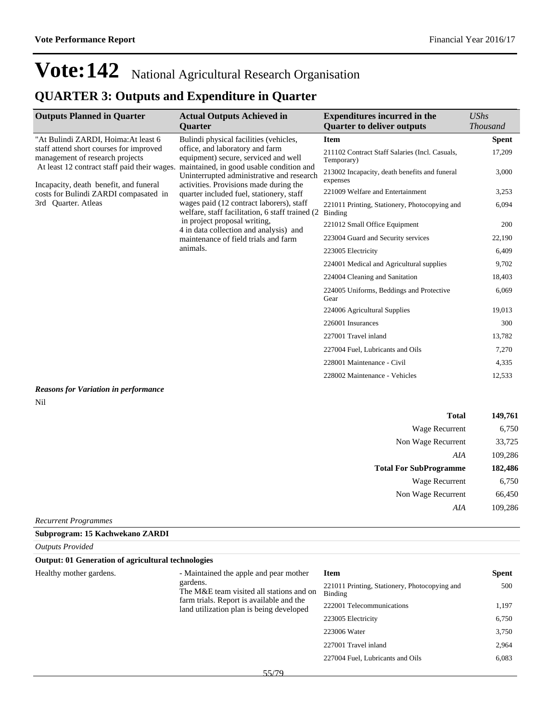## **QUARTER 3: Outputs and Expenditure in Quarter**

| <b>Outputs Planned in Quarter</b>                                                      | <b>Actual Outputs Achieved in</b><br><b>Ouarter</b>                                                                             | <b>Expenditures incurred in the</b><br><b>Quarter to deliver outputs</b> | <b>UShs</b><br><i>Thousand</i> |
|----------------------------------------------------------------------------------------|---------------------------------------------------------------------------------------------------------------------------------|--------------------------------------------------------------------------|--------------------------------|
| "At Bulindi ZARDI, Hoima: At least 6                                                   | Bulindi physical facilities (vehicles,                                                                                          | <b>Item</b>                                                              | <b>Spent</b>                   |
| staff attend short courses for improved<br>management of research projects             | office, and laboratory and farm<br>equipment) secure, serviced and well                                                         | 211102 Contract Staff Salaries (Incl. Casuals,<br>Temporary)             | 17,209                         |
| At least 12 contract staff paid their wages.<br>Incapacity, death benefit, and funeral | maintained, in good usable condition and<br>Uninterrupted administrative and research<br>activities. Provisions made during the | 213002 Incapacity, death benefits and funeral<br>expenses                | 3,000                          |
| costs for Bulindi ZARDI compasated in                                                  | quarter included fuel, stationery, staff                                                                                        | 221009 Welfare and Entertainment                                         | 3,253                          |
| 3rd Quarter. Atleas                                                                    | wages paid (12 contract laborers), staff<br>welfare, staff facilitation, 6 staff trained (2)                                    | 221011 Printing, Stationery, Photocopying and<br><b>Binding</b>          | 6,094                          |
|                                                                                        | in project proposal writing.<br>4 in data collection and analysis) and                                                          | 221012 Small Office Equipment                                            | 200                            |
|                                                                                        | maintenance of field trials and farm                                                                                            | 223004 Guard and Security services                                       | 22,190                         |
|                                                                                        | animals.                                                                                                                        | 223005 Electricity                                                       | 6,409                          |
|                                                                                        |                                                                                                                                 | 224001 Medical and Agricultural supplies                                 | 9,702                          |
|                                                                                        |                                                                                                                                 | 224004 Cleaning and Sanitation                                           | 18,403                         |
|                                                                                        |                                                                                                                                 | 224005 Uniforms, Beddings and Protective<br>Gear                         | 6,069                          |
|                                                                                        |                                                                                                                                 | 224006 Agricultural Supplies                                             | 19,013                         |
|                                                                                        |                                                                                                                                 | 226001 Insurances                                                        | 300                            |
|                                                                                        |                                                                                                                                 | 227001 Travel inland                                                     | 13,782                         |
|                                                                                        |                                                                                                                                 | 227004 Fuel, Lubricants and Oils                                         | 7,270                          |
|                                                                                        |                                                                                                                                 | 228001 Maintenance - Civil                                               | 4,335                          |
|                                                                                        |                                                                                                                                 | 228002 Maintenance - Vehicles                                            | 12,533                         |
|                                                                                        |                                                                                                                                 |                                                                          |                                |

### *Reasons for Variation in performance* Nil

| <b>Total</b>                  | 149,761 |
|-------------------------------|---------|
| Wage Recurrent                | 6,750   |
| Non Wage Recurrent            | 33,725  |
| AIA                           | 109,286 |
| <b>Total For SubProgramme</b> | 182,486 |
| Wage Recurrent                | 6,750   |
| Non Wage Recurrent            | 66,450  |
| AIA                           | 109,286 |
| $D_{acurrent} D_{vaavannac}$  |         |

*Recurrent Programmes*

**Subprogram: 15 Kachwekano ZARDI**

| <b>Outputs Provided</b>                                   |                                                                                      |                                                          |              |
|-----------------------------------------------------------|--------------------------------------------------------------------------------------|----------------------------------------------------------|--------------|
| <b>Output: 01 Generation of agricultural technologies</b> |                                                                                      |                                                          |              |
| Healthy mother gardens.                                   | - Maintained the apple and pear mother                                               | <b>Item</b>                                              | <b>Spent</b> |
|                                                           | gardens.<br>The M&E team visited all stations and on                                 | 221011 Printing, Stationery, Photocopying and<br>Binding | 500          |
|                                                           | farm trials. Report is available and the<br>land utilization plan is being developed | 222001 Telecommunications                                | 1,197        |
|                                                           |                                                                                      | 223005 Electricity                                       | 6,750        |
|                                                           |                                                                                      | 223006 Water                                             | 3,750        |
|                                                           |                                                                                      | 227001 Travel inland                                     | 2,964        |
|                                                           |                                                                                      | 227004 Fuel, Lubricants and Oils                         | 6,083        |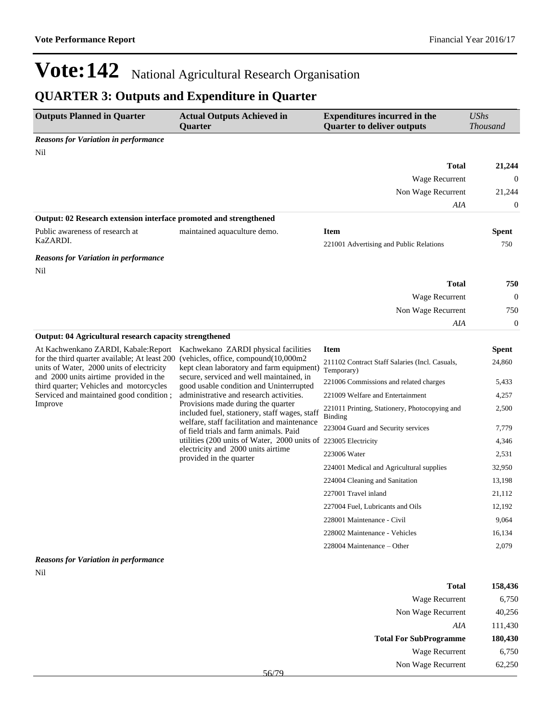### **QUARTER 3: Outputs and Expenditure in Quarter**

| <b>Outputs Planned in Quarter</b>                                                                                                    | <b>Actual Outputs Achieved in</b><br><b>Ouarter</b>                                                                                | <b>Expenditures incurred in the</b><br><b>Quarter to deliver outputs</b> | <b>UShs</b><br><b>Thousand</b> |
|--------------------------------------------------------------------------------------------------------------------------------------|------------------------------------------------------------------------------------------------------------------------------------|--------------------------------------------------------------------------|--------------------------------|
| <b>Reasons for Variation in performance</b>                                                                                          |                                                                                                                                    |                                                                          |                                |
| Nil                                                                                                                                  |                                                                                                                                    | <b>Total</b>                                                             |                                |
|                                                                                                                                      |                                                                                                                                    | Wage Recurrent                                                           | 21,244<br>$\theta$             |
|                                                                                                                                      |                                                                                                                                    | Non Wage Recurrent                                                       | 21,244                         |
|                                                                                                                                      |                                                                                                                                    | AIA                                                                      | $\mathbf{0}$                   |
| Output: 02 Research extension interface promoted and strengthened                                                                    |                                                                                                                                    |                                                                          |                                |
| Public awareness of research at                                                                                                      | maintained aquaculture demo.                                                                                                       | <b>Item</b>                                                              | <b>Spent</b>                   |
| KaZARDI.                                                                                                                             |                                                                                                                                    | 221001 Advertising and Public Relations                                  | 750                            |
| <b>Reasons for Variation in performance</b>                                                                                          |                                                                                                                                    |                                                                          |                                |
| Nil                                                                                                                                  |                                                                                                                                    |                                                                          |                                |
|                                                                                                                                      |                                                                                                                                    | <b>Total</b>                                                             | 750                            |
|                                                                                                                                      |                                                                                                                                    | Wage Recurrent                                                           | $\boldsymbol{0}$               |
|                                                                                                                                      |                                                                                                                                    | Non Wage Recurrent                                                       | 750                            |
|                                                                                                                                      |                                                                                                                                    | AIA                                                                      | $\mathbf{0}$                   |
| <b>Output: 04 Agricultural research capacity strengthened</b>                                                                        |                                                                                                                                    |                                                                          |                                |
| At Kachwenkano ZARDI, Kabale: Report                                                                                                 | Kachwekano ZARDI physical facilities                                                                                               | <b>Item</b>                                                              | <b>Spent</b>                   |
| for the third quarter available; At least 200<br>units of Water, 2000 units of electricity<br>and 2000 units airtime provided in the | (vehicles, office, compound(10,000m2<br>kept clean laboratory and farm equipment)<br>secure, serviced and well maintained, in      | 211102 Contract Staff Salaries (Incl. Casuals,<br>Temporary)             | 24,860                         |
| third quarter; Vehicles and motorcycles                                                                                              | good usable condition and Uninterrupted                                                                                            | 221006 Commissions and related charges                                   | 5,433                          |
| Serviced and maintained good condition;                                                                                              | administrative and research activities.                                                                                            | 221009 Welfare and Entertainment                                         | 4,257                          |
| Improve                                                                                                                              | Provisions made during the quarter<br>included fuel, stationery, staff wages, staff<br>welfare, staff facilitation and maintenance | 221011 Printing, Stationery, Photocopying and<br>Binding                 | 2,500                          |
|                                                                                                                                      | of field trials and farm animals. Paid                                                                                             | 223004 Guard and Security services                                       | 7,779                          |
|                                                                                                                                      | utilities (200 units of Water, 2000 units of 223005 Electricity                                                                    |                                                                          | 4,346                          |
|                                                                                                                                      | electricity and 2000 units airtime<br>provided in the quarter                                                                      | 223006 Water                                                             | 2,531                          |
|                                                                                                                                      |                                                                                                                                    | 224001 Medical and Agricultural supplies                                 | 32,950                         |
|                                                                                                                                      |                                                                                                                                    | 224004 Cleaning and Sanitation                                           | 13,198                         |
|                                                                                                                                      |                                                                                                                                    | 227001 Travel inland                                                     | 21,112                         |
|                                                                                                                                      |                                                                                                                                    | 227004 Fuel, Lubricants and Oils                                         | 12,192                         |
|                                                                                                                                      |                                                                                                                                    | 228001 Maintenance - Civil                                               | 9,064                          |
|                                                                                                                                      |                                                                                                                                    | 228002 Maintenance - Vehicles                                            | 16,134                         |
|                                                                                                                                      |                                                                                                                                    | $228004$ Maintenance – Other                                             | 2,079                          |
| <b>Reasons for Variation in performance</b>                                                                                          |                                                                                                                                    |                                                                          |                                |
| Nil                                                                                                                                  |                                                                                                                                    |                                                                          |                                |

| 158,436 | <b>Total</b>                  |
|---------|-------------------------------|
| 6,750   | Wage Recurrent                |
| 40,256  | Non Wage Recurrent            |
| 111,430 | AIA                           |
|         |                               |
| 180,430 | <b>Total For SubProgramme</b> |
| 6,750   | Wage Recurrent                |
| 62,250  | Non Wage Recurrent            |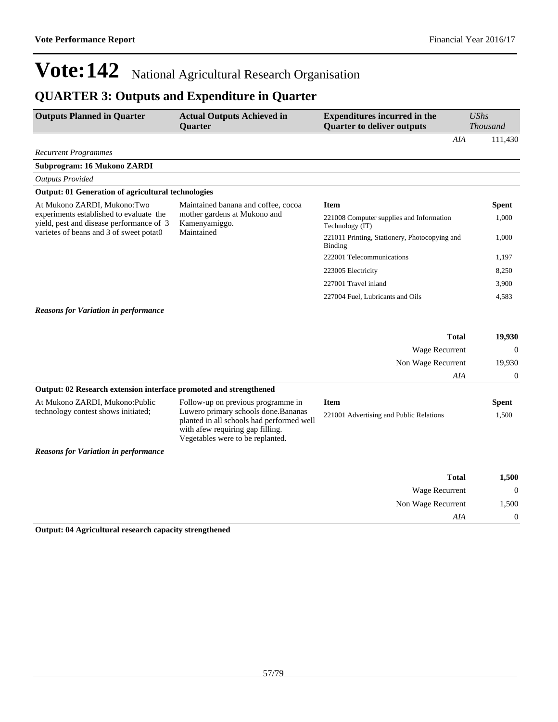## **QUARTER 3: Outputs and Expenditure in Quarter**

| <b>Outputs Planned in Quarter</b>                                                   | <b>Actual Outputs Achieved in</b><br>Quarter                                                                                                              | <b>Expenditures incurred in the</b><br><b>Quarter to deliver outputs</b> | <b>UShs</b><br><b>Thousand</b> |
|-------------------------------------------------------------------------------------|-----------------------------------------------------------------------------------------------------------------------------------------------------------|--------------------------------------------------------------------------|--------------------------------|
|                                                                                     |                                                                                                                                                           | AIA                                                                      | 111,430                        |
| <b>Recurrent Programmes</b>                                                         |                                                                                                                                                           |                                                                          |                                |
| Subprogram: 16 Mukono ZARDI                                                         |                                                                                                                                                           |                                                                          |                                |
| <b>Outputs Provided</b>                                                             |                                                                                                                                                           |                                                                          |                                |
| <b>Output: 01 Generation of agricultural technologies</b>                           |                                                                                                                                                           |                                                                          |                                |
| At Mukono ZARDI, Mukono:Two                                                         | Maintained banana and coffee, cocoa<br>mother gardens at Mukono and<br>Kamenyamiggo.                                                                      | <b>Item</b>                                                              | <b>Spent</b>                   |
| experiments established to evaluate the<br>yield, pest and disease performance of 3 |                                                                                                                                                           | 221008 Computer supplies and Information<br>Technology (IT)              | 1,000                          |
| varietes of beans and 3 of sweet potat0                                             | Maintained                                                                                                                                                | 221011 Printing, Stationery, Photocopying and<br><b>Binding</b>          | 1,000                          |
|                                                                                     |                                                                                                                                                           | 222001 Telecommunications                                                | 1,197                          |
|                                                                                     |                                                                                                                                                           | 223005 Electricity                                                       | 8,250                          |
|                                                                                     |                                                                                                                                                           | 227001 Travel inland                                                     | 3,900                          |
|                                                                                     |                                                                                                                                                           | 227004 Fuel, Lubricants and Oils                                         | 4,583                          |
| <b>Reasons for Variation in performance</b>                                         |                                                                                                                                                           |                                                                          |                                |
|                                                                                     |                                                                                                                                                           | <b>Total</b>                                                             | 19,930                         |
|                                                                                     |                                                                                                                                                           | Wage Recurrent                                                           | $\theta$                       |
|                                                                                     |                                                                                                                                                           | Non Wage Recurrent                                                       | 19,930                         |
|                                                                                     |                                                                                                                                                           | AIA                                                                      | $\mathbf 0$                    |
| Output: 02 Research extension interface promoted and strengthened                   |                                                                                                                                                           |                                                                          |                                |
| At Mukono ZARDI, Mukono: Public                                                     | Follow-up on previous programme in                                                                                                                        | <b>Item</b>                                                              | <b>Spent</b>                   |
| technology contest shows initiated;                                                 | Luwero primary schools done. Bananas<br>planted in all schools had performed well<br>with afew requiring gap filling.<br>Vegetables were to be replanted. | 221001 Advertising and Public Relations                                  | 1.500                          |
| <b>Reasons for Variation in performance</b>                                         |                                                                                                                                                           |                                                                          |                                |
|                                                                                     |                                                                                                                                                           | <b>Total</b>                                                             | 1,500                          |
|                                                                                     |                                                                                                                                                           | Wage Recurrent                                                           | $\Omega$                       |
|                                                                                     |                                                                                                                                                           | Non Wage Recurrent                                                       | 1,500                          |
|                                                                                     |                                                                                                                                                           | AIA                                                                      | $\theta$                       |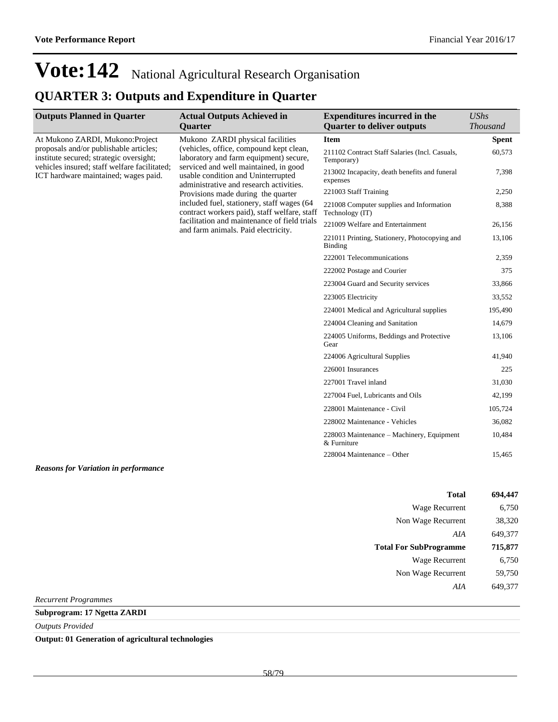### **QUARTER 3: Outputs and Expenditure in Quarter**

| <b>Outputs Planned in Quarter</b>                                                                                                                                                                             | <b>Actual Outputs Achieved in</b>                                                                                                                                                                                                                                                                                                                                                   | <b>Expenditures incurred in the</b>                             | <b>UShs</b>     |
|---------------------------------------------------------------------------------------------------------------------------------------------------------------------------------------------------------------|-------------------------------------------------------------------------------------------------------------------------------------------------------------------------------------------------------------------------------------------------------------------------------------------------------------------------------------------------------------------------------------|-----------------------------------------------------------------|-----------------|
|                                                                                                                                                                                                               | <b>Ouarter</b>                                                                                                                                                                                                                                                                                                                                                                      | <b>Quarter to deliver outputs</b>                               | <b>Thousand</b> |
| At Mukono ZARDI, Mukono: Project<br>proposals and/or publishable articles;<br>institute secured; strategic oversight;<br>vehicles insured; staff welfare facilitated;<br>ICT hardware maintained; wages paid. | Mukono ZARDI physical facilities<br>(vehicles, office, compound kept clean,<br>laboratory and farm equipment) secure,<br>serviced and well maintained, in good<br>usable condition and Uninterrupted<br>administrative and research activities.<br>Provisions made during the quarter<br>included fuel, stationery, staff wages (64<br>contract workers paid), staff welfare, staff | <b>Item</b>                                                     | <b>Spent</b>    |
|                                                                                                                                                                                                               |                                                                                                                                                                                                                                                                                                                                                                                     | 211102 Contract Staff Salaries (Incl. Casuals,<br>Temporary)    | 60,573          |
|                                                                                                                                                                                                               |                                                                                                                                                                                                                                                                                                                                                                                     | 213002 Incapacity, death benefits and funeral<br>expenses       | 7,398           |
|                                                                                                                                                                                                               |                                                                                                                                                                                                                                                                                                                                                                                     | 221003 Staff Training                                           | 2,250           |
|                                                                                                                                                                                                               |                                                                                                                                                                                                                                                                                                                                                                                     | 221008 Computer supplies and Information<br>Technology (IT)     | 8,388           |
|                                                                                                                                                                                                               | facilitation and maintenance of field trials<br>and farm animals. Paid electricity.                                                                                                                                                                                                                                                                                                 | 221009 Welfare and Entertainment                                | 26,156          |
|                                                                                                                                                                                                               |                                                                                                                                                                                                                                                                                                                                                                                     | 221011 Printing, Stationery, Photocopying and<br><b>Binding</b> | 13,106          |
|                                                                                                                                                                                                               |                                                                                                                                                                                                                                                                                                                                                                                     | 222001 Telecommunications                                       | 2,359           |
|                                                                                                                                                                                                               |                                                                                                                                                                                                                                                                                                                                                                                     | 222002 Postage and Courier                                      | 375             |
|                                                                                                                                                                                                               |                                                                                                                                                                                                                                                                                                                                                                                     | 223004 Guard and Security services                              | 33,866          |
|                                                                                                                                                                                                               |                                                                                                                                                                                                                                                                                                                                                                                     | 223005 Electricity                                              | 33,552          |
|                                                                                                                                                                                                               |                                                                                                                                                                                                                                                                                                                                                                                     | 224001 Medical and Agricultural supplies                        | 195,490         |
|                                                                                                                                                                                                               |                                                                                                                                                                                                                                                                                                                                                                                     | 224004 Cleaning and Sanitation                                  | 14,679          |
|                                                                                                                                                                                                               |                                                                                                                                                                                                                                                                                                                                                                                     | 224005 Uniforms, Beddings and Protective<br>Gear                | 13,106          |
|                                                                                                                                                                                                               |                                                                                                                                                                                                                                                                                                                                                                                     | 224006 Agricultural Supplies                                    | 41,940          |
|                                                                                                                                                                                                               |                                                                                                                                                                                                                                                                                                                                                                                     | 226001 Insurances                                               | 225             |
|                                                                                                                                                                                                               |                                                                                                                                                                                                                                                                                                                                                                                     | 227001 Travel inland                                            | 31,030          |
|                                                                                                                                                                                                               |                                                                                                                                                                                                                                                                                                                                                                                     | 227004 Fuel, Lubricants and Oils                                | 42,199          |
|                                                                                                                                                                                                               |                                                                                                                                                                                                                                                                                                                                                                                     | 228001 Maintenance - Civil                                      | 105,724         |
|                                                                                                                                                                                                               |                                                                                                                                                                                                                                                                                                                                                                                     | 228002 Maintenance - Vehicles                                   | 36,082          |
|                                                                                                                                                                                                               |                                                                                                                                                                                                                                                                                                                                                                                     | 228003 Maintenance – Machinery, Equipment<br>& Furniture        | 10,484          |
|                                                                                                                                                                                                               |                                                                                                                                                                                                                                                                                                                                                                                     | 228004 Maintenance – Other                                      | 15,465          |
|                                                                                                                                                                                                               |                                                                                                                                                                                                                                                                                                                                                                                     |                                                                 |                 |

*Reasons for Variation in performance*

| <b>Total</b>                  | 694,447 |
|-------------------------------|---------|
| <b>Wage Recurrent</b>         | 6,750   |
| Non Wage Recurrent            | 38,320  |
| AIA                           | 649,377 |
|                               |         |
| <b>Total For SubProgramme</b> | 715,877 |
| Wage Recurrent                | 6.750   |
| Non Wage Recurrent            | 59,750  |
| A I A                         | 649.377 |

*Recurrent Programmes*

**Subprogram: 17 Ngetta ZARDI**

*Outputs Provided*

**Output: 01 Generation of agricultural technologies**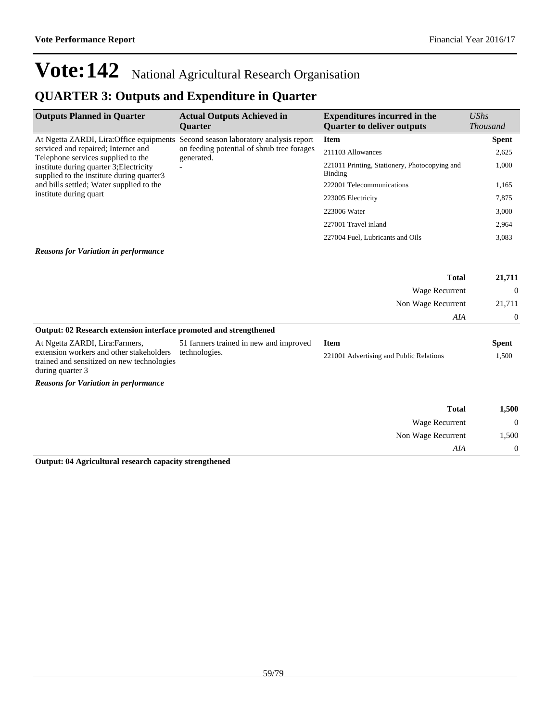### **QUARTER 3: Outputs and Expenditure in Quarter**

| <b>Actual Outputs Achieved in</b><br><b>Ouarter</b> | <b>Expenditures incurred in the</b><br><b>Quarter to deliver outputs</b>               | UShs<br><b>Thousand</b> |
|-----------------------------------------------------|----------------------------------------------------------------------------------------|-------------------------|
| Second season laboratory analysis report            | <b>Item</b>                                                                            | <b>Spent</b>            |
| generated.                                          | 211103 Allowances                                                                      | 2,625                   |
|                                                     | 221011 Printing, Stationery, Photocopying and<br>Binding                               | 1,000                   |
|                                                     | 222001 Telecommunications                                                              | 1,165                   |
|                                                     | 223005 Electricity                                                                     | 7,875                   |
|                                                     | 223006 Water                                                                           | 3,000                   |
|                                                     | 227001 Travel inland                                                                   | 2,964                   |
|                                                     | 227004 Fuel, Lubricants and Oils                                                       | 3,083                   |
|                                                     | At Ngetta ZARDI, Lira: Office equipments<br>on feeding potential of shrub tree forages |                         |

### *Reasons for Variation in performance*

|                                                                                        |                                        | <b>Total</b>                            | 21,711       |
|----------------------------------------------------------------------------------------|----------------------------------------|-----------------------------------------|--------------|
|                                                                                        |                                        | Wage Recurrent                          | $\Omega$     |
|                                                                                        |                                        | Non Wage Recurrent                      | 21.711       |
|                                                                                        |                                        | AIA                                     | $\Omega$     |
| Output: 02 Research extension interface promoted and strengthened                      |                                        |                                         |              |
| At Ngetta ZARDI, Lira: Farmers,                                                        | 51 farmers trained in new and improved | Item                                    | <b>Spent</b> |
| extension workers and other stakeholders<br>trained and sensitized on new technologies | technologies.                          | 221001 Advertising and Public Relations | 1,500        |

during quarter 3

*Reasons for Variation in performance*

| 1,500            | <b>Total</b>          |  |
|------------------|-----------------------|--|
| $\boldsymbol{0}$ | <b>Wage Recurrent</b> |  |
| 1,500            | Non Wage Recurrent    |  |
| $\overline{0}$   | AIA                   |  |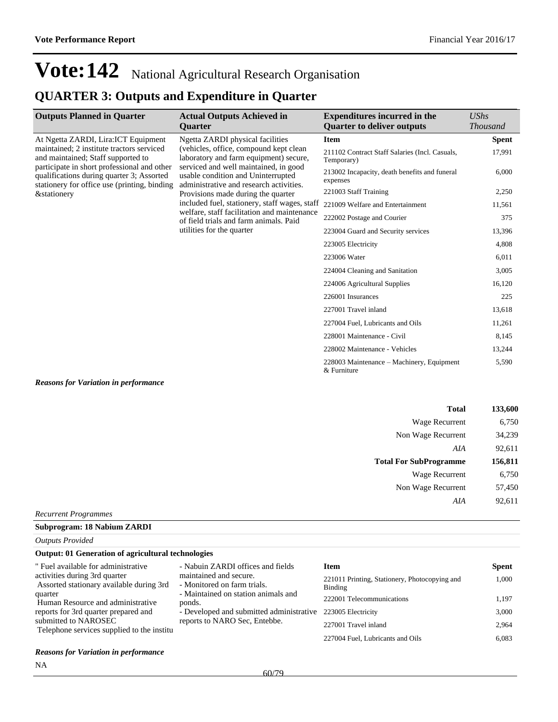### **QUARTER 3: Outputs and Expenditure in Quarter**

| <b>Outputs Planned in Quarter</b>                                                                                                         | <b>Actual Outputs Achieved in</b><br><b>Ouarter</b>                                                                                                                                                                                                                                                                                                                                                                                                          | <b>Expenditures incurred in the</b><br><b>Quarter to deliver outputs</b> | <b>UShs</b><br><b>Thousand</b> |
|-------------------------------------------------------------------------------------------------------------------------------------------|--------------------------------------------------------------------------------------------------------------------------------------------------------------------------------------------------------------------------------------------------------------------------------------------------------------------------------------------------------------------------------------------------------------------------------------------------------------|--------------------------------------------------------------------------|--------------------------------|
| At Ngetta ZARDI, Lira: ICT Equipment<br>maintained; 2 institute tractors serviced<br>and maintained; Staff supported to                   | Ngetta ZARDI physical facilities<br>(vehicles, office, compound kept clean)<br>laboratory and farm equipment) secure,<br>serviced and well maintained, in good<br>usable condition and Uninterrupted<br>administrative and research activities.<br>Provisions made during the quarter<br>included fuel, stationery, staff wages, staff<br>welfare, staff facilitation and maintenance<br>of field trials and farm animals. Paid<br>utilities for the quarter | <b>Item</b>                                                              | <b>Spent</b>                   |
|                                                                                                                                           |                                                                                                                                                                                                                                                                                                                                                                                                                                                              | 211102 Contract Staff Salaries (Incl. Casuals,<br>Temporary)             | 17,991                         |
| participate in short professional and other<br>qualifications during quarter 3; Assorted<br>stationery for office use (printing, binding) |                                                                                                                                                                                                                                                                                                                                                                                                                                                              | 213002 Incapacity, death benefits and funeral<br>expenses                | 6,000                          |
| <i>&amp;stationery</i>                                                                                                                    |                                                                                                                                                                                                                                                                                                                                                                                                                                                              | 221003 Staff Training                                                    | 2,250                          |
|                                                                                                                                           |                                                                                                                                                                                                                                                                                                                                                                                                                                                              | 221009 Welfare and Entertainment                                         | 11,561                         |
|                                                                                                                                           |                                                                                                                                                                                                                                                                                                                                                                                                                                                              | 222002 Postage and Courier                                               | 375                            |
|                                                                                                                                           |                                                                                                                                                                                                                                                                                                                                                                                                                                                              | 223004 Guard and Security services                                       | 13,396                         |
|                                                                                                                                           |                                                                                                                                                                                                                                                                                                                                                                                                                                                              | 223005 Electricity                                                       | 4,808                          |
|                                                                                                                                           |                                                                                                                                                                                                                                                                                                                                                                                                                                                              | 223006 Water                                                             | 6,011                          |
|                                                                                                                                           |                                                                                                                                                                                                                                                                                                                                                                                                                                                              | 224004 Cleaning and Sanitation                                           | 3,005                          |
|                                                                                                                                           |                                                                                                                                                                                                                                                                                                                                                                                                                                                              | 224006 Agricultural Supplies                                             | 16,120                         |
|                                                                                                                                           |                                                                                                                                                                                                                                                                                                                                                                                                                                                              | 226001 Insurances                                                        | 225                            |
|                                                                                                                                           |                                                                                                                                                                                                                                                                                                                                                                                                                                                              | 227001 Travel inland                                                     | 13,618                         |
|                                                                                                                                           |                                                                                                                                                                                                                                                                                                                                                                                                                                                              | 227004 Fuel, Lubricants and Oils                                         | 11,261                         |
|                                                                                                                                           |                                                                                                                                                                                                                                                                                                                                                                                                                                                              | 228001 Maintenance - Civil                                               | 8,145                          |
|                                                                                                                                           |                                                                                                                                                                                                                                                                                                                                                                                                                                                              | 228002 Maintenance - Vehicles                                            | 13,244                         |
|                                                                                                                                           |                                                                                                                                                                                                                                                                                                                                                                                                                                                              | 228003 Maintenance – Machinery, Equipment<br>& Furniture                 | 5,590                          |

#### *Reasons for Variation in performance*

| 133,600 | <b>Total</b>                  |
|---------|-------------------------------|
| 6,750   | Wage Recurrent                |
| 34,239  | Non Wage Recurrent            |
| 92,611  | AIA                           |
| 156,811 | <b>Total For SubProgramme</b> |
| 6,750   | Wage Recurrent                |
| 57,450  | Non Wage Recurrent            |
| 92,611  | AIA                           |
|         |                               |

#### *Recurrent Programmes*

### **Subprogram: 18 Nabium ZARDI**

*Outputs Provided*

#### **Output: 01 Generation of agricultural technologies**

| " Fuel available for administrative                                       | - Nabuin ZARDI offices and fields                     | <b>Item</b>                                              | <b>Spent</b> |
|---------------------------------------------------------------------------|-------------------------------------------------------|----------------------------------------------------------|--------------|
| activities during 3rd quarter<br>Assorted stationary available during 3rd | maintained and secure.<br>- Monitored on farm trials. | 221011 Printing, Stationery, Photocopying and<br>Binding | 1.000        |
| quarter<br>Human Resource and administrative                              | - Maintained on station animals and<br>ponds.         | 222001 Telecommunications                                | 1.197        |
| reports for 3rd quarter prepared and                                      | - Developed and submitted administrative              | 223005 Electricity                                       | 3.000        |
| submitted to NAROSEC<br>Telephone services supplied to the institu        | reports to NARO Sec, Entebbe.                         | 227001 Travel inland                                     | 2.964        |
|                                                                           |                                                       | 227004 Fuel, Lubricants and Oils                         | 6.083        |

#### *Reasons for Variation in performance*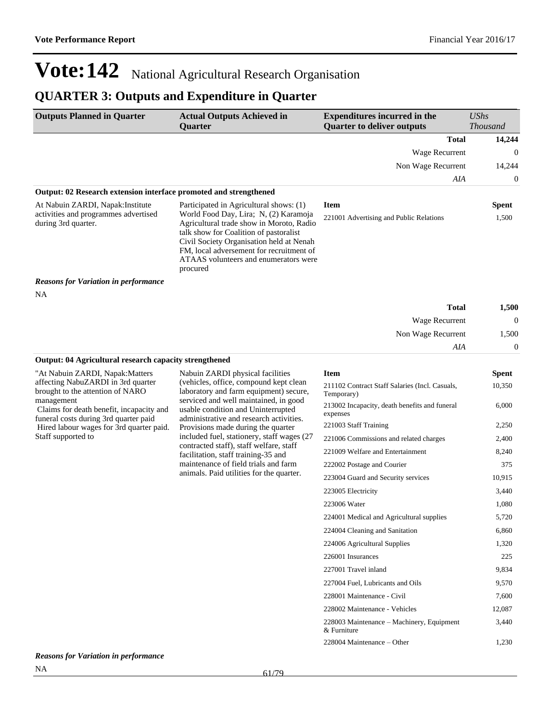### **QUARTER 3: Outputs and Expenditure in Quarter**

| <b>Outputs Planned in Quarter</b>                                 | <b>Actual Outputs Achieved in</b>                                                                                                                                                                                                                                        | <b>Expenditures incurred in the</b>     | <b>UShs</b>     |
|-------------------------------------------------------------------|--------------------------------------------------------------------------------------------------------------------------------------------------------------------------------------------------------------------------------------------------------------------------|-----------------------------------------|-----------------|
|                                                                   | <b>Ouarter</b>                                                                                                                                                                                                                                                           | <b>Quarter to deliver outputs</b>       | <b>Thousand</b> |
|                                                                   |                                                                                                                                                                                                                                                                          | <b>Total</b>                            | 14,244          |
|                                                                   |                                                                                                                                                                                                                                                                          | Wage Recurrent                          | $\overline{0}$  |
|                                                                   |                                                                                                                                                                                                                                                                          | Non Wage Recurrent                      | 14,244          |
|                                                                   |                                                                                                                                                                                                                                                                          | AIA                                     | 0               |
| Output: 02 Research extension interface promoted and strengthened |                                                                                                                                                                                                                                                                          |                                         |                 |
| At Nabuin ZARDI, Napak: Institute                                 | Participated in Agricultural shows: (1)                                                                                                                                                                                                                                  | <b>Item</b>                             | <b>Spent</b>    |
| activities and programmes advertised<br>during 3rd quarter.       | World Food Day, Lira; N, (2) Karamoja<br>Agricultural trade show in Moroto, Radio<br>talk show for Coalition of pastoralist<br>Civil Society Organisation held at Nenah<br>FM, local adversement for recruitment of<br>ATAAS volunteers and enumerators were<br>procured | 221001 Advertising and Public Relations | 1,500           |
| <b>Reasons for Variation in performance</b>                       |                                                                                                                                                                                                                                                                          |                                         |                 |
| <b>NA</b>                                                         |                                                                                                                                                                                                                                                                          |                                         |                 |
|                                                                   |                                                                                                                                                                                                                                                                          | <b>Total</b>                            | 1,500           |
|                                                                   |                                                                                                                                                                                                                                                                          | Wage Recurrent                          | $\Omega$        |
|                                                                   |                                                                                                                                                                                                                                                                          | Non Wage Recurrent                      | 1,500           |
|                                                                   |                                                                                                                                                                                                                                                                          | AIA                                     | $\theta$        |
| Output: 04 Agricultural research capacity strengthened            |                                                                                                                                                                                                                                                                          |                                         |                 |
| "At Nabuin ZARDI, Napak:Matters                                   | Nabuin ZARDI physical facilities                                                                                                                                                                                                                                         | <b>Item</b>                             | <b>Spent</b>    |

affecting NabuZARDI in 3rd quarter brought to the attention of NARO management

 Claims for death benefit, incapacity and funeral costs during 3rd quarter paid Hired labour wages for 3rd quarter paid. Staff supported to

(vehicles, office, compound kept clean laboratory and farm equipment) secure, serviced and well maintained, in good usable condition and Uninterrupted administrative and research activities. Provisions made during the quarter included fuel, stationery, staff wages (27 contracted staff), staff welfare, staff facilitation, staff training-35 and maintenance of field trials and farm animals. Paid utilities for the quarter.

| <b>Item</b>                                                  | <b>Spent</b> |
|--------------------------------------------------------------|--------------|
| 211102 Contract Staff Salaries (Incl. Casuals,<br>Temporary) | 10,350       |
| 213002 Incapacity, death benefits and funeral<br>expenses    | 6,000        |
| 221003 Staff Training                                        | 2,250        |
| 221006 Commissions and related charges                       | 2,400        |
| 221009 Welfare and Entertainment                             | 8,240        |
| 222002 Postage and Courier                                   | 375          |
| 223004 Guard and Security services                           | 10,915       |
| 223005 Electricity                                           | 3,440        |
| 223006 Water                                                 | 1,080        |
| 224001 Medical and Agricultural supplies                     | 5,720        |
| 224004 Cleaning and Sanitation                               | 6,860        |
| 224006 Agricultural Supplies                                 | 1,320        |
| 226001 Insurances                                            | 225          |
| 227001 Travel inland                                         | 9,834        |
| 227004 Fuel, Lubricants and Oils                             | 9,570        |
| 228001 Maintenance - Civil                                   | 7,600        |
| 228002 Maintenance - Vehicles                                | 12,087       |
| 228003 Maintenance – Machinery, Equipment<br>& Furniture     | 3,440        |
| 228004 Maintenance – Other                                   | 1,230        |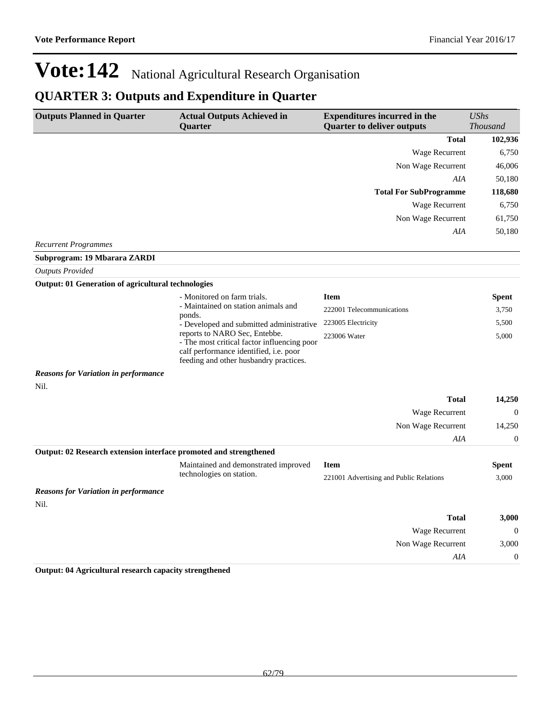## **QUARTER 3: Outputs and Expenditure in Quarter**

| <b>Outputs Planned in Quarter</b>                                 | <b>Actual Outputs Achieved in</b>                                                                                                                                | <b>Expenditures incurred in the</b>     | <b>UShs</b>      |
|-------------------------------------------------------------------|------------------------------------------------------------------------------------------------------------------------------------------------------------------|-----------------------------------------|------------------|
|                                                                   | <b>Ouarter</b>                                                                                                                                                   | <b>Quarter to deliver outputs</b>       | <b>Thousand</b>  |
|                                                                   |                                                                                                                                                                  | <b>Total</b>                            | 102,936          |
|                                                                   |                                                                                                                                                                  | Wage Recurrent                          | 6,750            |
|                                                                   |                                                                                                                                                                  | Non Wage Recurrent                      | 46,006           |
|                                                                   |                                                                                                                                                                  | AIA                                     | 50,180           |
|                                                                   |                                                                                                                                                                  | <b>Total For SubProgramme</b>           | 118,680          |
|                                                                   |                                                                                                                                                                  | Wage Recurrent                          | 6,750            |
|                                                                   |                                                                                                                                                                  | Non Wage Recurrent                      | 61,750           |
|                                                                   |                                                                                                                                                                  | AIA                                     | 50,180           |
| <b>Recurrent Programmes</b>                                       |                                                                                                                                                                  |                                         |                  |
| Subprogram: 19 Mbarara ZARDI                                      |                                                                                                                                                                  |                                         |                  |
| <b>Outputs Provided</b>                                           |                                                                                                                                                                  |                                         |                  |
| <b>Output: 01 Generation of agricultural technologies</b>         |                                                                                                                                                                  |                                         |                  |
|                                                                   | - Monitored on farm trials.                                                                                                                                      | <b>Item</b>                             | Spent            |
|                                                                   | - Maintained on station animals and<br>ponds.                                                                                                                    | 222001 Telecommunications               | 3,750            |
|                                                                   | - Developed and submitted administrative                                                                                                                         | 223005 Electricity                      | 5,500            |
|                                                                   | reports to NARO Sec, Entebbe.<br>- The most critical factor influencing poor<br>calf performance identified, i.e. poor<br>feeding and other husbandry practices. | 223006 Water                            | 5,000            |
| <b>Reasons for Variation in performance</b>                       |                                                                                                                                                                  |                                         |                  |
| Nil.                                                              |                                                                                                                                                                  |                                         |                  |
|                                                                   |                                                                                                                                                                  | <b>Total</b>                            | 14,250           |
|                                                                   |                                                                                                                                                                  | Wage Recurrent                          | $\theta$         |
|                                                                   |                                                                                                                                                                  | Non Wage Recurrent                      | 14,250           |
|                                                                   |                                                                                                                                                                  | AIA                                     | $\boldsymbol{0}$ |
| Output: 02 Research extension interface promoted and strengthened |                                                                                                                                                                  |                                         |                  |
|                                                                   | Maintained and demonstrated improved                                                                                                                             | <b>Item</b>                             | <b>Spent</b>     |
|                                                                   | technologies on station.                                                                                                                                         | 221001 Advertising and Public Relations | 3,000            |
| <b>Reasons for Variation in performance</b>                       |                                                                                                                                                                  |                                         |                  |
| Nil.                                                              |                                                                                                                                                                  |                                         |                  |
|                                                                   |                                                                                                                                                                  | <b>Total</b>                            | 3,000            |
|                                                                   |                                                                                                                                                                  | Wage Recurrent                          | $\theta$         |
|                                                                   |                                                                                                                                                                  | Non Wage Recurrent                      | 3,000            |
|                                                                   |                                                                                                                                                                  | AIA                                     | $\mathbf{0}$     |
|                                                                   |                                                                                                                                                                  |                                         |                  |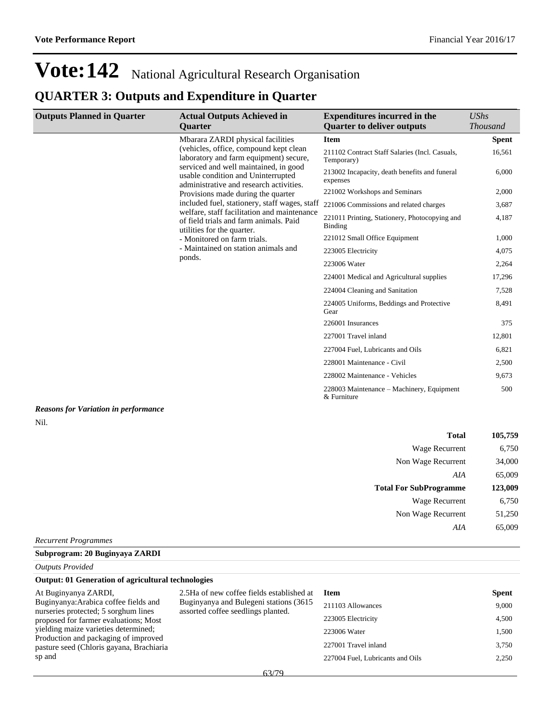### **QUARTER 3: Outputs and Expenditure in Quarter**

| <b>Quarter to deliver outputs</b><br>Quarter<br>Mbarara ZARDI physical facilities<br><b>Item</b><br>(vehicles, office, compound kept clean<br>211102 Contract Staff Salaries (Incl. Casuals,<br>laboratory and farm equipment) secure,<br>Temporary)<br>serviced and well maintained, in good<br>213002 Incapacity, death benefits and funeral<br>usable condition and Uninterrupted<br>expenses<br>administrative and research activities.<br>221002 Workshops and Seminars<br>Provisions made during the quarter<br>included fuel, stationery, staff wages, staff<br>221006 Commissions and related charges<br>welfare, staff facilitation and maintenance<br>221011 Printing, Stationery, Photocopying and<br>of field trials and farm animals. Paid<br>Binding<br>utilities for the quarter.<br>221012 Small Office Equipment<br>- Monitored on farm trials.<br>- Maintained on station animals and<br>223005 Electricity<br>ponds.<br>223006 Water<br>224001 Medical and Agricultural supplies<br>224004 Cleaning and Sanitation<br>224005 Uniforms, Beddings and Protective<br>Gear<br>226001 Insurances<br>227001 Travel inland<br>227004 Fuel, Lubricants and Oils<br>228001 Maintenance - Civil<br>228002 Maintenance - Vehicles<br>228003 Maintenance – Machinery, Equipment<br>& Furniture<br><b>Reasons for Variation in performance</b><br>Nil.<br><b>Total</b><br>Wage Recurrent<br>Non Wage Recurrent<br>AIA | <b>UShs</b>     |
|-----------------------------------------------------------------------------------------------------------------------------------------------------------------------------------------------------------------------------------------------------------------------------------------------------------------------------------------------------------------------------------------------------------------------------------------------------------------------------------------------------------------------------------------------------------------------------------------------------------------------------------------------------------------------------------------------------------------------------------------------------------------------------------------------------------------------------------------------------------------------------------------------------------------------------------------------------------------------------------------------------------------------------------------------------------------------------------------------------------------------------------------------------------------------------------------------------------------------------------------------------------------------------------------------------------------------------------------------------------------------------------------------------------------------------|-----------------|
|                                                                                                                                                                                                                                                                                                                                                                                                                                                                                                                                                                                                                                                                                                                                                                                                                                                                                                                                                                                                                                                                                                                                                                                                                                                                                                                                                                                                                             | <b>Thousand</b> |
|                                                                                                                                                                                                                                                                                                                                                                                                                                                                                                                                                                                                                                                                                                                                                                                                                                                                                                                                                                                                                                                                                                                                                                                                                                                                                                                                                                                                                             | <b>Spent</b>    |
|                                                                                                                                                                                                                                                                                                                                                                                                                                                                                                                                                                                                                                                                                                                                                                                                                                                                                                                                                                                                                                                                                                                                                                                                                                                                                                                                                                                                                             | 16,561          |
|                                                                                                                                                                                                                                                                                                                                                                                                                                                                                                                                                                                                                                                                                                                                                                                                                                                                                                                                                                                                                                                                                                                                                                                                                                                                                                                                                                                                                             | 6,000           |
|                                                                                                                                                                                                                                                                                                                                                                                                                                                                                                                                                                                                                                                                                                                                                                                                                                                                                                                                                                                                                                                                                                                                                                                                                                                                                                                                                                                                                             | 2,000           |
|                                                                                                                                                                                                                                                                                                                                                                                                                                                                                                                                                                                                                                                                                                                                                                                                                                                                                                                                                                                                                                                                                                                                                                                                                                                                                                                                                                                                                             | 3,687           |
|                                                                                                                                                                                                                                                                                                                                                                                                                                                                                                                                                                                                                                                                                                                                                                                                                                                                                                                                                                                                                                                                                                                                                                                                                                                                                                                                                                                                                             | 4,187           |
|                                                                                                                                                                                                                                                                                                                                                                                                                                                                                                                                                                                                                                                                                                                                                                                                                                                                                                                                                                                                                                                                                                                                                                                                                                                                                                                                                                                                                             | 1,000           |
|                                                                                                                                                                                                                                                                                                                                                                                                                                                                                                                                                                                                                                                                                                                                                                                                                                                                                                                                                                                                                                                                                                                                                                                                                                                                                                                                                                                                                             | 4,075           |
|                                                                                                                                                                                                                                                                                                                                                                                                                                                                                                                                                                                                                                                                                                                                                                                                                                                                                                                                                                                                                                                                                                                                                                                                                                                                                                                                                                                                                             | 2,264           |
|                                                                                                                                                                                                                                                                                                                                                                                                                                                                                                                                                                                                                                                                                                                                                                                                                                                                                                                                                                                                                                                                                                                                                                                                                                                                                                                                                                                                                             | 17,296          |
|                                                                                                                                                                                                                                                                                                                                                                                                                                                                                                                                                                                                                                                                                                                                                                                                                                                                                                                                                                                                                                                                                                                                                                                                                                                                                                                                                                                                                             | 7,528           |
|                                                                                                                                                                                                                                                                                                                                                                                                                                                                                                                                                                                                                                                                                                                                                                                                                                                                                                                                                                                                                                                                                                                                                                                                                                                                                                                                                                                                                             | 8,491           |
|                                                                                                                                                                                                                                                                                                                                                                                                                                                                                                                                                                                                                                                                                                                                                                                                                                                                                                                                                                                                                                                                                                                                                                                                                                                                                                                                                                                                                             | 375             |
|                                                                                                                                                                                                                                                                                                                                                                                                                                                                                                                                                                                                                                                                                                                                                                                                                                                                                                                                                                                                                                                                                                                                                                                                                                                                                                                                                                                                                             | 12,801          |
|                                                                                                                                                                                                                                                                                                                                                                                                                                                                                                                                                                                                                                                                                                                                                                                                                                                                                                                                                                                                                                                                                                                                                                                                                                                                                                                                                                                                                             | 6,821           |
|                                                                                                                                                                                                                                                                                                                                                                                                                                                                                                                                                                                                                                                                                                                                                                                                                                                                                                                                                                                                                                                                                                                                                                                                                                                                                                                                                                                                                             | 2,500           |
|                                                                                                                                                                                                                                                                                                                                                                                                                                                                                                                                                                                                                                                                                                                                                                                                                                                                                                                                                                                                                                                                                                                                                                                                                                                                                                                                                                                                                             | 9,673           |
|                                                                                                                                                                                                                                                                                                                                                                                                                                                                                                                                                                                                                                                                                                                                                                                                                                                                                                                                                                                                                                                                                                                                                                                                                                                                                                                                                                                                                             | 500             |
|                                                                                                                                                                                                                                                                                                                                                                                                                                                                                                                                                                                                                                                                                                                                                                                                                                                                                                                                                                                                                                                                                                                                                                                                                                                                                                                                                                                                                             |                 |
|                                                                                                                                                                                                                                                                                                                                                                                                                                                                                                                                                                                                                                                                                                                                                                                                                                                                                                                                                                                                                                                                                                                                                                                                                                                                                                                                                                                                                             |                 |
|                                                                                                                                                                                                                                                                                                                                                                                                                                                                                                                                                                                                                                                                                                                                                                                                                                                                                                                                                                                                                                                                                                                                                                                                                                                                                                                                                                                                                             | 105,759         |
|                                                                                                                                                                                                                                                                                                                                                                                                                                                                                                                                                                                                                                                                                                                                                                                                                                                                                                                                                                                                                                                                                                                                                                                                                                                                                                                                                                                                                             | 6,750           |
|                                                                                                                                                                                                                                                                                                                                                                                                                                                                                                                                                                                                                                                                                                                                                                                                                                                                                                                                                                                                                                                                                                                                                                                                                                                                                                                                                                                                                             | 34,000          |
|                                                                                                                                                                                                                                                                                                                                                                                                                                                                                                                                                                                                                                                                                                                                                                                                                                                                                                                                                                                                                                                                                                                                                                                                                                                                                                                                                                                                                             | 65,009          |
| <b>Total For SubProgramme</b>                                                                                                                                                                                                                                                                                                                                                                                                                                                                                                                                                                                                                                                                                                                                                                                                                                                                                                                                                                                                                                                                                                                                                                                                                                                                                                                                                                                               | 123,009         |
| Wage Recurrent                                                                                                                                                                                                                                                                                                                                                                                                                                                                                                                                                                                                                                                                                                                                                                                                                                                                                                                                                                                                                                                                                                                                                                                                                                                                                                                                                                                                              | 6,750           |
| Non Wage Recurrent                                                                                                                                                                                                                                                                                                                                                                                                                                                                                                                                                                                                                                                                                                                                                                                                                                                                                                                                                                                                                                                                                                                                                                                                                                                                                                                                                                                                          | 51,250          |
| AIA                                                                                                                                                                                                                                                                                                                                                                                                                                                                                                                                                                                                                                                                                                                                                                                                                                                                                                                                                                                                                                                                                                                                                                                                                                                                                                                                                                                                                         | 65,009          |
| <b>Recurrent Programmes</b>                                                                                                                                                                                                                                                                                                                                                                                                                                                                                                                                                                                                                                                                                                                                                                                                                                                                                                                                                                                                                                                                                                                                                                                                                                                                                                                                                                                                 |                 |

| Supprogram; 20 Dugi |  |
|---------------------|--|
|                     |  |

### *Outputs Provided*

#### **Output: 01 Generation of agricultural technologies**

At Buginyanya ZARDI, Buginyanya:Arabica coffee fields and nurseries protected; 5 sorghum lines proposed for farmer evaluations; Most yielding maize varieties determined; Production and packaging of improved pasture seed (Chloris gayana, Brachiaria sp and

2.5Ha of new coffee fields established at Buginyanya and Bulegeni stations (3615 assorted coffee seedlings planted.

| <b>Item</b>                      | <b>Spent</b> |
|----------------------------------|--------------|
| 211103 Allowances                | 9.000        |
| 223005 Electricity               | 4.500        |
| 223006 Water                     | 1,500        |
| 227001 Travel inland             | 3.750        |
| 227004 Fuel, Lubricants and Oils | 2.250        |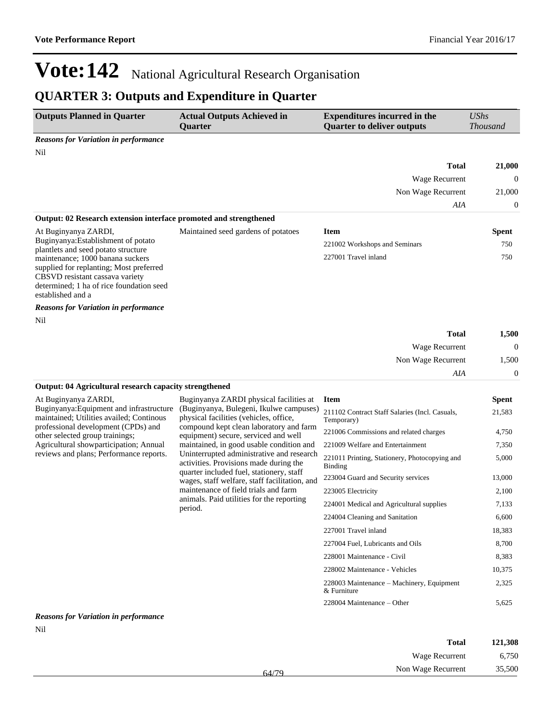## **QUARTER 3: Outputs and Expenditure in Quarter**

| <b>Outputs Planned in Quarter</b>                                                                                                                                               | <b>Actual Outputs Achieved in</b><br>Quarter                                                                                    | <b>Expenditures incurred in the</b><br><b>Quarter to deliver outputs</b> | <b>UShs</b><br><b>Thousand</b> |
|---------------------------------------------------------------------------------------------------------------------------------------------------------------------------------|---------------------------------------------------------------------------------------------------------------------------------|--------------------------------------------------------------------------|--------------------------------|
| <b>Reasons for Variation in performance</b>                                                                                                                                     |                                                                                                                                 |                                                                          |                                |
| Nil                                                                                                                                                                             |                                                                                                                                 |                                                                          |                                |
|                                                                                                                                                                                 |                                                                                                                                 | <b>Total</b>                                                             | 21,000                         |
|                                                                                                                                                                                 |                                                                                                                                 | Wage Recurrent                                                           | $\theta$                       |
|                                                                                                                                                                                 |                                                                                                                                 | Non Wage Recurrent                                                       | 21,000                         |
|                                                                                                                                                                                 |                                                                                                                                 | AIA                                                                      | 0                              |
| Output: 02 Research extension interface promoted and strengthened                                                                                                               |                                                                                                                                 |                                                                          |                                |
| At Buginyanya ZARDI,                                                                                                                                                            | Maintained seed gardens of potatoes                                                                                             | <b>Item</b>                                                              | <b>Spent</b>                   |
| Buginyanya: Establishment of potato<br>plantlets and seed potato structure                                                                                                      |                                                                                                                                 | 221002 Workshops and Seminars                                            | 750                            |
| maintenance; 1000 banana suckers<br>supplied for replanting; Most preferred<br>CBSVD resistant cassava variety<br>determined: 1 ha of rice foundation seed<br>established and a |                                                                                                                                 | 227001 Travel inland                                                     | 750                            |
| <b>Reasons for Variation in performance</b>                                                                                                                                     |                                                                                                                                 |                                                                          |                                |
| Nil                                                                                                                                                                             |                                                                                                                                 |                                                                          |                                |
|                                                                                                                                                                                 |                                                                                                                                 | <b>Total</b>                                                             | 1,500                          |
|                                                                                                                                                                                 |                                                                                                                                 | Wage Recurrent                                                           | $\mathbf{0}$                   |
|                                                                                                                                                                                 |                                                                                                                                 | Non Wage Recurrent                                                       | 1,500                          |
|                                                                                                                                                                                 |                                                                                                                                 | AIA                                                                      | 0                              |
| Output: 04 Agricultural research capacity strengthened                                                                                                                          |                                                                                                                                 |                                                                          |                                |
| At Buginyanya ZARDI,                                                                                                                                                            | Buginyanya ZARDI physical facilities at                                                                                         | <b>Item</b>                                                              | <b>Spent</b>                   |
| Buginyanya: Equipment and infrastructure<br>maintained; Utilities availed; Continous<br>professional development (CPDs) and                                                     | (Buginyanya, Bulegeni, Ikulwe campuses)<br>physical facilities (vehicles, office,                                               | 211102 Contract Staff Salaries (Incl. Casuals,<br>Temporary)             | 21,583                         |
| other selected group trainings;                                                                                                                                                 | compound kept clean laboratory and farm<br>equipment) secure, serviced and well                                                 | 221006 Commissions and related charges                                   | 4,750                          |
| Agricultural showparticipation; Annual                                                                                                                                          | maintained, in good usable condition and                                                                                        | 221009 Welfare and Entertainment                                         | 7,350                          |
| reviews and plans; Performance reports.                                                                                                                                         | Uninterrupted administrative and research<br>activities. Provisions made during the<br>quarter included fuel, stationery, staff | 221011 Printing, Stationery, Photocopying and<br>Binding                 | 5,000                          |
|                                                                                                                                                                                 | wages, staff welfare, staff facilitation, and                                                                                   | 223004 Guard and Security services                                       | 13,000                         |
|                                                                                                                                                                                 | maintenance of field trials and farm                                                                                            | 223005 Electricity                                                       | 2,100                          |
|                                                                                                                                                                                 | animals. Paid utilities for the reporting<br>period.                                                                            | 224001 Medical and Agricultural supplies                                 | 7,133                          |
|                                                                                                                                                                                 |                                                                                                                                 | 224004 Cleaning and Sanitation                                           | 6,600                          |
|                                                                                                                                                                                 |                                                                                                                                 | 227001 Travel inland                                                     | 18,383                         |
|                                                                                                                                                                                 |                                                                                                                                 | 227004 Fuel, Lubricants and Oils                                         | 8,700                          |
|                                                                                                                                                                                 |                                                                                                                                 | 228001 Maintenance - Civil                                               | 8,383                          |
|                                                                                                                                                                                 |                                                                                                                                 | 228002 Maintenance - Vehicles                                            | 10,375                         |
|                                                                                                                                                                                 |                                                                                                                                 | 228003 Maintenance - Machinery, Equipment<br>& Furniture                 | 2,325                          |
|                                                                                                                                                                                 |                                                                                                                                 | 228004 Maintenance - Other                                               | 5,625                          |

### *Reasons for Variation in performance* Nil

| 121,308 | <b>Total</b>       |       |
|---------|--------------------|-------|
| 6,750   | Wage Recurrent     |       |
| 35,500  | Non Wage Recurrent | 64/79 |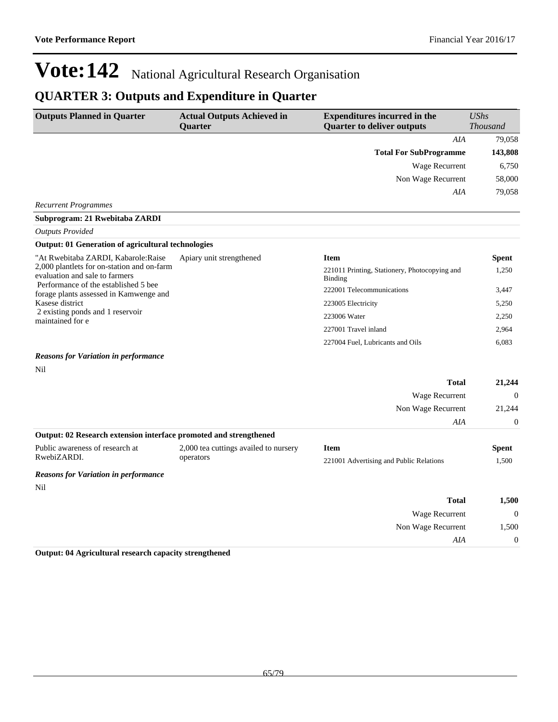### **QUARTER 3: Outputs and Expenditure in Quarter**

| <b>Outputs Planned in Quarter</b>                                                                                                                                                 | <b>Actual Outputs Achieved in</b><br><b>Quarter</b> | <b>Expenditures incurred in the</b><br><b>Quarter to deliver outputs</b> | $\mathit{UShs}$<br><b>Thousand</b> |
|-----------------------------------------------------------------------------------------------------------------------------------------------------------------------------------|-----------------------------------------------------|--------------------------------------------------------------------------|------------------------------------|
|                                                                                                                                                                                   |                                                     | AIA                                                                      | 79,058                             |
|                                                                                                                                                                                   |                                                     | <b>Total For SubProgramme</b>                                            | 143,808                            |
|                                                                                                                                                                                   |                                                     | Wage Recurrent                                                           | 6,750                              |
|                                                                                                                                                                                   |                                                     | Non Wage Recurrent                                                       | 58,000                             |
|                                                                                                                                                                                   |                                                     | AIA                                                                      | 79,058                             |
| <b>Recurrent Programmes</b>                                                                                                                                                       |                                                     |                                                                          |                                    |
| Subprogram: 21 Rwebitaba ZARDI                                                                                                                                                    |                                                     |                                                                          |                                    |
| <b>Outputs Provided</b>                                                                                                                                                           |                                                     |                                                                          |                                    |
| <b>Output: 01 Generation of agricultural technologies</b>                                                                                                                         |                                                     |                                                                          |                                    |
| "At Rwebitaba ZARDI, Kabarole:Raise                                                                                                                                               | Apiary unit strengthened                            | <b>Item</b>                                                              | <b>Spent</b>                       |
| 2,000 plantlets for on-station and on-farm<br>evaluation and sale to farmers<br>Performance of the established 5 bee<br>forage plants assessed in Kamwenge and<br>Kasese district |                                                     | 221011 Printing, Stationery, Photocopying and<br>Binding                 | 1,250                              |
|                                                                                                                                                                                   |                                                     | 222001 Telecommunications                                                | 3,447                              |
|                                                                                                                                                                                   |                                                     | 223005 Electricity                                                       | 5,250                              |
| 2 existing ponds and 1 reservoir<br>maintained for e                                                                                                                              |                                                     | 223006 Water                                                             | 2,250                              |
|                                                                                                                                                                                   |                                                     | 227001 Travel inland                                                     | 2,964                              |
|                                                                                                                                                                                   |                                                     | 227004 Fuel, Lubricants and Oils                                         | 6,083                              |
| <b>Reasons for Variation in performance</b>                                                                                                                                       |                                                     |                                                                          |                                    |
| Nil                                                                                                                                                                               |                                                     |                                                                          |                                    |
|                                                                                                                                                                                   |                                                     | <b>Total</b>                                                             | 21,244                             |
|                                                                                                                                                                                   |                                                     | Wage Recurrent                                                           | 0                                  |

|                                                                   |                                       | Non Wage Recurrent                      | 21,244<br>$\Omega$ |
|-------------------------------------------------------------------|---------------------------------------|-----------------------------------------|--------------------|
|                                                                   |                                       | AIA                                     |                    |
| Output: 02 Research extension interface promoted and strengthened |                                       |                                         |                    |
| Public awareness of research at                                   | 2,000 tea cuttings availed to nursery | Item                                    | <b>Spent</b>       |
| RwebiZARDI.                                                       | operators                             | 221001 Advertising and Public Relations | 1,500              |
| <b>Reasons for Variation in performance</b>                       |                                       |                                         |                    |
| Nil                                                               |                                       |                                         |                    |

| 1,500        | <b>Total</b>       |
|--------------|--------------------|
| $\mathbf{0}$ | Wage Recurrent     |
| 1,500        | Non Wage Recurrent |
| $\theta$     | AIA                |
|              |                    |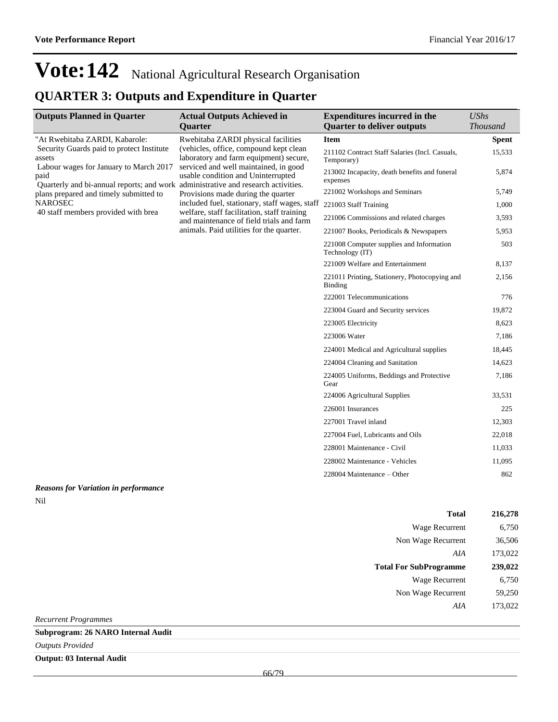### **QUARTER 3: Outputs and Expenditure in Quarter**

| <b>Outputs Planned in Quarter</b>                                                                                                                                                                                                                                                             | <b>Actual Outputs Achieved in</b>                                                                                                                                                                                                                                                                                                                                                             | <b>Expenditures incurred in the</b>                          | <b>UShs</b>     |
|-----------------------------------------------------------------------------------------------------------------------------------------------------------------------------------------------------------------------------------------------------------------------------------------------|-----------------------------------------------------------------------------------------------------------------------------------------------------------------------------------------------------------------------------------------------------------------------------------------------------------------------------------------------------------------------------------------------|--------------------------------------------------------------|-----------------|
|                                                                                                                                                                                                                                                                                               | <b>Quarter</b>                                                                                                                                                                                                                                                                                                                                                                                | <b>Quarter to deliver outputs</b>                            | <b>Thousand</b> |
| "At Rwebitaba ZARDI, Kabarole:                                                                                                                                                                                                                                                                | Rwebitaba ZARDI physical facilities                                                                                                                                                                                                                                                                                                                                                           | <b>Item</b>                                                  | <b>Spent</b>    |
| Security Guards paid to protect Institute<br>assets<br>Labour wages for January to March 2017<br>paid<br>Quarterly and bi-annual reports; and work administrative and research activities.<br>plans prepared and timely submitted to<br><b>NAROSEC</b><br>40 staff members provided with brea | (vehicles, office, compound kept clean<br>laboratory and farm equipment) secure,<br>serviced and well maintained, in good<br>usable condition and Uninterrupted<br>Provisions made during the quarter<br>included fuel, stationary, staff wages, staff<br>welfare, staff facilitation, staff training<br>and maintenance of field trials and farm<br>animals. Paid utilities for the quarter. | 211102 Contract Staff Salaries (Incl. Casuals,<br>Temporary) | 15,533          |
|                                                                                                                                                                                                                                                                                               |                                                                                                                                                                                                                                                                                                                                                                                               | 213002 Incapacity, death benefits and funeral<br>expenses    | 5,874           |
|                                                                                                                                                                                                                                                                                               |                                                                                                                                                                                                                                                                                                                                                                                               | 221002 Workshops and Seminars                                | 5,749           |
|                                                                                                                                                                                                                                                                                               |                                                                                                                                                                                                                                                                                                                                                                                               | 221003 Staff Training                                        | 1,000           |
|                                                                                                                                                                                                                                                                                               |                                                                                                                                                                                                                                                                                                                                                                                               | 221006 Commissions and related charges                       | 3,593           |
|                                                                                                                                                                                                                                                                                               |                                                                                                                                                                                                                                                                                                                                                                                               | 221007 Books, Periodicals & Newspapers                       | 5,953           |
|                                                                                                                                                                                                                                                                                               |                                                                                                                                                                                                                                                                                                                                                                                               | 221008 Computer supplies and Information<br>Technology (IT)  | 503             |
|                                                                                                                                                                                                                                                                                               |                                                                                                                                                                                                                                                                                                                                                                                               | 221009 Welfare and Entertainment                             | 8,137           |
|                                                                                                                                                                                                                                                                                               |                                                                                                                                                                                                                                                                                                                                                                                               | 221011 Printing, Stationery, Photocopying and<br>Binding     | 2,156           |
|                                                                                                                                                                                                                                                                                               |                                                                                                                                                                                                                                                                                                                                                                                               | 222001 Telecommunications                                    | 776             |
|                                                                                                                                                                                                                                                                                               |                                                                                                                                                                                                                                                                                                                                                                                               | 223004 Guard and Security services                           | 19,872          |
|                                                                                                                                                                                                                                                                                               |                                                                                                                                                                                                                                                                                                                                                                                               | 223005 Electricity                                           | 8,623           |
|                                                                                                                                                                                                                                                                                               |                                                                                                                                                                                                                                                                                                                                                                                               | 223006 Water                                                 | 7,186           |
|                                                                                                                                                                                                                                                                                               |                                                                                                                                                                                                                                                                                                                                                                                               | 224001 Medical and Agricultural supplies                     | 18,445          |
|                                                                                                                                                                                                                                                                                               |                                                                                                                                                                                                                                                                                                                                                                                               | 224004 Cleaning and Sanitation                               | 14,623          |
|                                                                                                                                                                                                                                                                                               |                                                                                                                                                                                                                                                                                                                                                                                               | 224005 Uniforms, Beddings and Protective<br>Gear             | 7,186           |
|                                                                                                                                                                                                                                                                                               |                                                                                                                                                                                                                                                                                                                                                                                               | 224006 Agricultural Supplies                                 | 33,531          |
|                                                                                                                                                                                                                                                                                               |                                                                                                                                                                                                                                                                                                                                                                                               | 226001 Insurances                                            | 225             |
|                                                                                                                                                                                                                                                                                               |                                                                                                                                                                                                                                                                                                                                                                                               | 227001 Travel inland                                         | 12,303          |
|                                                                                                                                                                                                                                                                                               |                                                                                                                                                                                                                                                                                                                                                                                               | 227004 Fuel, Lubricants and Oils                             | 22,018          |
|                                                                                                                                                                                                                                                                                               |                                                                                                                                                                                                                                                                                                                                                                                               | 228001 Maintenance - Civil                                   | 11,033          |
|                                                                                                                                                                                                                                                                                               |                                                                                                                                                                                                                                                                                                                                                                                               | 228002 Maintenance - Vehicles                                | 11,095          |
|                                                                                                                                                                                                                                                                                               |                                                                                                                                                                                                                                                                                                                                                                                               | $228004$ Maintenance – Other                                 | 862             |
|                                                                                                                                                                                                                                                                                               |                                                                                                                                                                                                                                                                                                                                                                                               |                                                              |                 |

#### *Reasons for Variation in performance* Nil

| <b>Total</b>                  | 216,278 |
|-------------------------------|---------|
| Wage Recurrent                | 6,750   |
| Non Wage Recurrent            | 36,506  |
| AIA                           | 173,022 |
| <b>Total For SubProgramme</b> | 239,022 |
|                               |         |
| <b>Wage Recurrent</b>         | 6,750   |
| Non Wage Recurrent            | 59,250  |

*Recurrent Programmes*

**Subprogram: 26 NARO Internal Audit**

*Outputs Provided*

**Output: 03 Internal Audit**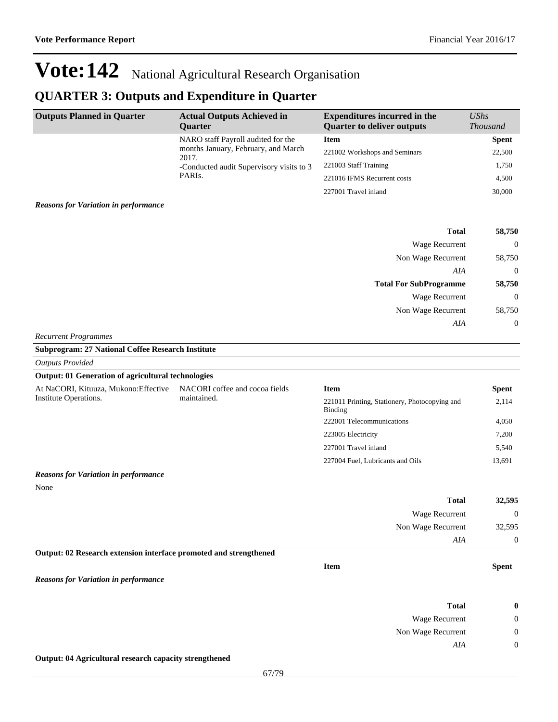## **QUARTER 3: Outputs and Expenditure in Quarter**

| <b>Outputs Planned in Quarter</b>                                 | <b>Actual Outputs Achieved in</b><br>Quarter  | <b>Expenditures incurred in the</b><br><b>Quarter to deliver outputs</b> | <b>UShs</b><br><b>Thousand</b> |
|-------------------------------------------------------------------|-----------------------------------------------|--------------------------------------------------------------------------|--------------------------------|
|                                                                   | NARO staff Payroll audited for the            | <b>Item</b>                                                              | <b>Spent</b>                   |
|                                                                   | months January, February, and March<br>2017.  | 221002 Workshops and Seminars                                            | 22,500                         |
|                                                                   | -Conducted audit Supervisory visits to 3      | 221003 Staff Training                                                    | 1,750                          |
|                                                                   | PARIs.                                        | 221016 IFMS Recurrent costs                                              | 4,500                          |
|                                                                   |                                               | 227001 Travel inland                                                     | 30,000                         |
| <b>Reasons for Variation in performance</b>                       |                                               |                                                                          |                                |
|                                                                   |                                               | <b>Total</b>                                                             | 58,750                         |
|                                                                   |                                               | Wage Recurrent                                                           | $\boldsymbol{0}$               |
|                                                                   |                                               | Non Wage Recurrent                                                       | 58,750                         |
|                                                                   |                                               | AIA                                                                      | $\boldsymbol{0}$               |
|                                                                   |                                               | <b>Total For SubProgramme</b>                                            | 58,750                         |
|                                                                   |                                               | Wage Recurrent                                                           | $\boldsymbol{0}$               |
|                                                                   |                                               | Non Wage Recurrent                                                       | 58,750                         |
|                                                                   |                                               | AIA                                                                      | $\boldsymbol{0}$               |
| <b>Recurrent Programmes</b>                                       |                                               |                                                                          |                                |
| <b>Subprogram: 27 National Coffee Research Institute</b>          |                                               |                                                                          |                                |
| <b>Outputs Provided</b>                                           |                                               |                                                                          |                                |
| <b>Output: 01 Generation of agricultural technologies</b>         |                                               |                                                                          |                                |
| At NaCORI, Kituuza, Mukono: Effective<br>Institute Operations.    | NACORI coffee and cocoa fields<br>maintained. | <b>Item</b>                                                              | <b>Spent</b>                   |
|                                                                   |                                               | 221011 Printing, Stationery, Photocopying and<br><b>Binding</b>          | 2,114                          |
|                                                                   |                                               | 222001 Telecommunications                                                | 4,050                          |
|                                                                   |                                               | 223005 Electricity                                                       | 7,200                          |
|                                                                   |                                               | 227001 Travel inland                                                     | 5,540                          |
|                                                                   |                                               | 227004 Fuel, Lubricants and Oils                                         | 13,691                         |
| <b>Reasons for Variation in performance</b>                       |                                               |                                                                          |                                |
| None                                                              |                                               | <b>Total</b>                                                             | 32,595                         |
|                                                                   |                                               | <b>Wage Recurrent</b>                                                    | $\overline{0}$                 |
|                                                                   |                                               | Non Wage Recurrent                                                       | 32,595                         |
|                                                                   |                                               | AIA                                                                      | $\boldsymbol{0}$               |
| Output: 02 Research extension interface promoted and strengthened |                                               |                                                                          |                                |
|                                                                   |                                               | <b>Item</b>                                                              | <b>Spent</b>                   |
| <b>Reasons for Variation in performance</b>                       |                                               |                                                                          |                                |
|                                                                   |                                               | <b>Total</b>                                                             | $\boldsymbol{0}$               |
|                                                                   |                                               | Wage Recurrent                                                           | 0                              |
|                                                                   |                                               | Non Wage Recurrent                                                       | 0                              |
|                                                                   |                                               | AIA                                                                      | $\boldsymbol{0}$               |
| Output: 04 Agricultural research capacity strengthened            |                                               |                                                                          |                                |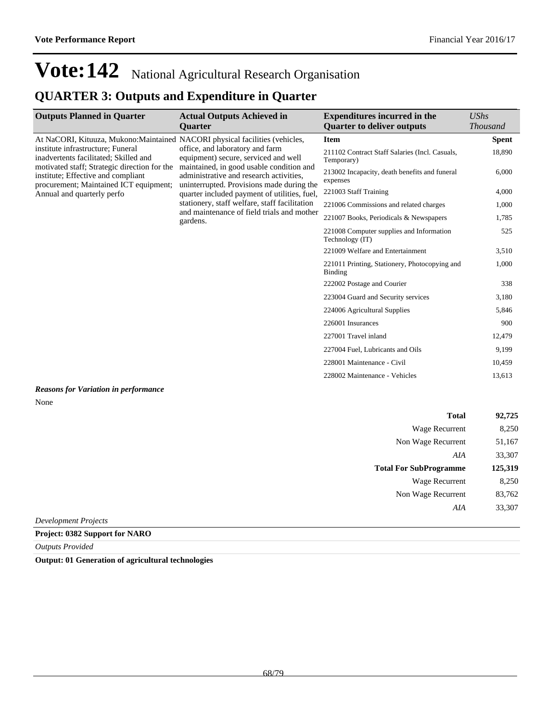### **QUARTER 3: Outputs and Expenditure in Quarter**

| <b>Outputs Planned in Quarter</b>                                                                                                                                                                          | <b>Actual Outputs Achieved in</b><br><b>Ouarter</b>                                                                                                                                                                                                                                                                                                                    | <b>Expenditures incurred in the</b><br><b>Quarter to deliver outputs</b> | <b>UShs</b><br><b>Thousand</b> |
|------------------------------------------------------------------------------------------------------------------------------------------------------------------------------------------------------------|------------------------------------------------------------------------------------------------------------------------------------------------------------------------------------------------------------------------------------------------------------------------------------------------------------------------------------------------------------------------|--------------------------------------------------------------------------|--------------------------------|
| At NaCORI, Kituuza, Mukono: Maintained NACORI physical facilities (vehicles,                                                                                                                               |                                                                                                                                                                                                                                                                                                                                                                        | <b>Item</b>                                                              | <b>Spent</b>                   |
| institute infrastructure: Funeral<br>inadvertents facilitated; Skilled and<br>motivated staff; Strategic direction for the<br>institute; Effective and compliant<br>procurement; Maintained ICT equipment; | office, and laboratory and farm<br>equipment) secure, serviced and well<br>maintained, in good usable condition and<br>administrative and research activities,<br>uninterrupted. Provisions made during the<br>quarter included payment of utilities, fuel,<br>stationery, staff welfare, staff facilitation<br>and maintenance of field trials and mother<br>gardens. | 211102 Contract Staff Salaries (Incl. Casuals,<br>Temporary)             | 18,890                         |
|                                                                                                                                                                                                            |                                                                                                                                                                                                                                                                                                                                                                        | 213002 Incapacity, death benefits and funeral<br>expenses                | 6,000                          |
| Annual and quarterly perfo                                                                                                                                                                                 |                                                                                                                                                                                                                                                                                                                                                                        | 221003 Staff Training                                                    | 4,000                          |
|                                                                                                                                                                                                            |                                                                                                                                                                                                                                                                                                                                                                        | 221006 Commissions and related charges                                   | 1,000                          |
|                                                                                                                                                                                                            |                                                                                                                                                                                                                                                                                                                                                                        | 221007 Books, Periodicals & Newspapers                                   | 1,785                          |
|                                                                                                                                                                                                            |                                                                                                                                                                                                                                                                                                                                                                        | 221008 Computer supplies and Information<br>Technology (IT)              | 525                            |
|                                                                                                                                                                                                            |                                                                                                                                                                                                                                                                                                                                                                        | 221009 Welfare and Entertainment                                         | 3,510                          |
|                                                                                                                                                                                                            |                                                                                                                                                                                                                                                                                                                                                                        | 221011 Printing, Stationery, Photocopying and<br>Binding                 | 1,000                          |
|                                                                                                                                                                                                            |                                                                                                                                                                                                                                                                                                                                                                        | 222002 Postage and Courier                                               | 338                            |
|                                                                                                                                                                                                            |                                                                                                                                                                                                                                                                                                                                                                        | 223004 Guard and Security services                                       | 3,180                          |
|                                                                                                                                                                                                            |                                                                                                                                                                                                                                                                                                                                                                        | 224006 Agricultural Supplies                                             | 5,846                          |
|                                                                                                                                                                                                            |                                                                                                                                                                                                                                                                                                                                                                        | 226001 Insurances                                                        | 900                            |
|                                                                                                                                                                                                            |                                                                                                                                                                                                                                                                                                                                                                        | 227001 Travel inland                                                     | 12,479                         |
|                                                                                                                                                                                                            |                                                                                                                                                                                                                                                                                                                                                                        | 227004 Fuel, Lubricants and Oils                                         | 9,199                          |
|                                                                                                                                                                                                            |                                                                                                                                                                                                                                                                                                                                                                        | 228001 Maintenance - Civil                                               | 10,459                         |
|                                                                                                                                                                                                            |                                                                                                                                                                                                                                                                                                                                                                        | 228002 Maintenance - Vehicles                                            | 13,613                         |
|                                                                                                                                                                                                            |                                                                                                                                                                                                                                                                                                                                                                        |                                                                          |                                |

### *Reasons for Variation in performance* None

| <b>Total</b>                  | 92,725  |
|-------------------------------|---------|
| Wage Recurrent                | 8,250   |
| Non Wage Recurrent            | 51,167  |
| AIA                           | 33,307  |
| <b>Total For SubProgramme</b> | 125,319 |
| Wage Recurrent                | 8,250   |
| Non Wage Recurrent            | 83,762  |
| AIA                           | 33,307  |
| <b>Development Projects</b>   |         |

**Project: 0382 Support for NARO**

*Outputs Provided*

**Output: 01 Generation of agricultural technologies**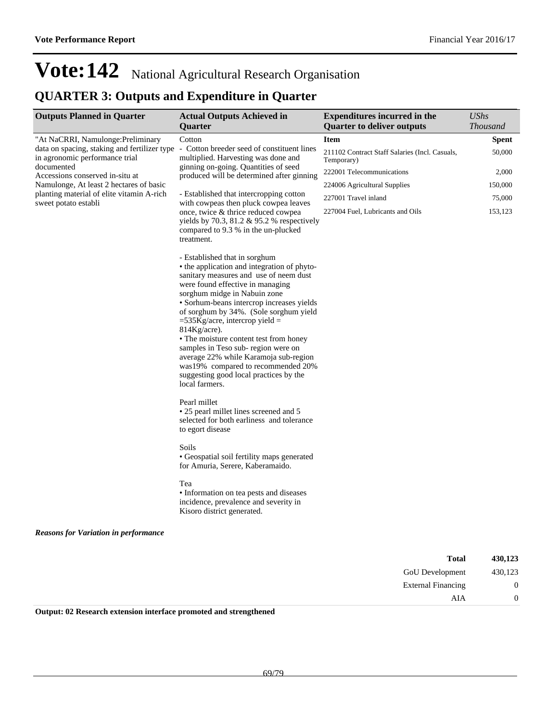## **QUARTER 3: Outputs and Expenditure in Quarter**

| <b>Outputs Planned in Quarter</b>                                              | <b>Actual Outputs Achieved in</b><br>Quarter                                                                                                                                                                                                                                                                                                                                                                                                                                                                                                                                                                                                                                                                                                                                                                                                                                                                       | <b>Expenditures incurred in the</b><br><b>Quarter to deliver outputs</b> | <b>UShs</b><br><b>Thousand</b> |
|--------------------------------------------------------------------------------|--------------------------------------------------------------------------------------------------------------------------------------------------------------------------------------------------------------------------------------------------------------------------------------------------------------------------------------------------------------------------------------------------------------------------------------------------------------------------------------------------------------------------------------------------------------------------------------------------------------------------------------------------------------------------------------------------------------------------------------------------------------------------------------------------------------------------------------------------------------------------------------------------------------------|--------------------------------------------------------------------------|--------------------------------|
| "At NaCRRI, Namulonge: Preliminary                                             | Cotton                                                                                                                                                                                                                                                                                                                                                                                                                                                                                                                                                                                                                                                                                                                                                                                                                                                                                                             | <b>Item</b>                                                              | <b>Spent</b>                   |
| data on spacing, staking and fertilizer type<br>in agronomic performance trial | - Cotton breeder seed of constituent lines<br>multiplied. Harvesting was done and<br>ginning on-going. Quantities of seed<br>produced will be determined after ginning<br>- Established that intercropping cotton<br>with cowpeas then pluck cowpea leaves<br>once, twice & thrice reduced cowpea<br>yields by 70.3, 81.2 $&$ 95.2 % respectively<br>compared to 9.3 % in the un-plucked<br>treatment.                                                                                                                                                                                                                                                                                                                                                                                                                                                                                                             | 211102 Contract Staff Salaries (Incl. Casuals,<br>Temporary)             | 50,000                         |
| documented<br>Accessions conserved in-situ at                                  |                                                                                                                                                                                                                                                                                                                                                                                                                                                                                                                                                                                                                                                                                                                                                                                                                                                                                                                    | 222001 Telecommunications                                                | 2,000                          |
| Namulonge, At least 2 hectares of basic                                        |                                                                                                                                                                                                                                                                                                                                                                                                                                                                                                                                                                                                                                                                                                                                                                                                                                                                                                                    | 224006 Agricultural Supplies                                             | 150,000                        |
| planting material of elite vitamin A-rich                                      |                                                                                                                                                                                                                                                                                                                                                                                                                                                                                                                                                                                                                                                                                                                                                                                                                                                                                                                    | 227001 Travel inland                                                     | 75,000                         |
| sweet potato establi                                                           |                                                                                                                                                                                                                                                                                                                                                                                                                                                                                                                                                                                                                                                                                                                                                                                                                                                                                                                    | 227004 Fuel, Lubricants and Oils                                         | 153,123                        |
| <b>Reasons for Variation in performance</b>                                    | - Established that in sorghum<br>• the application and integration of phyto-<br>sanitary measures and use of neem dust<br>were found effective in managing<br>sorghum midge in Nabuin zone<br>• Sorhum-beans intercrop increases yields<br>of sorghum by 34%. (Sole sorghum yield<br>$=$ 535Kg/acre, intercrop yield $=$<br>814Kg/acre).<br>• The moisture content test from honey<br>samples in Teso sub-region were on<br>average 22% while Karamoja sub-region<br>was19% compared to recommended 20%<br>suggesting good local practices by the<br>local farmers.<br>Pearl millet<br>• 25 pearl millet lines screened and 5<br>selected for both earliness and tolerance<br>to egort disease<br>Soils<br>• Geospatial soil fertility maps generated<br>for Amuria, Serere, Kaberamaido.<br>Tea<br>• Information on tea pests and diseases<br>incidence, prevalence and severity in<br>Kisoro district generated. |                                                                          |                                |
|                                                                                |                                                                                                                                                                                                                                                                                                                                                                                                                                                                                                                                                                                                                                                                                                                                                                                                                                                                                                                    |                                                                          |                                |
|                                                                                |                                                                                                                                                                                                                                                                                                                                                                                                                                                                                                                                                                                                                                                                                                                                                                                                                                                                                                                    | <b>Total</b>                                                             | 430,123                        |
|                                                                                |                                                                                                                                                                                                                                                                                                                                                                                                                                                                                                                                                                                                                                                                                                                                                                                                                                                                                                                    | GoU Development                                                          | 430,123                        |
|                                                                                |                                                                                                                                                                                                                                                                                                                                                                                                                                                                                                                                                                                                                                                                                                                                                                                                                                                                                                                    | <b>External Financing</b>                                                | $\boldsymbol{0}$               |
|                                                                                |                                                                                                                                                                                                                                                                                                                                                                                                                                                                                                                                                                                                                                                                                                                                                                                                                                                                                                                    | AIA                                                                      | $\boldsymbol{0}$               |

**Output: 02 Research extension interface promoted and strengthened**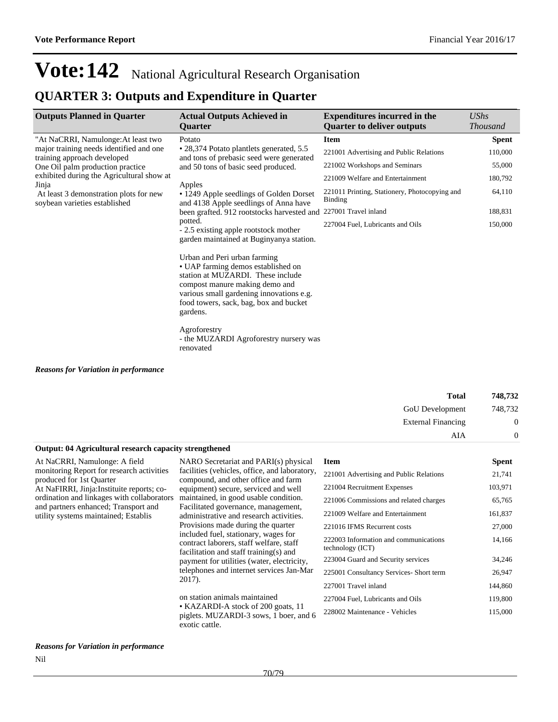### **QUARTER 3: Outputs and Expenditure in Quarter**

| <b>Outputs Planned in Quarter</b>                                                                                                                 | <b>Actual Outputs Achieved in</b><br><b>Ouarter</b>                                                                                                                                                                                                                                                                | <b>Expenditures incurred in the</b><br><b>Quarter to deliver outputs</b> | <b>UShs</b><br><b>Thousand</b> |
|---------------------------------------------------------------------------------------------------------------------------------------------------|--------------------------------------------------------------------------------------------------------------------------------------------------------------------------------------------------------------------------------------------------------------------------------------------------------------------|--------------------------------------------------------------------------|--------------------------------|
| "At NaCRRI, Namulonge: At least two<br>major training needs identified and one<br>training approach developed<br>One Oil palm production practice | Potato<br>• 28,374 Potato plantlets generated, 5.5<br>and tons of prebasic seed were generated<br>and 50 tons of basic seed produced.                                                                                                                                                                              | Item                                                                     | <b>Spent</b>                   |
|                                                                                                                                                   |                                                                                                                                                                                                                                                                                                                    | 221001 Advertising and Public Relations                                  | 110,000                        |
|                                                                                                                                                   |                                                                                                                                                                                                                                                                                                                    | 221002 Workshops and Seminars                                            | 55,000                         |
| exhibited during the Agricultural show at                                                                                                         |                                                                                                                                                                                                                                                                                                                    | 221009 Welfare and Entertainment                                         | 180,792                        |
| Jinja<br>At least 3 demonstration plots for new<br>soybean varieties established                                                                  | Apples<br>• 1249 Apple seedlings of Golden Dorset<br>and 4138 Apple seedlings of Anna have<br>been grafted. 912 rootstocks harvested and<br>potted.<br>- 2.5 existing apple rootstock mother<br>garden maintained at Buginyanya station.                                                                           | 221011 Printing, Stationery, Photocopying and<br><b>Binding</b>          | 64,110                         |
|                                                                                                                                                   |                                                                                                                                                                                                                                                                                                                    | 227001 Travel inland                                                     | 188,831                        |
|                                                                                                                                                   |                                                                                                                                                                                                                                                                                                                    | 227004 Fuel, Lubricants and Oils                                         | 150,000                        |
|                                                                                                                                                   | Urban and Peri urban farming<br>• UAP farming demos established on<br>station at MUZARDI. These include<br>compost manure making demo and<br>various small gardening innovations e.g.<br>food towers, sack, bag, box and bucket<br>gardens.<br>Agroforestry<br>- the MUZARDI Agroforestry nursery was<br>renovated |                                                                          |                                |

#### *Reasons for Variation in performance*

| 748,732        | <b>Total</b>              |
|----------------|---------------------------|
| 748,732        | GoU Development           |
| $\overline{0}$ | <b>External Financing</b> |
| $\overline{0}$ | AIA                       |

#### **Output: 04 Agricultural research capacity strengthened**

At NaCRRI, Namulonge: A field monitoring Report for research activities produced for 1st Quarter At NaFIRRI, Jinja:Instituite reports; coordination and linkages with collaborators and partners enhanced; Transport and utility systems maintained; Establis

#### facilities (vehicles, office, and laboratory, compound, and other office and farm equipment) secure, serviced and well maintained, in good usable condition. Facilitated governance, management, administrative and research activities. Provisions made during the quarter included fuel, stationary, wages for contract laborers, staff welfare, staff facilitation and staff training(s) and payment for utilities (water, electricity, telephones and internet services Jan-Mar 2017).

NARO Secretariat and PARI(s) physical

on station animals maintained KAZARDI-A stock of 200 goats, 11 piglets. MUZARDI-3 sows, 1 boer, and 6 exotic cattle.

#### **Item Spent**

| 221001 Advertising and Public Relations                   | 21,741  |
|-----------------------------------------------------------|---------|
| 221004 Recruitment Expenses                               | 103,971 |
| 221006 Commissions and related charges                    | 65,765  |
| 221009 Welfare and Entertainment                          | 161,837 |
| 221016 IFMS Recurrent costs                               | 27,000  |
| 222003 Information and communications<br>technology (ICT) | 14,166  |
| 223004 Guard and Security services                        | 34,246  |
| 225001 Consultancy Services- Short term                   | 26,947  |
| 227001 Travel inland                                      | 144,860 |
| 227004 Fuel, Lubricants and Oils                          | 119,800 |
| 228002 Maintenance - Vehicles                             | 115,000 |

*Reasons for Variation in performance* Nil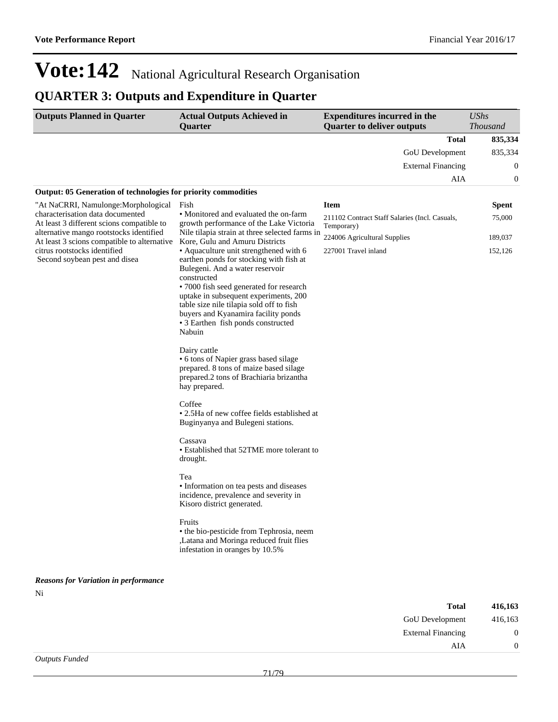## **QUARTER 3: Outputs and Expenditure in Quarter**

| <b>Outputs Planned in Quarter</b>                                                                                                                               | <b>Actual Outputs Achieved in</b><br>Quarter                                                                                                                                                                                                                                                                                                               | <b>Expenditures incurred in the</b><br><b>Quarter to deliver outputs</b> | <b>UShs</b><br>Thousand |
|-----------------------------------------------------------------------------------------------------------------------------------------------------------------|------------------------------------------------------------------------------------------------------------------------------------------------------------------------------------------------------------------------------------------------------------------------------------------------------------------------------------------------------------|--------------------------------------------------------------------------|-------------------------|
|                                                                                                                                                                 |                                                                                                                                                                                                                                                                                                                                                            | <b>Total</b>                                                             | 835,334                 |
|                                                                                                                                                                 |                                                                                                                                                                                                                                                                                                                                                            | GoU Development                                                          | 835,334                 |
|                                                                                                                                                                 |                                                                                                                                                                                                                                                                                                                                                            | <b>External Financing</b>                                                | $\boldsymbol{0}$        |
|                                                                                                                                                                 |                                                                                                                                                                                                                                                                                                                                                            | AIA                                                                      | $\bf{0}$                |
| Output: 05 Generation of technologies for priority commodities                                                                                                  |                                                                                                                                                                                                                                                                                                                                                            |                                                                          |                         |
| "At NaCRRI, Namulonge:Morphological<br>characterisation data documented<br>At least 3 different scions compatible to<br>alternative mango rootstocks identified | Fish<br>• Monitored and evaluated the on-farm<br>growth performance of the Lake Victoria<br>Nile tilapia strain at three selected farms in                                                                                                                                                                                                                 | <b>Item</b>                                                              | <b>Spent</b>            |
|                                                                                                                                                                 |                                                                                                                                                                                                                                                                                                                                                            | 211102 Contract Staff Salaries (Incl. Casuals,<br>Temporary)             | 75,000                  |
| At least 3 scions compatible to alternative                                                                                                                     | Kore, Gulu and Amuru Districts                                                                                                                                                                                                                                                                                                                             | 224006 Agricultural Supplies                                             | 189,037                 |
| citrus rootstocks identified<br>Second soybean pest and disea                                                                                                   | • Aquaculture unit strengthened with 6<br>earthen ponds for stocking with fish at<br>Bulegeni. And a water reservoir<br>constructed<br>• 7000 fish seed generated for research<br>uptake in subsequent experiments, 200<br>table size nile tilapia sold off to fish<br>buyers and Kyanamira facility ponds<br>• 3 Earthen fish ponds constructed<br>Nabuin | 227001 Travel inland                                                     | 152,126                 |
|                                                                                                                                                                 | Dairy cattle<br>• 6 tons of Napier grass based silage<br>prepared. 8 tons of maize based silage<br>prepared.2 tons of Brachiaria brizantha<br>hay prepared.                                                                                                                                                                                                |                                                                          |                         |
|                                                                                                                                                                 | Coffee<br>• 2.5Ha of new coffee fields established at<br>Buginyanya and Bulegeni stations.                                                                                                                                                                                                                                                                 |                                                                          |                         |
|                                                                                                                                                                 | Cassava<br>• Established that 52TME more tolerant to<br>drought.                                                                                                                                                                                                                                                                                           |                                                                          |                         |
|                                                                                                                                                                 | Tea<br>• Information on tea pests and diseases<br>incidence, prevalence and severity in<br>Kisoro district generated.                                                                                                                                                                                                                                      |                                                                          |                         |
|                                                                                                                                                                 | Fruits<br>• the bio-pesticide from Tephrosia, neem<br>,Latana and Moringa reduced fruit flies<br>infestation in oranges by 10.5%                                                                                                                                                                                                                           |                                                                          |                         |
| <b>Reasons for Variation in performance</b>                                                                                                                     |                                                                                                                                                                                                                                                                                                                                                            |                                                                          |                         |
| Ni                                                                                                                                                              |                                                                                                                                                                                                                                                                                                                                                            |                                                                          |                         |
|                                                                                                                                                                 |                                                                                                                                                                                                                                                                                                                                                            | <b>Total</b>                                                             | 416,163                 |

| GoU Development           | 416,163 |
|---------------------------|---------|
| <b>External Financing</b> |         |
|                           | AIA     |
|                           |         |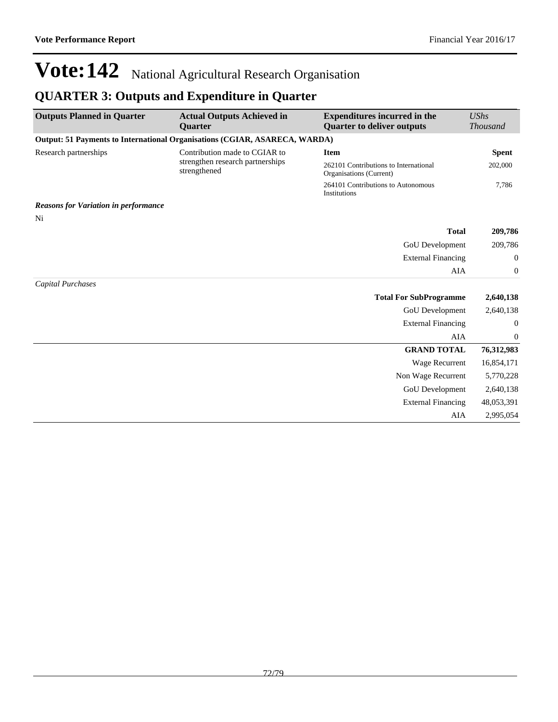### **QUARTER 3: Outputs and Expenditure in Quarter**

| <b>Outputs Planned in Quarter</b>                                                 | <b>Actual Outputs Achieved in</b><br><b>Quarter</b>                               | <b>Expenditures incurred in the</b><br><b>Quarter to deliver outputs</b> | UShs<br><b>Thousand</b> |
|-----------------------------------------------------------------------------------|-----------------------------------------------------------------------------------|--------------------------------------------------------------------------|-------------------------|
| <b>Output: 51 Payments to International Organisations (CGIAR, ASARECA, WARDA)</b> |                                                                                   |                                                                          |                         |
| Research partnerships                                                             | Contribution made to CGIAR to<br>strengthen research partnerships<br>strengthened | <b>Item</b>                                                              | <b>Spent</b>            |
|                                                                                   |                                                                                   | 262101 Contributions to International<br>Organisations (Current)         | 202,000                 |
|                                                                                   |                                                                                   | 264101 Contributions to Autonomous<br>Institutions                       | 7,786                   |
| <b>Reasons for Variation in performance</b>                                       |                                                                                   |                                                                          |                         |
| Ni                                                                                |                                                                                   |                                                                          |                         |
|                                                                                   |                                                                                   | <b>Total</b>                                                             | 209,786                 |
|                                                                                   |                                                                                   | GoU Development                                                          | 209,786                 |
|                                                                                   |                                                                                   | <b>External Financing</b>                                                | $\overline{0}$          |
|                                                                                   |                                                                                   | AIA                                                                      | $\overline{0}$          |
| Capital Purchases                                                                 |                                                                                   |                                                                          |                         |
|                                                                                   |                                                                                   | <b>Total For SubProgramme</b>                                            | 2,640,138               |
|                                                                                   |                                                                                   | GoU Development                                                          | 2,640,138               |
|                                                                                   |                                                                                   | <b>External Financing</b>                                                | $\mathbf{0}$            |
|                                                                                   |                                                                                   | <b>AIA</b>                                                               | $\boldsymbol{0}$        |
|                                                                                   |                                                                                   | <b>GRAND TOTAL</b>                                                       | 76,312,983              |
|                                                                                   |                                                                                   | <b>Wage Recurrent</b>                                                    | 16,854,171              |
|                                                                                   |                                                                                   | Non Wage Recurrent                                                       | 5,770,228               |
|                                                                                   |                                                                                   | GoU Development                                                          | 2,640,138               |
|                                                                                   |                                                                                   | <b>External Financing</b>                                                | 48,053,391              |
|                                                                                   |                                                                                   | AIA                                                                      | 2,995,054               |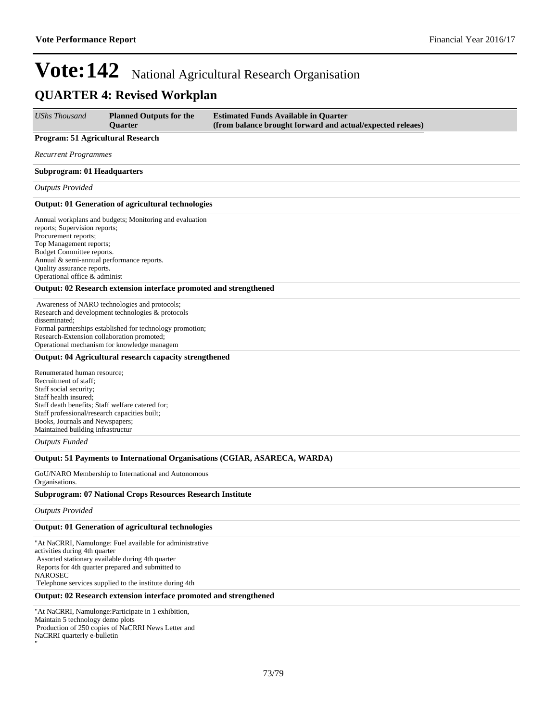### **QUARTER 4: Revised Workplan**

| <b>UShs Thousand</b>                                                                                                                                                                                                                                                                 | <b>Planned Outputs for the</b><br><b>Ouarter</b>                                                                                                                                                                                                                                | <b>Estimated Funds Available in Quarter</b><br>(from balance brought forward and actual/expected releaes) |  |  |
|--------------------------------------------------------------------------------------------------------------------------------------------------------------------------------------------------------------------------------------------------------------------------------------|---------------------------------------------------------------------------------------------------------------------------------------------------------------------------------------------------------------------------------------------------------------------------------|-----------------------------------------------------------------------------------------------------------|--|--|
| Program: 51 Agricultural Research                                                                                                                                                                                                                                                    |                                                                                                                                                                                                                                                                                 |                                                                                                           |  |  |
| Recurrent Programmes                                                                                                                                                                                                                                                                 |                                                                                                                                                                                                                                                                                 |                                                                                                           |  |  |
| Subprogram: 01 Headquarters                                                                                                                                                                                                                                                          |                                                                                                                                                                                                                                                                                 |                                                                                                           |  |  |
| <b>Outputs Provided</b>                                                                                                                                                                                                                                                              |                                                                                                                                                                                                                                                                                 |                                                                                                           |  |  |
|                                                                                                                                                                                                                                                                                      | <b>Output: 01 Generation of agricultural technologies</b>                                                                                                                                                                                                                       |                                                                                                           |  |  |
| reports; Supervision reports;<br>Procurement reports;<br>Top Management reports;<br>Budget Committee reports.<br>Annual & semi-annual performance reports.<br>Quality assurance reports.<br>Operational office & administ                                                            | Annual workplans and budgets; Monitoring and evaluation                                                                                                                                                                                                                         |                                                                                                           |  |  |
|                                                                                                                                                                                                                                                                                      | Output: 02 Research extension interface promoted and strengthened                                                                                                                                                                                                               |                                                                                                           |  |  |
| disseminated;<br>Research-Extension collaboration promoted;                                                                                                                                                                                                                          | Awareness of NARO technologies and protocols;<br>Research and development technologies & protocols<br>Formal partnerships established for technology promotion;<br>Operational mechanism for knowledge managem<br><b>Output: 04 Agricultural research capacity strengthened</b> |                                                                                                           |  |  |
| Renumerated human resource;<br>Recruitment of staff;<br>Staff social security;<br>Staff health insured;<br>Staff death benefits; Staff welfare catered for;<br>Staff professional/research capacities built;<br>Books, Journals and Newspapers;<br>Maintained building infrastructur |                                                                                                                                                                                                                                                                                 |                                                                                                           |  |  |
| <b>Outputs Funded</b>                                                                                                                                                                                                                                                                |                                                                                                                                                                                                                                                                                 |                                                                                                           |  |  |
|                                                                                                                                                                                                                                                                                      |                                                                                                                                                                                                                                                                                 | Output: 51 Payments to International Organisations (CGIAR, ASARECA, WARDA)                                |  |  |
| Organisations.                                                                                                                                                                                                                                                                       | GoU/NARO Membership to International and Autonomous                                                                                                                                                                                                                             |                                                                                                           |  |  |
|                                                                                                                                                                                                                                                                                      | <b>Subprogram: 07 National Crops Resources Research Institute</b>                                                                                                                                                                                                               |                                                                                                           |  |  |
| <b>Outputs Provided</b>                                                                                                                                                                                                                                                              |                                                                                                                                                                                                                                                                                 |                                                                                                           |  |  |
|                                                                                                                                                                                                                                                                                      | <b>Output: 01 Generation of agricultural technologies</b>                                                                                                                                                                                                                       |                                                                                                           |  |  |
| activities during 4th quarter                                                                                                                                                                                                                                                        | "At NaCRRI, Namulonge: Fuel available for administrative<br>Assorted stationary available during 4th quarter<br>Reports for 4th quarter prepared and submitted to                                                                                                               |                                                                                                           |  |  |

NAROSEC Telephone services supplied to the institute during 4th

"

#### **Output: 02 Research extension interface promoted and strengthened**

"At NaCRRI, Namulonge:Participate in 1 exhibition, Maintain 5 technology demo plots Production of 250 copies of NaCRRI News Letter and NaCRRI quarterly e-bulletin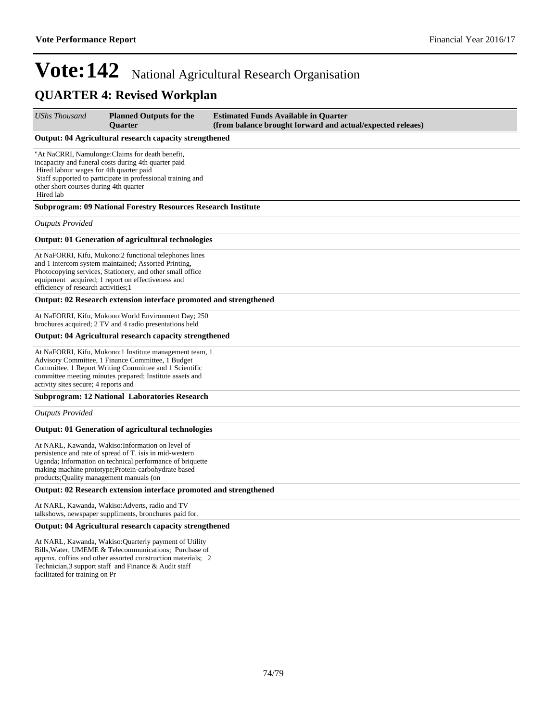### **QUARTER 4: Revised Workplan**

*UShs Thousand* **Planned Outputs for the Quarter Estimated Funds Available in Quarter (from balance brought forward and actual/expected releaes)**

#### **Output: 04 Agricultural research capacity strengthened**

"At NaCRRI, Namulonge:Claims for death benefit, incapacity and funeral costs during 4th quarter paid Hired labour wages for 4th quarter paid Staff supported to participate in professional training and other short courses during 4th quarter Hired lab

#### **Subprogram: 09 National Forestry Resources Research Institute**

*Outputs Provided*

#### **Output: 01 Generation of agricultural technologies**

At NaFORRI, Kifu, Mukono:2 functional telephones lines and 1 intercom system maintained; Assorted Printing, Photocopying services, Stationery, and other small office equipment acquired; 1 report on effectiveness and efficiency of research activities;1

#### **Output: 02 Research extension interface promoted and strengthened**

At NaFORRI, Kifu, Mukono:World Environment Day; 250 brochures acquired; 2 TV and 4 radio presentations held

#### **Output: 04 Agricultural research capacity strengthened**

At NaFORRI, Kifu, Mukono:1 Institute management team, 1 Advisory Committee, 1 Finance Committee, 1 Budget Committee, 1 Report Writing Committee and 1 Scientific committee meeting minutes prepared; Institute assets and activity sites secure; 4 reports and

#### **Subprogram: 12 National Laboratories Research**

*Outputs Provided*

#### **Output: 01 Generation of agricultural technologies**

At NARL, Kawanda, Wakiso:Information on level of persistence and rate of spread of T. isis in mid-western Uganda; Information on technical performance of briquette making machine prototype;Protein-carbohydrate based products;Quality management manuals (on

#### **Output: 02 Research extension interface promoted and strengthened**

At NARL, Kawanda, Wakiso:Adverts, radio and TV talkshows, newspaper suppliments, bronchures paid for.

#### **Output: 04 Agricultural research capacity strengthened**

At NARL, Kawanda, Wakiso:Quarterly payment of Utility Bills,Water, UMEME & Telecommunications; Purchase of approx. coffins and other assorted construction materials; 2 Technician,3 support staff and Finance & Audit staff facilitated for training on Pr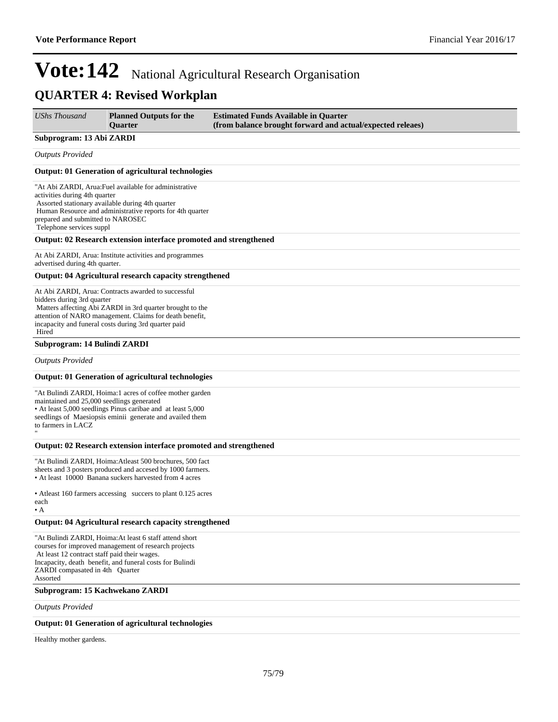### **QUARTER 4: Revised Workplan**

| <b>UShs Thousand</b>                                                                           | <b>Planned Outputs for the</b><br>Quarter                                                                                                                                                                                           | <b>Estimated Funds Available in Quarter</b><br>(from balance brought forward and actual/expected releaes) |
|------------------------------------------------------------------------------------------------|-------------------------------------------------------------------------------------------------------------------------------------------------------------------------------------------------------------------------------------|-----------------------------------------------------------------------------------------------------------|
| Subprogram: 13 Abi ZARDI                                                                       |                                                                                                                                                                                                                                     |                                                                                                           |
| <b>Outputs Provided</b>                                                                        |                                                                                                                                                                                                                                     |                                                                                                           |
|                                                                                                | <b>Output: 01 Generation of agricultural technologies</b>                                                                                                                                                                           |                                                                                                           |
| activities during 4th quarter<br>prepared and submitted to NAROSEC<br>Telephone services suppl | "At Abi ZARDI, Arua: Fuel available for administrative<br>Assorted stationary available during 4th quarter<br>Human Resource and administrative reports for 4th quarter                                                             |                                                                                                           |
|                                                                                                | Output: 02 Research extension interface promoted and strengthened                                                                                                                                                                   |                                                                                                           |
| advertised during 4th quarter.                                                                 | At Abi ZARDI, Arua: Institute activities and programmes                                                                                                                                                                             |                                                                                                           |
|                                                                                                | <b>Output: 04 Agricultural research capacity strengthened</b>                                                                                                                                                                       |                                                                                                           |
| bidders during 3rd quarter<br>Hired                                                            | At Abi ZARDI, Arua: Contracts awarded to successful<br>Matters affecting Abi ZARDI in 3rd quarter brought to the<br>attention of NARO management. Claims for death benefit,<br>incapacity and funeral costs during 3rd quarter paid |                                                                                                           |
| Subprogram: 14 Bulindi ZARDI                                                                   |                                                                                                                                                                                                                                     |                                                                                                           |
| <b>Outputs Provided</b>                                                                        |                                                                                                                                                                                                                                     |                                                                                                           |
|                                                                                                | <b>Output: 01 Generation of agricultural technologies</b>                                                                                                                                                                           |                                                                                                           |
| maintained and 25,000 seedlings generated<br>to farmers in LACZ                                | "At Bulindi ZARDI, Hoima:1 acres of coffee mother garden<br>• At least 5,000 seedlings Pinus caribae and at least 5,000<br>seedlings of Maesiopsis eminii generate and availed them                                                 |                                                                                                           |
|                                                                                                | Output: 02 Research extension interface promoted and strengthened                                                                                                                                                                   |                                                                                                           |
|                                                                                                | "At Bulindi ZARDI, Hoima: Atleast 500 brochures, 500 fact<br>sheets and 3 posters produced and accesed by 1000 farmers.<br>• At least 10000 Banana suckers harvested from 4 acres                                                   |                                                                                                           |
| each<br>$\cdot$ A                                                                              | • Atleast 160 farmers accessing succers to plant 0.125 acres                                                                                                                                                                        |                                                                                                           |
|                                                                                                | Output: 04 Agricultural research capacity strengthened                                                                                                                                                                              |                                                                                                           |
| At least 12 contract staff paid their wages.<br>ZARDI compasated in 4th Quarter<br>Assorted    | "At Bulindi ZARDI, Hoima: At least 6 staff attend short<br>courses for improved management of research projects<br>Incapacity, death benefit, and funeral costs for Bulindi                                                         |                                                                                                           |
| Subprogram: 15 Kachwekano ZARDI                                                                |                                                                                                                                                                                                                                     |                                                                                                           |
|                                                                                                |                                                                                                                                                                                                                                     |                                                                                                           |

*Outputs Provided*

#### **Output: 01 Generation of agricultural technologies**

Healthy mother gardens.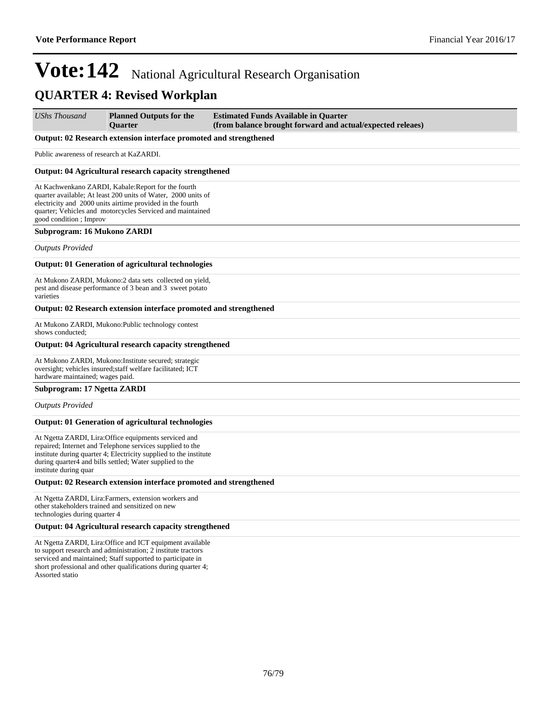### **QUARTER 4: Revised Workplan**

*UShs Thousand* **Planned Outputs for the Quarter Estimated Funds Available in Quarter (from balance brought forward and actual/expected releaes)**

#### **Output: 02 Research extension interface promoted and strengthened**

Public awareness of research at KaZARDI.

#### **Output: 04 Agricultural research capacity strengthened**

At Kachwenkano ZARDI, Kabale:Report for the fourth quarter available; At least 200 units of Water, 2000 units of electricity and 2000 units airtime provided in the fourth quarter; Vehicles and motorcycles Serviced and maintained good condition ; Improv

#### **Subprogram: 16 Mukono ZARDI**

*Outputs Provided*

#### **Output: 01 Generation of agricultural technologies**

At Mukono ZARDI, Mukono:2 data sets collected on yield, pest and disease performance of 3 bean and 3 sweet potato varieties

#### **Output: 02 Research extension interface promoted and strengthened**

At Mukono ZARDI, Mukono:Public technology contest shows conducted;

#### **Output: 04 Agricultural research capacity strengthened**

At Mukono ZARDI, Mukono:Institute secured; strategic oversight; vehicles insured;staff welfare facilitated; ICT hardware maintained; wages paid.

#### **Subprogram: 17 Ngetta ZARDI**

*Outputs Provided*

#### **Output: 01 Generation of agricultural technologies**

At Ngetta ZARDI, Lira:Office equipments serviced and repaired; Internet and Telephone services supplied to the institute during quarter 4; Electricity supplied to the institute during quarter4 and bills settled; Water supplied to the institute during quar

#### **Output: 02 Research extension interface promoted and strengthened**

At Ngetta ZARDI, Lira:Farmers, extension workers and other stakeholders trained and sensitized on new technologies during quarter 4

#### **Output: 04 Agricultural research capacity strengthened**

At Ngetta ZARDI, Lira:Office and ICT equipment available to support research and administration; 2 institute tractors serviced and maintained; Staff supported to participate in short professional and other qualifications during quarter 4; Assorted statio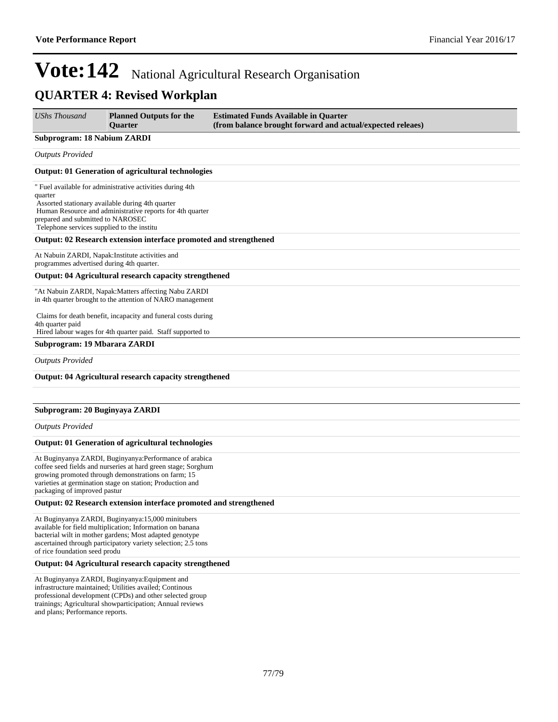### **QUARTER 4: Revised Workplan**

| <b>UShs Thousand</b>                                                                       | <b>Planned Outputs for the</b><br><b>Ouarter</b>                                                                                                                                                                                             | <b>Estimated Funds Available in Quarter</b><br>(from balance brought forward and actual/expected releaes) |
|--------------------------------------------------------------------------------------------|----------------------------------------------------------------------------------------------------------------------------------------------------------------------------------------------------------------------------------------------|-----------------------------------------------------------------------------------------------------------|
| <b>Subprogram: 18 Nabium ZARDI</b>                                                         |                                                                                                                                                                                                                                              |                                                                                                           |
| <b>Outputs Provided</b>                                                                    |                                                                                                                                                                                                                                              |                                                                                                           |
|                                                                                            | <b>Output: 01 Generation of agricultural technologies</b>                                                                                                                                                                                    |                                                                                                           |
| quarter<br>prepared and submitted to NAROSEC<br>Telephone services supplied to the institu | " Fuel available for administrative activities during 4th<br>Assorted stationary available during 4th quarter<br>Human Resource and administrative reports for 4th quarter                                                                   |                                                                                                           |
|                                                                                            | Output: 02 Research extension interface promoted and strengthened                                                                                                                                                                            |                                                                                                           |
| programmes advertised during 4th quarter.                                                  | At Nabuin ZARDI, Napak: Institute activities and                                                                                                                                                                                             |                                                                                                           |
|                                                                                            | Output: 04 Agricultural research capacity strengthened                                                                                                                                                                                       |                                                                                                           |
|                                                                                            | "At Nabuin ZARDI, Napak: Matters affecting Nabu ZARDI<br>in 4th quarter brought to the attention of NARO management                                                                                                                          |                                                                                                           |
| 4th quarter paid                                                                           | Claims for death benefit, incapacity and funeral costs during<br>Hired labour wages for 4th quarter paid. Staff supported to                                                                                                                 |                                                                                                           |
| Subprogram: 19 Mbarara ZARDI                                                               |                                                                                                                                                                                                                                              |                                                                                                           |
| <b>Outputs Provided</b>                                                                    |                                                                                                                                                                                                                                              |                                                                                                           |
|                                                                                            | Output: 04 Agricultural research capacity strengthened                                                                                                                                                                                       |                                                                                                           |
| Subprogram: 20 Buginyaya ZARDI                                                             |                                                                                                                                                                                                                                              |                                                                                                           |
| <b>Outputs Provided</b>                                                                    |                                                                                                                                                                                                                                              |                                                                                                           |
|                                                                                            | <b>Output: 01 Generation of agricultural technologies</b>                                                                                                                                                                                    |                                                                                                           |
| packaging of improved pastur                                                               | At Buginyanya ZARDI, Buginyanya: Performance of arabica<br>coffee seed fields and nurseries at hard green stage; Sorghum<br>growing promoted through demonstrations on farm; 15<br>varieties at germination stage on station; Production and |                                                                                                           |
|                                                                                            | Output: 02 Research extension interface promoted and strengthened                                                                                                                                                                            |                                                                                                           |
| of rice foundation seed produ                                                              | At Buginyanya ZARDI, Buginyanya:15,000 minitubers<br>available for field multiplication; Information on banana<br>bacterial wilt in mother gardens; Most adapted genotype<br>ascertained through participatory variety selection; 2.5 tons   |                                                                                                           |
|                                                                                            | Output: 04 Agricultural research capacity strengthened                                                                                                                                                                                       |                                                                                                           |
|                                                                                            | At Buginyanya ZARDI, Buginyanya: Equipment and<br>infrastructure maintained; Utilities availed; Continous                                                                                                                                    |                                                                                                           |

professional development (CPDs) and other selected group trainings; Agricultural showparticipation; Annual reviews and plans; Performance reports.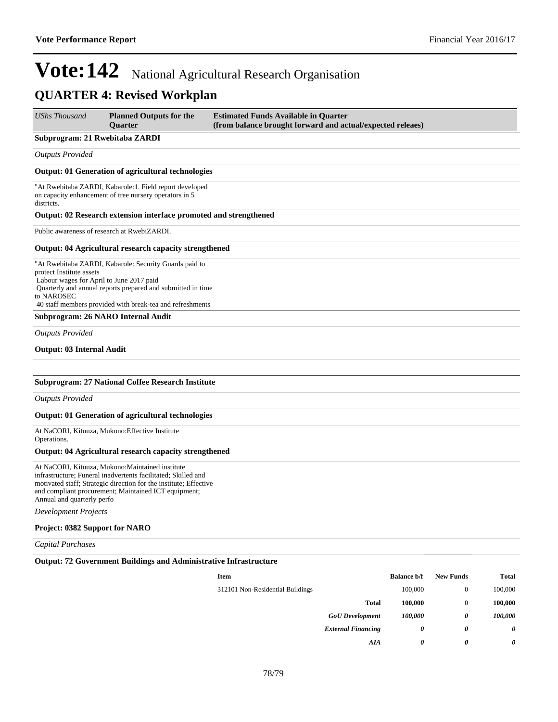### **QUARTER 4: Revised Workplan**

| <b>UShs Thousand</b>                                                               | <b>Planned Outputs for the</b><br><b>Ouarter</b>                                                                                                                                                                                               | <b>Estimated Funds Available in Quarter</b><br>(from balance brought forward and actual/expected releaes) |
|------------------------------------------------------------------------------------|------------------------------------------------------------------------------------------------------------------------------------------------------------------------------------------------------------------------------------------------|-----------------------------------------------------------------------------------------------------------|
| Subprogram: 21 Rwebitaba ZARDI                                                     |                                                                                                                                                                                                                                                |                                                                                                           |
| <b>Outputs Provided</b>                                                            |                                                                                                                                                                                                                                                |                                                                                                           |
|                                                                                    | Output: 01 Generation of agricultural technologies                                                                                                                                                                                             |                                                                                                           |
| districts.                                                                         | "At Rwebitaba ZARDI, Kabarole:1. Field report developed<br>on capacity enhancement of tree nursery operators in 5                                                                                                                              |                                                                                                           |
|                                                                                    | Output: 02 Research extension interface promoted and strengthened                                                                                                                                                                              |                                                                                                           |
|                                                                                    | Public awareness of research at RwebiZARDI.                                                                                                                                                                                                    |                                                                                                           |
|                                                                                    | Output: 04 Agricultural research capacity strengthened                                                                                                                                                                                         |                                                                                                           |
| protect Institute assets<br>Labour wages for April to June 2017 paid<br>to NAROSEC | "At Rwebitaba ZARDI, Kabarole: Security Guards paid to<br>Quarterly and annual reports prepared and submitted in time<br>40 staff members provided with break-tea and refreshments                                                             |                                                                                                           |
|                                                                                    | Subprogram: 26 NARO Internal Audit                                                                                                                                                                                                             |                                                                                                           |
| <b>Outputs Provided</b>                                                            |                                                                                                                                                                                                                                                |                                                                                                           |
| <b>Output: 03 Internal Audit</b>                                                   |                                                                                                                                                                                                                                                |                                                                                                           |
|                                                                                    |                                                                                                                                                                                                                                                |                                                                                                           |
|                                                                                    | <b>Subprogram: 27 National Coffee Research Institute</b>                                                                                                                                                                                       |                                                                                                           |
| <b>Outputs Provided</b>                                                            |                                                                                                                                                                                                                                                |                                                                                                           |
|                                                                                    | Output: 01 Generation of agricultural technologies                                                                                                                                                                                             |                                                                                                           |
| Operations.                                                                        | At NaCORI, Kituuza, Mukono: Effective Institute                                                                                                                                                                                                |                                                                                                           |
|                                                                                    | Output: 04 Agricultural research capacity strengthened                                                                                                                                                                                         |                                                                                                           |
| Annual and quarterly perfo                                                         | At NaCORI, Kituuza, Mukono: Maintained institute<br>infrastructure; Funeral inadvertents facilitated; Skilled and<br>motivated staff; Strategic direction for the institute; Effective<br>and compliant procurement; Maintained ICT equipment; |                                                                                                           |

*Development Projects*

#### **Project: 0382 Support for NARO**

*Capital Purchases*

#### **Output: 72 Government Buildings and Administrative Infrastructure**

| <b>Item</b>                      | <b>Balance b/f</b> | <b>New Funds</b> | <b>Total</b> |
|----------------------------------|--------------------|------------------|--------------|
| 312101 Non-Residential Buildings | 100,000            | 0                | 100,000      |
| <b>Total</b>                     | 100,000            | 0                | 100,000      |
| <b>GoU</b> Development           | 100,000            | 0                | 100,000      |
| <b>External Financing</b>        | 0                  | 0                | 0            |
| AIA                              | 0                  | 0                | 0            |